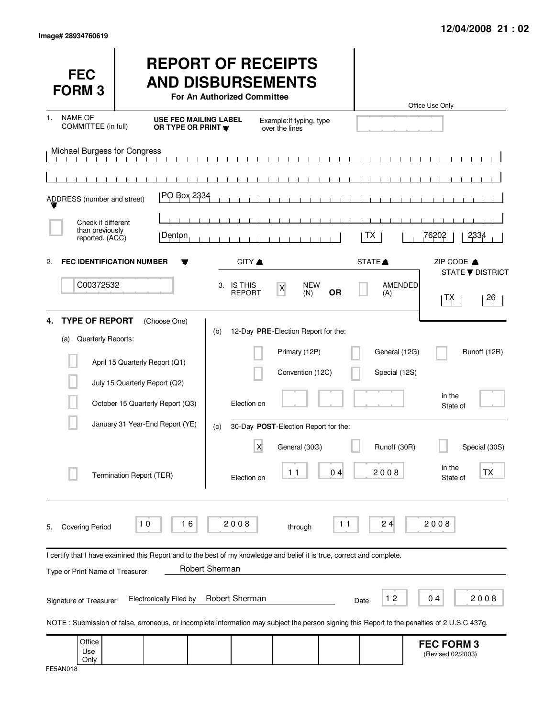| <b>FEC</b><br><b>FORM3</b>                               |                                                                                                                                                                                | <b>REPORT OF RECEIPTS</b><br><b>AND DISBURSEMENTS</b><br>For An Authorized Committee |                                                                                                                                   |                   |                                                | Office Use Only                        |                               |
|----------------------------------------------------------|--------------------------------------------------------------------------------------------------------------------------------------------------------------------------------|--------------------------------------------------------------------------------------|-----------------------------------------------------------------------------------------------------------------------------------|-------------------|------------------------------------------------|----------------------------------------|-------------------------------|
| <b>NAME OF</b><br>1.<br>COMMITTEE (in full)              | <b>USE FEC MAILING LABEL</b><br>OR TYPE OR PRINT <b>W</b>                                                                                                                      |                                                                                      | Example: If typing, type<br>over the lines                                                                                        |                   |                                                |                                        |                               |
| Michael Burgess for Congress                             |                                                                                                                                                                                |                                                                                      |                                                                                                                                   |                   |                                                |                                        |                               |
| ADDRESS (number and street)                              | PO Box 2334                                                                                                                                                                    |                                                                                      | $\mathbf{1}$ $\mathbf{1}$ $\mathbf{1}$                                                                                            |                   |                                                |                                        |                               |
| Check if different<br>than previously<br>reported. (ACC) | Denton                                                                                                                                                                         |                                                                                      |                                                                                                                                   | IХ.               |                                                | 76202                                  | 2334                          |
| 2.                                                       | <b>FEC IDENTIFICATION NUMBER</b>                                                                                                                                               | CITY A                                                                               |                                                                                                                                   | STATE <sup></sup> |                                                | ZIP CODE A                             | <b>STATE ▼ DISTRICT</b>       |
| C00372532                                                |                                                                                                                                                                                | 3. IS THIS<br><b>REPORT</b>                                                          | <b>NEW</b><br>$\mathsf X$<br>(N)                                                                                                  | <b>OR</b>         | AMENDED<br>(A)                                 | ן ⊺X়                                  | 26                            |
| <b>TYPE OF REPORT</b><br>4.<br>Quarterly Reports:<br>(a) | (Choose One)<br>April 15 Quarterly Report (Q1)<br>July 15 Quarterly Report (Q2)<br>October 15 Quarterly Report (Q3)<br>January 31 Year-End Report (YE)                         | (b)<br>Election on<br>(c)<br>X                                                       | 12-Day PRE-Election Report for the:<br>Primary (12P)<br>Convention (12C)<br>30-Day POST-Election Report for the:<br>General (30G) |                   | General (12G)<br>Special (12S)<br>Runoff (30R) | in the<br>State of                     | Runoff (12R)<br>Special (30S) |
|                                                          | Termination Report (TER)                                                                                                                                                       | Election on                                                                          | 11                                                                                                                                | 04                | 2008                                           | in the<br>State of                     | ТX                            |
| <b>Covering Period</b><br>5.                             | 10<br>16                                                                                                                                                                       | 2008                                                                                 | through                                                                                                                           | $11$              | 24                                             | 2008                                   |                               |
| Type or Print Name of Treasurer                          | I certify that I have examined this Report and to the best of my knowledge and belief it is true, correct and complete.                                                        | Robert Sherman                                                                       |                                                                                                                                   |                   |                                                |                                        |                               |
| Signature of Treasurer                                   | <b>Electronically Filed by</b><br>NOTE: Submission of false, erroneous, or incomplete information may subject the person signing this Report to the penalties of 2 U.S.C 437g. | Robert Sherman                                                                       |                                                                                                                                   | Date              | 12                                             | 0 <sub>4</sub>                         | 2008                          |
| Office<br>Use<br>Only                                    |                                                                                                                                                                                |                                                                                      |                                                                                                                                   |                   |                                                | <b>FEC FORM 3</b><br>(Revised 02/2003) |                               |

| FE5AN018 |
|----------|
|----------|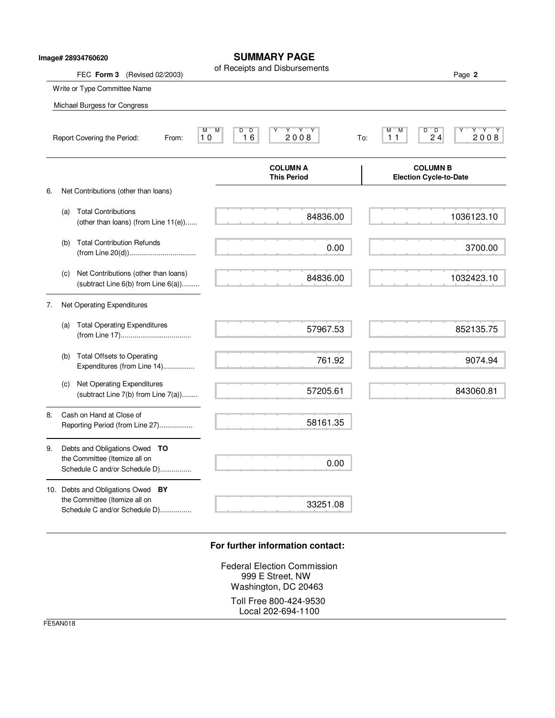|    |     | lmage# 28934760620                                                                                     | <b>SUMMARY PAGE</b>                                             |                                                                  |
|----|-----|--------------------------------------------------------------------------------------------------------|-----------------------------------------------------------------|------------------------------------------------------------------|
|    |     | FEC Form 3<br>(Revised 02/2003)                                                                        | of Receipts and Disbursements                                   | Page 2                                                           |
|    |     | Write or Type Committee Name                                                                           |                                                                 |                                                                  |
|    |     | Michael Burgess for Congress                                                                           |                                                                 |                                                                  |
|    |     | Report Covering the Period:<br>From:                                                                   | $Y$ $Y$ $Y$<br>$D^{\prime}$ , $D$<br>M<br>M<br>16<br>2008<br>10 | $^{\circ}$ D<br>D<br>Y Y<br>М<br>M<br>24<br>2,0,0,8<br>11<br>To: |
|    |     |                                                                                                        | <b>COLUMN A</b><br><b>This Period</b>                           | <b>COLUMN B</b><br><b>Election Cycle-to-Date</b>                 |
| 6. |     | Net Contributions (other than loans)                                                                   |                                                                 |                                                                  |
|    | (a) | <b>Total Contributions</b><br>(other than loans) (from Line $11(e)$ )                                  | 84836.00                                                        | 1036123.10                                                       |
|    | (b) | <b>Total Contribution Refunds</b>                                                                      | 0.00                                                            | 3700.00                                                          |
|    | (c) | Net Contributions (other than loans)<br>(subtract Line $6(b)$ from Line $6(a)$ )                       | 84836.00                                                        | 1032423.10                                                       |
| 7. |     | Net Operating Expenditures                                                                             |                                                                 |                                                                  |
|    |     | (a) Total Operating Expenditures                                                                       | 57967.53                                                        | 852135.75                                                        |
|    | (b) | Total Offsets to Operating<br>Expenditures (from Line 14)                                              | 761.92                                                          | 9074.94                                                          |
|    | (c) | Net Operating Expenditures<br>(subtract Line $7(b)$ from Line $7(a)$ )                                 | 57205.61                                                        | 843060.81                                                        |
| 8. |     | Cash on Hand at Close of<br>Reporting Period (from Line 27)                                            | 58161.35                                                        |                                                                  |
| 9. |     | Debts and Obligations Owed TO<br>the Committee (Itemize all on<br>Schedule C and/or Schedule D)        | 0.00                                                            |                                                                  |
|    |     | 10. Debts and Obligations Owed<br>BY<br>the Committee (Itemize all on<br>Schedule C and/or Schedule D) | 33251.08                                                        |                                                                  |

## **For further information contact:**

Federal Election Commission 999 E Street, NW Washington, DC 20463 Toll Free 800-424-9530 Local 202-694-1100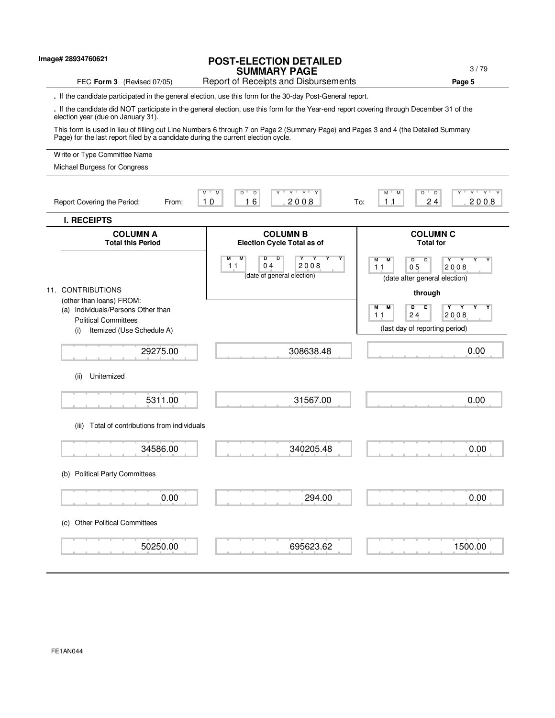| lmage# 28934760621                                                                | <b>POST-ELECTION DETAILED</b><br><b>SUMMARY PAGE</b>                                                                                      | 3/79                                                                                       |
|-----------------------------------------------------------------------------------|-------------------------------------------------------------------------------------------------------------------------------------------|--------------------------------------------------------------------------------------------|
| FEC Form 3 (Revised 07/05)                                                        | Report of Receipts and Disbursements                                                                                                      | Page 5                                                                                     |
|                                                                                   | . If the candidate participated in the general election, use this form for the 30-day Post-General report.                                |                                                                                            |
| election year (due on January 31).                                                | . If the candidate did NOT participate in the general election, use this form for the Year-end report covering through December 31 of the |                                                                                            |
| Page) for the last report filed by a candidate during the current election cycle. | This form is used in lieu of filling out Line Numbers 6 through 7 on Page 2 (Summary Page) and Pages 3 and 4 (the Detailed Summary        |                                                                                            |
| Write or Type Committee Name                                                      |                                                                                                                                           |                                                                                            |
| Michael Burgess for Congress                                                      |                                                                                                                                           |                                                                                            |
| Report Covering the Period:<br>From:                                              | $Y'$ $Y'$ $Y$<br>$M$ <sup>U</sup><br>$\overline{D}$<br>M<br>$D$ <sup>-</sup><br>16<br>2008<br>10                                          | $Y^+ - Y^+$<br>$\overline{D}$<br>$\overline{Y}$<br>М<br>M<br>D<br>24<br>1.1<br>2008<br>To: |
| <b>I. RECEIPTS</b>                                                                |                                                                                                                                           |                                                                                            |
| <b>COLUMN A</b><br><b>Total this Period</b>                                       | <b>COLUMN B</b><br><b>Election Cycle Total as of</b>                                                                                      | <b>COLUMN C</b><br><b>Total for</b>                                                        |
|                                                                                   | м<br>M<br>2008<br>04<br>11<br>(date of general election)                                                                                  | М<br>M<br>D<br>D<br>0 <sub>5</sub><br>2008<br>11<br>(date after general election)          |
| 11. CONTRIBUTIONS                                                                 |                                                                                                                                           | through                                                                                    |
| (other than loans) FROM:<br>(a) Individuals/Persons Other than                    |                                                                                                                                           | М<br>М<br>D<br>D<br>Y<br>Y                                                                 |
| <b>Political Committees</b><br>Itemized (Use Schedule A)<br>(i)                   |                                                                                                                                           | 24<br>2008<br>11<br>(last day of reporting period)                                         |
|                                                                                   |                                                                                                                                           |                                                                                            |
| 29275.00                                                                          | 308638.48                                                                                                                                 | 0.00                                                                                       |
| Unitemized<br>(ii)                                                                |                                                                                                                                           |                                                                                            |
| 5311.00                                                                           | 31567.00                                                                                                                                  | 0.00                                                                                       |
| (iii) Total of contributions from individuals                                     |                                                                                                                                           |                                                                                            |
| 34586.00                                                                          | 340205.48                                                                                                                                 | 0.00                                                                                       |
| (b) Political Party Committees                                                    |                                                                                                                                           |                                                                                            |
| 0.00                                                                              | 294.00                                                                                                                                    | 0.00                                                                                       |
| <b>Other Political Committees</b><br>(C)                                          |                                                                                                                                           |                                                                                            |
| 50250.00                                                                          | 695623.62                                                                                                                                 | 1500.00                                                                                    |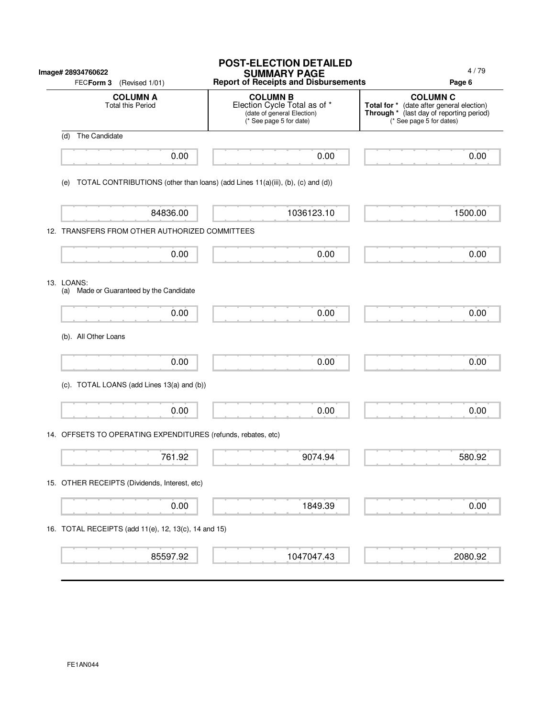|     | Image# 28934760622<br>FECForm 3<br>(Revised 1/01)                               | <b>POST-ELECTION DETAILED</b><br><b>SUMMARY PAGE</b><br><b>Report of Receipts and Disbursements</b>      | 4/79<br>Page 6                                                                                                                       |
|-----|---------------------------------------------------------------------------------|----------------------------------------------------------------------------------------------------------|--------------------------------------------------------------------------------------------------------------------------------------|
|     | <b>COLUMN A</b><br><b>Total this Period</b>                                     | <b>COLUMN B</b><br>Election Cycle Total as of *<br>(date of general Election)<br>(* See page 5 for date) | <b>COLUMN C</b><br>Total for * (date after general election)<br>Through * (last day of reporting period)<br>(* See page 5 for dates) |
| (d) | The Candidate                                                                   |                                                                                                          |                                                                                                                                      |
|     | 0.00                                                                            | 0.00                                                                                                     | 0.00                                                                                                                                 |
| (e) | TOTAL CONTRIBUTIONS (other than loans) (add Lines 11(a)(iii), (b), (c) and (d)) |                                                                                                          |                                                                                                                                      |
|     | 84836.00                                                                        | 1036123.10                                                                                               | 1500.00                                                                                                                              |
|     | 12. TRANSFERS FROM OTHER AUTHORIZED COMMITTEES                                  |                                                                                                          |                                                                                                                                      |
|     | 0.00                                                                            | 0.00                                                                                                     | 0.00                                                                                                                                 |
|     | 13. LOANS:<br>(a) Made or Guaranteed by the Candidate                           |                                                                                                          |                                                                                                                                      |
|     | 0.00                                                                            | 0.00                                                                                                     | 0.00                                                                                                                                 |
|     | (b). All Other Loans                                                            |                                                                                                          |                                                                                                                                      |
|     | 0.00                                                                            | 0.00                                                                                                     | 0.00                                                                                                                                 |
|     | (c). TOTAL LOANS (add Lines 13(a) and (b))                                      |                                                                                                          |                                                                                                                                      |
|     | 0.00                                                                            | 0.00                                                                                                     | 0.00                                                                                                                                 |
|     | 14. OFFSETS TO OPERATING EXPENDITURES (refunds, rebates, etc)                   |                                                                                                          |                                                                                                                                      |
|     | 761.92                                                                          | 9074.94                                                                                                  | 580.92                                                                                                                               |
|     | 15. OTHER RECEIPTS (Dividends, Interest, etc)                                   |                                                                                                          |                                                                                                                                      |
|     | 0.00                                                                            | 1849.39                                                                                                  | 0.00                                                                                                                                 |
|     | 16. TOTAL RECEIPTS (add 11(e), 12, 13(c), 14 and 15)                            |                                                                                                          |                                                                                                                                      |
|     | 85597.92                                                                        | 1047047.43                                                                                               | 2080.92                                                                                                                              |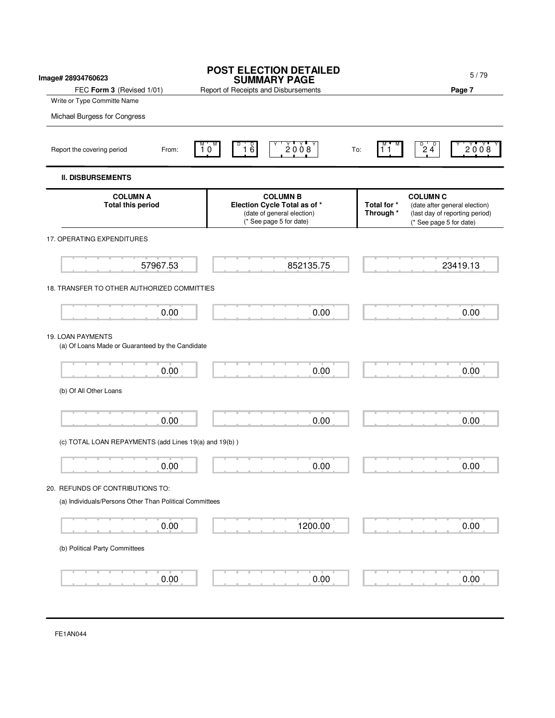| Image# 28934760623                                                    | <b>POST ELECTION DETAILED</b><br><b>SUMMARY PAGE</b>                                                     | 5/79                                                                                                                                      |
|-----------------------------------------------------------------------|----------------------------------------------------------------------------------------------------------|-------------------------------------------------------------------------------------------------------------------------------------------|
| FEC Form 3 (Revised 1/01)                                             | Report of Receipts and Disbursements                                                                     | Page 7                                                                                                                                    |
| Write or Type Committe Name                                           |                                                                                                          |                                                                                                                                           |
| Michael Burgess for Congress                                          |                                                                                                          |                                                                                                                                           |
| Report the covering period<br>From:                                   | 2008<br>$1\overline{6}$<br>$10^{\circ}$                                                                  | $\overline{24}^{\circ}$<br>20008<br>11<br>To:                                                                                             |
| <b>II. DISBURSEMENTS</b>                                              |                                                                                                          |                                                                                                                                           |
| <b>COLUMN A</b><br><b>Total this period</b>                           | <b>COLUMN B</b><br>Election Cycle Total as of *<br>(date of general election)<br>(* See page 5 for date) | <b>COLUMN C</b><br>Total for *<br>(date after general election)<br>Through *<br>(last day of reporting period)<br>(* See page 5 for date) |
| 17. OPERATING EXPENDITURES                                            |                                                                                                          |                                                                                                                                           |
| 57967.53                                                              | 852135.75                                                                                                | 23419.13                                                                                                                                  |
| 18. TRANSFER TO OTHER AUTHORIZED COMMITTIES                           |                                                                                                          |                                                                                                                                           |
| 0.00                                                                  | 0.00                                                                                                     | 0.00                                                                                                                                      |
| 19. LOAN PAYMENTS<br>(a) Of Loans Made or Guaranteed by the Candidate |                                                                                                          |                                                                                                                                           |
| 0.00                                                                  | 0.00                                                                                                     | 0.00                                                                                                                                      |
| (b) Of All Other Loans                                                |                                                                                                          |                                                                                                                                           |
| 0.00                                                                  | 0.00                                                                                                     | 0.00                                                                                                                                      |
| (c) TOTAL LOAN REPAYMENTS (add Lines 19(a) and 19(b))                 |                                                                                                          |                                                                                                                                           |
| 0.00                                                                  | 0.00                                                                                                     | 0.00                                                                                                                                      |
| 20. REFUNDS OF CONTRIBUTIONS TO:                                      |                                                                                                          |                                                                                                                                           |
| (a) Individuals/Persons Other Than Political Committees               |                                                                                                          |                                                                                                                                           |
| 0.00                                                                  | 1200.00                                                                                                  | 0.00                                                                                                                                      |
| (b) Political Party Committees                                        |                                                                                                          |                                                                                                                                           |
| 0.00                                                                  | 0.00                                                                                                     | 0.00                                                                                                                                      |
|                                                                       |                                                                                                          |                                                                                                                                           |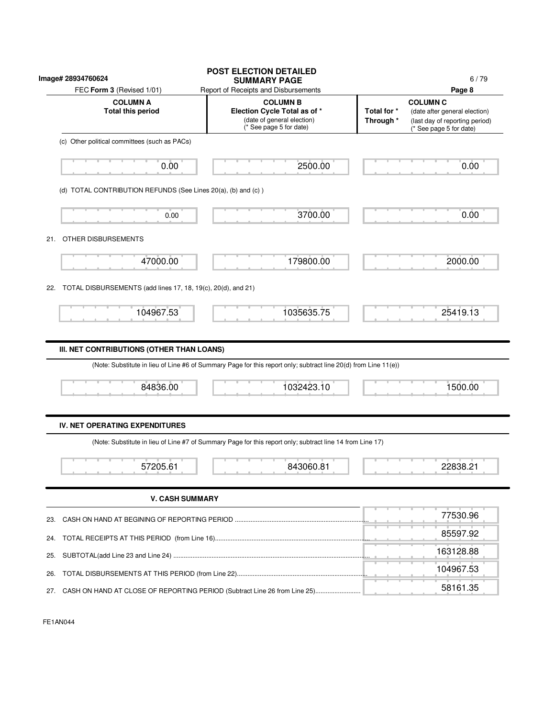| Image# 28934760624                                                       | <b>POST ELECTION DETAILED</b><br><b>SUMMARY PAGE</b>                                                                                                                         |  | 6/79                                                                                                                    |
|--------------------------------------------------------------------------|------------------------------------------------------------------------------------------------------------------------------------------------------------------------------|--|-------------------------------------------------------------------------------------------------------------------------|
| FEC Form 3 (Revised 1/01)<br><b>COLUMN A</b><br><b>Total this period</b> | Report of Receipts and Disbursements<br><b>COLUMN B</b><br>Election Cycle Total as of *<br>Total for *<br>(date of general election)<br>Through *<br>(* See page 5 for date) |  | Page 8<br><b>COLUMN C</b><br>(date after general election)<br>(last day of reporting period)<br>(* See page 5 for date) |
| (c) Other political committees (such as PACs)                            |                                                                                                                                                                              |  |                                                                                                                         |
| 0.00                                                                     | 2500.00                                                                                                                                                                      |  | 0.00                                                                                                                    |
| (d) TOTAL CONTRIBUTION REFUNDS (See Lines 20(a), (b) and (c))            |                                                                                                                                                                              |  |                                                                                                                         |
| 0.00                                                                     | 3700.00                                                                                                                                                                      |  | 0.00                                                                                                                    |
| OTHER DISBURSEMENTS<br>21.                                               |                                                                                                                                                                              |  |                                                                                                                         |
| 47000.00                                                                 | 179800.00                                                                                                                                                                    |  | 2000.00                                                                                                                 |
| TOTAL DISBURSEMENTS (add lines 17, 18, 19(c), 20(d), and 21)<br>22.      |                                                                                                                                                                              |  |                                                                                                                         |
| 104967.53                                                                | 1035635.75                                                                                                                                                                   |  | 25419.13                                                                                                                |
| 84836.00                                                                 | (Note: Substitute in lieu of Line #6 of Summary Page for this report only; subtract line 20(d) from Line 11(e))<br>1032423.10                                                |  | 1500.00                                                                                                                 |
|                                                                          |                                                                                                                                                                              |  |                                                                                                                         |
| <b>IV. NET OPERATING EXPENDITURES</b>                                    |                                                                                                                                                                              |  |                                                                                                                         |
|                                                                          | (Note: Substitute in lieu of Line #7 of Summary Page for this report only; subtract line 14 from Line 17)                                                                    |  |                                                                                                                         |
|                                                                          |                                                                                                                                                                              |  |                                                                                                                         |
| 57205.61                                                                 | 843060.81                                                                                                                                                                    |  | 22838.21                                                                                                                |
| <b>V. CASH SUMMARY</b>                                                   |                                                                                                                                                                              |  |                                                                                                                         |
|                                                                          |                                                                                                                                                                              |  | 77530.96                                                                                                                |
|                                                                          |                                                                                                                                                                              |  | 85597.92                                                                                                                |
|                                                                          |                                                                                                                                                                              |  | 163128.88                                                                                                               |
| 23.<br>24.<br>25.<br>26.                                                 |                                                                                                                                                                              |  | 104967.53                                                                                                               |

FE1AN044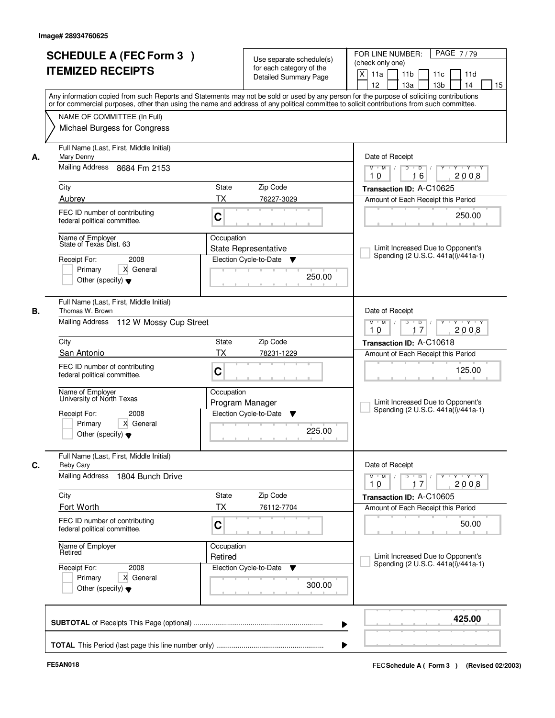| <b>ITEMIZED RECEIPTS</b>                                                                                          | <b>SCHEDULE A (FEC Form 3)</b>                                                                           |                                              | Use separate schedule(s)<br>for each category of the<br><b>Detailed Summary Page</b> | PAGE 7/79<br>FOR LINE NUMBER:<br>(check only one)<br>X<br>11 <sub>b</sub><br>11a<br>11 <sub>c</sub><br>11d<br>12<br>13 <sub>b</sub><br>13a<br>14<br>15<br>Any information copied from such Reports and Statements may not be sold or used by any person for the purpose of soliciting contributions |
|-------------------------------------------------------------------------------------------------------------------|----------------------------------------------------------------------------------------------------------|----------------------------------------------|--------------------------------------------------------------------------------------|-----------------------------------------------------------------------------------------------------------------------------------------------------------------------------------------------------------------------------------------------------------------------------------------------------|
|                                                                                                                   | NAME OF COMMITTEE (In Full)<br>Michael Burgess for Congress                                              |                                              |                                                                                      | or for commercial purposes, other than using the name and address of any political committee to solicit contributions from such committee.                                                                                                                                                          |
| Mary Denny<br>А.<br>City<br>Aubrey<br>federal political committee.<br>Name of Employer<br>State of Texas Dist. 63 | Full Name (Last, First, Middle Initial)<br>Mailing Address 8684 Fm 2153<br>FEC ID number of contributing | <b>State</b><br><b>TX</b><br>C<br>Occupation | Zip Code<br>76227-3029                                                               | Date of Receipt<br>$M$ $M$ /<br>$D$ $D$ $I$<br>Y<br>Y Y Y Y<br>16<br>2008<br>10<br>Transaction ID: A-C10625<br>Amount of Each Receipt this Period<br>250.00                                                                                                                                         |
| Receipt For:<br>Primary<br>Other (specify) $\blacktriangledown$                                                   | 2008<br>X General                                                                                        |                                              | State Representative<br>Election Cycle-to-Date<br>v<br>250.00                        | Limit Increased Due to Opponent's<br>Spending (2 U.S.C. 441a(i)/441a-1)                                                                                                                                                                                                                             |
| Thomas W. Brown<br>В.                                                                                             | Full Name (Last, First, Middle Initial)<br>Mailing Address 112 W Mossy Cup Street                        |                                              |                                                                                      | Date of Receipt<br>$M$ $M$ /<br>D<br>$\overline{\phantom{0}}$ D<br>$Y + Y + Y$<br>17<br>2008<br>10                                                                                                                                                                                                  |
| City                                                                                                              |                                                                                                          | State                                        | Zip Code                                                                             | Transaction ID: A-C10618                                                                                                                                                                                                                                                                            |
| San Antonio                                                                                                       |                                                                                                          | TX                                           | 78231-1229                                                                           | Amount of Each Receipt this Period                                                                                                                                                                                                                                                                  |
| federal political committee.                                                                                      | FEC ID number of contributing                                                                            | C                                            |                                                                                      | 125.00                                                                                                                                                                                                                                                                                              |
| Name of Employer<br>University of North Texas<br>Receipt For:<br>Primary<br>Other (specify) $\blacktriangledown$  | 2008<br>X General                                                                                        | Occupation                                   | Program Manager<br>Election Cycle-to-Date<br>▼<br>225.00                             | Limit Increased Due to Opponent's<br>Spending (2 U.S.C. 441a(i)/441a-1)                                                                                                                                                                                                                             |
| C.<br><b>Reby Cary</b>                                                                                            | Full Name (Last, First, Middle Initial)                                                                  |                                              |                                                                                      | Date of Receipt                                                                                                                                                                                                                                                                                     |
| <b>Mailing Address</b>                                                                                            | 1804 Bunch Drive                                                                                         |                                              |                                                                                      | $M$ $M$<br>$D$ $D$ $I$<br>y y y y y<br>10<br>2008<br>17                                                                                                                                                                                                                                             |
| City                                                                                                              |                                                                                                          | State                                        | Zip Code                                                                             | Transaction ID: A-C10605                                                                                                                                                                                                                                                                            |
| Fort Worth<br>federal political committee.                                                                        | FEC ID number of contributing                                                                            | ТX<br>C                                      | 76112-7704                                                                           | Amount of Each Receipt this Period<br>50.00                                                                                                                                                                                                                                                         |
| Name of Employer<br>Retired                                                                                       |                                                                                                          | Occupation<br>Retired                        |                                                                                      | Limit Increased Due to Opponent's<br>Spending (2 U.S.C. 441a(i)/441a-1)                                                                                                                                                                                                                             |
| Receipt For:<br>Primary<br>Other (specify) $\blacktriangledown$                                                   | 2008<br>X General                                                                                        |                                              | Election Cycle-to-Date<br>▼<br>300.00                                                |                                                                                                                                                                                                                                                                                                     |
|                                                                                                                   |                                                                                                          |                                              |                                                                                      | 425.00                                                                                                                                                                                                                                                                                              |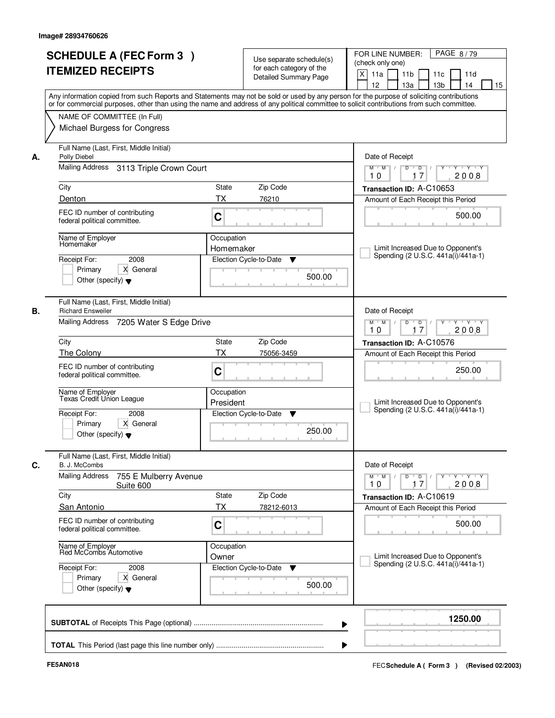| <b>SCHEDULE A (FEC Form 3)</b><br><b>ITEMIZED RECEIPTS</b>                                                              | Use separate schedule(s)<br>for each category of the<br>Detailed Summary Page<br>Any information copied from such Reports and Statements may not be sold or used by any person for the purpose of soliciting contributions | PAGE 8/79<br>FOR LINE NUMBER:<br>(check only one)<br>X<br>11 <sub>b</sub><br>11a<br>11c<br>11d<br>12<br>13a<br>13 <sub>b</sub><br>14<br>15 |
|-------------------------------------------------------------------------------------------------------------------------|----------------------------------------------------------------------------------------------------------------------------------------------------------------------------------------------------------------------------|--------------------------------------------------------------------------------------------------------------------------------------------|
| NAME OF COMMITTEE (In Full)<br>Michael Burgess for Congress                                                             | or for commercial purposes, other than using the name and address of any political committee to solicit contributions from such committee.                                                                                 |                                                                                                                                            |
| Full Name (Last, First, Middle Initial)<br>Polly Diebel<br>А.<br>Mailing Address 3113 Triple Crown Court                |                                                                                                                                                                                                                            | Date of Receipt<br>$Y$ $Y$ $Y$<br>$M$ $M$ /<br>$D$ <sup>U</sup><br>D<br>Y<br>$\sqrt{ }$                                                    |
| City                                                                                                                    | State<br>Zip Code                                                                                                                                                                                                          | 17<br>2008<br>10<br>Transaction ID: A-C10653                                                                                               |
| Denton                                                                                                                  | <b>TX</b><br>76210                                                                                                                                                                                                         | Amount of Each Receipt this Period                                                                                                         |
| FEC ID number of contributing<br>federal political committee.                                                           | C                                                                                                                                                                                                                          | 500.00                                                                                                                                     |
| Name of Employer<br>Homemaker<br>2008<br>Receipt For:<br>Primary<br>X General<br>Other (specify) $\blacktriangledown$   | Occupation<br>Homemaker<br>Election Cycle-to-Date<br>▼<br>500.00                                                                                                                                                           | Limit Increased Due to Opponent's<br>Spending (2 U.S.C. 441a(i)/441a-1)                                                                    |
| Full Name (Last, First, Middle Initial)<br><b>Richard Ensweiler</b><br>В.<br>Mailing Address<br>7205 Water S Edge Drive |                                                                                                                                                                                                                            | Date of Receipt<br>Y Y Y Y<br>$M$ $M$ /<br>D<br>$\Box$                                                                                     |
|                                                                                                                         |                                                                                                                                                                                                                            | 17<br>2008<br>10                                                                                                                           |
| City                                                                                                                    | <b>State</b><br>Zip Code                                                                                                                                                                                                   | Transaction ID: A-C10576                                                                                                                   |
| The Colony                                                                                                              | <b>TX</b><br>75056-3459                                                                                                                                                                                                    | Amount of Each Receipt this Period                                                                                                         |
| FEC ID number of contributing<br>federal political committee.                                                           | C                                                                                                                                                                                                                          | 250.00                                                                                                                                     |
| Name of Employer<br>Texas Credit Union League                                                                           | Occupation<br>President                                                                                                                                                                                                    | Limit Increased Due to Opponent's<br>Spending (2 U.S.C. 441a(i)/441a-1)                                                                    |
| Receipt For:<br>2008<br>Primary<br>X General<br>Other (specify) $\blacktriangledown$                                    | Election Cycle-to-Date<br>▼<br>250.00                                                                                                                                                                                      |                                                                                                                                            |
| Full Name (Last, First, Middle Initial)<br>C.<br>B. J. McCombs                                                          |                                                                                                                                                                                                                            | Date of Receipt                                                                                                                            |
| <b>Mailing Address</b><br>755 E Mulberry Avenue<br>Suite 600                                                            |                                                                                                                                                                                                                            | $M = M$<br>$D$ $D$ $I$<br>y y y y y y<br>10<br>2008<br>17                                                                                  |
| City<br><b>San Antonio</b>                                                                                              | State<br>Zip Code<br>ТX<br>78212-6013                                                                                                                                                                                      | Transaction ID: A-C10619<br>Amount of Each Receipt this Period                                                                             |
| FEC ID number of contributing<br>federal political committee.                                                           | C                                                                                                                                                                                                                          | 500.00                                                                                                                                     |
| Name of Employer<br>Red McCombs Automotive                                                                              | Occupation<br>Owner                                                                                                                                                                                                        | Limit Increased Due to Opponent's                                                                                                          |
| Receipt For:<br>2008<br>Primary<br>X General<br>Other (specify) $\blacktriangledown$                                    | Election Cycle-to-Date<br>v<br>500.00                                                                                                                                                                                      | Spending (2 U.S.C. 441a(i)/441a-1)                                                                                                         |
|                                                                                                                         |                                                                                                                                                                                                                            | 1250.00                                                                                                                                    |
|                                                                                                                         |                                                                                                                                                                                                                            |                                                                                                                                            |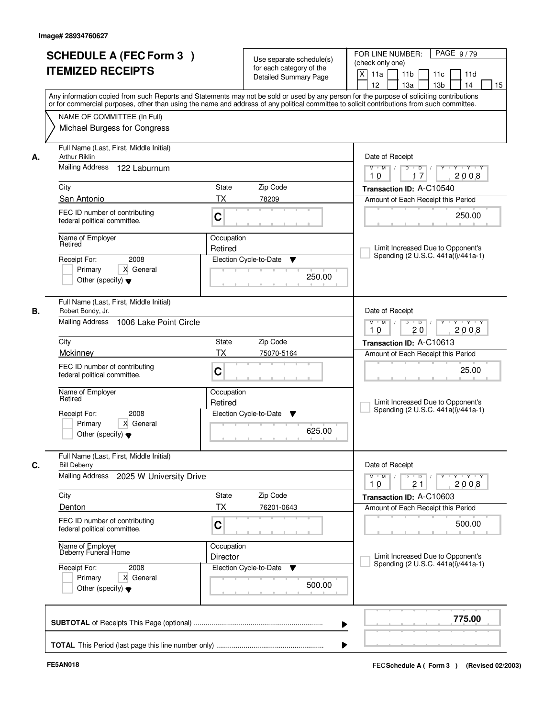|    | <b>SCHEDULE A (FEC Form 3)</b><br><b>ITEMIZED RECEIPTS</b><br>Any information copied from such Reports and Statements may not be sold or used by any person for the purpose of soliciting contributions<br>or for commercial purposes, other than using the name and address of any political committee to solicit contributions from such committee. |                        | Use separate schedule(s)<br>for each category of the<br>Detailed Summary Page | PAGE 9/79<br>FOR LINE NUMBER:<br>(check only one)<br>$\times$<br>11 <sub>b</sub><br>11a<br>11c<br>11d<br>12<br>13a<br>13 <sub>b</sub><br>15<br>14 |
|----|-------------------------------------------------------------------------------------------------------------------------------------------------------------------------------------------------------------------------------------------------------------------------------------------------------------------------------------------------------|------------------------|-------------------------------------------------------------------------------|---------------------------------------------------------------------------------------------------------------------------------------------------|
|    | NAME OF COMMITTEE (In Full)<br>Michael Burgess for Congress                                                                                                                                                                                                                                                                                           |                        |                                                                               |                                                                                                                                                   |
| А. | Full Name (Last, First, Middle Initial)<br>Arthur Riklin<br><b>Mailing Address</b><br>122 Laburnum                                                                                                                                                                                                                                                    |                        |                                                                               | Date of Receipt<br>$Y + Y + Y$<br>$D$ $D$ $I$<br>$Y^+$<br>$M$ $M$ /<br>2008<br>10<br>17                                                           |
|    | City                                                                                                                                                                                                                                                                                                                                                  | State                  | Zip Code                                                                      | Transaction ID: A-C10540                                                                                                                          |
|    | San Antonio                                                                                                                                                                                                                                                                                                                                           | <b>TX</b>              | 78209                                                                         | Amount of Each Receipt this Period                                                                                                                |
|    | FEC ID number of contributing<br>federal political committee.                                                                                                                                                                                                                                                                                         | C                      |                                                                               | 250.00                                                                                                                                            |
|    | Name of Employer<br>Retired<br>2008<br>Receipt For:<br>X General<br>Primary<br>Other (specify) $\blacktriangledown$                                                                                                                                                                                                                                   | Occupation<br>Retired  | Election Cycle-to-Date<br>▼<br>250.00                                         | Limit Increased Due to Opponent's<br>Spending (2 U.S.C. 441a(i)/441a-1)                                                                           |
| В. | Full Name (Last, First, Middle Initial)<br>Robert Bondy, Jr.<br>Mailing Address 1006 Lake Point Circle                                                                                                                                                                                                                                                |                        |                                                                               | Date of Receipt<br>$M$ $M$ /<br>D<br>$\overline{D}$ $\overline{I}$<br>Y<br>Y Y Y Y<br>20<br>2008<br>10                                            |
|    | City                                                                                                                                                                                                                                                                                                                                                  | State                  | Zip Code                                                                      |                                                                                                                                                   |
|    | Mckinney                                                                                                                                                                                                                                                                                                                                              | <b>TX</b>              | 75070-5164                                                                    | Transaction ID: A-C10613<br>Amount of Each Receipt this Period                                                                                    |
|    | FEC ID number of contributing<br>federal political committee.                                                                                                                                                                                                                                                                                         | C                      |                                                                               | 25.00                                                                                                                                             |
|    | Name of Employer<br>Retired                                                                                                                                                                                                                                                                                                                           | Occupation<br>Retired  |                                                                               | Limit Increased Due to Opponent's<br>Spending (2 U.S.C. 441a(i)/441a-1)                                                                           |
|    | Receipt For:<br>2008<br>Primary<br>X General<br>Other (specify) $\blacktriangledown$                                                                                                                                                                                                                                                                  |                        | Election Cycle-to-Date<br>v<br>625.00                                         |                                                                                                                                                   |
| С. | Full Name (Last, First, Middle Initial)<br><b>Bill Deberry</b>                                                                                                                                                                                                                                                                                        |                        |                                                                               | Date of Receipt                                                                                                                                   |
|    | Mailing Address<br>2025 W University Drive                                                                                                                                                                                                                                                                                                            |                        |                                                                               | $M$ $M$ /<br>D<br>$\overline{D}$ /<br>Y Y Y Y<br>2008<br>10<br>21                                                                                 |
|    | City                                                                                                                                                                                                                                                                                                                                                  | State                  | Zip Code                                                                      | Transaction ID: A-C10603                                                                                                                          |
|    | Denton<br>FEC ID number of contributing<br>federal political committee.                                                                                                                                                                                                                                                                               | ТX<br>C                | 76201-0643                                                                    | Amount of Each Receipt this Period<br>500.00                                                                                                      |
|    | Name of Employer<br>Deberry Funeral Home                                                                                                                                                                                                                                                                                                              | Occupation<br>Director |                                                                               | Limit Increased Due to Opponent's                                                                                                                 |
|    | Receipt For:<br>2008<br>Primary<br>X General<br>Other (specify) $\blacktriangledown$                                                                                                                                                                                                                                                                  |                        | Election Cycle-to-Date<br>v<br>500.00                                         | Spending (2 U.S.C. 441a(i)/441a-1)                                                                                                                |
|    |                                                                                                                                                                                                                                                                                                                                                       |                        |                                                                               | 775.00                                                                                                                                            |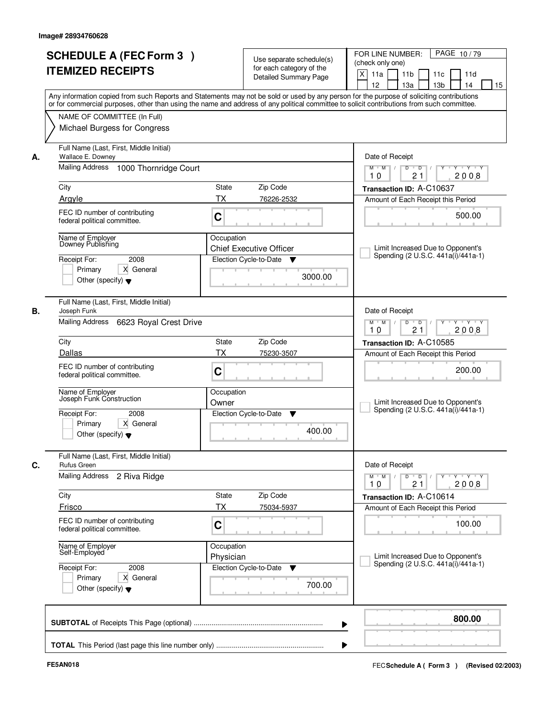|    | <b>SCHEDULE A (FEC Form 3)</b><br><b>ITEMIZED RECEIPTS</b>                                               | Use separate schedule(s)<br>for each category of the<br>Detailed Summary Page<br>Any information copied from such Reports and Statements may not be sold or used by any person for the purpose of soliciting contributions | PAGE 10/79<br>FOR LINE NUMBER:<br>(check only one)<br>X<br>11 <sub>b</sub><br>11a<br>11c<br>11d<br>12<br>13a<br>13 <sub>b</sub><br>14<br>15 |
|----|----------------------------------------------------------------------------------------------------------|----------------------------------------------------------------------------------------------------------------------------------------------------------------------------------------------------------------------------|---------------------------------------------------------------------------------------------------------------------------------------------|
|    | NAME OF COMMITTEE (In Full)<br>Michael Burgess for Congress                                              | or for commercial purposes, other than using the name and address of any political committee to solicit contributions from such committee.                                                                                 |                                                                                                                                             |
| А. | Full Name (Last, First, Middle Initial)<br>Wallace E. Downey<br>Mailing Address<br>1000 Thornridge Court |                                                                                                                                                                                                                            | Date of Receipt<br>$M$ $M$ /<br>$D$ $D$<br>Y<br>$Y - Y - Y$                                                                                 |
|    |                                                                                                          |                                                                                                                                                                                                                            | 21<br>2008<br>10                                                                                                                            |
|    | City                                                                                                     | State<br>Zip Code                                                                                                                                                                                                          | Transaction ID: A-C10637                                                                                                                    |
|    | Argyle                                                                                                   | <b>TX</b><br>76226-2532                                                                                                                                                                                                    | Amount of Each Receipt this Period                                                                                                          |
|    | FEC ID number of contributing<br>federal political committee.                                            | C                                                                                                                                                                                                                          | 500.00                                                                                                                                      |
|    | Name of Employer<br>Downey Publishing<br>2008<br>Receipt For:<br>Primary<br>X General                    | Occupation<br><b>Chief Executive Officer</b><br>Election Cycle-to-Date<br>v                                                                                                                                                | Limit Increased Due to Opponent's<br>Spending (2 U.S.C. 441a(i)/441a-1)                                                                     |
|    | Other (specify) $\blacktriangledown$                                                                     | 3000.00                                                                                                                                                                                                                    |                                                                                                                                             |
|    | Full Name (Last, First, Middle Initial)                                                                  |                                                                                                                                                                                                                            |                                                                                                                                             |
| В. | Joseph Funk<br><b>Mailing Address</b><br>6623 Royal Crest Drive                                          |                                                                                                                                                                                                                            | Date of Receipt<br>$M$ $M$ /<br>D<br>$\overline{D}$<br>$Y + Y + Y$<br>21<br>2008<br>10                                                      |
|    | City                                                                                                     | State<br>Zip Code                                                                                                                                                                                                          | Transaction ID: A-C10585                                                                                                                    |
|    | Dallas                                                                                                   | <b>TX</b><br>75230-3507                                                                                                                                                                                                    | Amount of Each Receipt this Period                                                                                                          |
|    | FEC ID number of contributing<br>federal political committee.                                            | C                                                                                                                                                                                                                          | 200.00                                                                                                                                      |
|    | Name of Employer<br>Joseph Funk Construction                                                             | Occupation<br>Owner                                                                                                                                                                                                        | Limit Increased Due to Opponent's<br>Spending (2 U.S.C. 441a(i)/441a-1)                                                                     |
|    | Receipt For:<br>2008<br>Primary<br>X General<br>Other (specify) $\blacktriangledown$                     | Election Cycle-to-Date<br>▼<br>400.00                                                                                                                                                                                      |                                                                                                                                             |
| C. | Full Name (Last, First, Middle Initial)<br>Rufus Green                                                   |                                                                                                                                                                                                                            | Date of Receipt                                                                                                                             |
|    | <b>Mailing Address</b><br>2 Riva Ridge                                                                   |                                                                                                                                                                                                                            | $M = M$<br>$D$ $D$ $/$<br>y ry ry y ry<br>10<br>21<br>2008                                                                                  |
|    | City                                                                                                     | Zip Code<br>State                                                                                                                                                                                                          | Transaction ID: A-C10614                                                                                                                    |
|    | Frisco                                                                                                   | ТX<br>75034-5937                                                                                                                                                                                                           | Amount of Each Receipt this Period                                                                                                          |
|    | FEC ID number of contributing<br>federal political committee.                                            | C                                                                                                                                                                                                                          | 100.00                                                                                                                                      |
|    | Name of Employer<br>Self-Employed                                                                        | Occupation<br>Physician                                                                                                                                                                                                    | Limit Increased Due to Opponent's<br>Spending (2 U.S.C. 441a(i)/441a-1)                                                                     |
|    | Receipt For:<br>2008<br>X General<br>Primary<br>Other (specify) $\blacktriangledown$                     | Election Cycle-to-Date<br>v<br>700.00                                                                                                                                                                                      |                                                                                                                                             |
|    |                                                                                                          |                                                                                                                                                                                                                            | 800.00                                                                                                                                      |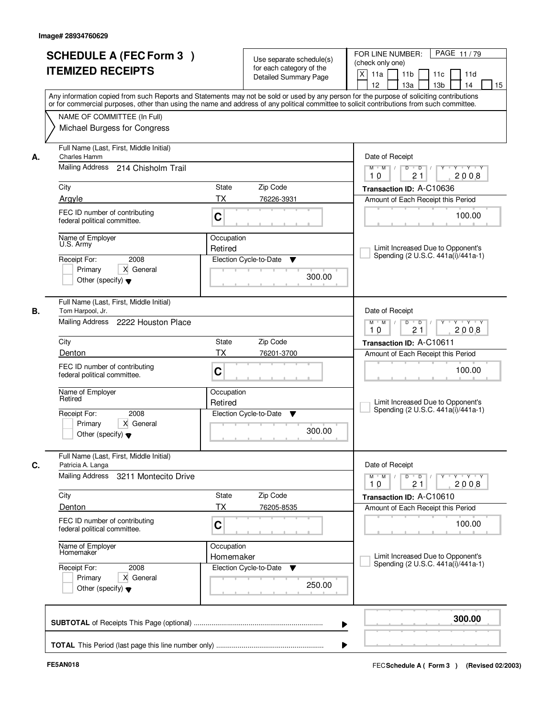| PAGE 11/79<br>FOR LINE NUMBER:<br>Use separate schedule(s)<br>(check only one)<br>for each category of the<br>$\boldsymbol{\mathsf{X}}$<br>11a<br>11 <sub>b</sub><br>11c<br>11d<br><b>Detailed Summary Page</b><br>12<br>13a<br>13 <sub>b</sub><br>14<br>Any information copied from such Reports and Statements may not be sold or used by any person for the purpose of soliciting contributions<br>or for commercial purposes, other than using the name and address of any political committee to solicit contributions from such committee.<br>Date of Receipt<br><b>TY TY</b><br>$M$ $M$ /<br>D<br>$\overline{D}$<br>Y<br>2008<br>21<br>10<br>Zip Code<br>Transaction ID: A-C10636<br>76226-3931<br>Amount of Each Receipt this Period<br>100.00<br>Limit Increased Due to Opponent's |
|---------------------------------------------------------------------------------------------------------------------------------------------------------------------------------------------------------------------------------------------------------------------------------------------------------------------------------------------------------------------------------------------------------------------------------------------------------------------------------------------------------------------------------------------------------------------------------------------------------------------------------------------------------------------------------------------------------------------------------------------------------------------------------------------|
|                                                                                                                                                                                                                                                                                                                                                                                                                                                                                                                                                                                                                                                                                                                                                                                             |
|                                                                                                                                                                                                                                                                                                                                                                                                                                                                                                                                                                                                                                                                                                                                                                                             |
|                                                                                                                                                                                                                                                                                                                                                                                                                                                                                                                                                                                                                                                                                                                                                                                             |
|                                                                                                                                                                                                                                                                                                                                                                                                                                                                                                                                                                                                                                                                                                                                                                                             |
|                                                                                                                                                                                                                                                                                                                                                                                                                                                                                                                                                                                                                                                                                                                                                                                             |
|                                                                                                                                                                                                                                                                                                                                                                                                                                                                                                                                                                                                                                                                                                                                                                                             |
|                                                                                                                                                                                                                                                                                                                                                                                                                                                                                                                                                                                                                                                                                                                                                                                             |
|                                                                                                                                                                                                                                                                                                                                                                                                                                                                                                                                                                                                                                                                                                                                                                                             |
|                                                                                                                                                                                                                                                                                                                                                                                                                                                                                                                                                                                                                                                                                                                                                                                             |
|                                                                                                                                                                                                                                                                                                                                                                                                                                                                                                                                                                                                                                                                                                                                                                                             |
|                                                                                                                                                                                                                                                                                                                                                                                                                                                                                                                                                                                                                                                                                                                                                                                             |
|                                                                                                                                                                                                                                                                                                                                                                                                                                                                                                                                                                                                                                                                                                                                                                                             |
|                                                                                                                                                                                                                                                                                                                                                                                                                                                                                                                                                                                                                                                                                                                                                                                             |
|                                                                                                                                                                                                                                                                                                                                                                                                                                                                                                                                                                                                                                                                                                                                                                                             |
|                                                                                                                                                                                                                                                                                                                                                                                                                                                                                                                                                                                                                                                                                                                                                                                             |
|                                                                                                                                                                                                                                                                                                                                                                                                                                                                                                                                                                                                                                                                                                                                                                                             |
|                                                                                                                                                                                                                                                                                                                                                                                                                                                                                                                                                                                                                                                                                                                                                                                             |
| Spending (2 U.S.C. 441a(i)/441a-1)<br>Election Cycle-to-Date<br>▼                                                                                                                                                                                                                                                                                                                                                                                                                                                                                                                                                                                                                                                                                                                           |
|                                                                                                                                                                                                                                                                                                                                                                                                                                                                                                                                                                                                                                                                                                                                                                                             |
| 300.00                                                                                                                                                                                                                                                                                                                                                                                                                                                                                                                                                                                                                                                                                                                                                                                      |
|                                                                                                                                                                                                                                                                                                                                                                                                                                                                                                                                                                                                                                                                                                                                                                                             |
|                                                                                                                                                                                                                                                                                                                                                                                                                                                                                                                                                                                                                                                                                                                                                                                             |
| Date of Receipt                                                                                                                                                                                                                                                                                                                                                                                                                                                                                                                                                                                                                                                                                                                                                                             |
| D<br>$\overline{D}$ $\overline{I}$<br>$M$ $M$ /<br>Y<br>Y 'Y 'Y<br>21<br>2008<br>10                                                                                                                                                                                                                                                                                                                                                                                                                                                                                                                                                                                                                                                                                                         |
| Zip Code<br>Transaction ID: A-C10611                                                                                                                                                                                                                                                                                                                                                                                                                                                                                                                                                                                                                                                                                                                                                        |
| 76201-3700<br>Amount of Each Receipt this Period                                                                                                                                                                                                                                                                                                                                                                                                                                                                                                                                                                                                                                                                                                                                            |
|                                                                                                                                                                                                                                                                                                                                                                                                                                                                                                                                                                                                                                                                                                                                                                                             |
| 100.00                                                                                                                                                                                                                                                                                                                                                                                                                                                                                                                                                                                                                                                                                                                                                                                      |
|                                                                                                                                                                                                                                                                                                                                                                                                                                                                                                                                                                                                                                                                                                                                                                                             |
|                                                                                                                                                                                                                                                                                                                                                                                                                                                                                                                                                                                                                                                                                                                                                                                             |
| Limit Increased Due to Opponent's<br>Spending (2 U.S.C. 441a(i)/441a-1)<br>Election Cycle-to-Date                                                                                                                                                                                                                                                                                                                                                                                                                                                                                                                                                                                                                                                                                           |
| ▼                                                                                                                                                                                                                                                                                                                                                                                                                                                                                                                                                                                                                                                                                                                                                                                           |
| 300.00                                                                                                                                                                                                                                                                                                                                                                                                                                                                                                                                                                                                                                                                                                                                                                                      |
|                                                                                                                                                                                                                                                                                                                                                                                                                                                                                                                                                                                                                                                                                                                                                                                             |
|                                                                                                                                                                                                                                                                                                                                                                                                                                                                                                                                                                                                                                                                                                                                                                                             |
| Date of Receipt                                                                                                                                                                                                                                                                                                                                                                                                                                                                                                                                                                                                                                                                                                                                                                             |
| $M$ $M$<br>$D$ $D$ $/$<br>$Y - Y - Y$<br>$Y$ <sup>-1</sup><br>2008<br>10<br>21                                                                                                                                                                                                                                                                                                                                                                                                                                                                                                                                                                                                                                                                                                              |
| Zip Code<br>Transaction ID: A-C10610                                                                                                                                                                                                                                                                                                                                                                                                                                                                                                                                                                                                                                                                                                                                                        |
| 76205-8535<br>Amount of Each Receipt this Period                                                                                                                                                                                                                                                                                                                                                                                                                                                                                                                                                                                                                                                                                                                                            |
|                                                                                                                                                                                                                                                                                                                                                                                                                                                                                                                                                                                                                                                                                                                                                                                             |
| 100.00                                                                                                                                                                                                                                                                                                                                                                                                                                                                                                                                                                                                                                                                                                                                                                                      |
|                                                                                                                                                                                                                                                                                                                                                                                                                                                                                                                                                                                                                                                                                                                                                                                             |
|                                                                                                                                                                                                                                                                                                                                                                                                                                                                                                                                                                                                                                                                                                                                                                                             |
| Limit Increased Due to Opponent's<br>Homemaker<br>Spending (2 U.S.C. 441a(i)/441a-1)<br>Election Cycle-to-Date                                                                                                                                                                                                                                                                                                                                                                                                                                                                                                                                                                                                                                                                              |
| v                                                                                                                                                                                                                                                                                                                                                                                                                                                                                                                                                                                                                                                                                                                                                                                           |
| 250.00                                                                                                                                                                                                                                                                                                                                                                                                                                                                                                                                                                                                                                                                                                                                                                                      |
|                                                                                                                                                                                                                                                                                                                                                                                                                                                                                                                                                                                                                                                                                                                                                                                             |
|                                                                                                                                                                                                                                                                                                                                                                                                                                                                                                                                                                                                                                                                                                                                                                                             |
| 300.00                                                                                                                                                                                                                                                                                                                                                                                                                                                                                                                                                                                                                                                                                                                                                                                      |
|                                                                                                                                                                                                                                                                                                                                                                                                                                                                                                                                                                                                                                                                                                                                                                                             |
|                                                                                                                                                                                                                                                                                                                                                                                                                                                                                                                                                                                                                                                                                                                                                                                             |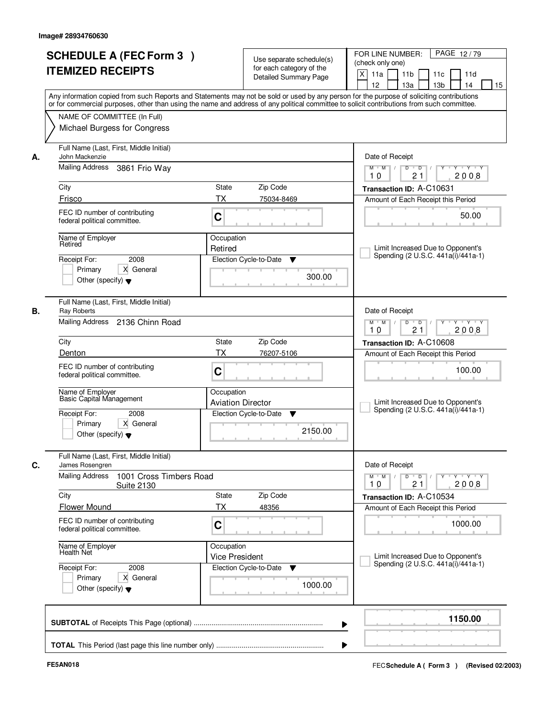| <b>SCHEDULE A (FEC Form 3)</b><br><b>ITEMIZED RECEIPTS</b>                                                                                 | Use separate schedule(s)<br>for each category of the<br><b>Detailed Summary Page</b>                                                                                                                                                                                                    | PAGE 12/79<br>FOR LINE NUMBER:<br>(check only one)<br>X<br>11 <sub>b</sub><br>11a<br>11 <sub>c</sub><br>11d<br>12<br>13 <sub>b</sub><br>14<br>13a<br>15 |
|--------------------------------------------------------------------------------------------------------------------------------------------|-----------------------------------------------------------------------------------------------------------------------------------------------------------------------------------------------------------------------------------------------------------------------------------------|---------------------------------------------------------------------------------------------------------------------------------------------------------|
| NAME OF COMMITTEE (In Full)<br>Michael Burgess for Congress                                                                                | Any information copied from such Reports and Statements may not be sold or used by any person for the purpose of soliciting contributions<br>or for commercial purposes, other than using the name and address of any political committee to solicit contributions from such committee. |                                                                                                                                                         |
| Full Name (Last, First, Middle Initial)<br>John Mackenzie<br>А.<br>Mailing Address<br>3861 Frio Way                                        |                                                                                                                                                                                                                                                                                         | Date of Receipt<br>$D$ $D$<br>Y<br>Y TY Y Y<br>$M$ $M$ /                                                                                                |
|                                                                                                                                            |                                                                                                                                                                                                                                                                                         | 21<br>2008<br>10                                                                                                                                        |
| City<br>Frisco                                                                                                                             | <b>State</b><br>Zip Code<br>ТX                                                                                                                                                                                                                                                          | Transaction ID: A-C10631                                                                                                                                |
| FEC ID number of contributing<br>federal political committee.                                                                              | 75034-8469<br>C                                                                                                                                                                                                                                                                         | Amount of Each Receipt this Period<br>50.00                                                                                                             |
| Name of Employer<br>Retired<br>2008<br>Receipt For:<br>Primary<br>X General<br>Other (specify) $\blacktriangledown$                        | Occupation<br>Retired<br>Election Cycle-to-Date<br>▼<br>300.00                                                                                                                                                                                                                          | Limit Increased Due to Opponent's<br>Spending (2 U.S.C. 441a(i)/441a-1)                                                                                 |
| Full Name (Last, First, Middle Initial)<br>В.<br>Ray Roberts<br>Mailing Address 2136 Chinn Road                                            |                                                                                                                                                                                                                                                                                         | Date of Receipt<br>$M$ $M$ /<br>D<br>$\overline{D}$<br>$Y + Y + Y$<br>21<br>2008<br>10                                                                  |
| City                                                                                                                                       | Zip Code<br>State                                                                                                                                                                                                                                                                       | Transaction ID: A-C10608                                                                                                                                |
| Denton<br>FEC ID number of contributing<br>federal political committee.                                                                    | TX<br>76207-5106<br>C                                                                                                                                                                                                                                                                   | Amount of Each Receipt this Period<br>100.00                                                                                                            |
| Name of Employer<br>Basic Capital Management                                                                                               | Occupation<br><b>Aviation Director</b>                                                                                                                                                                                                                                                  | Limit Increased Due to Opponent's<br>Spending (2 U.S.C. 441a(i)/441a-1)                                                                                 |
| Receipt For:<br>2008<br>Primary<br>X General<br>Other (specify) $\blacktriangledown$                                                       | Election Cycle-to-Date<br>▼<br>2150.00                                                                                                                                                                                                                                                  |                                                                                                                                                         |
| Full Name (Last, First, Middle Initial)<br>C.<br>James Rosengren<br><b>Mailing Address</b><br>1001 Cross Timbers Road<br><b>Suite 2130</b> |                                                                                                                                                                                                                                                                                         | Date of Receipt<br>$M$ $M$ $/$<br>$D$ $D$ $/$<br>Y 'Y 'Y<br>$Y$ <sup>U</sup><br>10<br>21<br>2008                                                        |
| City                                                                                                                                       | <b>State</b><br>Zip Code                                                                                                                                                                                                                                                                | Transaction ID: A-C10534                                                                                                                                |
| <b>Flower Mound</b>                                                                                                                        | ТX<br>48356                                                                                                                                                                                                                                                                             | Amount of Each Receipt this Period                                                                                                                      |
| FEC ID number of contributing<br>federal political committee.                                                                              | C                                                                                                                                                                                                                                                                                       | 1000.00                                                                                                                                                 |
| Name of Employer<br>Health Net<br>Receipt For:<br>2008                                                                                     | Occupation<br><b>Vice President</b><br>Election Cycle-to-Date                                                                                                                                                                                                                           | Limit Increased Due to Opponent's<br>Spending (2 U.S.C. 441a(i)/441a-1)                                                                                 |
| X General<br>Primary<br>Other (specify) $\blacktriangledown$                                                                               | v<br>1000.00                                                                                                                                                                                                                                                                            |                                                                                                                                                         |
|                                                                                                                                            |                                                                                                                                                                                                                                                                                         | 1150.00                                                                                                                                                 |
|                                                                                                                                            |                                                                                                                                                                                                                                                                                         |                                                                                                                                                         |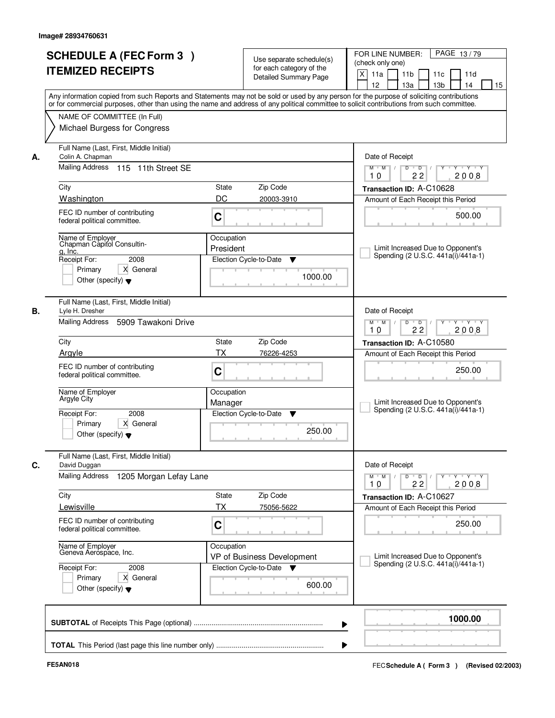| <b>SCHEDULE A (FEC Form 3)</b><br><b>ITEMIZED RECEIPTS</b>                                                                                        | Use separate schedule(s)<br>for each category of the<br><b>Detailed Summary Page</b><br>Any information copied from such Reports and Statements may not be sold or used by any person for the purpose of soliciting contributions | PAGE 13/79<br>FOR LINE NUMBER:<br>(check only one)<br>$\times$<br>11 <sub>b</sub><br>11a<br>11c<br>11d<br>12<br>13a<br>13 <sub>b</sub><br>14<br>15 |  |
|---------------------------------------------------------------------------------------------------------------------------------------------------|-----------------------------------------------------------------------------------------------------------------------------------------------------------------------------------------------------------------------------------|----------------------------------------------------------------------------------------------------------------------------------------------------|--|
| NAME OF COMMITTEE (In Full)<br>Michael Burgess for Congress                                                                                       | or for commercial purposes, other than using the name and address of any political committee to solicit contributions from such committee.                                                                                        |                                                                                                                                                    |  |
| Full Name (Last, First, Middle Initial)<br>Colin A. Chapman<br>А.<br>Mailing Address<br>115 11th Street SE                                        |                                                                                                                                                                                                                                   | Date of Receipt<br>Y Y Y Y<br>$M$ $M$ /<br>D<br>$\overline{D}$<br>22<br>2008<br>10                                                                 |  |
| City                                                                                                                                              | <b>State</b><br>Zip Code                                                                                                                                                                                                          | Transaction ID: A-C10628                                                                                                                           |  |
| Washington                                                                                                                                        | DC<br>20003-3910                                                                                                                                                                                                                  | Amount of Each Receipt this Period                                                                                                                 |  |
| FEC ID number of contributing<br>federal political committee.                                                                                     | $\mathbf C$                                                                                                                                                                                                                       | 500.00                                                                                                                                             |  |
| Name of Emplover<br>Chapman Capitol Consultin-<br>g, Inc.<br>2008<br>Receipt For:<br>Primary<br>X General<br>Other (specify) $\blacktriangledown$ | Occupation<br>President<br>Election Cycle-to-Date<br>▼<br>1000.00                                                                                                                                                                 | Limit Increased Due to Opponent's<br>Spending (2 U.S.C. 441a(i)/441a-1)                                                                            |  |
| Full Name (Last, First, Middle Initial)<br>В.<br>Lyle H. Dresher<br>Mailing Address<br>5909 Tawakoni Drive                                        |                                                                                                                                                                                                                                   | Date of Receipt<br>$M$ $M$ /<br>D<br>$\overline{D}$<br>$Y + Y + Y$                                                                                 |  |
|                                                                                                                                                   |                                                                                                                                                                                                                                   |                                                                                                                                                    |  |
| City                                                                                                                                              | Zip Code<br><b>State</b>                                                                                                                                                                                                          | Transaction ID: A-C10580                                                                                                                           |  |
| Arayle                                                                                                                                            | <b>TX</b><br>76226-4253                                                                                                                                                                                                           | Amount of Each Receipt this Period                                                                                                                 |  |
| FEC ID number of contributing<br>federal political committee.                                                                                     | C                                                                                                                                                                                                                                 | 250.00                                                                                                                                             |  |
| Name of Employer<br>Argyle City                                                                                                                   | Occupation<br>Manager                                                                                                                                                                                                             | Limit Increased Due to Opponent's<br>Spending (2 U.S.C. 441a(i)/441a-1)                                                                            |  |
| Receipt For:<br>2008<br>Primary<br>X General<br>Other (specify) $\blacktriangledown$                                                              | Election Cycle-to-Date<br>▼<br>250.00                                                                                                                                                                                             |                                                                                                                                                    |  |
| Full Name (Last, First, Middle Initial)<br>C.<br>David Duggan                                                                                     |                                                                                                                                                                                                                                   | Date of Receipt                                                                                                                                    |  |
| <b>Mailing Address</b><br>1205 Morgan Lefay Lane                                                                                                  |                                                                                                                                                                                                                                   | $M = M$<br>$D$ $D$ $I$<br>$Y - Y - Y$<br>Y<br>2008<br>10<br>22                                                                                     |  |
| City                                                                                                                                              | Zip Code<br>State                                                                                                                                                                                                                 | Transaction ID: A-C10627                                                                                                                           |  |
| Lewisville<br>FEC ID number of contributing<br>federal political committee.                                                                       | TX<br>75056-5622<br>C                                                                                                                                                                                                             | Amount of Each Receipt this Period<br>250.00                                                                                                       |  |
| Name of Employer<br>Geneva Aerospace, Inc.                                                                                                        | Occupation<br>VP of Business Development                                                                                                                                                                                          | Limit Increased Due to Opponent's                                                                                                                  |  |
| Receipt For:<br>2008<br>Primary<br>X General<br>Other (specify) $\blacktriangledown$                                                              | Election Cycle-to-Date<br>▼<br>600.00                                                                                                                                                                                             | Spending (2 U.S.C. 441a(i)/441a-1)                                                                                                                 |  |
|                                                                                                                                                   |                                                                                                                                                                                                                                   | 1000.00                                                                                                                                            |  |
|                                                                                                                                                   |                                                                                                                                                                                                                                   |                                                                                                                                                    |  |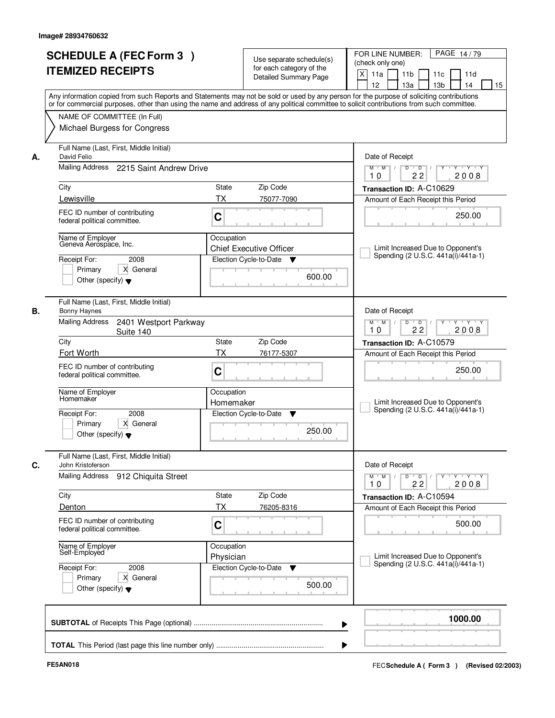| or for commercial purposes, other than using the name and address of any political committee to solicit contributions from such committee.<br>NAME OF COMMITTEE (In Full)<br>Michael Burgess for Congress<br>Full Name (Last, First, Middle Initial)<br>Date of Receipt<br>David Felio<br>А.<br>Mailing Address 2215 Saint Andrew Drive<br>$M$ $M$ /<br>$D$ $D$ $/$<br>Y<br>22<br>10<br>City<br>State<br>Zip Code<br>Transaction ID: A-C10629<br>Lewisville<br><b>TX</b><br>75077-7090<br>Amount of Each Receipt this Period<br>FEC ID number of contributing<br>C<br>federal political committee.<br>Name of Employer<br>Occupation<br>Geneva Aerospace, Inc.<br><b>Chief Executive Officer</b><br>Election Cycle-to-Date<br>Receipt For:<br>2008<br>v<br>Primary<br>X General<br>600.00<br>Other (specify) $\blacktriangledown$<br>Full Name (Last, First, Middle Initial)<br>Date of Receipt<br>В.<br>Bonny Haynes<br>Mailing Address<br>2401 Westport Parkway<br>$M$ $M$ /<br>D<br>$\overline{D}$ /<br>22<br>10<br>Suite 140<br>City<br><b>State</b><br>Zip Code<br>Transaction ID: A-C10579<br>Fort Worth<br><b>TX</b><br>76177-5307<br>FEC ID number of contributing<br>C<br>federal political committee.<br>Name of Employer<br>Occupation<br>Homemaker<br>Homemaker<br>Spending (2 U.S.C. 441a(i)/441a-1)<br>2008<br>Election Cycle-to-Date<br>Receipt For:<br>v<br>Primary<br>X General<br>250.00<br>Other (specify) $\blacktriangledown$<br>Full Name (Last, First, Middle Initial)<br>C.<br>Date of Receipt<br>John Kristoferson<br>Mailing Address<br>912 Chiquita Street<br>$M$ $M$ $/$<br>$D$ $D$ $/$<br>10<br>22<br>Zip Code<br>City<br>State<br>Transaction ID: A-C10594<br>ТX<br>Denton<br>76205-8316<br>FEC ID number of contributing<br>C<br>federal political committee.<br>Occupation<br>Name of Employer<br>Self-Employed<br>Physician<br>Election Cycle-to-Date<br>Receipt For:<br>2008<br>v<br>Primary<br>X General<br>500.00<br>Other (specify) $\blacktriangledown$ | Use separate schedule(s)<br>for each category of the<br><b>Detailed Summary Page</b> | <b>SCHEDULE A (FEC Form 3)</b><br><b>ITEMIZED RECEIPTS</b><br>Any information copied from such Reports and Statements may not be sold or used by any person for the purpose of soliciting contributions | PAGE 14/79<br>FOR LINE NUMBER:<br>(check only one)<br>$\mathsf{X}$<br>11a<br>11 <sub>b</sub><br>11c<br>11d<br>12<br>13 <sub>b</sub><br>14<br>13a<br>15 |
|-----------------------------------------------------------------------------------------------------------------------------------------------------------------------------------------------------------------------------------------------------------------------------------------------------------------------------------------------------------------------------------------------------------------------------------------------------------------------------------------------------------------------------------------------------------------------------------------------------------------------------------------------------------------------------------------------------------------------------------------------------------------------------------------------------------------------------------------------------------------------------------------------------------------------------------------------------------------------------------------------------------------------------------------------------------------------------------------------------------------------------------------------------------------------------------------------------------------------------------------------------------------------------------------------------------------------------------------------------------------------------------------------------------------------------------------------------------------------------------------------------------------------------------------------------------------------------------------------------------------------------------------------------------------------------------------------------------------------------------------------------------------------------------------------------------------------------------------------------------------------------------------------------------------------------------------------------------------------------------------------|--------------------------------------------------------------------------------------|---------------------------------------------------------------------------------------------------------------------------------------------------------------------------------------------------------|--------------------------------------------------------------------------------------------------------------------------------------------------------|
|                                                                                                                                                                                                                                                                                                                                                                                                                                                                                                                                                                                                                                                                                                                                                                                                                                                                                                                                                                                                                                                                                                                                                                                                                                                                                                                                                                                                                                                                                                                                                                                                                                                                                                                                                                                                                                                                                                                                                                                               |                                                                                      |                                                                                                                                                                                                         |                                                                                                                                                        |
|                                                                                                                                                                                                                                                                                                                                                                                                                                                                                                                                                                                                                                                                                                                                                                                                                                                                                                                                                                                                                                                                                                                                                                                                                                                                                                                                                                                                                                                                                                                                                                                                                                                                                                                                                                                                                                                                                                                                                                                               |                                                                                      |                                                                                                                                                                                                         | $Y + Y + Y$                                                                                                                                            |
|                                                                                                                                                                                                                                                                                                                                                                                                                                                                                                                                                                                                                                                                                                                                                                                                                                                                                                                                                                                                                                                                                                                                                                                                                                                                                                                                                                                                                                                                                                                                                                                                                                                                                                                                                                                                                                                                                                                                                                                               |                                                                                      | 2008                                                                                                                                                                                                    |                                                                                                                                                        |
|                                                                                                                                                                                                                                                                                                                                                                                                                                                                                                                                                                                                                                                                                                                                                                                                                                                                                                                                                                                                                                                                                                                                                                                                                                                                                                                                                                                                                                                                                                                                                                                                                                                                                                                                                                                                                                                                                                                                                                                               |                                                                                      |                                                                                                                                                                                                         |                                                                                                                                                        |
|                                                                                                                                                                                                                                                                                                                                                                                                                                                                                                                                                                                                                                                                                                                                                                                                                                                                                                                                                                                                                                                                                                                                                                                                                                                                                                                                                                                                                                                                                                                                                                                                                                                                                                                                                                                                                                                                                                                                                                                               |                                                                                      |                                                                                                                                                                                                         | 250.00                                                                                                                                                 |
|                                                                                                                                                                                                                                                                                                                                                                                                                                                                                                                                                                                                                                                                                                                                                                                                                                                                                                                                                                                                                                                                                                                                                                                                                                                                                                                                                                                                                                                                                                                                                                                                                                                                                                                                                                                                                                                                                                                                                                                               |                                                                                      |                                                                                                                                                                                                         | Limit Increased Due to Opponent's<br>Spending (2 U.S.C. 441a(i)/441a-1)                                                                                |
|                                                                                                                                                                                                                                                                                                                                                                                                                                                                                                                                                                                                                                                                                                                                                                                                                                                                                                                                                                                                                                                                                                                                                                                                                                                                                                                                                                                                                                                                                                                                                                                                                                                                                                                                                                                                                                                                                                                                                                                               |                                                                                      |                                                                                                                                                                                                         | Y 'Y 'Y<br>2008                                                                                                                                        |
|                                                                                                                                                                                                                                                                                                                                                                                                                                                                                                                                                                                                                                                                                                                                                                                                                                                                                                                                                                                                                                                                                                                                                                                                                                                                                                                                                                                                                                                                                                                                                                                                                                                                                                                                                                                                                                                                                                                                                                                               |                                                                                      |                                                                                                                                                                                                         |                                                                                                                                                        |
|                                                                                                                                                                                                                                                                                                                                                                                                                                                                                                                                                                                                                                                                                                                                                                                                                                                                                                                                                                                                                                                                                                                                                                                                                                                                                                                                                                                                                                                                                                                                                                                                                                                                                                                                                                                                                                                                                                                                                                                               |                                                                                      |                                                                                                                                                                                                         | Amount of Each Receipt this Period                                                                                                                     |
|                                                                                                                                                                                                                                                                                                                                                                                                                                                                                                                                                                                                                                                                                                                                                                                                                                                                                                                                                                                                                                                                                                                                                                                                                                                                                                                                                                                                                                                                                                                                                                                                                                                                                                                                                                                                                                                                                                                                                                                               |                                                                                      |                                                                                                                                                                                                         | 250.00                                                                                                                                                 |
|                                                                                                                                                                                                                                                                                                                                                                                                                                                                                                                                                                                                                                                                                                                                                                                                                                                                                                                                                                                                                                                                                                                                                                                                                                                                                                                                                                                                                                                                                                                                                                                                                                                                                                                                                                                                                                                                                                                                                                                               |                                                                                      |                                                                                                                                                                                                         | Limit Increased Due to Opponent's                                                                                                                      |
|                                                                                                                                                                                                                                                                                                                                                                                                                                                                                                                                                                                                                                                                                                                                                                                                                                                                                                                                                                                                                                                                                                                                                                                                                                                                                                                                                                                                                                                                                                                                                                                                                                                                                                                                                                                                                                                                                                                                                                                               |                                                                                      |                                                                                                                                                                                                         |                                                                                                                                                        |
|                                                                                                                                                                                                                                                                                                                                                                                                                                                                                                                                                                                                                                                                                                                                                                                                                                                                                                                                                                                                                                                                                                                                                                                                                                                                                                                                                                                                                                                                                                                                                                                                                                                                                                                                                                                                                                                                                                                                                                                               |                                                                                      |                                                                                                                                                                                                         | y y y y y y<br>2008                                                                                                                                    |
|                                                                                                                                                                                                                                                                                                                                                                                                                                                                                                                                                                                                                                                                                                                                                                                                                                                                                                                                                                                                                                                                                                                                                                                                                                                                                                                                                                                                                                                                                                                                                                                                                                                                                                                                                                                                                                                                                                                                                                                               |                                                                                      |                                                                                                                                                                                                         |                                                                                                                                                        |
|                                                                                                                                                                                                                                                                                                                                                                                                                                                                                                                                                                                                                                                                                                                                                                                                                                                                                                                                                                                                                                                                                                                                                                                                                                                                                                                                                                                                                                                                                                                                                                                                                                                                                                                                                                                                                                                                                                                                                                                               |                                                                                      |                                                                                                                                                                                                         | Amount of Each Receipt this Period<br>500.00                                                                                                           |
|                                                                                                                                                                                                                                                                                                                                                                                                                                                                                                                                                                                                                                                                                                                                                                                                                                                                                                                                                                                                                                                                                                                                                                                                                                                                                                                                                                                                                                                                                                                                                                                                                                                                                                                                                                                                                                                                                                                                                                                               |                                                                                      |                                                                                                                                                                                                         | Limit Increased Due to Opponent's                                                                                                                      |
|                                                                                                                                                                                                                                                                                                                                                                                                                                                                                                                                                                                                                                                                                                                                                                                                                                                                                                                                                                                                                                                                                                                                                                                                                                                                                                                                                                                                                                                                                                                                                                                                                                                                                                                                                                                                                                                                                                                                                                                               |                                                                                      |                                                                                                                                                                                                         | Spending (2 U.S.C. 441a(i)/441a-1)                                                                                                                     |
| ▶                                                                                                                                                                                                                                                                                                                                                                                                                                                                                                                                                                                                                                                                                                                                                                                                                                                                                                                                                                                                                                                                                                                                                                                                                                                                                                                                                                                                                                                                                                                                                                                                                                                                                                                                                                                                                                                                                                                                                                                             |                                                                                      |                                                                                                                                                                                                         | 1000.00                                                                                                                                                |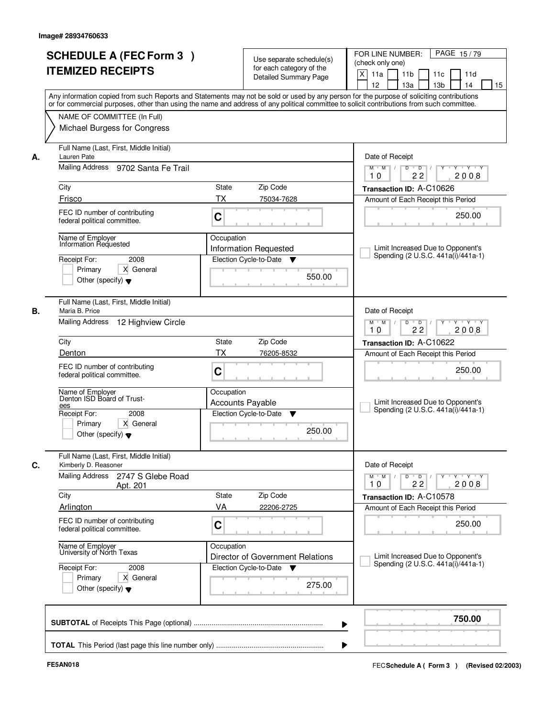|    | <b>SCHEDULE A (FEC Form 3)</b><br><b>ITEMIZED RECEIPTS</b><br>Any information copied from such Reports and Statements may not be sold or used by any person for the purpose of soliciting contributions   |                                                               | Use separate schedule(s)<br>for each category of the<br>Detailed Summary Page | PAGE 15/79<br>FOR LINE NUMBER:<br>(check only one)<br>$\times$<br>11 <sub>b</sub><br>11a<br>11c<br>11d<br>12<br>13a<br>13 <sub>b</sub><br>14<br>15 |
|----|-----------------------------------------------------------------------------------------------------------------------------------------------------------------------------------------------------------|---------------------------------------------------------------|-------------------------------------------------------------------------------|----------------------------------------------------------------------------------------------------------------------------------------------------|
|    | or for commercial purposes, other than using the name and address of any political committee to solicit contributions from such committee.<br>NAME OF COMMITTEE (In Full)<br>Michael Burgess for Congress |                                                               |                                                                               |                                                                                                                                                    |
| А. | Full Name (Last, First, Middle Initial)<br>Lauren Pate<br>Mailing Address<br>9702 Santa Fe Trail                                                                                                          |                                                               |                                                                               | Date of Receipt<br>$\overline{D}$<br>$+Y+Y$<br>$M$ $M$ /<br>D<br>Y                                                                                 |
|    | City                                                                                                                                                                                                      | State                                                         | Zip Code                                                                      | 22<br>2008<br>10<br>Transaction ID: A-C10626                                                                                                       |
|    | Frisco                                                                                                                                                                                                    | <b>TX</b>                                                     | 75034-7628                                                                    | Amount of Each Receipt this Period                                                                                                                 |
|    | FEC ID number of contributing<br>federal political committee.                                                                                                                                             | C                                                             |                                                                               | 250.00                                                                                                                                             |
|    | Name of Employer<br><b>Information Requested</b><br>Receipt For:<br>2008                                                                                                                                  | Occupation<br>Information Requested<br>Election Cycle-to-Date | v                                                                             | Limit Increased Due to Opponent's<br>Spending (2 U.S.C. 441a(i)/441a-1)                                                                            |
|    | Primary<br>X General<br>Other (specify) $\blacktriangledown$                                                                                                                                              |                                                               | 550.00                                                                        |                                                                                                                                                    |
| В. | Full Name (Last, First, Middle Initial)<br>Maria B. Price<br><b>Mailing Address</b><br>12 Highview Circle                                                                                                 |                                                               |                                                                               | Date of Receipt<br>D<br>Y Y Y Y<br>$M$ $M$ /<br>$\overline{D}$                                                                                     |
|    |                                                                                                                                                                                                           | 22<br>2008<br>10                                              |                                                                               |                                                                                                                                                    |
|    | City                                                                                                                                                                                                      | State                                                         | Zip Code                                                                      | Transaction ID: A-C10622                                                                                                                           |
|    | Denton                                                                                                                                                                                                    | <b>TX</b>                                                     | 76205-8532                                                                    | Amount of Each Receipt this Period                                                                                                                 |
|    | FEC ID number of contributing<br>federal political committee.                                                                                                                                             | C                                                             |                                                                               | 250.00                                                                                                                                             |
|    | Name of Employer<br>Denton ISD Board of Trust-<br>ees                                                                                                                                                     | Occupation<br><b>Accounts Payable</b>                         |                                                                               | Limit Increased Due to Opponent's<br>Spending (2 U.S.C. 441a(i)/441a-1)                                                                            |
|    | Receipt For:<br>2008<br>Primary<br>X General<br>Other (specify) $\blacktriangledown$                                                                                                                      | Election Cycle-to-Date                                        | ▼<br>250.00                                                                   |                                                                                                                                                    |
| С. | Full Name (Last, First, Middle Initial)<br>Kimberly D. Reasoner                                                                                                                                           |                                                               |                                                                               | Date of Receipt                                                                                                                                    |
|    | <b>Mailing Address</b><br>2747 S Glebe Road<br>Apt. 201                                                                                                                                                   |                                                               |                                                                               | $M = M$<br>$D$ $D$ $/$<br>$\mathsf{Y} \dashv \mathsf{Y} \dashv \mathsf{Y}$<br>$Y$ <sup>U</sup><br>2008<br>10<br>22                                 |
|    | City                                                                                                                                                                                                      | State                                                         | Zip Code                                                                      | Transaction ID: A-C10578                                                                                                                           |
|    | <b>Arlington</b>                                                                                                                                                                                          | VA                                                            | 22206-2725                                                                    | Amount of Each Receipt this Period                                                                                                                 |
|    | FEC ID number of contributing<br>federal political committee.                                                                                                                                             | C                                                             |                                                                               | 250.00                                                                                                                                             |
|    | Name of Employer<br>University of North Texas                                                                                                                                                             | Occupation                                                    | Director of Government Relations                                              | Limit Increased Due to Opponent's<br>Spending (2 U.S.C. 441a(i)/441a-1)                                                                            |
|    | Receipt For:<br>2008<br>Primary<br>X General<br>Other (specify) $\blacktriangledown$                                                                                                                      | Election Cycle-to-Date                                        | v<br>275.00                                                                   |                                                                                                                                                    |
|    |                                                                                                                                                                                                           |                                                               |                                                                               | 750.00                                                                                                                                             |
|    |                                                                                                                                                                                                           |                                                               |                                                                               |                                                                                                                                                    |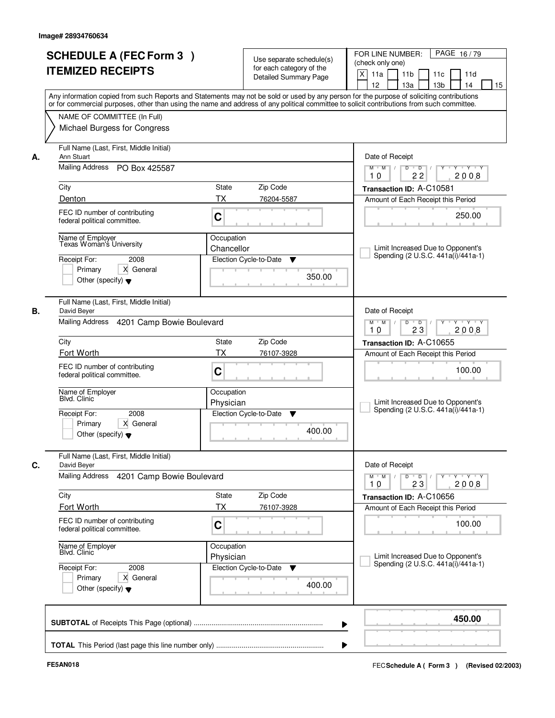| <b>ITEMIZED RECEIPTS</b>                                                                                                             | <b>SCHEDULE A (FEC Form 3)</b><br>Use separate schedule(s)<br>for each category of the<br><b>Detailed Summary Page</b><br>Any information copied from such Reports and Statements may not be sold or used by any person for the purpose of soliciting contributions | PAGE 16/79<br>FOR LINE NUMBER:<br>(check only one)<br>X<br>11 <sub>b</sub><br>11a<br>11 <sub>c</sub><br>11d<br>12<br>13 <sub>b</sub><br>14<br>13a<br>15 |
|--------------------------------------------------------------------------------------------------------------------------------------|---------------------------------------------------------------------------------------------------------------------------------------------------------------------------------------------------------------------------------------------------------------------|---------------------------------------------------------------------------------------------------------------------------------------------------------|
| NAME OF COMMITTEE (In Full)<br>Michael Burgess for Congress                                                                          | or for commercial purposes, other than using the name and address of any political committee to solicit contributions from such committee.                                                                                                                          |                                                                                                                                                         |
| Full Name (Last, First, Middle Initial)<br>Ann Stuart<br>Mailing Address PO Box 425587                                               |                                                                                                                                                                                                                                                                     | Date of Receipt<br>$D$ $D$<br>Y TY Y Y<br>$M$ $M$ /<br>Y                                                                                                |
| City                                                                                                                                 | <b>State</b><br>Zip Code                                                                                                                                                                                                                                            | 22<br>2008<br>10<br>Transaction ID: A-C10581                                                                                                            |
| Denton<br>FEC ID number of contributing<br>federal political committee.                                                              | ТX<br>76204-5587<br>C                                                                                                                                                                                                                                               | Amount of Each Receipt this Period<br>250.00                                                                                                            |
| Name of Employer<br>Texas Woman's University<br>Receipt For:<br>2008<br>Primary<br>X General<br>Other (specify) $\blacktriangledown$ | Occupation<br>Chancellor<br>Election Cycle-to-Date<br>▼<br>350.00                                                                                                                                                                                                   | Limit Increased Due to Opponent's<br>Spending (2 U.S.C. 441a(i)/441a-1)                                                                                 |
| Full Name (Last, First, Middle Initial)<br>David Beyer<br>Mailing Address 4201 Camp Bowie Boulevard                                  |                                                                                                                                                                                                                                                                     | Date of Receipt<br>$M$ $M$ /<br>D<br>$\overline{D}$ /<br>$Y + Y + Y$<br>23<br>2008<br>10                                                                |
| City                                                                                                                                 | Zip Code<br>State                                                                                                                                                                                                                                                   | Transaction ID: A-C10655                                                                                                                                |
| Fort Worth<br>FEC ID number of contributing<br>federal political committee.                                                          | TX<br>76107-3928<br>C                                                                                                                                                                                                                                               | Amount of Each Receipt this Period<br>100.00                                                                                                            |
| Name of Employer<br>Blvd. Clinic                                                                                                     | Occupation<br>Physician                                                                                                                                                                                                                                             | Limit Increased Due to Opponent's                                                                                                                       |
| 2008<br>Receipt For:<br>Primary<br>X General<br>Other (specify) $\blacktriangledown$                                                 | Election Cycle-to-Date<br>▼<br>400.00                                                                                                                                                                                                                               | Spending (2 U.S.C. 441a(i)/441a-1)                                                                                                                      |
| Full Name (Last, First, Middle Initial)<br>David Beyer<br><b>Mailing Address</b><br>4201 Camp Bowie Boulevard                        |                                                                                                                                                                                                                                                                     | Date of Receipt<br>$M$ $M$<br>$D$ $D$ $/$<br>$Y$ <sup>U</sup><br>Y 'Y 'Y<br>10<br>23<br>2008                                                            |
| City<br>Fort Worth                                                                                                                   | Zip Code<br>State<br>ТX<br>76107-3928                                                                                                                                                                                                                               | Transaction ID: A-C10656                                                                                                                                |
| FEC ID number of contributing<br>federal political committee.                                                                        | C                                                                                                                                                                                                                                                                   | Amount of Each Receipt this Period<br>100.00                                                                                                            |
| Name of Employer<br>Blvd. Clinic                                                                                                     | Occupation<br>Physician                                                                                                                                                                                                                                             | Limit Increased Due to Opponent's                                                                                                                       |
| Receipt For:<br>2008<br>X General<br>Primary<br>Other (specify) $\blacktriangledown$                                                 | Election Cycle-to-Date<br>v<br>400.00                                                                                                                                                                                                                               | Spending (2 U.S.C. 441a(i)/441a-1)                                                                                                                      |
|                                                                                                                                      |                                                                                                                                                                                                                                                                     | 450.00                                                                                                                                                  |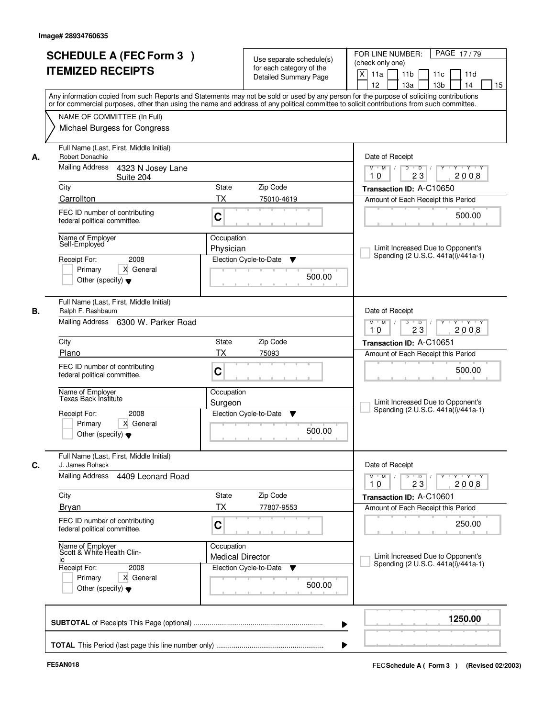|    | <b>SCHEDULE A (FEC Form 3)</b>                             | Use separate schedule(s)                                                                                                                                                                                                                                                                | PAGE 17/79<br>FOR LINE NUMBER:                                                     |
|----|------------------------------------------------------------|-----------------------------------------------------------------------------------------------------------------------------------------------------------------------------------------------------------------------------------------------------------------------------------------|------------------------------------------------------------------------------------|
|    | <b>ITEMIZED RECEIPTS</b>                                   | for each category of the                                                                                                                                                                                                                                                                | (check only one)                                                                   |
|    |                                                            | <b>Detailed Summary Page</b>                                                                                                                                                                                                                                                            | $\boldsymbol{\mathsf{X}}$<br>11 <sub>b</sub><br>11a<br>11c<br>11d                  |
|    |                                                            |                                                                                                                                                                                                                                                                                         | 12<br>13a<br>13 <sub>b</sub><br>14<br>15                                           |
|    |                                                            | Any information copied from such Reports and Statements may not be sold or used by any person for the purpose of soliciting contributions<br>or for commercial purposes, other than using the name and address of any political committee to solicit contributions from such committee. |                                                                                    |
|    | NAME OF COMMITTEE (In Full)                                |                                                                                                                                                                                                                                                                                         |                                                                                    |
|    | Michael Burgess for Congress                               |                                                                                                                                                                                                                                                                                         |                                                                                    |
|    |                                                            |                                                                                                                                                                                                                                                                                         |                                                                                    |
| А. | Full Name (Last, First, Middle Initial)<br>Robert Donachie |                                                                                                                                                                                                                                                                                         | Date of Receipt                                                                    |
|    | Mailing Address<br>4323 N Josey Lane                       | <b>TY TY</b><br>$M$ $M$ /<br>D<br>$\overline{D}$<br>Y                                                                                                                                                                                                                                   |                                                                                    |
|    | Suite 204                                                  |                                                                                                                                                                                                                                                                                         | 2008<br>23<br>10                                                                   |
|    | City                                                       | Zip Code<br>State                                                                                                                                                                                                                                                                       | Transaction ID: A-C10650                                                           |
|    | Carrollton                                                 | <b>TX</b><br>75010-4619                                                                                                                                                                                                                                                                 | Amount of Each Receipt this Period                                                 |
|    | FEC ID number of contributing                              |                                                                                                                                                                                                                                                                                         |                                                                                    |
|    | federal political committee.                               | C                                                                                                                                                                                                                                                                                       | 500.00                                                                             |
|    | Name of Employer                                           | Occupation                                                                                                                                                                                                                                                                              |                                                                                    |
|    | Self-Employed                                              | Physician                                                                                                                                                                                                                                                                               | Limit Increased Due to Opponent's                                                  |
|    | 2008<br>Receipt For:                                       | Election Cycle-to-Date<br>v                                                                                                                                                                                                                                                             | Spending (2 U.S.C. 441a(i)/441a-1)                                                 |
|    | Primary<br>X General                                       |                                                                                                                                                                                                                                                                                         |                                                                                    |
|    | Other (specify) $\blacktriangledown$                       | 500.00                                                                                                                                                                                                                                                                                  |                                                                                    |
|    |                                                            |                                                                                                                                                                                                                                                                                         |                                                                                    |
|    | Full Name (Last, First, Middle Initial)                    |                                                                                                                                                                                                                                                                                         |                                                                                    |
| В. | Ralph F. Rashbaum                                          |                                                                                                                                                                                                                                                                                         | Date of Receipt                                                                    |
|    | Mailing Address 6300 W. Parker Road                        |                                                                                                                                                                                                                                                                                         | D<br>$\overline{D}$ $\overline{I}$<br>$M$ $M$ /<br>$Y + Y + Y$<br>23<br>2008<br>10 |
|    | City                                                       | Zip Code<br>State                                                                                                                                                                                                                                                                       | Transaction ID: A-C10651                                                           |
|    | Plano                                                      | <b>TX</b><br>75093                                                                                                                                                                                                                                                                      | Amount of Each Receipt this Period                                                 |
|    | FEC ID number of contributing                              |                                                                                                                                                                                                                                                                                         |                                                                                    |
|    | federal political committee.                               | C                                                                                                                                                                                                                                                                                       | 500.00                                                                             |
|    |                                                            |                                                                                                                                                                                                                                                                                         |                                                                                    |
|    | Name of Employer<br>Texas Back Institute                   | Occupation                                                                                                                                                                                                                                                                              | Limit Increased Due to Opponent's                                                  |
|    | Receipt For:<br>2008                                       | Surgeon<br>Election Cycle-to-Date<br>v                                                                                                                                                                                                                                                  | Spending (2 U.S.C. 441a(i)/441a-1)                                                 |
|    | Primary<br>X General                                       |                                                                                                                                                                                                                                                                                         |                                                                                    |
|    | Other (specify) $\blacktriangledown$                       | 500.00                                                                                                                                                                                                                                                                                  |                                                                                    |
|    |                                                            |                                                                                                                                                                                                                                                                                         |                                                                                    |
| C. | Full Name (Last, First, Middle Initial)<br>J. James Rohack |                                                                                                                                                                                                                                                                                         | Date of Receipt                                                                    |
|    | Mailing Address<br>4409 Leonard Road                       |                                                                                                                                                                                                                                                                                         | $M$ $M$<br>$D$ $D$ $/$<br>$Y - Y - Y - Y$<br>$Y$ <sup><math>\top</math></sup>      |
|    |                                                            |                                                                                                                                                                                                                                                                                         | 2008<br>10<br>23                                                                   |
|    | City                                                       | Zip Code<br>State                                                                                                                                                                                                                                                                       | Transaction ID: A-C10601                                                           |
|    | <b>Bryan</b>                                               | <b>TX</b><br>77807-9553                                                                                                                                                                                                                                                                 | Amount of Each Receipt this Period                                                 |
|    |                                                            |                                                                                                                                                                                                                                                                                         |                                                                                    |
|    | FEC ID number of contributing                              |                                                                                                                                                                                                                                                                                         |                                                                                    |
|    | federal political committee.                               | C                                                                                                                                                                                                                                                                                       | 250.00                                                                             |
|    |                                                            |                                                                                                                                                                                                                                                                                         |                                                                                    |
|    | Name of Employer<br>Scott & White Health Clin-             | Occupation<br><b>Medical Director</b>                                                                                                                                                                                                                                                   | Limit Increased Due to Opponent's                                                  |
|    | ΙC<br>Receipt For:<br>2008                                 | Election Cycle-to-Date<br>v                                                                                                                                                                                                                                                             | Spending (2 U.S.C. 441a(i)/441a-1)                                                 |
|    | Primary<br>X General                                       |                                                                                                                                                                                                                                                                                         |                                                                                    |
|    | Other (specify) $\blacktriangledown$                       | 500.00                                                                                                                                                                                                                                                                                  |                                                                                    |
|    |                                                            |                                                                                                                                                                                                                                                                                         | 1250.00                                                                            |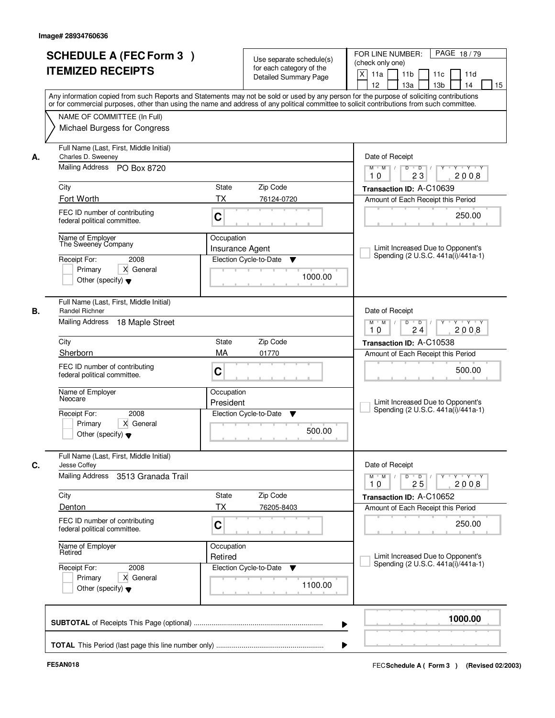| <b>SCHEDULE A (FEC Form 3)</b><br><b>ITEMIZED RECEIPTS</b>                                                                      | Use separate schedule(s)<br>for each category of the<br><b>Detailed Summary Page</b><br>Any information copied from such Reports and Statements may not be sold or used by any person for the purpose of soliciting contributions | PAGE 18/79<br>FOR LINE NUMBER:<br>(check only one)<br>X<br>11 <sub>b</sub><br>11a<br>11 <sub>c</sub><br>11d<br>12<br>13 <sub>b</sub><br>14<br>13a<br>15 |
|---------------------------------------------------------------------------------------------------------------------------------|-----------------------------------------------------------------------------------------------------------------------------------------------------------------------------------------------------------------------------------|---------------------------------------------------------------------------------------------------------------------------------------------------------|
| NAME OF COMMITTEE (In Full)<br>Michael Burgess for Congress                                                                     | or for commercial purposes, other than using the name and address of any political committee to solicit contributions from such committee.                                                                                        |                                                                                                                                                         |
| Full Name (Last, First, Middle Initial)<br>Charles D. Sweeney<br>А.<br>Mailing Address PO Box 8720                              |                                                                                                                                                                                                                                   | Date of Receipt<br>$D$ $D$<br>Y<br>Y TY Y Y<br>$M$ $M$ /<br>2008<br>23<br>10                                                                            |
| City<br>Fort Worth                                                                                                              | <b>State</b><br>Zip Code<br><b>TX</b><br>76124-0720                                                                                                                                                                               | Transaction ID: A-C10639<br>Amount of Each Receipt this Period                                                                                          |
| FEC ID number of contributing<br>federal political committee.                                                                   | C                                                                                                                                                                                                                                 | 250.00                                                                                                                                                  |
| Name of Employer<br>The Sweeney Company<br>Receipt For:<br>2008<br>Primary<br>X General<br>Other (specify) $\blacktriangledown$ | Occupation<br><b>Insurance Agent</b><br>Election Cycle-to-Date<br>▼<br>1000.00                                                                                                                                                    | Limit Increased Due to Opponent's<br>Spending (2 U.S.C. 441a(i)/441a-1)                                                                                 |
| Full Name (Last, First, Middle Initial)<br>Randel Richner<br>В.<br>Mailing Address<br>18 Maple Street                           |                                                                                                                                                                                                                                   | Date of Receipt<br>$M$ $M$ /<br>D<br>$\overline{\phantom{0}}$ D<br>$Y + Y + Y$<br>24<br>2008<br>10                                                      |
| City                                                                                                                            | Zip Code<br>State                                                                                                                                                                                                                 | Transaction ID: A-C10538                                                                                                                                |
| Sherborn<br>FEC ID number of contributing<br>federal political committee.                                                       | MA<br>01770<br>C                                                                                                                                                                                                                  | Amount of Each Receipt this Period<br>500.00                                                                                                            |
| Name of Employer<br>Neocare                                                                                                     | Occupation<br>President                                                                                                                                                                                                           | Limit Increased Due to Opponent's<br>Spending (2 U.S.C. 441a(i)/441a-1)                                                                                 |
| 2008<br>Receipt For:<br>Primary<br>X General<br>Other (specify) $\blacktriangledown$                                            | Election Cycle-to-Date<br>▼<br>500.00                                                                                                                                                                                             |                                                                                                                                                         |
| Full Name (Last, First, Middle Initial)<br>C.<br>Jesse Coffey                                                                   |                                                                                                                                                                                                                                   | Date of Receipt                                                                                                                                         |
| Mailing Address 3513 Granada Trail                                                                                              |                                                                                                                                                                                                                                   | $M$ $M$<br>$D$ $D$ $/$<br>Y 'Y 'Y<br>$Y$ <sup>U</sup><br>10<br>25<br>2008                                                                               |
| City<br>Denton                                                                                                                  | Zip Code<br>State<br>ТX<br>76205-8403                                                                                                                                                                                             | Transaction ID: A-C10652<br>Amount of Each Receipt this Period                                                                                          |
| FEC ID number of contributing<br>federal political committee.                                                                   | C                                                                                                                                                                                                                                 | 250.00                                                                                                                                                  |
| Name of Employer<br>Retired                                                                                                     | Occupation<br>Retired                                                                                                                                                                                                             | Limit Increased Due to Opponent's<br>Spending (2 U.S.C. 441a(i)/441a-1)                                                                                 |
| Receipt For:<br>2008<br>Primary<br>X General<br>Other (specify) $\blacktriangledown$                                            | Election Cycle-to-Date<br>v<br>1100.00                                                                                                                                                                                            |                                                                                                                                                         |
|                                                                                                                                 |                                                                                                                                                                                                                                   | 1000.00                                                                                                                                                 |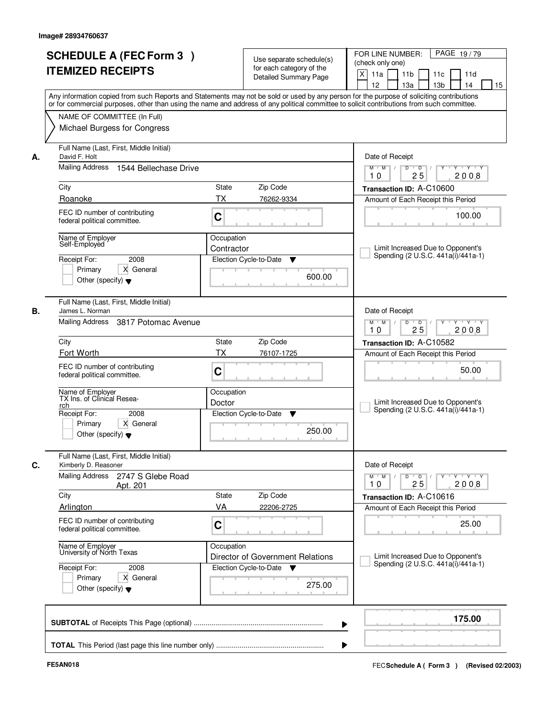|    | <b>SCHEDULE A (FEC Form 3)</b><br><b>ITEMIZED RECEIPTS</b><br>Any information copied from such Reports and Statements may not be sold or used by any person for the purpose of soliciting contributions   |                          | Use separate schedule(s)<br>for each category of the<br><b>Detailed Summary Page</b> | PAGE 19/79<br>FOR LINE NUMBER:<br>(check only one)<br>X<br>11 <sub>b</sub><br>11a<br>11c<br>11d<br>12<br>13 <sub>b</sub><br>13a<br>14<br>15 |
|----|-----------------------------------------------------------------------------------------------------------------------------------------------------------------------------------------------------------|--------------------------|--------------------------------------------------------------------------------------|---------------------------------------------------------------------------------------------------------------------------------------------|
|    | or for commercial purposes, other than using the name and address of any political committee to solicit contributions from such committee.<br>NAME OF COMMITTEE (In Full)<br>Michael Burgess for Congress |                          |                                                                                      |                                                                                                                                             |
| А. | Full Name (Last, First, Middle Initial)<br>David F. Holt<br><b>Mailing Address</b><br>1544 Bellechase Drive                                                                                               |                          |                                                                                      | Date of Receipt<br>$M$ $M$ /<br>$D$ $D$ $1$<br>$Y$ <sup>U</sup><br>Y 'Y 'Y<br>25<br>2008<br>10                                              |
|    | City<br>Roanoke                                                                                                                                                                                           | State<br>ТX              | Zip Code<br>76262-9334                                                               | Transaction ID: A-C10600<br>Amount of Each Receipt this Period                                                                              |
|    | FEC ID number of contributing<br>federal political committee.                                                                                                                                             | C                        |                                                                                      | 100.00                                                                                                                                      |
|    | Name of Employer<br>Self-Employed<br>2008<br>Receipt For:<br>X General<br>Primary<br>Other (specify) $\blacktriangledown$                                                                                 | Occupation<br>Contractor | Election Cycle-to-Date<br>▼<br>600.00                                                | Limit Increased Due to Opponent's<br>Spending (2 U.S.C. 441a(i)/441a-1)                                                                     |
| В. | Full Name (Last, First, Middle Initial)<br>James L. Norman<br>Mailing Address<br>3817 Potomac Avenue                                                                                                      |                          |                                                                                      | Date of Receipt<br>$Y \vdash Y \vdash Y$<br>$M$ M<br>D<br>$\overline{D}$<br>25<br>2008<br>10                                                |
|    | City<br>Zip Code<br><b>State</b>                                                                                                                                                                          |                          |                                                                                      | Transaction ID: A-C10582                                                                                                                    |
|    | Fort Worth                                                                                                                                                                                                | <b>TX</b>                | 76107-1725                                                                           | Amount of Each Receipt this Period                                                                                                          |
|    | FEC ID number of contributing<br>federal political committee.                                                                                                                                             | C                        |                                                                                      | 50.00                                                                                                                                       |
|    | Name of Employer<br>TX Ins. of Clinical Resea-<br>rch<br>Receipt For:<br>2008<br>X General<br>Primary<br>Other (specify) $\blacktriangledown$                                                             | Occupation<br>Doctor     | Election Cycle-to-Date<br>v<br>250.00                                                | Limit Increased Due to Opponent's<br>Spending (2 U.S.C. 441a(i)/441a-1)                                                                     |
| C. | Full Name (Last, First, Middle Initial)<br>Kimberly D. Reasoner                                                                                                                                           |                          |                                                                                      | Date of Receipt                                                                                                                             |
|    | Mailing Address<br>2747 S Glebe Road<br>Apt. 201                                                                                                                                                          |                          |                                                                                      | $D$ $D$ $I$<br>$M$ $M$ /<br>$Y + Y + Y$<br>$Y$ <sup><math>\top</math></sup><br>25<br>2008<br>10                                             |
|    | City<br>Arlington                                                                                                                                                                                         | State<br>VA              | Zip Code<br>22206-2725                                                               | Transaction ID: A-C10616                                                                                                                    |
|    | FEC ID number of contributing<br>federal political committee.                                                                                                                                             | C                        |                                                                                      | Amount of Each Receipt this Period<br>25.00                                                                                                 |
|    | Name of Employer<br>University of North Texas                                                                                                                                                             | Occupation               | Director of Government Relations                                                     | Limit Increased Due to Opponent's<br>Spending (2 U.S.C. 441a(i)/441a-1)                                                                     |
|    | Receipt For:<br>2008<br>Primary<br>X General<br>Other (specify) $\blacktriangledown$                                                                                                                      |                          | Election Cycle-to-Date<br>275.00                                                     |                                                                                                                                             |
|    |                                                                                                                                                                                                           |                          |                                                                                      | 175.00                                                                                                                                      |
|    |                                                                                                                                                                                                           |                          |                                                                                      |                                                                                                                                             |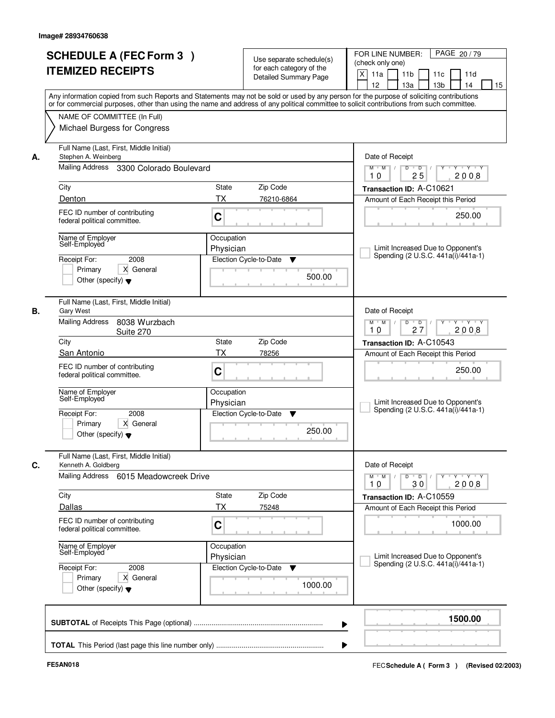| <b>SCHEDULE A (FEC Form 3)</b><br>Use separate schedule(s)<br>(check only one)<br>for each category of the<br><b>ITEMIZED RECEIPTS</b><br>$\times$<br>11 <sub>b</sub><br>11a<br>11c<br>11d<br>Detailed Summary Page<br>12<br>13a<br>13 <sub>b</sub><br>14<br>15<br>Any information copied from such Reports and Statements may not be sold or used by any person for the purpose of soliciting contributions<br>or for commercial purposes, other than using the name and address of any political committee to solicit contributions from such committee.<br>NAME OF COMMITTEE (In Full)<br>Michael Burgess for Congress<br>Full Name (Last, First, Middle Initial)<br>Date of Receipt<br>Stephen A. Weinberg<br>А.<br>Mailing Address<br>3300 Colorado Boulevard<br>$\overline{D}$<br>$+Y+Y$<br>$M$ $M$ /<br>D<br>Y<br>2008<br>25<br>10<br>City<br>State<br>Zip Code<br>Transaction ID: A-C10621<br><b>TX</b><br>Denton<br>76210-6864<br>Amount of Each Receipt this Period<br>FEC ID number of contributing<br>250.00<br>C<br>federal political committee.<br>Name of Employer<br>Occupation<br>Self-Employed<br>Limit Increased Due to Opponent's<br>Physician<br>Spending (2 U.S.C. 441a(i)/441a-1)<br>2008<br>Receipt For:<br>Election Cycle-to-Date<br>Y<br>Primary<br>X General<br>500.00<br>Other (specify) $\blacktriangledown$<br>Full Name (Last, First, Middle Initial)<br>Date of Receipt<br>Gary West<br><b>Mailing Address</b><br>8038 Wurzbach<br>D<br>Y Y Y Y<br>$M$ $M$ /<br>$\overline{D}$<br>Y<br>27<br>2008<br>10<br>Suite 270<br>City<br>Zip Code<br>State<br>Transaction ID: A-C10543<br>San Antonio<br><b>TX</b><br>78256<br>Amount of Each Receipt this Period<br>FEC ID number of contributing<br>250.00<br>C<br>federal political committee.<br>Name of Employer<br>Occupation<br>Self-Employed<br>Limit Increased Due to Opponent's<br>Physician<br>Spending (2 U.S.C. 441a(i)/441a-1)<br>Receipt For:<br>2008<br>Election Cycle-to-Date<br>▼<br>Primary<br>X General<br>250.00<br>Other (specify) $\blacktriangledown$<br>Full Name (Last, First, Middle Initial)<br>Date of Receipt<br>Kenneth A. Goldberg<br>Mailing Address<br>6015 Meadowcreek Drive<br>$M = M$<br>$D$ $D$ $/$<br>yuryuryury<br>2008<br>10<br>30<br>Zip Code<br>City<br>State<br>Transaction ID: A-C10559<br>Dallas<br>ТX<br>75248<br>Amount of Each Receipt this Period<br>FEC ID number of contributing<br>C<br>1000.00<br>federal political committee.<br>Name of Employer<br>Self-Employed<br>Occupation<br>Limit Increased Due to Opponent's<br>Physician<br>Spending (2 U.S.C. 441a(i)/441a-1)<br>Receipt For:<br>Election Cycle-to-Date<br>2008<br>v<br>X General<br>Primary<br>1000.00<br>Other (specify) $\blacktriangledown$<br>1500.00 |    |  |  | PAGE 20/79<br>FOR LINE NUMBER: |
|-----------------------------------------------------------------------------------------------------------------------------------------------------------------------------------------------------------------------------------------------------------------------------------------------------------------------------------------------------------------------------------------------------------------------------------------------------------------------------------------------------------------------------------------------------------------------------------------------------------------------------------------------------------------------------------------------------------------------------------------------------------------------------------------------------------------------------------------------------------------------------------------------------------------------------------------------------------------------------------------------------------------------------------------------------------------------------------------------------------------------------------------------------------------------------------------------------------------------------------------------------------------------------------------------------------------------------------------------------------------------------------------------------------------------------------------------------------------------------------------------------------------------------------------------------------------------------------------------------------------------------------------------------------------------------------------------------------------------------------------------------------------------------------------------------------------------------------------------------------------------------------------------------------------------------------------------------------------------------------------------------------------------------------------------------------------------------------------------------------------------------------------------------------------------------------------------------------------------------------------------------------------------------------------------------------------------------------------------------------------------------------------------------------------------------------------------------------------------------------------------------------------------------------------------------------------------------------------------------------------------------------------------------------------------------------------------------------------------------------------------------|----|--|--|--------------------------------|
|                                                                                                                                                                                                                                                                                                                                                                                                                                                                                                                                                                                                                                                                                                                                                                                                                                                                                                                                                                                                                                                                                                                                                                                                                                                                                                                                                                                                                                                                                                                                                                                                                                                                                                                                                                                                                                                                                                                                                                                                                                                                                                                                                                                                                                                                                                                                                                                                                                                                                                                                                                                                                                                                                                                                                     |    |  |  |                                |
|                                                                                                                                                                                                                                                                                                                                                                                                                                                                                                                                                                                                                                                                                                                                                                                                                                                                                                                                                                                                                                                                                                                                                                                                                                                                                                                                                                                                                                                                                                                                                                                                                                                                                                                                                                                                                                                                                                                                                                                                                                                                                                                                                                                                                                                                                                                                                                                                                                                                                                                                                                                                                                                                                                                                                     |    |  |  |                                |
|                                                                                                                                                                                                                                                                                                                                                                                                                                                                                                                                                                                                                                                                                                                                                                                                                                                                                                                                                                                                                                                                                                                                                                                                                                                                                                                                                                                                                                                                                                                                                                                                                                                                                                                                                                                                                                                                                                                                                                                                                                                                                                                                                                                                                                                                                                                                                                                                                                                                                                                                                                                                                                                                                                                                                     |    |  |  |                                |
|                                                                                                                                                                                                                                                                                                                                                                                                                                                                                                                                                                                                                                                                                                                                                                                                                                                                                                                                                                                                                                                                                                                                                                                                                                                                                                                                                                                                                                                                                                                                                                                                                                                                                                                                                                                                                                                                                                                                                                                                                                                                                                                                                                                                                                                                                                                                                                                                                                                                                                                                                                                                                                                                                                                                                     |    |  |  |                                |
|                                                                                                                                                                                                                                                                                                                                                                                                                                                                                                                                                                                                                                                                                                                                                                                                                                                                                                                                                                                                                                                                                                                                                                                                                                                                                                                                                                                                                                                                                                                                                                                                                                                                                                                                                                                                                                                                                                                                                                                                                                                                                                                                                                                                                                                                                                                                                                                                                                                                                                                                                                                                                                                                                                                                                     |    |  |  |                                |
|                                                                                                                                                                                                                                                                                                                                                                                                                                                                                                                                                                                                                                                                                                                                                                                                                                                                                                                                                                                                                                                                                                                                                                                                                                                                                                                                                                                                                                                                                                                                                                                                                                                                                                                                                                                                                                                                                                                                                                                                                                                                                                                                                                                                                                                                                                                                                                                                                                                                                                                                                                                                                                                                                                                                                     |    |  |  |                                |
|                                                                                                                                                                                                                                                                                                                                                                                                                                                                                                                                                                                                                                                                                                                                                                                                                                                                                                                                                                                                                                                                                                                                                                                                                                                                                                                                                                                                                                                                                                                                                                                                                                                                                                                                                                                                                                                                                                                                                                                                                                                                                                                                                                                                                                                                                                                                                                                                                                                                                                                                                                                                                                                                                                                                                     |    |  |  |                                |
|                                                                                                                                                                                                                                                                                                                                                                                                                                                                                                                                                                                                                                                                                                                                                                                                                                                                                                                                                                                                                                                                                                                                                                                                                                                                                                                                                                                                                                                                                                                                                                                                                                                                                                                                                                                                                                                                                                                                                                                                                                                                                                                                                                                                                                                                                                                                                                                                                                                                                                                                                                                                                                                                                                                                                     |    |  |  |                                |
|                                                                                                                                                                                                                                                                                                                                                                                                                                                                                                                                                                                                                                                                                                                                                                                                                                                                                                                                                                                                                                                                                                                                                                                                                                                                                                                                                                                                                                                                                                                                                                                                                                                                                                                                                                                                                                                                                                                                                                                                                                                                                                                                                                                                                                                                                                                                                                                                                                                                                                                                                                                                                                                                                                                                                     |    |  |  |                                |
|                                                                                                                                                                                                                                                                                                                                                                                                                                                                                                                                                                                                                                                                                                                                                                                                                                                                                                                                                                                                                                                                                                                                                                                                                                                                                                                                                                                                                                                                                                                                                                                                                                                                                                                                                                                                                                                                                                                                                                                                                                                                                                                                                                                                                                                                                                                                                                                                                                                                                                                                                                                                                                                                                                                                                     |    |  |  |                                |
|                                                                                                                                                                                                                                                                                                                                                                                                                                                                                                                                                                                                                                                                                                                                                                                                                                                                                                                                                                                                                                                                                                                                                                                                                                                                                                                                                                                                                                                                                                                                                                                                                                                                                                                                                                                                                                                                                                                                                                                                                                                                                                                                                                                                                                                                                                                                                                                                                                                                                                                                                                                                                                                                                                                                                     |    |  |  |                                |
|                                                                                                                                                                                                                                                                                                                                                                                                                                                                                                                                                                                                                                                                                                                                                                                                                                                                                                                                                                                                                                                                                                                                                                                                                                                                                                                                                                                                                                                                                                                                                                                                                                                                                                                                                                                                                                                                                                                                                                                                                                                                                                                                                                                                                                                                                                                                                                                                                                                                                                                                                                                                                                                                                                                                                     |    |  |  |                                |
|                                                                                                                                                                                                                                                                                                                                                                                                                                                                                                                                                                                                                                                                                                                                                                                                                                                                                                                                                                                                                                                                                                                                                                                                                                                                                                                                                                                                                                                                                                                                                                                                                                                                                                                                                                                                                                                                                                                                                                                                                                                                                                                                                                                                                                                                                                                                                                                                                                                                                                                                                                                                                                                                                                                                                     |    |  |  |                                |
|                                                                                                                                                                                                                                                                                                                                                                                                                                                                                                                                                                                                                                                                                                                                                                                                                                                                                                                                                                                                                                                                                                                                                                                                                                                                                                                                                                                                                                                                                                                                                                                                                                                                                                                                                                                                                                                                                                                                                                                                                                                                                                                                                                                                                                                                                                                                                                                                                                                                                                                                                                                                                                                                                                                                                     |    |  |  |                                |
|                                                                                                                                                                                                                                                                                                                                                                                                                                                                                                                                                                                                                                                                                                                                                                                                                                                                                                                                                                                                                                                                                                                                                                                                                                                                                                                                                                                                                                                                                                                                                                                                                                                                                                                                                                                                                                                                                                                                                                                                                                                                                                                                                                                                                                                                                                                                                                                                                                                                                                                                                                                                                                                                                                                                                     |    |  |  |                                |
|                                                                                                                                                                                                                                                                                                                                                                                                                                                                                                                                                                                                                                                                                                                                                                                                                                                                                                                                                                                                                                                                                                                                                                                                                                                                                                                                                                                                                                                                                                                                                                                                                                                                                                                                                                                                                                                                                                                                                                                                                                                                                                                                                                                                                                                                                                                                                                                                                                                                                                                                                                                                                                                                                                                                                     |    |  |  |                                |
|                                                                                                                                                                                                                                                                                                                                                                                                                                                                                                                                                                                                                                                                                                                                                                                                                                                                                                                                                                                                                                                                                                                                                                                                                                                                                                                                                                                                                                                                                                                                                                                                                                                                                                                                                                                                                                                                                                                                                                                                                                                                                                                                                                                                                                                                                                                                                                                                                                                                                                                                                                                                                                                                                                                                                     |    |  |  |                                |
|                                                                                                                                                                                                                                                                                                                                                                                                                                                                                                                                                                                                                                                                                                                                                                                                                                                                                                                                                                                                                                                                                                                                                                                                                                                                                                                                                                                                                                                                                                                                                                                                                                                                                                                                                                                                                                                                                                                                                                                                                                                                                                                                                                                                                                                                                                                                                                                                                                                                                                                                                                                                                                                                                                                                                     |    |  |  |                                |
|                                                                                                                                                                                                                                                                                                                                                                                                                                                                                                                                                                                                                                                                                                                                                                                                                                                                                                                                                                                                                                                                                                                                                                                                                                                                                                                                                                                                                                                                                                                                                                                                                                                                                                                                                                                                                                                                                                                                                                                                                                                                                                                                                                                                                                                                                                                                                                                                                                                                                                                                                                                                                                                                                                                                                     | В. |  |  |                                |
|                                                                                                                                                                                                                                                                                                                                                                                                                                                                                                                                                                                                                                                                                                                                                                                                                                                                                                                                                                                                                                                                                                                                                                                                                                                                                                                                                                                                                                                                                                                                                                                                                                                                                                                                                                                                                                                                                                                                                                                                                                                                                                                                                                                                                                                                                                                                                                                                                                                                                                                                                                                                                                                                                                                                                     |    |  |  |                                |
|                                                                                                                                                                                                                                                                                                                                                                                                                                                                                                                                                                                                                                                                                                                                                                                                                                                                                                                                                                                                                                                                                                                                                                                                                                                                                                                                                                                                                                                                                                                                                                                                                                                                                                                                                                                                                                                                                                                                                                                                                                                                                                                                                                                                                                                                                                                                                                                                                                                                                                                                                                                                                                                                                                                                                     |    |  |  |                                |
|                                                                                                                                                                                                                                                                                                                                                                                                                                                                                                                                                                                                                                                                                                                                                                                                                                                                                                                                                                                                                                                                                                                                                                                                                                                                                                                                                                                                                                                                                                                                                                                                                                                                                                                                                                                                                                                                                                                                                                                                                                                                                                                                                                                                                                                                                                                                                                                                                                                                                                                                                                                                                                                                                                                                                     |    |  |  |                                |
|                                                                                                                                                                                                                                                                                                                                                                                                                                                                                                                                                                                                                                                                                                                                                                                                                                                                                                                                                                                                                                                                                                                                                                                                                                                                                                                                                                                                                                                                                                                                                                                                                                                                                                                                                                                                                                                                                                                                                                                                                                                                                                                                                                                                                                                                                                                                                                                                                                                                                                                                                                                                                                                                                                                                                     |    |  |  |                                |
|                                                                                                                                                                                                                                                                                                                                                                                                                                                                                                                                                                                                                                                                                                                                                                                                                                                                                                                                                                                                                                                                                                                                                                                                                                                                                                                                                                                                                                                                                                                                                                                                                                                                                                                                                                                                                                                                                                                                                                                                                                                                                                                                                                                                                                                                                                                                                                                                                                                                                                                                                                                                                                                                                                                                                     |    |  |  |                                |
|                                                                                                                                                                                                                                                                                                                                                                                                                                                                                                                                                                                                                                                                                                                                                                                                                                                                                                                                                                                                                                                                                                                                                                                                                                                                                                                                                                                                                                                                                                                                                                                                                                                                                                                                                                                                                                                                                                                                                                                                                                                                                                                                                                                                                                                                                                                                                                                                                                                                                                                                                                                                                                                                                                                                                     |    |  |  |                                |
|                                                                                                                                                                                                                                                                                                                                                                                                                                                                                                                                                                                                                                                                                                                                                                                                                                                                                                                                                                                                                                                                                                                                                                                                                                                                                                                                                                                                                                                                                                                                                                                                                                                                                                                                                                                                                                                                                                                                                                                                                                                                                                                                                                                                                                                                                                                                                                                                                                                                                                                                                                                                                                                                                                                                                     |    |  |  |                                |
|                                                                                                                                                                                                                                                                                                                                                                                                                                                                                                                                                                                                                                                                                                                                                                                                                                                                                                                                                                                                                                                                                                                                                                                                                                                                                                                                                                                                                                                                                                                                                                                                                                                                                                                                                                                                                                                                                                                                                                                                                                                                                                                                                                                                                                                                                                                                                                                                                                                                                                                                                                                                                                                                                                                                                     |    |  |  |                                |
|                                                                                                                                                                                                                                                                                                                                                                                                                                                                                                                                                                                                                                                                                                                                                                                                                                                                                                                                                                                                                                                                                                                                                                                                                                                                                                                                                                                                                                                                                                                                                                                                                                                                                                                                                                                                                                                                                                                                                                                                                                                                                                                                                                                                                                                                                                                                                                                                                                                                                                                                                                                                                                                                                                                                                     |    |  |  |                                |
|                                                                                                                                                                                                                                                                                                                                                                                                                                                                                                                                                                                                                                                                                                                                                                                                                                                                                                                                                                                                                                                                                                                                                                                                                                                                                                                                                                                                                                                                                                                                                                                                                                                                                                                                                                                                                                                                                                                                                                                                                                                                                                                                                                                                                                                                                                                                                                                                                                                                                                                                                                                                                                                                                                                                                     |    |  |  |                                |
|                                                                                                                                                                                                                                                                                                                                                                                                                                                                                                                                                                                                                                                                                                                                                                                                                                                                                                                                                                                                                                                                                                                                                                                                                                                                                                                                                                                                                                                                                                                                                                                                                                                                                                                                                                                                                                                                                                                                                                                                                                                                                                                                                                                                                                                                                                                                                                                                                                                                                                                                                                                                                                                                                                                                                     | С. |  |  |                                |
|                                                                                                                                                                                                                                                                                                                                                                                                                                                                                                                                                                                                                                                                                                                                                                                                                                                                                                                                                                                                                                                                                                                                                                                                                                                                                                                                                                                                                                                                                                                                                                                                                                                                                                                                                                                                                                                                                                                                                                                                                                                                                                                                                                                                                                                                                                                                                                                                                                                                                                                                                                                                                                                                                                                                                     |    |  |  |                                |
|                                                                                                                                                                                                                                                                                                                                                                                                                                                                                                                                                                                                                                                                                                                                                                                                                                                                                                                                                                                                                                                                                                                                                                                                                                                                                                                                                                                                                                                                                                                                                                                                                                                                                                                                                                                                                                                                                                                                                                                                                                                                                                                                                                                                                                                                                                                                                                                                                                                                                                                                                                                                                                                                                                                                                     |    |  |  |                                |
|                                                                                                                                                                                                                                                                                                                                                                                                                                                                                                                                                                                                                                                                                                                                                                                                                                                                                                                                                                                                                                                                                                                                                                                                                                                                                                                                                                                                                                                                                                                                                                                                                                                                                                                                                                                                                                                                                                                                                                                                                                                                                                                                                                                                                                                                                                                                                                                                                                                                                                                                                                                                                                                                                                                                                     |    |  |  |                                |
|                                                                                                                                                                                                                                                                                                                                                                                                                                                                                                                                                                                                                                                                                                                                                                                                                                                                                                                                                                                                                                                                                                                                                                                                                                                                                                                                                                                                                                                                                                                                                                                                                                                                                                                                                                                                                                                                                                                                                                                                                                                                                                                                                                                                                                                                                                                                                                                                                                                                                                                                                                                                                                                                                                                                                     |    |  |  |                                |
|                                                                                                                                                                                                                                                                                                                                                                                                                                                                                                                                                                                                                                                                                                                                                                                                                                                                                                                                                                                                                                                                                                                                                                                                                                                                                                                                                                                                                                                                                                                                                                                                                                                                                                                                                                                                                                                                                                                                                                                                                                                                                                                                                                                                                                                                                                                                                                                                                                                                                                                                                                                                                                                                                                                                                     |    |  |  |                                |
|                                                                                                                                                                                                                                                                                                                                                                                                                                                                                                                                                                                                                                                                                                                                                                                                                                                                                                                                                                                                                                                                                                                                                                                                                                                                                                                                                                                                                                                                                                                                                                                                                                                                                                                                                                                                                                                                                                                                                                                                                                                                                                                                                                                                                                                                                                                                                                                                                                                                                                                                                                                                                                                                                                                                                     |    |  |  |                                |
|                                                                                                                                                                                                                                                                                                                                                                                                                                                                                                                                                                                                                                                                                                                                                                                                                                                                                                                                                                                                                                                                                                                                                                                                                                                                                                                                                                                                                                                                                                                                                                                                                                                                                                                                                                                                                                                                                                                                                                                                                                                                                                                                                                                                                                                                                                                                                                                                                                                                                                                                                                                                                                                                                                                                                     |    |  |  |                                |
|                                                                                                                                                                                                                                                                                                                                                                                                                                                                                                                                                                                                                                                                                                                                                                                                                                                                                                                                                                                                                                                                                                                                                                                                                                                                                                                                                                                                                                                                                                                                                                                                                                                                                                                                                                                                                                                                                                                                                                                                                                                                                                                                                                                                                                                                                                                                                                                                                                                                                                                                                                                                                                                                                                                                                     |    |  |  |                                |
|                                                                                                                                                                                                                                                                                                                                                                                                                                                                                                                                                                                                                                                                                                                                                                                                                                                                                                                                                                                                                                                                                                                                                                                                                                                                                                                                                                                                                                                                                                                                                                                                                                                                                                                                                                                                                                                                                                                                                                                                                                                                                                                                                                                                                                                                                                                                                                                                                                                                                                                                                                                                                                                                                                                                                     |    |  |  |                                |
|                                                                                                                                                                                                                                                                                                                                                                                                                                                                                                                                                                                                                                                                                                                                                                                                                                                                                                                                                                                                                                                                                                                                                                                                                                                                                                                                                                                                                                                                                                                                                                                                                                                                                                                                                                                                                                                                                                                                                                                                                                                                                                                                                                                                                                                                                                                                                                                                                                                                                                                                                                                                                                                                                                                                                     |    |  |  |                                |
|                                                                                                                                                                                                                                                                                                                                                                                                                                                                                                                                                                                                                                                                                                                                                                                                                                                                                                                                                                                                                                                                                                                                                                                                                                                                                                                                                                                                                                                                                                                                                                                                                                                                                                                                                                                                                                                                                                                                                                                                                                                                                                                                                                                                                                                                                                                                                                                                                                                                                                                                                                                                                                                                                                                                                     |    |  |  |                                |
|                                                                                                                                                                                                                                                                                                                                                                                                                                                                                                                                                                                                                                                                                                                                                                                                                                                                                                                                                                                                                                                                                                                                                                                                                                                                                                                                                                                                                                                                                                                                                                                                                                                                                                                                                                                                                                                                                                                                                                                                                                                                                                                                                                                                                                                                                                                                                                                                                                                                                                                                                                                                                                                                                                                                                     |    |  |  |                                |
|                                                                                                                                                                                                                                                                                                                                                                                                                                                                                                                                                                                                                                                                                                                                                                                                                                                                                                                                                                                                                                                                                                                                                                                                                                                                                                                                                                                                                                                                                                                                                                                                                                                                                                                                                                                                                                                                                                                                                                                                                                                                                                                                                                                                                                                                                                                                                                                                                                                                                                                                                                                                                                                                                                                                                     |    |  |  |                                |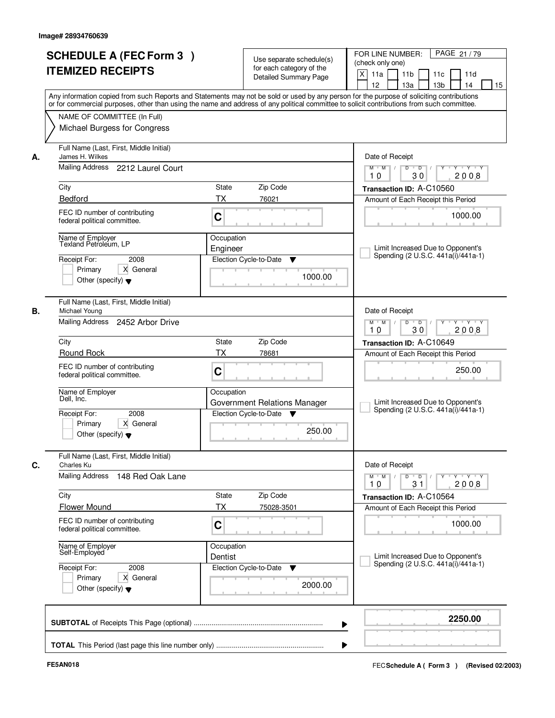|    | <b>SCHEDULE A (FEC Form 3)</b><br><b>ITEMIZED RECEIPTS</b><br>Any information copied from such Reports and Statements may not be sold or used by any person for the purpose of soliciting contributions   | Use separate schedule(s)<br>for each category of the<br>Detailed Summary Page | PAGE 21/79<br>FOR LINE NUMBER:<br>(check only one)<br>$\times$<br>11 <sub>b</sub><br>11a<br>11c<br>11d<br>12<br>13a<br>13 <sub>b</sub><br>14<br>15 |
|----|-----------------------------------------------------------------------------------------------------------------------------------------------------------------------------------------------------------|-------------------------------------------------------------------------------|----------------------------------------------------------------------------------------------------------------------------------------------------|
|    | or for commercial purposes, other than using the name and address of any political committee to solicit contributions from such committee.<br>NAME OF COMMITTEE (In Full)<br>Michael Burgess for Congress |                                                                               |                                                                                                                                                    |
| А. | Full Name (Last, First, Middle Initial)<br>James H. Wilkes<br>Mailing Address 2212 Laurel Court                                                                                                           |                                                                               | Date of Receipt<br>$\overline{D}$<br><b>TY TY</b><br>$M$ $M$ /<br>D<br>Y                                                                           |
|    |                                                                                                                                                                                                           |                                                                               | 30<br>2008<br>10                                                                                                                                   |
|    | City<br>Bedford                                                                                                                                                                                           | Zip Code<br>State<br><b>TX</b><br>76021                                       | Transaction ID: A-C10560                                                                                                                           |
|    | FEC ID number of contributing<br>federal political committee.                                                                                                                                             | C                                                                             | Amount of Each Receipt this Period<br>1000.00                                                                                                      |
|    | Name of Employer<br>Texland Petroleum, LP<br>Receipt For:<br>2008<br>Primary<br>X General<br>Other (specify) $\blacktriangledown$                                                                         | Occupation<br>Engineer<br>Election Cycle-to-Date<br>Y<br>1000.00              | Limit Increased Due to Opponent's<br>Spending (2 U.S.C. 441a(i)/441a-1)                                                                            |
| В. | Full Name (Last, First, Middle Initial)<br>Michael Young<br>Mailing Address 2452 Arbor Drive                                                                                                              |                                                                               | Date of Receipt<br>D<br>$\overline{D}$ $\overline{I}$<br>Y Y Y Y<br>$M$ $M$ /<br>Y                                                                 |
|    | City                                                                                                                                                                                                      | Zip Code<br>State                                                             | 30<br>2008<br>10                                                                                                                                   |
|    | Round Rock                                                                                                                                                                                                | <b>TX</b><br>78681                                                            | Transaction ID: A-C10649<br>Amount of Each Receipt this Period                                                                                     |
|    | FEC ID number of contributing<br>federal political committee.                                                                                                                                             | C                                                                             | 250.00                                                                                                                                             |
|    | Name of Employer<br>Dell, Inc.                                                                                                                                                                            | Occupation<br>Government Relations Manager                                    | Limit Increased Due to Opponent's<br>Spending (2 U.S.C. 441a(i)/441a-1)                                                                            |
|    | Receipt For:<br>2008<br>Primary<br>X General<br>Other (specify) $\blacktriangledown$                                                                                                                      | Election Cycle-to-Date ▼<br>250.00                                            |                                                                                                                                                    |
| С. | Full Name (Last, First, Middle Initial)<br>Charles Ku                                                                                                                                                     |                                                                               | Date of Receipt                                                                                                                                    |
|    | <b>Mailing Address</b><br>148 Red Oak Lane                                                                                                                                                                |                                                                               | $M^{\prime}$ M $\rightarrow$ /<br>$D$ $D$ $/$<br>y y y y y y<br>2008<br>10<br>31                                                                   |
|    | City                                                                                                                                                                                                      | Zip Code<br>State                                                             | Transaction ID: A-C10564                                                                                                                           |
|    | <b>Flower Mound</b>                                                                                                                                                                                       | ТX<br>75028-3501                                                              | Amount of Each Receipt this Period                                                                                                                 |
|    | FEC ID number of contributing<br>federal political committee.                                                                                                                                             | C                                                                             | 1000.00                                                                                                                                            |
|    | Name of Employer<br>Self-Employed                                                                                                                                                                         | Occupation<br>Dentist                                                         | Limit Increased Due to Opponent's                                                                                                                  |
|    | Receipt For:<br>2008<br>X General<br>Primary<br>Other (specify) $\blacktriangledown$                                                                                                                      | Election Cycle-to-Date<br>v<br>2000.00                                        | Spending (2 U.S.C. 441a(i)/441a-1)                                                                                                                 |
|    |                                                                                                                                                                                                           |                                                                               | 2250.00                                                                                                                                            |
|    |                                                                                                                                                                                                           |                                                                               |                                                                                                                                                    |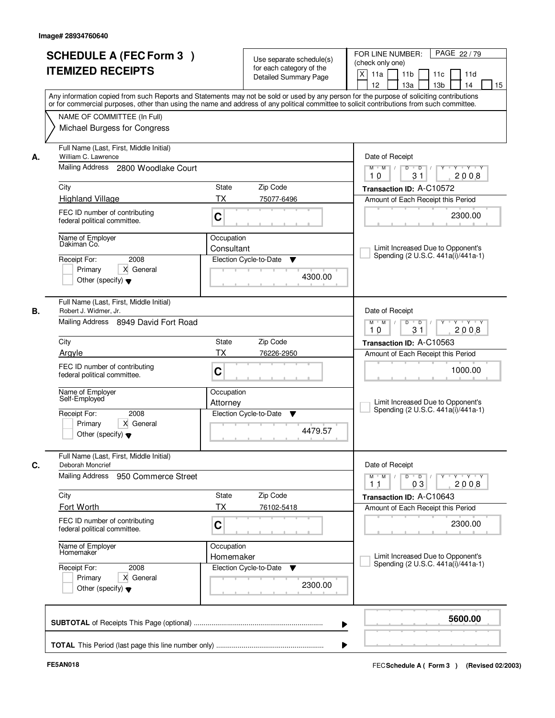|    | <b>SCHEDULE A (FEC Form 3)</b><br><b>ITEMIZED RECEIPTS</b><br>Any information copied from such Reports and Statements may not be sold or used by any person for the purpose of soliciting contributions   |                          | Use separate schedule(s)<br>for each category of the<br><b>Detailed Summary Page</b> | PAGE 22/79<br>FOR LINE NUMBER:<br>(check only one)<br>X<br>11 <sub>b</sub><br>11a<br>11c<br>11d<br>12<br>13 <sub>b</sub><br>14<br>13a<br>15 |
|----|-----------------------------------------------------------------------------------------------------------------------------------------------------------------------------------------------------------|--------------------------|--------------------------------------------------------------------------------------|---------------------------------------------------------------------------------------------------------------------------------------------|
|    | or for commercial purposes, other than using the name and address of any political committee to solicit contributions from such committee.<br>NAME OF COMMITTEE (In Full)<br>Michael Burgess for Congress |                          |                                                                                      |                                                                                                                                             |
| А. | Full Name (Last, First, Middle Initial)<br>William C. Lawrence<br>Mailing Address 2800 Woodlake Court                                                                                                     |                          |                                                                                      | Date of Receipt<br>$D$ $D$<br>Y<br>Y TYTEY<br>$M$ $M$ /                                                                                     |
|    | City                                                                                                                                                                                                      | <b>State</b>             | Zip Code                                                                             | 31<br>2008<br>10<br>Transaction ID: A-C10572                                                                                                |
|    | <b>Highland Village</b>                                                                                                                                                                                   | <b>TX</b>                | 75077-6496                                                                           | Amount of Each Receipt this Period                                                                                                          |
|    | FEC ID number of contributing<br>federal political committee.                                                                                                                                             | C                        |                                                                                      | 2300.00                                                                                                                                     |
|    | Name of Employer<br>Dakiman Co.<br>2008<br>Receipt For:<br>Primary<br>X General<br>Other (specify) $\blacktriangledown$                                                                                   | Occupation<br>Consultant | Election Cycle-to-Date<br>▼<br>4300.00                                               | Limit Increased Due to Opponent's<br>Spending (2 U.S.C. 441a(i)/441a-1)                                                                     |
| В. | Full Name (Last, First, Middle Initial)<br>Robert J. Widmer, Jr.<br>Mailing Address 8949 David Fort Road                                                                                                  |                          |                                                                                      | Date of Receipt<br>$M$ $M$ /<br>D<br>$\overline{D}$ /<br>Y Y Y Y<br>10<br>31<br>2008                                                        |
|    | City                                                                                                                                                                                                      | State                    | Zip Code                                                                             | Transaction ID: A-C10563                                                                                                                    |
|    | Arayle                                                                                                                                                                                                    | <b>TX</b>                | 76226-2950                                                                           | Amount of Each Receipt this Period                                                                                                          |
|    | FEC ID number of contributing<br>federal political committee.                                                                                                                                             | C                        |                                                                                      | 1000.00                                                                                                                                     |
|    | Name of Employer<br>Self-Employed                                                                                                                                                                         | Occupation<br>Attorney   |                                                                                      | Limit Increased Due to Opponent's<br>Spending (2 U.S.C. 441a(i)/441a-1)                                                                     |
|    | 2008<br>Receipt For:<br>Primary<br>X General<br>Other (specify) $\blacktriangledown$                                                                                                                      |                          | Election Cycle-to-Date<br>▼<br>4479.57                                               |                                                                                                                                             |
| C. | Full Name (Last, First, Middle Initial)<br>Deborah Moncrief                                                                                                                                               |                          |                                                                                      | Date of Receipt                                                                                                                             |
|    | <b>Mailing Address</b><br>950 Commerce Street                                                                                                                                                             |                          |                                                                                      | $M$ $M$<br>$D$ $D$ $/$<br>y y y y y<br>03<br>2008<br>11                                                                                     |
|    | City<br>Fort Worth                                                                                                                                                                                        | State<br>ТX              | Zip Code<br>76102-5418                                                               | Transaction ID: A-C10643                                                                                                                    |
|    | FEC ID number of contributing<br>federal political committee.                                                                                                                                             | C                        |                                                                                      | Amount of Each Receipt this Period<br>2300.00                                                                                               |
|    | Name of Employer<br>Homemaker                                                                                                                                                                             | Occupation<br>Homemaker  |                                                                                      | Limit Increased Due to Opponent's<br>Spending (2 U.S.C. 441a(i)/441a-1)                                                                     |
|    | Receipt For:<br>2008<br>Primary<br>X General<br>Other (specify) $\blacktriangledown$                                                                                                                      |                          | Election Cycle-to-Date<br>v<br>2300.00                                               |                                                                                                                                             |
|    |                                                                                                                                                                                                           |                          |                                                                                      | 5600.00                                                                                                                                     |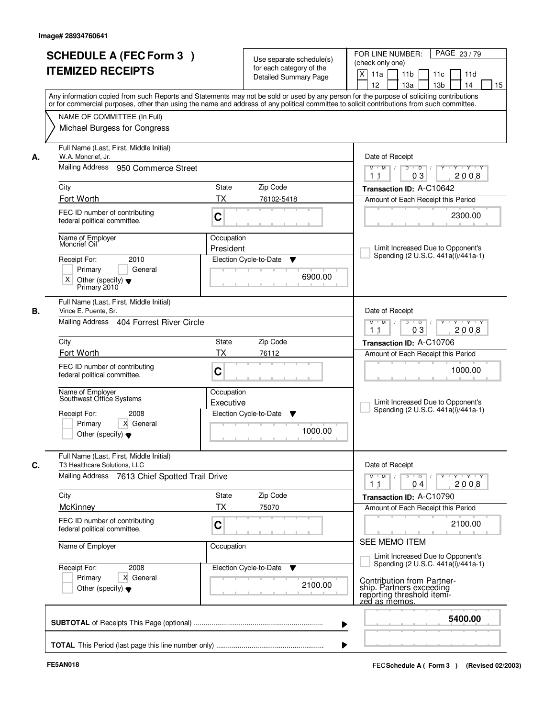|    | <b>SCHEDULE A (FEC Form 3)</b><br><b>ITEMIZED RECEIPTS</b><br>Any information copied from such Reports and Statements may not be sold or used by any person for the purpose of soliciting contributions   |                         | Use separate schedule(s)<br>for each category of the<br><b>Detailed Summary Page</b> | PAGE 23/79<br>FOR LINE NUMBER:<br>(check only one)<br>X<br>11 <sub>b</sub><br>11a<br>11c<br>11d<br>13 <sub>b</sub><br>14<br>12<br>13a<br>15 |
|----|-----------------------------------------------------------------------------------------------------------------------------------------------------------------------------------------------------------|-------------------------|--------------------------------------------------------------------------------------|---------------------------------------------------------------------------------------------------------------------------------------------|
|    | or for commercial purposes, other than using the name and address of any political committee to solicit contributions from such committee.<br>NAME OF COMMITTEE (In Full)<br>Michael Burgess for Congress |                         |                                                                                      |                                                                                                                                             |
| А. | Full Name (Last, First, Middle Initial)<br>W.A. Moncrief, Jr.<br>Mailing Address 950 Commerce Street                                                                                                      |                         |                                                                                      | Date of Receipt<br>$D$ $D$ $1$<br>$Y - Y - Y - Y$<br>$M$ $M$ /                                                                              |
|    |                                                                                                                                                                                                           |                         |                                                                                      | 03<br>2008<br>11                                                                                                                            |
|    | City<br>Fort Worth                                                                                                                                                                                        | State<br><b>TX</b>      | Zip Code<br>76102-5418                                                               | Transaction ID: A-C10642                                                                                                                    |
|    | FEC ID number of contributing<br>federal political committee.                                                                                                                                             | C                       |                                                                                      | Amount of Each Receipt this Period<br>2300.00                                                                                               |
|    | Name of Employer<br>Moncrief Oil<br>2010<br>Receipt For:                                                                                                                                                  | Occupation<br>President | Election Cycle-to-Date<br>▼                                                          | Limit Increased Due to Opponent's<br>Spending (2 U.S.C. 441a(i)/441a-1)                                                                     |
|    | Primary<br>General<br>X<br>Other (specify) $\blacktriangledown$<br>Primary 2010                                                                                                                           |                         | 6900.00                                                                              |                                                                                                                                             |
|    | Full Name (Last, First, Middle Initial)<br>Vince E. Puente, Sr.                                                                                                                                           |                         |                                                                                      | Date of Receipt                                                                                                                             |
|    | Mailing Address 404 Forrest River Circle                                                                                                                                                                  |                         |                                                                                      | $M$ $M$ /<br>D<br>$\overline{D}$<br>$Y + Y + Y$<br>03<br>2008<br>11                                                                         |
|    | City                                                                                                                                                                                                      | State                   | Zip Code                                                                             | Transaction ID: A-C10706                                                                                                                    |
|    | Fort Worth                                                                                                                                                                                                | <b>TX</b>               | 76112                                                                                | Amount of Each Receipt this Period                                                                                                          |
|    | FEC ID number of contributing<br>federal political committee.                                                                                                                                             | C                       |                                                                                      | 1000.00                                                                                                                                     |
|    | Name of Employer<br>Southwest Office Systems                                                                                                                                                              | Occupation<br>Executive |                                                                                      | Limit Increased Due to Opponent's<br>Spending (2 U.S.C. 441a(i)/441a-1)                                                                     |
|    | Receipt For:<br>2008<br>Primary<br>X General<br>Other (specify) $\blacktriangledown$                                                                                                                      |                         | Election Cycle-to-Date<br>Y<br>1000.00                                               |                                                                                                                                             |
|    | Full Name (Last, First, Middle Initial)<br>T3 Healthcare Solutions, LLC                                                                                                                                   |                         |                                                                                      | Date of Receipt                                                                                                                             |
|    | Mailing Address 7613 Chief Spotted Trail Drive                                                                                                                                                            |                         |                                                                                      | $M$ $M$<br>$D$ $D$ $/$<br>yuryuryury<br>2008<br>11<br>04                                                                                    |
|    | City                                                                                                                                                                                                      | State                   | Zip Code                                                                             | Transaction ID: A-C10790                                                                                                                    |
|    | <b>McKinney</b>                                                                                                                                                                                           | TX                      | 75070                                                                                | Amount of Each Receipt this Period                                                                                                          |
|    | FEC ID number of contributing<br>federal political committee.                                                                                                                                             | C                       |                                                                                      | 2100.00                                                                                                                                     |
|    | Name of Employer                                                                                                                                                                                          | Occupation              |                                                                                      | SEE MEMO ITEM                                                                                                                               |
|    | Receipt For:<br>2008                                                                                                                                                                                      |                         | Election Cycle-to-Date ▼                                                             | Limit Increased Due to Opponent's<br>Spending (2 U.S.C. 441a(i)/441a-1)                                                                     |
|    | Primary<br>X General<br>Other (specify) $\blacktriangledown$                                                                                                                                              |                         | 2100.00                                                                              | Contribution from Partner-<br>ship. Partners exceeding<br>reporting threshold itemi-<br>zed as memos.                                       |
|    |                                                                                                                                                                                                           |                         |                                                                                      | 5400.00<br>▶                                                                                                                                |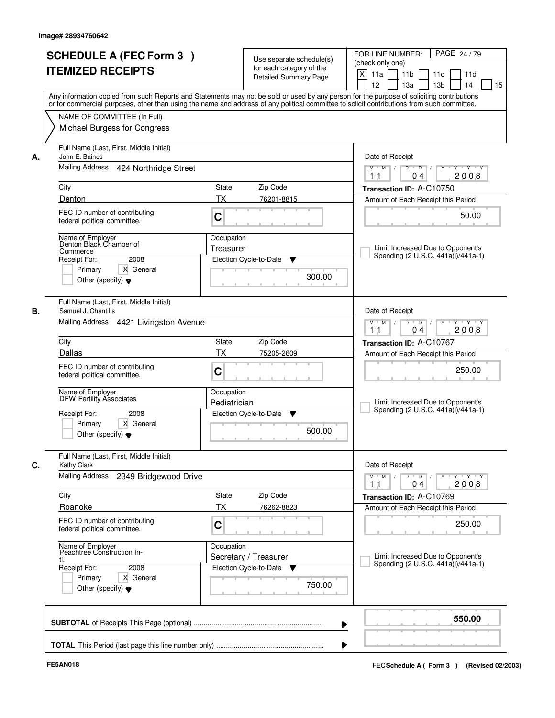| <b>SCHEDULE A (FEC Form 3)</b>                                |                       | Use separate schedule(s)                                                                  | PAGE 24/79<br>FOR LINE NUMBER:                                                                                                             |
|---------------------------------------------------------------|-----------------------|-------------------------------------------------------------------------------------------|--------------------------------------------------------------------------------------------------------------------------------------------|
|                                                               |                       | for each category of the                                                                  | (check only one)                                                                                                                           |
| <b>ITEMIZED RECEIPTS</b>                                      |                       | <b>Detailed Summary Page</b>                                                              | $\boldsymbol{\mathsf{X}}$<br>11 <sub>b</sub><br>11a<br>11c<br>11d                                                                          |
|                                                               |                       |                                                                                           | 12<br>13a<br>13 <sub>b</sub><br>14<br>15                                                                                                   |
|                                                               |                       |                                                                                           | Any information copied from such Reports and Statements may not be sold or used by any person for the purpose of soliciting contributions  |
|                                                               |                       |                                                                                           | or for commercial purposes, other than using the name and address of any political committee to solicit contributions from such committee. |
| NAME OF COMMITTEE (In Full)                                   |                       |                                                                                           |                                                                                                                                            |
| Michael Burgess for Congress                                  |                       |                                                                                           |                                                                                                                                            |
|                                                               |                       |                                                                                           |                                                                                                                                            |
| Full Name (Last, First, Middle Initial)                       |                       |                                                                                           |                                                                                                                                            |
| John E. Baines                                                |                       |                                                                                           | Date of Receipt                                                                                                                            |
| Mailing Address                                               | 424 Northridge Street | <b>TY TY</b><br>D<br>$\overline{D}$<br>Y<br>M<br>$M$ $/$                                  |                                                                                                                                            |
|                                                               |                       |                                                                                           | 2008<br>04<br>11                                                                                                                           |
| City                                                          | State                 | Zip Code                                                                                  | Transaction ID: A-C10750                                                                                                                   |
| Denton                                                        | <b>TX</b>             | 76201-8815                                                                                | Amount of Each Receipt this Period                                                                                                         |
|                                                               |                       |                                                                                           |                                                                                                                                            |
| FEC ID number of contributing<br>federal political committee. | C                     |                                                                                           | 50.00                                                                                                                                      |
|                                                               |                       |                                                                                           |                                                                                                                                            |
| Name of Employer<br>Denton Black Chamber of                   | Occupation            |                                                                                           |                                                                                                                                            |
| Commerce                                                      | Treasurer             |                                                                                           | Limit Increased Due to Opponent's                                                                                                          |
| 2008<br>Receipt For:                                          |                       | Election Cycle-to-Date<br>v                                                               | Spending (2 U.S.C. 441a(i)/441a-1)                                                                                                         |
| Primary<br>X General                                          |                       |                                                                                           |                                                                                                                                            |
| Other (specify) $\blacktriangledown$                          |                       | 300.00                                                                                    |                                                                                                                                            |
|                                                               |                       |                                                                                           |                                                                                                                                            |
| Full Name (Last, First, Middle Initial)                       |                       |                                                                                           |                                                                                                                                            |
| Samuel J. Chantilis                                           |                       |                                                                                           | Date of Receipt                                                                                                                            |
|                                                               |                       |                                                                                           | D                                                                                                                                          |
| Mailing Address 4421 Livingston Avenue                        |                       | $\overline{D}$ $\overline{I}$<br>$M$ $M$ /<br>$Y + Y + Y$<br>2008<br>1 <sub>1</sub><br>04 |                                                                                                                                            |
| City                                                          | State                 | Zip Code                                                                                  | Transaction ID: A-C10767                                                                                                                   |
| Dallas                                                        | <b>TX</b>             |                                                                                           |                                                                                                                                            |
|                                                               |                       | 75205-2609                                                                                | Amount of Each Receipt this Period                                                                                                         |
| FEC ID number of contributing                                 | C                     |                                                                                           | 250.00                                                                                                                                     |
| federal political committee.                                  |                       |                                                                                           |                                                                                                                                            |
| Name of Employer                                              | Occupation            |                                                                                           |                                                                                                                                            |
| <b>DFW Fertility Associates</b>                               |                       |                                                                                           | Limit Increased Due to Opponent's                                                                                                          |
|                                                               |                       |                                                                                           |                                                                                                                                            |
|                                                               | Pediatrician          |                                                                                           | Spending (2 U.S.C. 441a(i)/441a-1)                                                                                                         |
| Receipt For:<br>2008                                          |                       | Election Cycle-to-Date<br>v                                                               |                                                                                                                                            |
| Primary<br>X General                                          |                       | 500.00                                                                                    |                                                                                                                                            |
| Other (specify) $\blacktriangledown$                          |                       |                                                                                           |                                                                                                                                            |
|                                                               |                       |                                                                                           |                                                                                                                                            |
| Full Name (Last, First, Middle Initial)                       |                       |                                                                                           |                                                                                                                                            |
| Kathy Clark                                                   |                       |                                                                                           | Date of Receipt                                                                                                                            |
| Mailing Address                                               | 2349 Bridgewood Drive |                                                                                           | $M$ $M$<br>$D$ $D$ $/$<br>$Y - Y - Y - Y$<br>$Y$ <sup>-1</sup>                                                                             |
|                                                               |                       |                                                                                           | 2008<br>11<br>04                                                                                                                           |
| City                                                          | State                 | Zip Code                                                                                  | Transaction ID: A-C10769                                                                                                                   |
| Roanoke                                                       | <b>TX</b>             | 76262-8823                                                                                | Amount of Each Receipt this Period                                                                                                         |
| FEC ID number of contributing                                 |                       |                                                                                           |                                                                                                                                            |
| federal political committee.                                  | C                     |                                                                                           | 250.00                                                                                                                                     |
|                                                               |                       |                                                                                           |                                                                                                                                            |
| Name of Employer<br>Peachtree Construction In-                | Occupation            |                                                                                           |                                                                                                                                            |
|                                                               |                       | Secretary / Treasurer                                                                     | Limit Increased Due to Opponent's<br>Spending (2 U.S.C. 441a(i)/441a-1)                                                                    |
| Receipt For:<br>2008                                          |                       | Election Cycle-to-Date<br>v                                                               |                                                                                                                                            |
| Primary<br>X General                                          |                       |                                                                                           |                                                                                                                                            |
| Other (specify) $\blacktriangledown$                          |                       | 750.00                                                                                    |                                                                                                                                            |
|                                                               |                       |                                                                                           |                                                                                                                                            |
|                                                               |                       |                                                                                           |                                                                                                                                            |
|                                                               |                       |                                                                                           | 550.00                                                                                                                                     |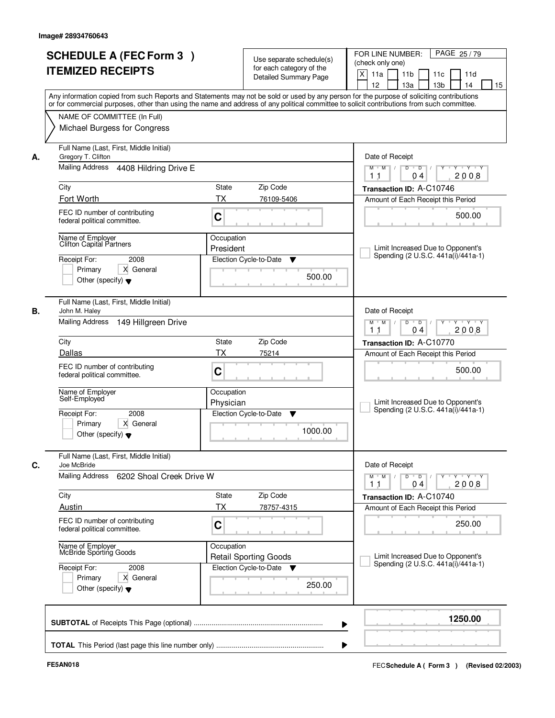|    | <b>SCHEDULE A (FEC Form 3)</b><br><b>ITEMIZED RECEIPTS</b>                                                                           | Use separate schedule(s)<br>for each category of the<br><b>Detailed Summary Page</b><br>Any information copied from such Reports and Statements may not be sold or used by any person for the purpose of soliciting contributions | PAGE 25/79<br>FOR LINE NUMBER:<br>(check only one)<br>X<br>11 <sub>b</sub><br>11a<br>11c<br>11d<br>12<br>13 <sub>b</sub><br>14<br>13a<br>15 |
|----|--------------------------------------------------------------------------------------------------------------------------------------|-----------------------------------------------------------------------------------------------------------------------------------------------------------------------------------------------------------------------------------|---------------------------------------------------------------------------------------------------------------------------------------------|
|    | NAME OF COMMITTEE (In Full)<br>Michael Burgess for Congress                                                                          | or for commercial purposes, other than using the name and address of any political committee to solicit contributions from such committee.                                                                                        |                                                                                                                                             |
| А. | Full Name (Last, First, Middle Initial)<br>Gregory T. Clifton<br>Mailing Address<br>4408 Hildring Drive E<br>City                    | <b>State</b><br>Zip Code                                                                                                                                                                                                          | Date of Receipt<br>$D$ $D$ $1$<br>Y<br>Y TY Y Y<br>$M$ $M$ /<br>2008<br>1 <sub>1</sub><br>04<br>Transaction ID: A-C10746                    |
|    | Fort Worth<br>FEC ID number of contributing<br>federal political committee.                                                          | <b>TX</b><br>76109-5406<br>C                                                                                                                                                                                                      | Amount of Each Receipt this Period<br>500.00                                                                                                |
|    | Name of Employer<br>Clifton Capital Partners<br>Receipt For:<br>2008<br>Primary<br>X General<br>Other (specify) $\blacktriangledown$ | Occupation<br>President<br>Election Cycle-to-Date<br>▼<br>500.00                                                                                                                                                                  | Limit Increased Due to Opponent's<br>Spending (2 U.S.C. 441a(i)/441a-1)                                                                     |
| В. | Full Name (Last, First, Middle Initial)<br>John M. Haley<br>Mailing Address<br>149 Hillgreen Drive                                   |                                                                                                                                                                                                                                   | Date of Receipt<br>$M$ $M$ /<br>D<br>$\overline{D}$<br>$Y + Y + Y$<br>2008<br>1 <sub>1</sub><br>04                                          |
|    | City                                                                                                                                 | Zip Code<br>State                                                                                                                                                                                                                 | Transaction ID: A-C10770                                                                                                                    |
|    | Dallas<br>FEC ID number of contributing<br>federal political committee.                                                              | TX<br>75214<br>C                                                                                                                                                                                                                  | Amount of Each Receipt this Period<br>500.00                                                                                                |
|    | Name of Employer<br>Self-Employed<br>2008<br>Receipt For:<br>Primary<br>X General<br>Other (specify) $\blacktriangledown$            | Occupation<br>Physician<br>Election Cycle-to-Date<br>▼<br>1000.00                                                                                                                                                                 | Limit Increased Due to Opponent's<br>Spending (2 U.S.C. 441a(i)/441a-1)                                                                     |
| C. | Full Name (Last, First, Middle Initial)<br>Joe McBride                                                                               | Date of Receipt                                                                                                                                                                                                                   |                                                                                                                                             |
|    | Mailing Address<br>6202 Shoal Creek Drive W                                                                                          |                                                                                                                                                                                                                                   | $M$ $M$<br>$D$ $D$ $1$<br>y y y y y<br>2008<br>11<br>04                                                                                     |
|    | City<br>Austin                                                                                                                       | Zip Code<br>State<br>ТX<br>78757-4315                                                                                                                                                                                             | Transaction ID: A-C10740<br>Amount of Each Receipt this Period                                                                              |
|    | FEC ID number of contributing<br>federal political committee.                                                                        | C                                                                                                                                                                                                                                 | 250.00                                                                                                                                      |
|    | Name of Employer<br>McBride Sporting Goods<br>Receipt For:<br>2008<br>X General<br>Primary<br>Other (specify) $\blacktriangledown$   | Occupation<br><b>Retail Sporting Goods</b><br>Election Cycle-to-Date ▼<br>250.00                                                                                                                                                  | Limit Increased Due to Opponent's<br>Spending (2 U.S.C. 441a(i)/441a-1)                                                                     |
|    |                                                                                                                                      |                                                                                                                                                                                                                                   | 1250.00                                                                                                                                     |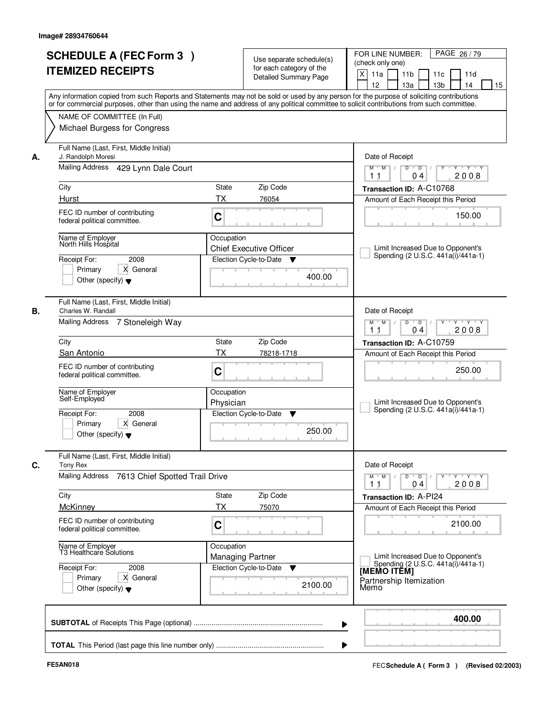|    | <b>SCHEDULE A (FEC Form 3)</b>                                                                                                             |                         | Use separate schedule(s)       | PAGE 26/79<br>FOR LINE NUMBER:                                               |
|----|--------------------------------------------------------------------------------------------------------------------------------------------|-------------------------|--------------------------------|------------------------------------------------------------------------------|
|    | <b>ITEMIZED RECEIPTS</b>                                                                                                                   |                         | for each category of the       | (check only one)                                                             |
|    |                                                                                                                                            |                         | <b>Detailed Summary Page</b>   | $\boldsymbol{\mathsf{X}}$<br>11 <sub>b</sub><br>11a<br>11c<br>11d            |
|    |                                                                                                                                            |                         |                                | 12<br>13a<br>13 <sub>b</sub><br>14<br>15                                     |
|    | Any information copied from such Reports and Statements may not be sold or used by any person for the purpose of soliciting contributions  |                         |                                |                                                                              |
|    | or for commercial purposes, other than using the name and address of any political committee to solicit contributions from such committee. |                         |                                |                                                                              |
|    | NAME OF COMMITTEE (In Full)                                                                                                                |                         |                                |                                                                              |
|    | Michael Burgess for Congress                                                                                                               |                         |                                |                                                                              |
| А. | Full Name (Last, First, Middle Initial)<br>J. Randolph Moresi                                                                              |                         |                                | Date of Receipt                                                              |
|    | Mailing Address 429 Lynn Dale Court                                                                                                        |                         |                                | <b>TY TY</b><br>D<br>$\overline{D}$<br>Y<br>M<br>$M$ $/$<br>2008<br>04<br>11 |
|    | City                                                                                                                                       | State                   | Zip Code                       | Transaction ID: A-C10768                                                     |
|    | Hurst                                                                                                                                      | <b>TX</b>               | 76054                          | Amount of Each Receipt this Period                                           |
|    |                                                                                                                                            |                         |                                |                                                                              |
|    | FEC ID number of contributing<br>federal political committee.                                                                              | C                       |                                | 150.00                                                                       |
|    | Name of Employer                                                                                                                           | Occupation              |                                |                                                                              |
|    | North Hills Hospital                                                                                                                       |                         | <b>Chief Executive Officer</b> | Limit Increased Due to Opponent's                                            |
|    | 2008<br>Receipt For:                                                                                                                       |                         | Election Cycle-to-Date<br>v    | Spending (2 U.S.C. 441a(i)/441a-1)                                           |
|    | Primary<br>X General                                                                                                                       |                         |                                |                                                                              |
|    | Other (specify) $\blacktriangledown$                                                                                                       |                         | 400.00                         |                                                                              |
| В. | Full Name (Last, First, Middle Initial)<br>Charles W. Randall                                                                              |                         |                                | Date of Receipt                                                              |
|    | Mailing Address 7 Stoneleigh Way                                                                                                           |                         |                                | $D$ $D$ $1$<br>$M$ $M$ /<br>$Y + Y + Y$<br>2008<br>1 <sub>1</sub><br>04      |
|    | City                                                                                                                                       | State                   | Zip Code                       | Transaction ID: A-C10759                                                     |
|    | San Antonio                                                                                                                                | <b>TX</b>               | 78218-1718                     | Amount of Each Receipt this Period                                           |
|    | FEC ID number of contributing<br>federal political committee.                                                                              | C                       |                                | 250.00                                                                       |
|    |                                                                                                                                            |                         |                                |                                                                              |
|    | Name of Employer<br>Self-Employed                                                                                                          | Occupation              |                                | Limit Increased Due to Opponent's                                            |
|    |                                                                                                                                            | Physician               |                                | Spending (2 U.S.C. 441a(i)/441a-1)                                           |
|    | Receipt For:<br>2008<br>Primary<br>X General                                                                                               |                         | Election Cycle-to-Date<br>v    |                                                                              |
|    | Other (specify) $\blacktriangledown$                                                                                                       |                         | 250.00                         |                                                                              |
| C. | Full Name (Last, First, Middle Initial)<br>Tony Rex                                                                                        |                         |                                | Date of Receipt                                                              |
|    | <b>Mailing Address</b><br>7613 Chief Spotted Trail Drive                                                                                   |                         |                                | $M$ $M$<br>$D$ $D$ $/$<br>$Y^+$<br>$Y + Y + Y$                               |
|    |                                                                                                                                            |                         |                                | 2008<br>11<br>04                                                             |
|    | City                                                                                                                                       | State                   | Zip Code                       | Transaction ID: A-PI24                                                       |
|    | McKinney                                                                                                                                   | TX                      | 75070                          | Amount of Each Receipt this Period                                           |
|    | FEC ID number of contributing<br>federal political committee.                                                                              | C                       |                                | 2100.00                                                                      |
|    | Name of Employer<br>T3 Healthcare Solutions                                                                                                | Occupation              |                                |                                                                              |
|    |                                                                                                                                            | <b>Managing Partner</b> |                                | Limit Increased Due to Opponent's<br>Spending (2 U.S.C. 441a(i)/441a-1)      |
|    | Receipt For:<br>2008                                                                                                                       |                         | Election Cycle-to-Date<br>v    | [MEMO ITĒM]                                                                  |
|    | Primary<br>X General<br>Other (specify) $\blacktriangledown$                                                                               |                         | 2100.00                        | Partnership Itemization<br>Memo                                              |
|    |                                                                                                                                            |                         |                                |                                                                              |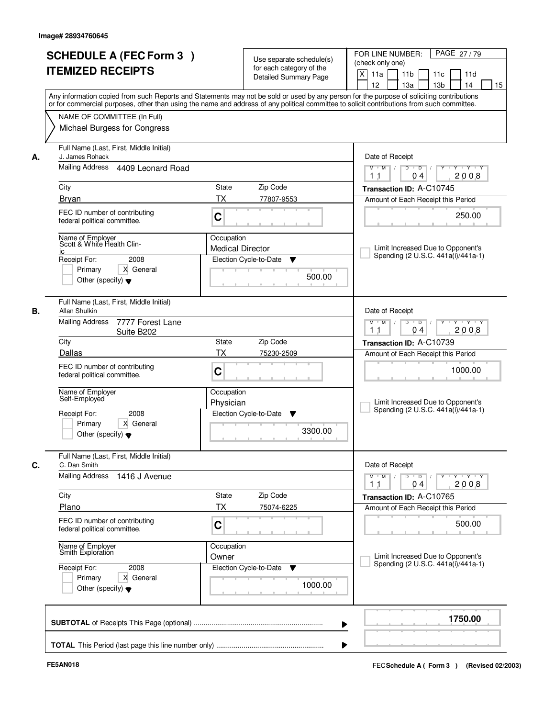|    | <b>SCHEDULE A (FEC Form 3)</b><br><b>ITEMIZED RECEIPTS</b>                                                                                   | Use separate schedule(s)<br>for each category of the<br><b>Detailed Summary Page</b>                                                                                                                                                                                                    | PAGE 27/79<br>FOR LINE NUMBER:<br>(check only one)<br>$\times$<br>11a<br>11 <sub>b</sub><br>11d<br>11c<br>12<br>13a<br>13 <sub>b</sub><br>14<br>15 |
|----|----------------------------------------------------------------------------------------------------------------------------------------------|-----------------------------------------------------------------------------------------------------------------------------------------------------------------------------------------------------------------------------------------------------------------------------------------|----------------------------------------------------------------------------------------------------------------------------------------------------|
|    | NAME OF COMMITTEE (In Full)<br>Michael Burgess for Congress                                                                                  | Any information copied from such Reports and Statements may not be sold or used by any person for the purpose of soliciting contributions<br>or for commercial purposes, other than using the name and address of any political committee to solicit contributions from such committee. |                                                                                                                                                    |
| А. | Full Name (Last, First, Middle Initial)<br>J. James Rohack<br>Mailing Address<br>4409 Leonard Road                                           |                                                                                                                                                                                                                                                                                         | Date of Receipt<br>$\overline{D}$<br>$Y \cup Y \cup Y$<br>$M$ $M$ /<br>D                                                                           |
|    | City                                                                                                                                         | <b>State</b><br>Zip Code                                                                                                                                                                                                                                                                | 2008<br>11<br>04<br>Transaction ID: A-C10745                                                                                                       |
|    | <b>Bryan</b><br>FEC ID number of contributing<br>federal political committee.                                                                | TX<br>77807-9553<br>C                                                                                                                                                                                                                                                                   | Amount of Each Receipt this Period<br>250.00                                                                                                       |
|    | Name of Employer<br>Scott & White Health Clin-<br>İС<br>Receipt For:<br>2008<br>Primary<br>X General<br>Other (specify) $\blacktriangledown$ | Occupation<br><b>Medical Director</b><br>Election Cycle-to-Date<br>▼<br>500.00                                                                                                                                                                                                          | Limit Increased Due to Opponent's<br>Spending (2 U.S.C. 441a(i)/441a-1)                                                                            |
| В. | Full Name (Last, First, Middle Initial)<br>Allan Shulkin<br><b>Mailing Address</b><br>7777 Forest Lane<br>Suite B202<br>City                 | Zip Code<br><b>State</b>                                                                                                                                                                                                                                                                | Date of Receipt<br>D<br>$M$ $M$ /<br>$\overline{D}$<br>$Y \cup Y$<br>2008<br>11<br>04<br>Transaction ID: A-C10739                                  |
|    | Dallas<br>FEC ID number of contributing<br>federal political committee.                                                                      | ТX<br>75230-2509<br>C                                                                                                                                                                                                                                                                   | Amount of Each Receipt this Period<br>1000.00                                                                                                      |
|    | Name of Employer<br>Self-Employed<br>Receipt For:<br>2008<br>Primary<br>X General<br>Other (specify) $\blacktriangledown$                    | Occupation<br>Physician<br>Election Cycle-to-Date<br>v<br>3300.00                                                                                                                                                                                                                       | Limit Increased Due to Opponent's<br>Spending (2 U.S.C. 441a(i)/441a-1)                                                                            |
| С. | Full Name (Last, First, Middle Initial)<br>C. Dan Smith                                                                                      |                                                                                                                                                                                                                                                                                         | Date of Receipt                                                                                                                                    |
|    | Mailing Address<br>1416 J Avenue<br>City                                                                                                     | Zip Code<br>State                                                                                                                                                                                                                                                                       | Y Y Y Y<br>$M^+$ M<br>$D$ $D$<br>Y<br>2008<br>04<br>11<br>Transaction ID: A-C10765                                                                 |
|    | Plano<br>FEC ID number of contributing                                                                                                       | <b>TX</b><br>75074-6225<br>C                                                                                                                                                                                                                                                            | Amount of Each Receipt this Period<br>500.00                                                                                                       |
|    | federal political committee.<br>Name of Employer<br>Smith Exploration                                                                        | Occupation<br>Owner                                                                                                                                                                                                                                                                     | Limit Increased Due to Opponent's                                                                                                                  |
|    | Receipt For:<br>2008<br>X General<br>Primary<br>Other (specify) $\blacktriangledown$                                                         | Election Cycle-to-Date<br>v<br>1000.00                                                                                                                                                                                                                                                  | Spending (2 U.S.C. 441a(i)/441a-1)                                                                                                                 |
|    |                                                                                                                                              |                                                                                                                                                                                                                                                                                         | 1750.00                                                                                                                                            |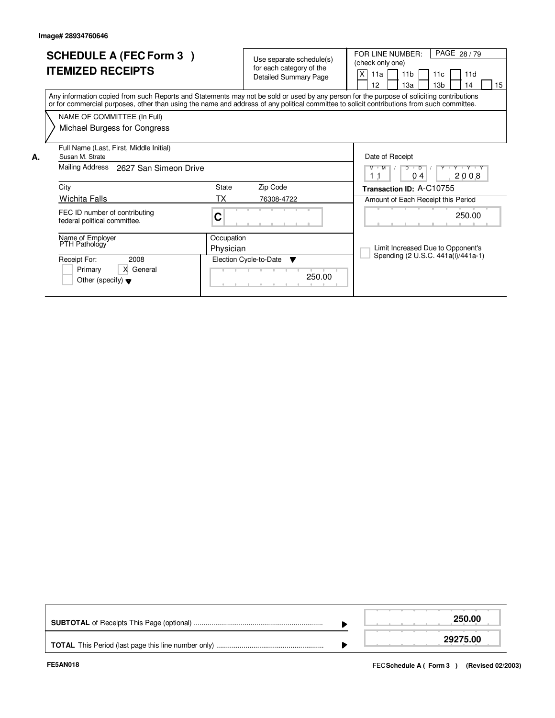|    | <b>SCHEDULE A (FEC Form 3)</b><br><b>ITEMIZED RECEIPTS</b>                                                                                                                                                                                                                              |            | Use separate schedule(s)<br>for each category of the<br><b>Detailed Summary Page</b> | PAGE 28/79<br>FOR LINE NUMBER:<br>(check only one)<br>X<br>11 <sub>b</sub><br>11a<br>11c<br>11d<br>13 <sub>b</sub><br>15<br>12 <sup>2</sup><br>13a<br>14 |
|----|-----------------------------------------------------------------------------------------------------------------------------------------------------------------------------------------------------------------------------------------------------------------------------------------|------------|--------------------------------------------------------------------------------------|----------------------------------------------------------------------------------------------------------------------------------------------------------|
|    | Any information copied from such Reports and Statements may not be sold or used by any person for the purpose of soliciting contributions<br>or for commercial purposes, other than using the name and address of any political committee to solicit contributions from such committee. |            |                                                                                      |                                                                                                                                                          |
|    | NAME OF COMMITTEE (In Full)                                                                                                                                                                                                                                                             |            |                                                                                      |                                                                                                                                                          |
|    | Michael Burgess for Congress                                                                                                                                                                                                                                                            |            |                                                                                      |                                                                                                                                                          |
| Α. | Full Name (Last, First, Middle Initial)<br>Susan M. Strate                                                                                                                                                                                                                              |            |                                                                                      | Date of Receipt                                                                                                                                          |
|    | Mailing Address<br>2627 San Simeon Drive                                                                                                                                                                                                                                                |            |                                                                                      | Y Y Y Y Y<br>$\overline{D}$<br>M M<br>D<br>2008<br>11<br>04                                                                                              |
|    | City                                                                                                                                                                                                                                                                                    | State      | Zip Code                                                                             | Transaction ID: A-C10755                                                                                                                                 |
|    | <b>Wichita Falls</b>                                                                                                                                                                                                                                                                    | ТX         | 76308-4722                                                                           | Amount of Each Receipt this Period                                                                                                                       |
|    | FEC ID number of contributing<br>federal political committee.                                                                                                                                                                                                                           | C          |                                                                                      | 250.00                                                                                                                                                   |
|    | Name of Employer<br>PTH Pathology                                                                                                                                                                                                                                                       | Occupation |                                                                                      |                                                                                                                                                          |
|    |                                                                                                                                                                                                                                                                                         | Physician  |                                                                                      | Limit Increased Due to Opponent's<br>Spending (2 U.S.C. 441a(i)/441a-1)                                                                                  |
|    | Receipt For:<br>2008                                                                                                                                                                                                                                                                    |            | Election Cycle-to-Date<br>$\overline{\mathbf{v}}$                                    |                                                                                                                                                          |
|    | X General<br>Primary<br>Other (specify) $\blacktriangledown$                                                                                                                                                                                                                            |            | 250.00                                                                               |                                                                                                                                                          |

|  | 250.00   |
|--|----------|
|  | 29275.00 |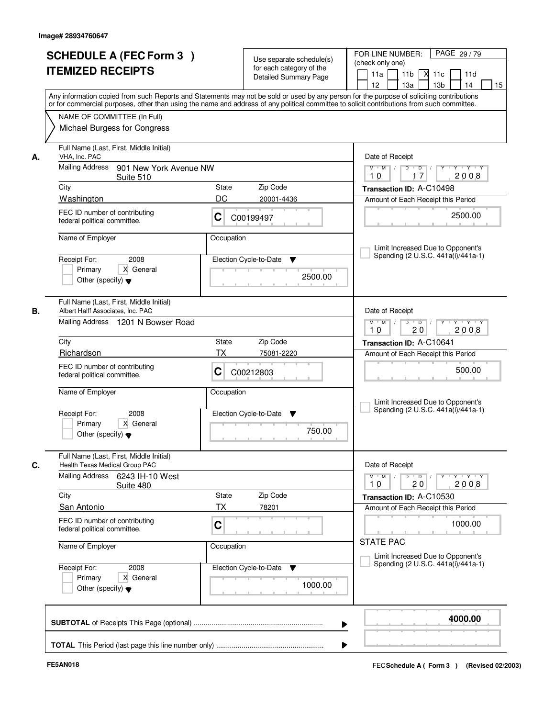| <b>SCHEDULE A (FEC Form 3)</b><br><b>ITEMIZED RECEIPTS</b><br>Any information copied from such Reports and Statements may not be sold or used by any person for the purpose of soliciting contributions   |                                                                                    | Use separate schedule(s)<br>for each category of the<br><b>Detailed Summary Page</b> | PAGE 29/79<br>FOR LINE NUMBER:<br>(check only one)<br>11 <sub>b</sub><br>11d<br>11a<br>11c<br>12<br>13 <sub>b</sub><br>13a<br>14 |  |  |
|-----------------------------------------------------------------------------------------------------------------------------------------------------------------------------------------------------------|------------------------------------------------------------------------------------|--------------------------------------------------------------------------------------|----------------------------------------------------------------------------------------------------------------------------------|--|--|
| or for commercial purposes, other than using the name and address of any political committee to solicit contributions from such committee.<br>NAME OF COMMITTEE (In Full)<br>Michael Burgess for Congress |                                                                                    |                                                                                      |                                                                                                                                  |  |  |
| Full Name (Last, First, Middle Initial)<br>VHA. Inc. PAC<br>Mailing Address<br>901 New York Avenue NW                                                                                                     |                                                                                    |                                                                                      | Date of Receipt<br>$M$ $M$ /<br>$D$ $D$ $/$<br>$Y$ <sup>U</sup><br>Y TYTEY                                                       |  |  |
| Suite 510                                                                                                                                                                                                 |                                                                                    |                                                                                      | 2008<br>10<br>17                                                                                                                 |  |  |
| City<br>Washington                                                                                                                                                                                        | State<br>DC                                                                        | Zip Code<br>20001-4436                                                               | Transaction ID: A-C10498                                                                                                         |  |  |
| FEC ID number of contributing<br>federal political committee.                                                                                                                                             | С                                                                                  | C00199497                                                                            | Amount of Each Receipt this Period<br>2500.00                                                                                    |  |  |
| Name of Employer                                                                                                                                                                                          | Occupation                                                                         |                                                                                      | Limit Increased Due to Opponent's                                                                                                |  |  |
| 2008<br>Receipt For:<br>X General<br>Primary<br>Other (specify) $\blacktriangledown$                                                                                                                      |                                                                                    | Election Cycle-to-Date<br>▼<br>2500.00                                               | Spending (2 U.S.C. 441a(i)/441a-1)                                                                                               |  |  |
| Full Name (Last, First, Middle Initial)<br>Albert Halff Associates, Inc. PAC                                                                                                                              | Date of Receipt                                                                    |                                                                                      |                                                                                                                                  |  |  |
| Mailing Address 1201 N Bowser Road                                                                                                                                                                        | $M$ $M$ /<br>D<br>$\overline{D}$ $\overline{I}$<br>Y Y Y Y Y Y<br>20<br>2008<br>10 |                                                                                      |                                                                                                                                  |  |  |
| City                                                                                                                                                                                                      | <b>State</b>                                                                       | Zip Code                                                                             | Transaction ID: A-C10641                                                                                                         |  |  |
| Richardson                                                                                                                                                                                                | ТX                                                                                 | 75081-2220                                                                           | Amount of Each Receipt this Period                                                                                               |  |  |
| FEC ID number of contributing<br>federal political committee.                                                                                                                                             | C                                                                                  | C00212803                                                                            | 500.00                                                                                                                           |  |  |
| Name of Employer                                                                                                                                                                                          | Occupation                                                                         |                                                                                      | Limit Increased Due to Opponent's<br>Spending (2 U.S.C. 441a(i)/441a-1)                                                          |  |  |
| Receipt For:<br>2008<br>Primary<br>X General<br>Other (specify) $\blacktriangledown$                                                                                                                      |                                                                                    | Election Cycle-to-Date<br>▼<br>750.00                                                |                                                                                                                                  |  |  |
| Full Name (Last, First, Middle Initial)<br>Health Texas Medical Group PAC                                                                                                                                 |                                                                                    |                                                                                      | Date of Receipt                                                                                                                  |  |  |
| Mailing Address<br>6243 IH-10 West<br>Suite 480                                                                                                                                                           |                                                                                    |                                                                                      | $M$ $M$ $M$<br>D<br>$\overline{D}$ /<br>$\mathsf{Y} \dashv \mathsf{Y} \dashv \mathsf{Y}$<br>2008<br>20<br>10                     |  |  |
| City<br>San Antonio                                                                                                                                                                                       | <b>State</b><br>ТX                                                                 | Zip Code<br>78201                                                                    | Transaction ID: A-C10530<br>Amount of Each Receipt this Period                                                                   |  |  |
| FEC ID number of contributing<br>federal political committee.                                                                                                                                             | C                                                                                  |                                                                                      | 1000.00                                                                                                                          |  |  |
| Name of Employer                                                                                                                                                                                          | Occupation                                                                         |                                                                                      | <b>STATE PAC</b><br>Limit Increased Due to Opponent's                                                                            |  |  |
| Receipt For:<br>2008<br>Primary<br>X General<br>Other (specify) $\blacktriangledown$                                                                                                                      |                                                                                    | Election Cycle-to-Date<br>v<br>1000.00                                               | Spending (2 U.S.C. 441a(i)/441a-1)                                                                                               |  |  |
|                                                                                                                                                                                                           |                                                                                    |                                                                                      | 4000.00                                                                                                                          |  |  |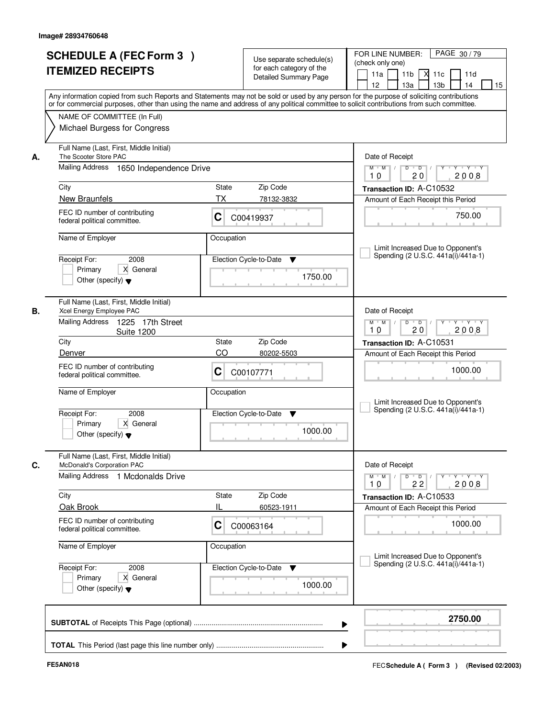|    | <b>SCHEDULE A (FEC Form 3)</b><br><b>ITEMIZED RECEIPTS</b>                           | Use separate schedule(s)<br>for each category of the<br><b>Detailed Summary Page</b><br>Any information copied from such Reports and Statements may not be sold or used by any person for the purpose of soliciting contributions | PAGE 30/79<br>FOR LINE NUMBER:<br>(check only one)<br>11 <sub>b</sub><br>11a<br><b>X</b><br>11c<br>11d<br>13 <sub>b</sub><br>14<br>12<br>13a<br>15 |  |  |
|----|--------------------------------------------------------------------------------------|-----------------------------------------------------------------------------------------------------------------------------------------------------------------------------------------------------------------------------------|----------------------------------------------------------------------------------------------------------------------------------------------------|--|--|
|    | NAME OF COMMITTEE (In Full)<br>Michael Burgess for Congress                          | or for commercial purposes, other than using the name and address of any political committee to solicit contributions from such committee.                                                                                        |                                                                                                                                                    |  |  |
| А. | Full Name (Last, First, Middle Initial)<br>The Scooter Store PAC                     |                                                                                                                                                                                                                                   | Date of Receipt                                                                                                                                    |  |  |
|    | Mailing Address 1650 Independence Drive                                              | $D$ $D$ $I$<br>Y<br>Y TYTEY<br>$M$ $M$ /<br>2008<br>20<br>10                                                                                                                                                                      |                                                                                                                                                    |  |  |
|    | City                                                                                 | <b>State</b><br>Zip Code                                                                                                                                                                                                          | Transaction ID: A-C10532                                                                                                                           |  |  |
|    | New Braunfels                                                                        | ТX<br>78132-3832                                                                                                                                                                                                                  | Amount of Each Receipt this Period                                                                                                                 |  |  |
|    | FEC ID number of contributing<br>federal political committee.                        | C<br>C00419937                                                                                                                                                                                                                    | 750.00                                                                                                                                             |  |  |
|    | Name of Employer                                                                     | Occupation                                                                                                                                                                                                                        |                                                                                                                                                    |  |  |
|    |                                                                                      |                                                                                                                                                                                                                                   | Limit Increased Due to Opponent's<br>Spending (2 U.S.C. 441a(i)/441a-1)                                                                            |  |  |
|    | 2008<br>Receipt For:<br>X General<br>Primary<br>Other (specify) $\blacktriangledown$ | Election Cycle-to-Date<br>▼<br>1750.00                                                                                                                                                                                            |                                                                                                                                                    |  |  |
| В. | Full Name (Last, First, Middle Initial)<br>Xcel Energy Employee PAC                  |                                                                                                                                                                                                                                   | Date of Receipt                                                                                                                                    |  |  |
|    | Mailing Address<br>1225 17th Street<br><b>Suite 1200</b>                             |                                                                                                                                                                                                                                   | $M$ $M$ /<br>D<br>$\overline{D}$<br>$Y + Y + Y$<br>20<br>2008<br>10                                                                                |  |  |
|    | City                                                                                 | Zip Code<br>State                                                                                                                                                                                                                 | Transaction ID: A-C10531                                                                                                                           |  |  |
|    | Denver                                                                               | CO<br>80202-5503                                                                                                                                                                                                                  | Amount of Each Receipt this Period                                                                                                                 |  |  |
|    | FEC ID number of contributing<br>federal political committee.                        | С<br>C00107771                                                                                                                                                                                                                    | 1000.00                                                                                                                                            |  |  |
|    | Name of Employer                                                                     | Occupation                                                                                                                                                                                                                        | Limit Increased Due to Opponent's                                                                                                                  |  |  |
|    | Receipt For:<br>2008<br>Primary<br>X General<br>Other (specify) $\blacktriangledown$ | Election Cycle-to-Date<br>▼<br>1000.00                                                                                                                                                                                            | Spending (2 U.S.C. 441a(i)/441a-1)                                                                                                                 |  |  |
|    | Full Name (Last, First, Middle Initial)                                              |                                                                                                                                                                                                                                   |                                                                                                                                                    |  |  |
| C. | McDonald's Corporation PAC<br>Mailing Address 1 Mcdonalds Drive                      |                                                                                                                                                                                                                                   | Date of Receipt<br>$M$ $M$<br>$D$ $D$ $/$<br>Y 'Y 'Y<br>$Y$ <sup>U</sup>                                                                           |  |  |
|    |                                                                                      |                                                                                                                                                                                                                                   | 2008<br>10<br>22                                                                                                                                   |  |  |
|    | City                                                                                 | Zip Code<br>State                                                                                                                                                                                                                 | Transaction ID: A-C10533                                                                                                                           |  |  |
|    | Oak Brook                                                                            | н<br>60523-1911                                                                                                                                                                                                                   | Amount of Each Receipt this Period                                                                                                                 |  |  |
|    | FEC ID number of contributing<br>federal political committee.                        | C<br>C00063164                                                                                                                                                                                                                    | 1000.00                                                                                                                                            |  |  |
|    | Name of Employer                                                                     | Occupation                                                                                                                                                                                                                        | Limit Increased Due to Opponent's                                                                                                                  |  |  |
|    | Receipt For:<br>2008                                                                 | Election Cycle-to-Date<br>v                                                                                                                                                                                                       | Spending (2 U.S.C. 441a(i)/441a-1)                                                                                                                 |  |  |
|    | Primary<br>X General<br>Other (specify) $\blacktriangledown$                         | 1000.00                                                                                                                                                                                                                           |                                                                                                                                                    |  |  |
|    |                                                                                      |                                                                                                                                                                                                                                   | 2750.00                                                                                                                                            |  |  |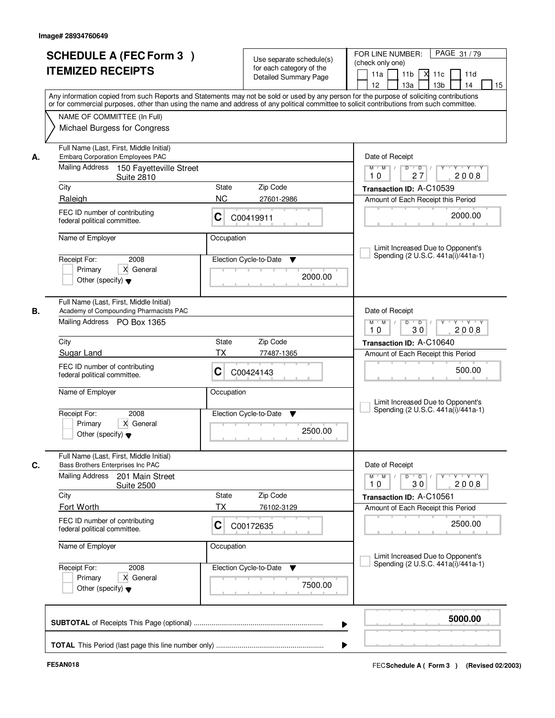| <b>SCHEDULE A (FEC Form 3)</b><br><b>ITEMIZED RECEIPTS</b>                                                                                                                                                                                                                                                                                                  | Use separate schedule(s)<br>for each category of the<br><b>Detailed Summary Page</b>                                                                                                                                                                                                    | PAGE 31/79<br>FOR LINE NUMBER:<br>(check only one)<br>11 <sub>b</sub><br>$X$ 11 $c$<br>11a<br>11d<br>12<br>13a<br>13 <sub>b</sub><br>14<br>15                                                                                                                                            |
|-------------------------------------------------------------------------------------------------------------------------------------------------------------------------------------------------------------------------------------------------------------------------------------------------------------------------------------------------------------|-----------------------------------------------------------------------------------------------------------------------------------------------------------------------------------------------------------------------------------------------------------------------------------------|------------------------------------------------------------------------------------------------------------------------------------------------------------------------------------------------------------------------------------------------------------------------------------------|
| NAME OF COMMITTEE (In Full)<br>Michael Burgess for Congress                                                                                                                                                                                                                                                                                                 | Any information copied from such Reports and Statements may not be sold or used by any person for the purpose of soliciting contributions<br>or for commercial purposes, other than using the name and address of any political committee to solicit contributions from such committee. |                                                                                                                                                                                                                                                                                          |
| Full Name (Last, First, Middle Initial)<br><b>Embarg Corporation Employees PAC</b><br>А.<br>Mailing Address<br>150 Fayetteville Street<br><b>Suite 2810</b><br>City<br>Raleigh<br>FEC ID number of contributing<br>federal political committee.<br>Name of Employer<br>2008<br>Receipt For:<br>Primary<br>X General<br>Other (specify) $\blacktriangledown$ | Zip Code<br>State<br><b>NC</b><br>27601-2986<br>С<br>C00419911<br>Occupation<br>Election Cycle-to-Date<br>▼<br>2000.00                                                                                                                                                                  | Date of Receipt<br>$Y - Y - Y - Y$<br>$M$ $M$ /<br>D<br>$\overline{D}$<br>2008<br>27<br>10<br>Transaction ID: A-C10539<br>Amount of Each Receipt this Period<br>2000.00<br>Limit Increased Due to Opponent's<br>Spending (2 U.S.C. 441a(i)/441a-1)                                       |
| Full Name (Last, First, Middle Initial)<br>Academy of Compounding Pharmacists PAC<br>В.<br>Mailing Address PO Box 1365<br>City<br>Sugar Land<br>FEC ID number of contributing<br>federal political committee.<br>Name of Employer<br>Receipt For:<br>2008<br>Primary<br>X General<br>Other (specify) $\blacktriangledown$                                   | Zip Code<br>State<br>ТX<br>77487-1365<br>C<br>C00424143<br>Occupation<br>Election Cycle-to-Date<br>v<br>2500.00                                                                                                                                                                         | Date of Receipt<br>D<br>$\overline{D}$ $\overline{I}$<br>$M$ $M$ /<br>Y<br>Y Y Y Y<br>30<br>2008<br>10<br>Transaction ID: A-C10640<br>Amount of Each Receipt this Period<br>500.00<br>Limit Increased Due to Opponent's<br>Spending (2 U.S.C. 441a(i)/441a-1)                            |
| Full Name (Last, First, Middle Initial)<br>C.<br>Bass Brothers Enterprises Inc PAC<br>Mailing Address<br>201 Main Street<br><b>Suite 2500</b><br>City<br>Fort Worth<br>FEC ID number of contributing<br>federal political committee.<br>Name of Employer<br>Receipt For:<br>2008<br>Primary<br>X General<br>Other (specify) $\blacktriangledown$            | State<br>Zip Code<br><b>TX</b><br>76102-3129<br>C<br>C00172635<br>Occupation<br>Election Cycle-to-Date<br>v<br>7500.00                                                                                                                                                                  | Date of Receipt<br>$M$ $M$<br>$D$ $D$ $/$<br>$Y - Y - Y - Y$<br>$\top$ /<br>$Y$ <sup><math>\top</math></sup><br>2008<br>10<br>30<br>Transaction ID: A-C10561<br>Amount of Each Receipt this Period<br>2500.00<br>Limit Increased Due to Opponent's<br>Spending (2 U.S.C. 441a(i)/441a-1) |
|                                                                                                                                                                                                                                                                                                                                                             | ▶                                                                                                                                                                                                                                                                                       | 5000.00                                                                                                                                                                                                                                                                                  |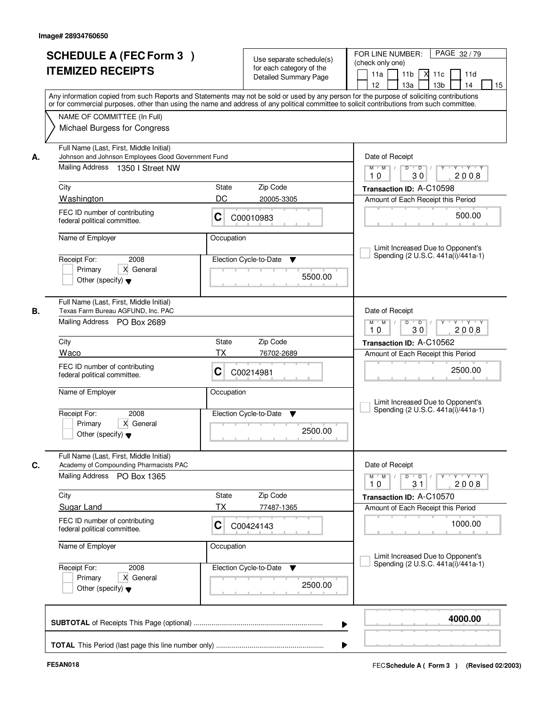|    | <b>SCHEDULE A (FEC Form 3)</b><br><b>ITEMIZED RECEIPTS</b><br>Any information copied from such Reports and Statements may not be sold or used by any person for the purpose of soliciting contributions   |              | Use separate schedule(s)<br>for each category of the<br><b>Detailed Summary Page</b> | PAGE 32/79<br>FOR LINE NUMBER:<br>(check only one)<br>11 <sub>b</sub><br>11a<br><b>X</b><br>11c<br>11d<br>13 <sub>b</sub><br>14<br>12<br>13a<br>15 |  |  |
|----|-----------------------------------------------------------------------------------------------------------------------------------------------------------------------------------------------------------|--------------|--------------------------------------------------------------------------------------|----------------------------------------------------------------------------------------------------------------------------------------------------|--|--|
|    | or for commercial purposes, other than using the name and address of any political committee to solicit contributions from such committee.<br>NAME OF COMMITTEE (In Full)<br>Michael Burgess for Congress |              |                                                                                      |                                                                                                                                                    |  |  |
| А. | Full Name (Last, First, Middle Initial)<br>Johnson and Johnson Employees Good Government Fund<br>Mailing Address 1350   Street NW                                                                         |              |                                                                                      | Date of Receipt<br>$D$ $D$ $I$<br>Y<br>Y TYTEY<br>$M$ $M$ /<br>2008<br>30<br>10                                                                    |  |  |
|    | City                                                                                                                                                                                                      | State        | Zip Code                                                                             | Transaction ID: A-C10598                                                                                                                           |  |  |
|    | Washington                                                                                                                                                                                                | DC           | 20005-3305                                                                           | Amount of Each Receipt this Period                                                                                                                 |  |  |
|    | FEC ID number of contributing<br>federal political committee.                                                                                                                                             | C            | C00010983                                                                            | 500.00                                                                                                                                             |  |  |
|    | Name of Employer                                                                                                                                                                                          | Occupation   |                                                                                      |                                                                                                                                                    |  |  |
|    | 2008<br>Receipt For:<br>X General<br>Primary<br>Other (specify) $\blacktriangledown$                                                                                                                      |              | Election Cycle-to-Date<br>▼<br>5500.00                                               | Limit Increased Due to Opponent's<br>Spending (2 U.S.C. 441a(i)/441a-1)                                                                            |  |  |
| В. | Full Name (Last, First, Middle Initial)<br>Texas Farm Bureau AGFUND, Inc. PAC<br>Mailing Address PO Box 2689                                                                                              |              |                                                                                      |                                                                                                                                                    |  |  |
|    | City                                                                                                                                                                                                      | State        | Zip Code                                                                             | 10<br>30<br>2008<br>Transaction ID: A-C10562                                                                                                       |  |  |
|    | Waco                                                                                                                                                                                                      | ТX           | 76702-2689                                                                           | Amount of Each Receipt this Period                                                                                                                 |  |  |
|    | FEC ID number of contributing<br>federal political committee.                                                                                                                                             | С            | C00214981                                                                            | 2500.00                                                                                                                                            |  |  |
|    | Name of Employer                                                                                                                                                                                          | Occupation   |                                                                                      | Limit Increased Due to Opponent's<br>Spending (2 U.S.C. 441a(i)/441a-1)                                                                            |  |  |
|    | Receipt For:<br>2008<br>Primary<br>X General<br>Other (specify) $\blacktriangledown$                                                                                                                      |              | Election Cycle-to-Date<br>▼<br>2500.00                                               |                                                                                                                                                    |  |  |
| C. | Full Name (Last, First, Middle Initial)<br>Academy of Compounding Pharmacists PAC                                                                                                                         |              |                                                                                      | Date of Receipt                                                                                                                                    |  |  |
|    | Mailing Address<br>PO Box 1365                                                                                                                                                                            |              |                                                                                      | $M$ $M$ $/$<br>$D$ $D$ $/$<br>y y y y y y<br>2008<br>10<br>31                                                                                      |  |  |
|    | City                                                                                                                                                                                                      | <b>State</b> | Zip Code                                                                             | Transaction ID: A-C10570                                                                                                                           |  |  |
|    | <b>Sugar Land</b>                                                                                                                                                                                         | ТX           | 77487-1365                                                                           | Amount of Each Receipt this Period                                                                                                                 |  |  |
|    | FEC ID number of contributing<br>federal political committee.                                                                                                                                             | C            | C00424143                                                                            | 1000.00                                                                                                                                            |  |  |
|    | Name of Employer                                                                                                                                                                                          | Occupation   |                                                                                      |                                                                                                                                                    |  |  |
|    | Receipt For:<br>2008<br>Primary<br>X General<br>Other (specify) $\blacktriangledown$                                                                                                                      |              | Election Cycle-to-Date<br>v<br>2500.00                                               | Limit Increased Due to Opponent's<br>Spending (2 U.S.C. 441a(i)/441a-1)                                                                            |  |  |
|    |                                                                                                                                                                                                           |              |                                                                                      | 4000.00                                                                                                                                            |  |  |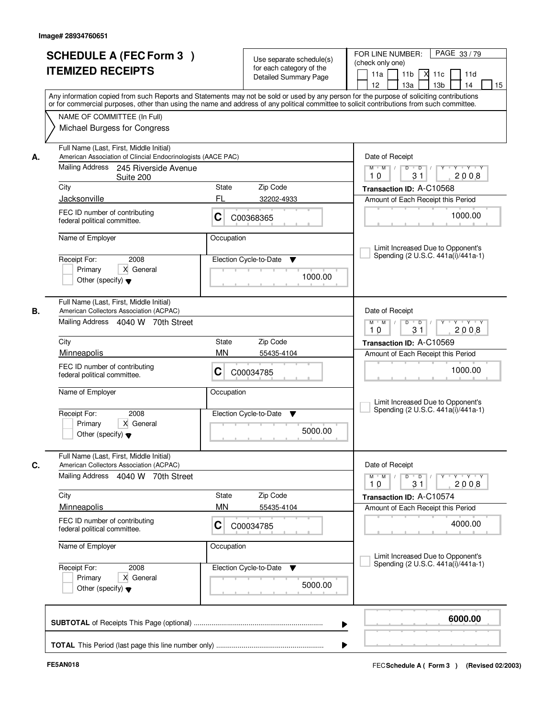|    | <b>SCHEDULE A (FEC Form 3)</b><br><b>ITEMIZED RECEIPTS</b>                                                                                                                                                                                                                                                                                             |                | Use separate schedule(s)<br>for each category of the<br><b>Detailed Summary Page</b> | PAGE 33/79<br>FOR LINE NUMBER:<br>(check only one)<br>11 <sub>b</sub><br>11a<br><b>X</b><br>11c<br>11d<br>13a<br>13 <sub>b</sub><br>12<br>14<br>15 |  |
|----|--------------------------------------------------------------------------------------------------------------------------------------------------------------------------------------------------------------------------------------------------------------------------------------------------------------------------------------------------------|----------------|--------------------------------------------------------------------------------------|----------------------------------------------------------------------------------------------------------------------------------------------------|--|
|    | Any information copied from such Reports and Statements may not be sold or used by any person for the purpose of soliciting contributions<br>or for commercial purposes, other than using the name and address of any political committee to solicit contributions from such committee.<br>NAME OF COMMITTEE (In Full)<br>Michael Burgess for Congress |                |                                                                                      |                                                                                                                                                    |  |
| А. | Full Name (Last, First, Middle Initial)<br>American Association of Clincial Endocrinologists (AACE PAC)                                                                                                                                                                                                                                                |                |                                                                                      | Date of Receipt                                                                                                                                    |  |
|    | Mailing Address 245 Riverside Avenue<br>Suite 200                                                                                                                                                                                                                                                                                                      |                |                                                                                      | $M$ $M$ /<br>$D$ $D$ $/$<br>$\overline{Y}$<br>Y TYTY<br>31<br>2008<br>10                                                                           |  |
|    | City                                                                                                                                                                                                                                                                                                                                                   | State          | Zip Code                                                                             | Transaction ID: A-C10568                                                                                                                           |  |
|    | Jacksonville<br>FEC ID number of contributing<br>federal political committee.                                                                                                                                                                                                                                                                          | FL<br>C        | 32202-4933<br>C00368365                                                              | Amount of Each Receipt this Period<br>1000.00                                                                                                      |  |
|    | Name of Employer                                                                                                                                                                                                                                                                                                                                       | Occupation     |                                                                                      | Limit Increased Due to Opponent's                                                                                                                  |  |
|    | 2008<br>Receipt For:<br>X General<br>Primary<br>Other (specify) $\blacktriangledown$                                                                                                                                                                                                                                                                   |                | Election Cycle-to-Date<br>▼<br>1000.00                                               | Spending (2 U.S.C. 441a(i)/441a-1)                                                                                                                 |  |
| В. | Full Name (Last, First, Middle Initial)<br>American Collectors Association (ACPAC)<br>Mailing Address 4040 W 70th Street                                                                                                                                                                                                                               |                |                                                                                      | Date of Receipt<br>$M$ $M$ /<br>$Y \vdash Y \vdash Y$<br>D<br>$\overline{D}$<br>Y<br>31<br>10<br>2008                                              |  |
|    | City                                                                                                                                                                                                                                                                                                                                                   | State          | Zip Code                                                                             | Transaction ID: A-C10569                                                                                                                           |  |
|    | Minneapolis                                                                                                                                                                                                                                                                                                                                            | <b>MN</b>      | 55435-4104                                                                           | Amount of Each Receipt this Period                                                                                                                 |  |
|    | FEC ID number of contributing<br>federal political committee.                                                                                                                                                                                                                                                                                          | С              | C00034785                                                                            | 1000.00                                                                                                                                            |  |
|    | Name of Employer                                                                                                                                                                                                                                                                                                                                       | Occupation     |                                                                                      | Limit Increased Due to Opponent's<br>Spending (2 U.S.C. 441a(i)/441a-1)                                                                            |  |
|    | Receipt For:<br>2008<br>Primary<br>X General<br>Other (specify) $\blacktriangledown$                                                                                                                                                                                                                                                                   |                | Election Cycle-to-Date<br>v<br>5000.00                                               |                                                                                                                                                    |  |
| C. | Full Name (Last, First, Middle Initial)<br>American Collectors Association (ACPAC)                                                                                                                                                                                                                                                                     |                |                                                                                      | Date of Receipt                                                                                                                                    |  |
|    | Mailing Address 4040 W 70th Street                                                                                                                                                                                                                                                                                                                     |                |                                                                                      | $\mathsf D$<br>$M$ $M$ /<br>$\overline{D}$<br>$Y + Y + Y$<br>$Y$ <sup><math>\top</math></sup><br>2008<br>10<br>31                                  |  |
|    | City                                                                                                                                                                                                                                                                                                                                                   | State          | Zip Code                                                                             | Transaction ID: A-C10574                                                                                                                           |  |
|    | Minneapolis<br>FEC ID number of contributing<br>federal political committee.                                                                                                                                                                                                                                                                           | <b>MN</b><br>C | 55435-4104<br>C00034785                                                              | Amount of Each Receipt this Period<br>4000.00                                                                                                      |  |
|    | Name of Employer                                                                                                                                                                                                                                                                                                                                       | Occupation     |                                                                                      | Limit Increased Due to Opponent's                                                                                                                  |  |
|    | Receipt For:<br>2008<br>X General<br>Primary<br>Other (specify) $\blacktriangledown$                                                                                                                                                                                                                                                                   |                | Election Cycle-to-Date<br>v<br>5000.00                                               | Spending (2 U.S.C. 441a(i)/441a-1)                                                                                                                 |  |
|    |                                                                                                                                                                                                                                                                                                                                                        |                |                                                                                      | 6000.00<br>▶                                                                                                                                       |  |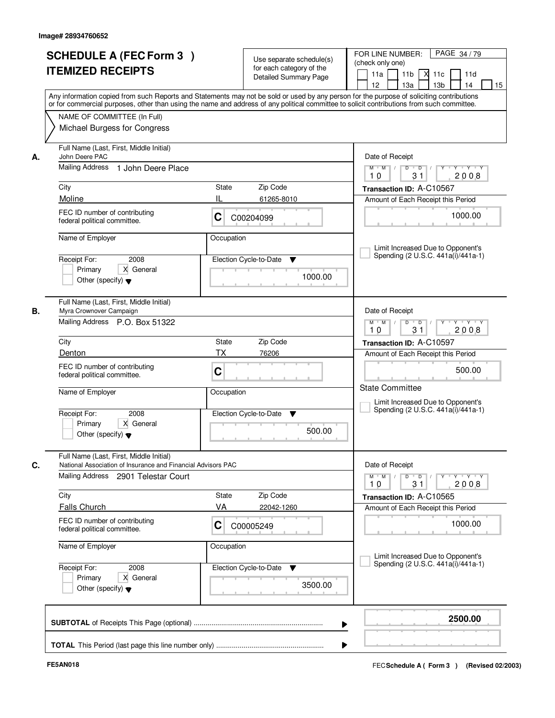|    | <b>SCHEDULE A (FEC Form 3)</b><br><b>ITEMIZED RECEIPTS</b><br>Any information copied from such Reports and Statements may not be sold or used by any person for the purpose of soliciting contributions<br>or for commercial purposes, other than using the name and address of any political committee to solicit contributions from such committee. |             | Use separate schedule(s)<br>for each category of the<br><b>Detailed Summary Page</b> | PAGE 34/79<br>FOR LINE NUMBER:<br>(check only one)<br>11 <sub>b</sub><br>11a<br>-XI<br>11c<br>11d<br>13 <sub>b</sub><br>12<br>13a<br>14<br>15 |
|----|-------------------------------------------------------------------------------------------------------------------------------------------------------------------------------------------------------------------------------------------------------------------------------------------------------------------------------------------------------|-------------|--------------------------------------------------------------------------------------|-----------------------------------------------------------------------------------------------------------------------------------------------|
|    | NAME OF COMMITTEE (In Full)<br>Michael Burgess for Congress                                                                                                                                                                                                                                                                                           |             |                                                                                      |                                                                                                                                               |
| А. | Full Name (Last, First, Middle Initial)<br>John Deere PAC<br>Mailing Address 1 John Deere Place                                                                                                                                                                                                                                                       |             |                                                                                      | Date of Receipt<br>$M$ $M$ /<br>$D$ $D$ $1$<br>$Y$ <sup><math>\top</math></sup><br>Y TYTY                                                     |
|    |                                                                                                                                                                                                                                                                                                                                                       |             |                                                                                      | 31<br>2008<br>10                                                                                                                              |
|    | City<br>Moline                                                                                                                                                                                                                                                                                                                                        | State<br>II | Zip Code<br>61265-8010                                                               | Transaction ID: A-C10567<br>Amount of Each Receipt this Period                                                                                |
|    | FEC ID number of contributing<br>federal political committee.                                                                                                                                                                                                                                                                                         | C           | C00204099                                                                            | 1000.00                                                                                                                                       |
|    | Name of Employer                                                                                                                                                                                                                                                                                                                                      | Occupation  |                                                                                      | Limit Increased Due to Opponent's                                                                                                             |
|    | 2008<br>Receipt For:<br>X General<br>Primary<br>Other (specify) $\blacktriangledown$                                                                                                                                                                                                                                                                  |             | Election Cycle-to-Date<br>▼<br>1000.00                                               | Spending (2 U.S.C. 441a(i)/441a-1)                                                                                                            |
| В. | Full Name (Last, First, Middle Initial)<br>Myra Crownover Campaign<br>Mailing Address P.O. Box 51322                                                                                                                                                                                                                                                  |             |                                                                                      | Date of Receipt<br>$Y \vdash Y \vdash Y$<br>$M$ $M$ /<br>D<br>$\overline{D}$<br>Y<br>31<br>10<br>2008                                         |
|    | City                                                                                                                                                                                                                                                                                                                                                  | State       | Zip Code                                                                             | Transaction ID: A-C10597                                                                                                                      |
|    | Denton                                                                                                                                                                                                                                                                                                                                                | <b>TX</b>   | 76206                                                                                | Amount of Each Receipt this Period                                                                                                            |
|    | FEC ID number of contributing<br>federal political committee.                                                                                                                                                                                                                                                                                         | C           |                                                                                      | 500.00                                                                                                                                        |
|    | Name of Employer                                                                                                                                                                                                                                                                                                                                      | Occupation  |                                                                                      | <b>State Committee</b><br>Limit Increased Due to Opponent's<br>Spending (2 U.S.C. 441a(i)/441a-1)                                             |
|    | Receipt For:<br>2008<br>Primary<br>X General<br>Other (specify) $\blacktriangledown$                                                                                                                                                                                                                                                                  |             | Election Cycle-to-Date<br>v<br>500.00                                                |                                                                                                                                               |
| C. | Full Name (Last, First, Middle Initial)<br>National Association of Insurance and Financial Advisors PAC<br>Mailing Address<br>2901 Telestar Court                                                                                                                                                                                                     |             |                                                                                      | Date of Receipt<br>$M$ $M$ /<br>D<br>$\overline{D}$<br>$Y + Y + Y$<br>$Y^+$<br>2008<br>10<br>31                                               |
|    | City                                                                                                                                                                                                                                                                                                                                                  | State       | Zip Code                                                                             | Transaction ID: A-C10565                                                                                                                      |
|    | <b>Falls Church</b>                                                                                                                                                                                                                                                                                                                                   | VA          | 22042-1260                                                                           | Amount of Each Receipt this Period                                                                                                            |
|    | FEC ID number of contributing<br>federal political committee.                                                                                                                                                                                                                                                                                         | C           | C00005249                                                                            | 1000.00                                                                                                                                       |
|    | Name of Employer<br>Occupation                                                                                                                                                                                                                                                                                                                        |             |                                                                                      | Limit Increased Due to Opponent's<br>Spending (2 U.S.C. 441a(i)/441a-1)                                                                       |
|    | Receipt For:<br>2008<br>X General<br>Primary<br>Other (specify) $\blacktriangledown$                                                                                                                                                                                                                                                                  |             | Election Cycle-to-Date<br>v<br>3500.00                                               |                                                                                                                                               |
|    |                                                                                                                                                                                                                                                                                                                                                       |             | ▶                                                                                    | 2500.00                                                                                                                                       |
|    |                                                                                                                                                                                                                                                                                                                                                       |             |                                                                                      |                                                                                                                                               |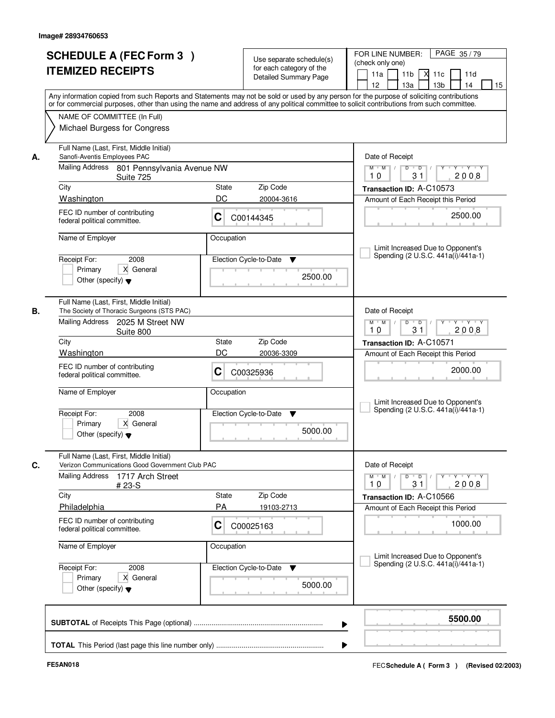|    | <b>SCHEDULE A (FEC Form 3)</b><br><b>ITEMIZED RECEIPTS</b><br>Any information copied from such Reports and Statements may not be sold or used by any person for the purpose of soliciting contributions   |              | Use separate schedule(s)<br>for each category of the<br><b>Detailed Summary Page</b> | PAGE 35/79<br>FOR LINE NUMBER:<br>(check only one)<br>11 <sub>b</sub><br>11a<br><b>X</b><br>11c<br>11d<br>13 <sub>b</sub><br>14<br>12<br>13a<br>15 |  |  |
|----|-----------------------------------------------------------------------------------------------------------------------------------------------------------------------------------------------------------|--------------|--------------------------------------------------------------------------------------|----------------------------------------------------------------------------------------------------------------------------------------------------|--|--|
|    | or for commercial purposes, other than using the name and address of any political committee to solicit contributions from such committee.<br>NAME OF COMMITTEE (In Full)<br>Michael Burgess for Congress |              |                                                                                      |                                                                                                                                                    |  |  |
| А. | Full Name (Last, First, Middle Initial)<br>Sanofi-Aventis Employees PAC<br>Mailing Address 801 Pennsylvania Avenue NW                                                                                     |              |                                                                                      | Date of Receipt<br>$D$ $D$<br>Y<br>Y TYTEY<br>$M$ $M$ /                                                                                            |  |  |
|    | Suite 725                                                                                                                                                                                                 |              |                                                                                      | 2008<br>31<br>10                                                                                                                                   |  |  |
|    | City<br>Washington                                                                                                                                                                                        | State<br>DC  | Zip Code                                                                             | Transaction ID: A-C10573                                                                                                                           |  |  |
|    | FEC ID number of contributing<br>federal political committee.                                                                                                                                             | C            | 20004-3616<br>C00144345                                                              | Amount of Each Receipt this Period<br>2500.00                                                                                                      |  |  |
|    | Name of Employer                                                                                                                                                                                          | Occupation   |                                                                                      | Limit Increased Due to Opponent's                                                                                                                  |  |  |
|    | 2008<br>Receipt For:<br>X General<br>Primary<br>Other (specify) $\blacktriangledown$                                                                                                                      |              | Election Cycle-to-Date<br>▼<br>2500.00                                               | Spending (2 U.S.C. 441a(i)/441a-1)                                                                                                                 |  |  |
| В. | Full Name (Last, First, Middle Initial)<br>The Society of Thoracic Surgeons (STS PAC)<br>Mailing Address<br>2025 M Street NW                                                                              |              |                                                                                      | Date of Receipt<br>$M$ $M$ /<br>D<br>$\overline{\phantom{0}}$ D<br>$Y + Y + Y$<br>31<br>10<br>2008                                                 |  |  |
|    | Suite 800<br>City                                                                                                                                                                                         | State        | Zip Code                                                                             | Transaction ID: A-C10571                                                                                                                           |  |  |
|    | Washington                                                                                                                                                                                                | DC           | 20036-3309                                                                           | Amount of Each Receipt this Period                                                                                                                 |  |  |
|    | FEC ID number of contributing<br>federal political committee.                                                                                                                                             | С            | C00325936                                                                            | 2000.00                                                                                                                                            |  |  |
|    | Name of Employer                                                                                                                                                                                          | Occupation   |                                                                                      | Limit Increased Due to Opponent's<br>Spending (2 U.S.C. 441a(i)/441a-1)                                                                            |  |  |
|    | Receipt For:<br>2008<br>Primary<br>X General<br>Other (specify) $\blacktriangledown$                                                                                                                      |              | Election Cycle-to-Date<br>▼<br>5000.00                                               |                                                                                                                                                    |  |  |
| C. | Full Name (Last, First, Middle Initial)<br>Verizon Communications Good Government Club PAC                                                                                                                |              |                                                                                      | Date of Receipt                                                                                                                                    |  |  |
|    | <b>Mailing Address</b><br>1717 Arch Street<br># 23-S                                                                                                                                                      |              |                                                                                      | $M$ $M$<br>$D$ $D$ $/$<br>yuyuyuyu<br>2008<br>10<br>31                                                                                             |  |  |
|    | City                                                                                                                                                                                                      | <b>State</b> | Zip Code                                                                             | Transaction ID: A-C10566                                                                                                                           |  |  |
|    | Philadelphia                                                                                                                                                                                              | PA           | 19103-2713                                                                           | Amount of Each Receipt this Period                                                                                                                 |  |  |
|    | FEC ID number of contributing<br>federal political committee.                                                                                                                                             | C            | C00025163                                                                            | 1000.00                                                                                                                                            |  |  |
|    | Name of Employer                                                                                                                                                                                          | Occupation   |                                                                                      | Limit Increased Due to Opponent's                                                                                                                  |  |  |
|    | Receipt For:<br>2008<br>Primary<br>X General<br>Other (specify) $\blacktriangledown$                                                                                                                      |              | Election Cycle-to-Date<br>v<br>5000.00                                               | Spending (2 U.S.C. 441a(i)/441a-1)                                                                                                                 |  |  |
|    |                                                                                                                                                                                                           |              |                                                                                      | 5500.00                                                                                                                                            |  |  |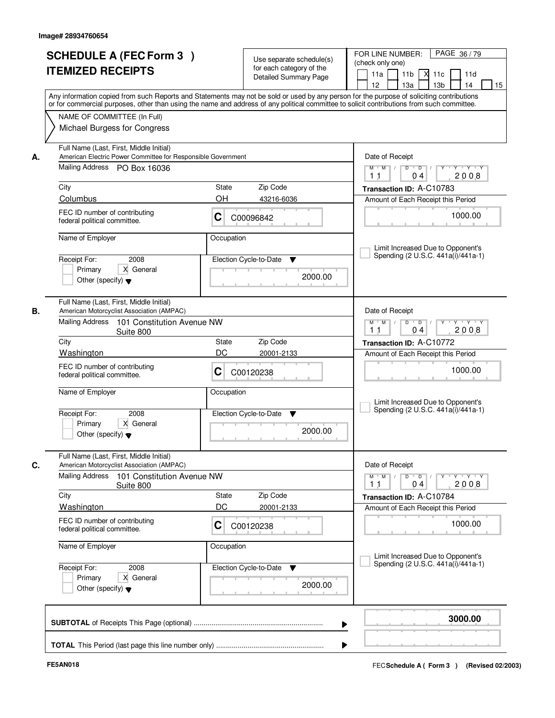| <b>SCHEDULE A (FEC Form 3)</b><br><b>ITEMIZED RECEIPTS</b>                                                                                                                                                                                                                                                                                                                                                               | Use separate schedule(s)<br>for each category of the<br>Detailed Summary Page<br>Any information copied from such Reports and Statements may not be sold or used by any person for the purpose of soliciting contributions | PAGE 36/79<br>FOR LINE NUMBER:<br>(check only one)<br>11 <sub>b</sub><br>11a<br>11c<br>11d<br>12<br>13a<br>13 <sub>b</sub><br>14<br>15                                                                                                                     |
|--------------------------------------------------------------------------------------------------------------------------------------------------------------------------------------------------------------------------------------------------------------------------------------------------------------------------------------------------------------------------------------------------------------------------|----------------------------------------------------------------------------------------------------------------------------------------------------------------------------------------------------------------------------|------------------------------------------------------------------------------------------------------------------------------------------------------------------------------------------------------------------------------------------------------------|
| or for commercial purposes, other than using the name and address of any political committee to solicit contributions from such committee.<br>NAME OF COMMITTEE (In Full)<br>Michael Burgess for Congress                                                                                                                                                                                                                |                                                                                                                                                                                                                            |                                                                                                                                                                                                                                                            |
| Full Name (Last, First, Middle Initial)<br>American Electric Power Committee for Responsible Government<br>А.<br>Mailing Address PO Box 16036<br>City<br>Columbus<br>FEC ID number of contributing<br>federal political committee.<br>Name of Employer<br>2008<br>Receipt For:                                                                                                                                           | State<br>Zip Code<br>OH<br>43216-6036<br>С<br>C00096842<br>Occupation<br>Election Cycle-to-Date<br>▼                                                                                                                       | Date of Receipt<br>$Y$ $Y$ $Y$<br>$M$ $M$ /<br>$D$ $D$ $I$<br>$Y$ <sup>U</sup><br>2008<br>11<br>04<br>Transaction ID: A-C10783<br>Amount of Each Receipt this Period<br>1000.00<br>Limit Increased Due to Opponent's<br>Spending (2 U.S.C. 441a(i)/441a-1) |
| X General<br>Primary<br>Other (specify) $\blacktriangledown$<br>Full Name (Last, First, Middle Initial)<br>В.<br>American Motorcyclist Association (AMPAC)<br>Mailing Address 101 Constitution Avenue NW<br>Suite 800<br>City<br>Washington<br>FEC ID number of contributing<br>federal political committee.<br>Name of Employer<br>Receipt For:<br>2008<br>Primary<br>X General<br>Other (specify) $\blacktriangledown$ | 2000.00<br>Zip Code<br><b>State</b><br>DC<br>20001-2133<br>С<br>C00120238<br>Occupation<br>Election Cycle-to-Date<br>▼<br>2000.00                                                                                          | Date of Receipt<br>$M$ $M$ /<br>D<br>$\overline{D}$ /<br>$Y \vdash Y \vdash Y$<br>2008<br>11<br>04<br>Transaction ID: A-C10772<br>Amount of Each Receipt this Period<br>1000.00<br>Limit Increased Due to Opponent's<br>Spending (2 U.S.C. 441a(i)/441a-1) |
| Full Name (Last, First, Middle Initial)<br>C.<br>American Motorcyclist Association (AMPAC)<br>Mailing Address<br>101 Constitution Avenue NW<br>Suite 800<br>City<br><b>Washington</b><br>FEC ID number of contributing<br>federal political committee.<br>Name of Employer<br>Receipt For:<br>2008<br>Primary<br>X General<br>Other (specify) $\blacktriangledown$                                                       | Zip Code<br>State<br>DC<br>20001-2133<br>C<br>C00120238<br>Occupation<br>Election Cycle-to-Date<br>v<br>2000.00                                                                                                            | Date of Receipt<br>$M$ $M$<br>$\mathsf D$<br>$\Box$ D $\Box$<br>Y Y Y Y<br>2008<br>11<br>04<br>Transaction ID: A-C10784<br>Amount of Each Receipt this Period<br>1000.00<br>Limit Increased Due to Opponent's<br>Spending (2 U.S.C. 441a(i)/441a-1)        |
|                                                                                                                                                                                                                                                                                                                                                                                                                          |                                                                                                                                                                                                                            | 3000.00                                                                                                                                                                                                                                                    |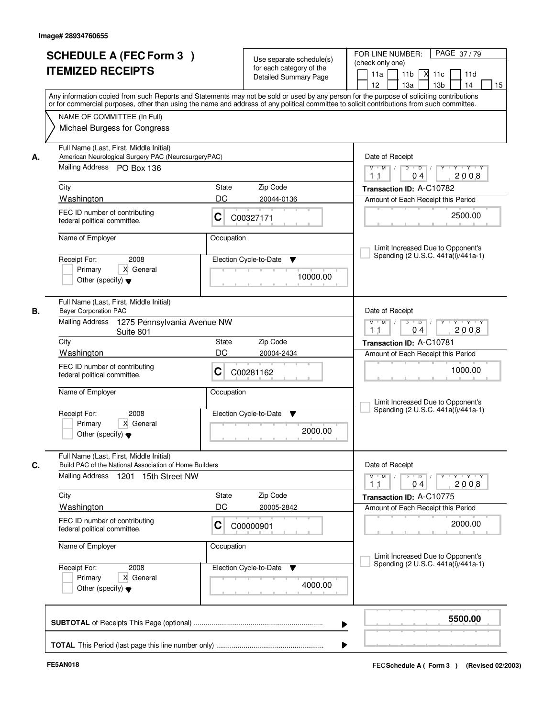| <b>SCHEDULE A (FEC Form 3)</b><br><b>ITEMIZED RECEIPTS</b>                                                                         | Use separate schedule(s)<br>for each category of the<br><b>Detailed Summary Page</b><br>Any information copied from such Reports and Statements may not be sold or used by any person for the purpose of soliciting contributions<br>or for commercial purposes, other than using the name and address of any political committee to solicit contributions from such committee. | PAGE 37/79<br>FOR LINE NUMBER:<br>(check only one)<br>11 <sub>b</sub><br>11a<br><b>X</b><br>11c<br>11d<br>13a<br>13 <sub>b</sub><br>12<br>14<br>15 |
|------------------------------------------------------------------------------------------------------------------------------------|---------------------------------------------------------------------------------------------------------------------------------------------------------------------------------------------------------------------------------------------------------------------------------------------------------------------------------------------------------------------------------|----------------------------------------------------------------------------------------------------------------------------------------------------|
| NAME OF COMMITTEE (In Full)<br>Michael Burgess for Congress                                                                        |                                                                                                                                                                                                                                                                                                                                                                                 |                                                                                                                                                    |
| Full Name (Last, First, Middle Initial)<br>American Neurological Surgery PAC (NeurosurgeryPAC)<br>А.<br>Mailing Address PO Box 136 |                                                                                                                                                                                                                                                                                                                                                                                 | Date of Receipt<br>$M$ $M$ /<br>$D$ $D$ $/$<br>$\Gamma Y$<br>Y TYTY<br>2008<br>11<br>04                                                            |
| City                                                                                                                               | State<br>Zip Code                                                                                                                                                                                                                                                                                                                                                               | Transaction ID: A-C10782                                                                                                                           |
| Washington                                                                                                                         | DC<br>20044-0136                                                                                                                                                                                                                                                                                                                                                                | Amount of Each Receipt this Period                                                                                                                 |
| FEC ID number of contributing<br>federal political committee.                                                                      | C<br>C00327171                                                                                                                                                                                                                                                                                                                                                                  | 2500.00                                                                                                                                            |
| Name of Employer                                                                                                                   | Occupation                                                                                                                                                                                                                                                                                                                                                                      | Limit Increased Due to Opponent's                                                                                                                  |
| 2008<br>Receipt For:<br>X General<br>Primary<br>Other (specify) $\blacktriangledown$                                               | Election Cycle-to-Date<br>▼<br>10000.00                                                                                                                                                                                                                                                                                                                                         | Spending (2 U.S.C. 441a(i)/441a-1)                                                                                                                 |
| Full Name (Last, First, Middle Initial)<br><b>Bayer Corporation PAC</b><br>В.<br>Mailing Address<br>1275 Pennsylvania Avenue NW    |                                                                                                                                                                                                                                                                                                                                                                                 | Date of Receipt<br>Y<br>Y Y Y Y<br>$M$ $M$ /<br>D<br>$\overline{D}$                                                                                |
| Suite 801                                                                                                                          |                                                                                                                                                                                                                                                                                                                                                                                 | 2008<br>11<br>04                                                                                                                                   |
| City                                                                                                                               | Zip Code<br>State                                                                                                                                                                                                                                                                                                                                                               | Transaction ID: A-C10781                                                                                                                           |
| Washington                                                                                                                         | DC<br>20004-2434                                                                                                                                                                                                                                                                                                                                                                | Amount of Each Receipt this Period                                                                                                                 |
| FEC ID number of contributing<br>federal political committee.                                                                      | С<br>C00281162                                                                                                                                                                                                                                                                                                                                                                  | 1000.00                                                                                                                                            |
| Name of Employer                                                                                                                   | Occupation                                                                                                                                                                                                                                                                                                                                                                      | Limit Increased Due to Opponent's<br>Spending (2 U.S.C. 441a(i)/441a-1)                                                                            |
| Receipt For:<br>2008<br>Primary<br>X General<br>Other (specify) $\blacktriangledown$                                               | Election Cycle-to-Date<br>▼<br>2000.00                                                                                                                                                                                                                                                                                                                                          |                                                                                                                                                    |
| Full Name (Last, First, Middle Initial)<br>C.<br>Build PAC of the National Association of Home Builders                            |                                                                                                                                                                                                                                                                                                                                                                                 | Date of Receipt                                                                                                                                    |
| Mailing Address<br>1201 15th Street NW                                                                                             |                                                                                                                                                                                                                                                                                                                                                                                 | $D$ $D$ $/$<br>$M$ $M$ /<br>$Y + Y + Y$<br>$Y^+$<br>2008<br>11<br>04                                                                               |
| City                                                                                                                               | Zip Code<br>State                                                                                                                                                                                                                                                                                                                                                               | Transaction ID: A-C10775                                                                                                                           |
| <b>Washington</b>                                                                                                                  | DC<br>20005-2842                                                                                                                                                                                                                                                                                                                                                                | Amount of Each Receipt this Period                                                                                                                 |
| FEC ID number of contributing<br>federal political committee.                                                                      | C<br>C00000901                                                                                                                                                                                                                                                                                                                                                                  | 2000.00                                                                                                                                            |
| Name of Employer                                                                                                                   | Occupation                                                                                                                                                                                                                                                                                                                                                                      | Limit Increased Due to Opponent's<br>Spending (2 U.S.C. 441a(i)/441a-1)                                                                            |
| Receipt For:<br>2008<br>X General<br>Primary<br>Other (specify) $\blacktriangledown$                                               | Election Cycle-to-Date<br>v<br>4000.00                                                                                                                                                                                                                                                                                                                                          |                                                                                                                                                    |
|                                                                                                                                    | ▶                                                                                                                                                                                                                                                                                                                                                                               | 5500.00                                                                                                                                            |
|                                                                                                                                    |                                                                                                                                                                                                                                                                                                                                                                                 |                                                                                                                                                    |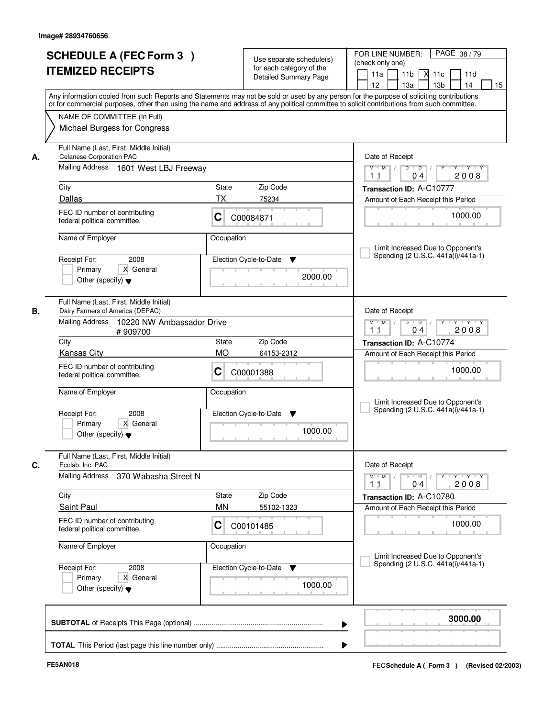|    | <b>SCHEDULE A (FEC Form 3)</b><br><b>ITEMIZED RECEIPTS</b><br>Any information copied from such Reports and Statements may not be sold or used by any person for the purpose of soliciting contributions   |                    | Use separate schedule(s)<br>for each category of the<br><b>Detailed Summary Page</b> | PAGE 38/79<br>FOR LINE NUMBER:<br>(check only one)<br>11 <sub>b</sub><br>$X$ 11 $c$<br>11a<br>11d<br>12 <sup>2</sup><br>13a<br>13 <sub>b</sub><br>14<br>15 |
|----|-----------------------------------------------------------------------------------------------------------------------------------------------------------------------------------------------------------|--------------------|--------------------------------------------------------------------------------------|------------------------------------------------------------------------------------------------------------------------------------------------------------|
|    | or for commercial purposes, other than using the name and address of any political committee to solicit contributions from such committee.<br>NAME OF COMMITTEE (In Full)<br>Michael Burgess for Congress |                    |                                                                                      |                                                                                                                                                            |
| А. | Full Name (Last, First, Middle Initial)<br><b>Celanese Corporation PAC</b><br>Mailing Address 1601 West LBJ Freeway                                                                                       |                    |                                                                                      | Date of Receipt<br>$\overline{D}$<br>$Y - Y - Y - Y$<br>$M$ $M$ /<br>D<br>2008<br>1 <sub>1</sub><br>04                                                     |
|    | City<br>Dallas                                                                                                                                                                                            | State<br><b>TX</b> | Zip Code<br>75234                                                                    | Transaction ID: A-C10777<br>Amount of Each Receipt this Period                                                                                             |
|    | FEC ID number of contributing<br>federal political committee.                                                                                                                                             | С                  | C00084871                                                                            | 1000.00                                                                                                                                                    |
|    | Name of Employer<br>2008<br>Receipt For:<br>Primary<br>X General<br>Other (specify) $\blacktriangledown$                                                                                                  | Occupation         | Election Cycle-to-Date<br>▼<br>2000.00                                               | Limit Increased Due to Opponent's<br>Spending (2 U.S.C. 441a(i)/441a-1)                                                                                    |
| В. | Full Name (Last, First, Middle Initial)<br>Dairy Farmers of America (DEPAC)<br>Mailing Address<br>10220 NW Ambassador Drive<br>#909700                                                                    |                    |                                                                                      | Date of Receipt<br>$D$ $D$ $1$<br>$M$ $M$ /<br>Y<br>Y Y Y Y<br>2008<br>1 <sub>1</sub><br>0 <sub>4</sub>                                                    |
|    | City                                                                                                                                                                                                      | State              | Zip Code                                                                             | Transaction ID: A-C10774                                                                                                                                   |
|    | <b>Kansas City</b><br>FEC ID number of contributing<br>federal political committee.                                                                                                                       | <b>MO</b><br>C     | 64153-2312<br>C00001388                                                              | Amount of Each Receipt this Period<br>1000.00                                                                                                              |
|    | Name of Employer<br>Receipt For:<br>2008<br>Primary<br>X General<br>Other (specify) $\blacktriangledown$                                                                                                  | Occupation         | Election Cycle-to-Date<br>▼<br>1000.00                                               | Limit Increased Due to Opponent's<br>Spending (2 U.S.C. 441a(i)/441a-1)                                                                                    |
| C. | Full Name (Last, First, Middle Initial)<br>Ecolab, Inc. PAC                                                                                                                                               |                    |                                                                                      | Date of Receipt                                                                                                                                            |
|    | Mailing Address<br>370 Wabasha Street N                                                                                                                                                                   |                    |                                                                                      | $M$ $M$<br>$D$ $D$ $/$<br>$Y - Y - Y$<br>$Y$ <sup>-1</sup><br>2008<br>11<br>04                                                                             |
|    | City                                                                                                                                                                                                      | State<br><b>MN</b> | Zip Code                                                                             | Transaction ID: A-C10780                                                                                                                                   |
|    | <b>Saint Paul</b><br>FEC ID number of contributing<br>federal political committee.                                                                                                                        | С                  | 55102-1323<br>C00101485                                                              | Amount of Each Receipt this Period<br>1000.00                                                                                                              |
|    | Name of Employer                                                                                                                                                                                          | Occupation         |                                                                                      | Limit Increased Due to Opponent's<br>Spending (2 U.S.C. 441a(i)/441a-1)                                                                                    |
|    | Receipt For:<br>2008<br>Primary<br>X General<br>Other (specify) $\blacktriangledown$                                                                                                                      |                    | Election Cycle-to-Date<br>v<br>1000.00                                               |                                                                                                                                                            |
|    |                                                                                                                                                                                                           |                    | ▶                                                                                    | 3000.00                                                                                                                                                    |
|    |                                                                                                                                                                                                           |                    |                                                                                      |                                                                                                                                                            |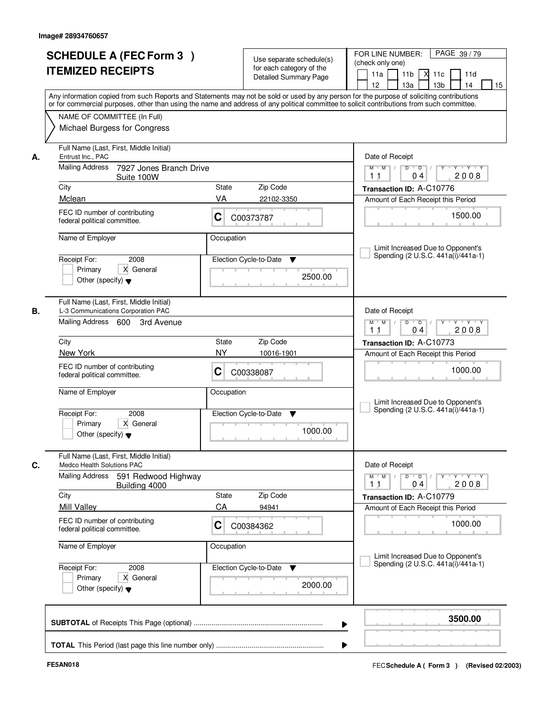|    | <b>SCHEDULE A (FEC Form 3)</b><br><b>ITEMIZED RECEIPTS</b><br>Any information copied from such Reports and Statements may not be sold or used by any person for the purpose of soliciting contributions   |                                   | Use separate schedule(s)<br>for each category of the<br><b>Detailed Summary Page</b> | PAGE 39/79<br>FOR LINE NUMBER:<br>(check only one)<br>11 <sub>b</sub><br>11a<br>м<br>11c<br>11d<br>13 <sub>b</sub><br>12<br>13a<br>14<br>15 |  |  |
|----|-----------------------------------------------------------------------------------------------------------------------------------------------------------------------------------------------------------|-----------------------------------|--------------------------------------------------------------------------------------|---------------------------------------------------------------------------------------------------------------------------------------------|--|--|
|    | or for commercial purposes, other than using the name and address of any political committee to solicit contributions from such committee.<br>NAME OF COMMITTEE (In Full)<br>Michael Burgess for Congress |                                   |                                                                                      |                                                                                                                                             |  |  |
| А. | Full Name (Last, First, Middle Initial)<br>Entrust Inc., PAC                                                                                                                                              |                                   |                                                                                      | Date of Receipt                                                                                                                             |  |  |
|    | <b>Mailing Address</b><br>7927 Jones Branch Drive<br>Suite 100W                                                                                                                                           |                                   |                                                                                      | $\mathsf{Y} \quad \mathsf{Y} \quad \mathsf{Y} \quad \mathsf{Y}$<br>$M$ $M$ $/$<br>$D$ $D$ $I$<br>$Y$ <sup>U</sup><br>2008<br>11<br>04       |  |  |
|    | City                                                                                                                                                                                                      | State                             | Zip Code                                                                             | Transaction ID: A-C10776                                                                                                                    |  |  |
|    | Mclean                                                                                                                                                                                                    | VA                                | 22102-3350                                                                           | Amount of Each Receipt this Period                                                                                                          |  |  |
|    | FEC ID number of contributing<br>federal political committee.                                                                                                                                             | C                                 | C00373787                                                                            | 1500.00                                                                                                                                     |  |  |
|    | Name of Employer                                                                                                                                                                                          | Occupation                        |                                                                                      |                                                                                                                                             |  |  |
|    | 2008<br>Receipt For:                                                                                                                                                                                      |                                   | Election Cycle-to-Date<br>$\blacktriangledown$                                       | Limit Increased Due to Opponent's<br>Spending (2 U.S.C. 441a(i)/441a-1)                                                                     |  |  |
|    | X General<br>Primary<br>Other (specify) $\blacktriangledown$                                                                                                                                              |                                   | 2500.00                                                                              |                                                                                                                                             |  |  |
| В. | Full Name (Last, First, Middle Initial)<br>L-3 Communications Corporation PAC                                                                                                                             |                                   |                                                                                      | Date of Receipt                                                                                                                             |  |  |
|    | Mailing Address 600<br>3rd Avenue                                                                                                                                                                         |                                   |                                                                                      | $Y \vdash Y \vdash Y$<br>$M$ $M$ /<br>D<br>$\overline{D}$<br>1 <sub>1</sub><br>2008<br>04                                                   |  |  |
|    | City                                                                                                                                                                                                      | <b>State</b>                      | Zip Code                                                                             | Transaction ID: A-C10773                                                                                                                    |  |  |
|    | New York                                                                                                                                                                                                  | <b>NY</b>                         | 10016-1901                                                                           | Amount of Each Receipt this Period                                                                                                          |  |  |
|    | FEC ID number of contributing<br>federal political committee.                                                                                                                                             | C                                 | C00338087                                                                            | 1000.00                                                                                                                                     |  |  |
|    | Name of Employer                                                                                                                                                                                          | Occupation                        |                                                                                      | Limit Increased Due to Opponent's                                                                                                           |  |  |
|    | Receipt For:<br>2008<br>Primary<br>X General<br>Other (specify) $\blacktriangledown$                                                                                                                      |                                   | Election Cycle-to-Date<br>▼<br>1000.00                                               | Spending (2 U.S.C. 441a(i)/441a-1)                                                                                                          |  |  |
| C. | Full Name (Last, First, Middle Initial)<br><b>Medco Health Solutions PAC</b>                                                                                                                              |                                   |                                                                                      | Date of Receipt                                                                                                                             |  |  |
|    | <b>Mailing Address</b><br>591 Redwood Highway<br>Building 4000                                                                                                                                            |                                   |                                                                                      | $M$ $M$ $/$<br>$D$ $D$ $I$<br>$Y + Y + Y$<br>Y "<br>2008<br>11<br>04                                                                        |  |  |
|    | City                                                                                                                                                                                                      | <b>State</b>                      | Zip Code                                                                             | Transaction ID: A-C10779                                                                                                                    |  |  |
|    | Mill Valley                                                                                                                                                                                               | CA                                | 94941                                                                                | Amount of Each Receipt this Period                                                                                                          |  |  |
|    | FEC ID number of contributing<br>federal political committee.                                                                                                                                             | C                                 | C00384362                                                                            | 1000.00                                                                                                                                     |  |  |
|    | Name of Employer                                                                                                                                                                                          | Limit Increased Due to Opponent's |                                                                                      |                                                                                                                                             |  |  |
|    | Receipt For:<br>2008<br>X General<br>Primary<br>Other (specify) $\blacktriangledown$                                                                                                                      |                                   | Election Cycle-to-Date<br>v<br>2000.00                                               | Spending (2 U.S.C. 441a(i)/441a-1)                                                                                                          |  |  |
|    |                                                                                                                                                                                                           |                                   |                                                                                      | 3500.00                                                                                                                                     |  |  |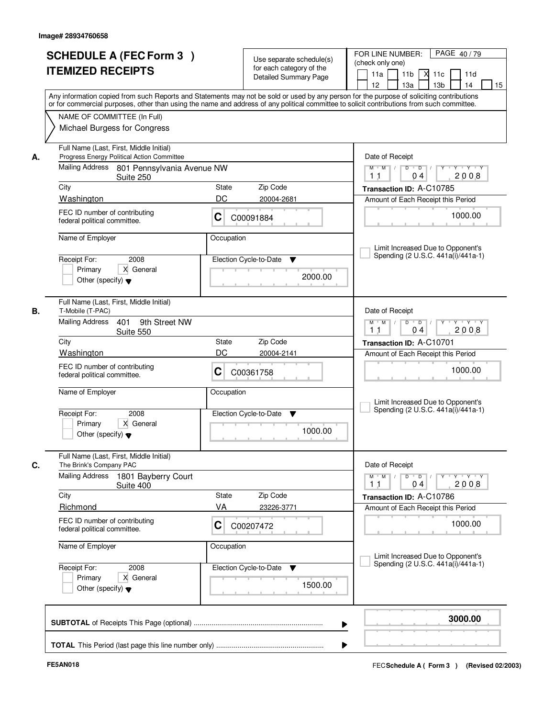|    | <b>SCHEDULE A (FEC Form 3)</b>                                                                                                                                                                                                                                                          |             | Use separate schedule(s)<br>for each category of the | PAGE 40/79<br>FOR LINE NUMBER:<br>(check only one)                                                   |
|----|-----------------------------------------------------------------------------------------------------------------------------------------------------------------------------------------------------------------------------------------------------------------------------------------|-------------|------------------------------------------------------|------------------------------------------------------------------------------------------------------|
|    | <b>ITEMIZED RECEIPTS</b>                                                                                                                                                                                                                                                                |             | <b>Detailed Summary Page</b>                         | 11 <sub>b</sub><br>$X$ 11 $c$<br>11a<br>11d<br>12 <sup>2</sup><br>13a<br>13 <sub>b</sub><br>14<br>15 |
|    | Any information copied from such Reports and Statements may not be sold or used by any person for the purpose of soliciting contributions<br>or for commercial purposes, other than using the name and address of any political committee to solicit contributions from such committee. |             |                                                      |                                                                                                      |
|    | NAME OF COMMITTEE (In Full)<br>Michael Burgess for Congress                                                                                                                                                                                                                             |             |                                                      |                                                                                                      |
| А. | Full Name (Last, First, Middle Initial)<br>Progress Energy Political Action Committee                                                                                                                                                                                                   |             |                                                      | Date of Receipt                                                                                      |
|    | Mailing Address 801 Pennsylvania Avenue NW<br>Suite 250                                                                                                                                                                                                                                 |             |                                                      | $Y - Y - Y - Y$<br>$M$ $M$ /<br>D<br>$\overline{D}$<br>2008<br>11<br>04                              |
|    | City                                                                                                                                                                                                                                                                                    | State<br>DC | Zip Code                                             | Transaction ID: A-C10785                                                                             |
|    | Washington<br>FEC ID number of contributing                                                                                                                                                                                                                                             | С           | 20004-2681<br>C00091884                              | Amount of Each Receipt this Period<br>1000.00                                                        |
|    | federal political committee.                                                                                                                                                                                                                                                            |             |                                                      |                                                                                                      |
|    | Name of Employer                                                                                                                                                                                                                                                                        | Occupation  |                                                      | Limit Increased Due to Opponent's                                                                    |
|    | 2008<br>Receipt For:                                                                                                                                                                                                                                                                    |             | Election Cycle-to-Date<br>▼                          | Spending (2 U.S.C. 441a(i)/441a-1)                                                                   |
|    | Primary<br>X General<br>Other (specify) $\blacktriangledown$                                                                                                                                                                                                                            |             | 2000.00                                              |                                                                                                      |
| В. | Full Name (Last, First, Middle Initial)<br>T-Mobile (T-PAC)                                                                                                                                                                                                                             |             |                                                      | Date of Receipt                                                                                      |
|    | <b>Mailing Address</b><br>9th Street NW<br>401<br>Suite 550                                                                                                                                                                                                                             |             |                                                      | $D$ $D$ $1$<br>$M$ $M$ /<br>Y<br>Y Y Y Y<br>2008<br>1 <sub>1</sub><br>04                             |
|    | City                                                                                                                                                                                                                                                                                    | State       | Zip Code                                             | Transaction ID: A-C10701                                                                             |
|    | Washington<br>FEC ID number of contributing                                                                                                                                                                                                                                             | DC          | 20004-2141                                           | Amount of Each Receipt this Period                                                                   |
|    | federal political committee.                                                                                                                                                                                                                                                            | C           | C00361758                                            | 1000.00                                                                                              |
|    | Name of Employer                                                                                                                                                                                                                                                                        | Occupation  |                                                      | Limit Increased Due to Opponent's                                                                    |
|    | Receipt For:<br>2008                                                                                                                                                                                                                                                                    |             | Election Cycle-to-Date<br>▼                          | Spending (2 U.S.C. 441a(i)/441a-1)                                                                   |
|    | Primary<br>X General<br>Other (specify) $\blacktriangledown$                                                                                                                                                                                                                            |             | 1000.00                                              |                                                                                                      |
| C. | Full Name (Last, First, Middle Initial)<br>The Brink's Company PAC                                                                                                                                                                                                                      |             |                                                      | Date of Receipt                                                                                      |
|    | <b>Mailing Address</b><br>1801 Bayberry Court<br>Suite 400                                                                                                                                                                                                                              |             |                                                      | $M$ $M$<br>$D$ $D$ $/$<br>$Y - Y - Y$<br>$Y$ <sup>-1</sup><br>2008<br>11<br>04                       |
|    | City                                                                                                                                                                                                                                                                                    | State       | Zip Code                                             | Transaction ID: A-C10786                                                                             |
|    | Richmond<br>FEC ID number of contributing                                                                                                                                                                                                                                               | VA          | 23226-3771                                           | Amount of Each Receipt this Period                                                                   |
|    | federal political committee.                                                                                                                                                                                                                                                            | C           | C00207472                                            | 1000.00                                                                                              |
|    | Name of Employer                                                                                                                                                                                                                                                                        | Occupation  |                                                      | Limit Increased Due to Opponent's                                                                    |
|    | Receipt For:<br>2008                                                                                                                                                                                                                                                                    |             | Election Cycle-to-Date<br>v                          | Spending (2 U.S.C. 441a(i)/441a-1)                                                                   |
|    | Primary<br>X General<br>Other (specify) $\blacktriangledown$                                                                                                                                                                                                                            |             | 1500.00                                              |                                                                                                      |
|    |                                                                                                                                                                                                                                                                                         |             |                                                      | 3000.00                                                                                              |
|    |                                                                                                                                                                                                                                                                                         |             |                                                      |                                                                                                      |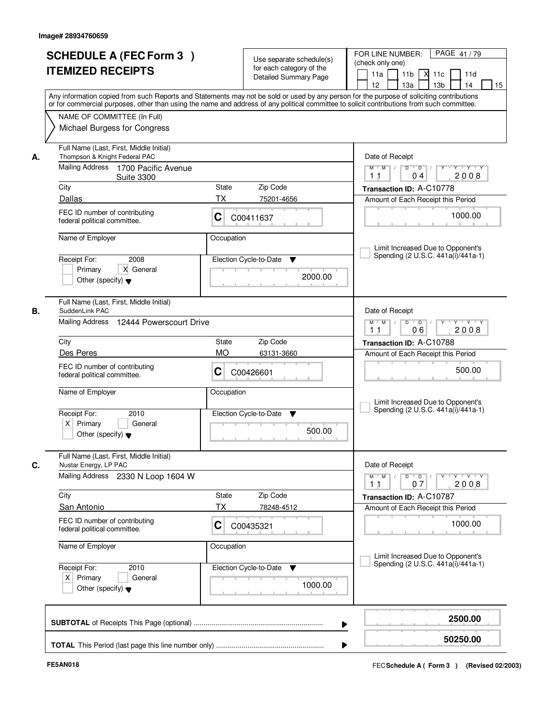|    | <b>SCHEDULE A (FEC Form 3)</b>                                                                                                             |                             | Use separate schedule(s)           | PAGE 41/79<br>FOR LINE NUMBER:<br>(check only one)                                            |
|----|--------------------------------------------------------------------------------------------------------------------------------------------|-----------------------------|------------------------------------|-----------------------------------------------------------------------------------------------|
|    | <b>ITEMIZED RECEIPTS</b>                                                                                                                   |                             | for each category of the           | 11 <sub>b</sub><br>$X$ 11 $c$<br>11a<br>11d                                                   |
|    |                                                                                                                                            |                             | <b>Detailed Summary Page</b>       | 12 <sup>2</sup><br>13a<br>13 <sub>b</sub><br>14<br>15                                         |
|    | Any information copied from such Reports and Statements may not be sold or used by any person for the purpose of soliciting contributions  |                             |                                    |                                                                                               |
|    | or for commercial purposes, other than using the name and address of any political committee to solicit contributions from such committee. |                             |                                    |                                                                                               |
|    | NAME OF COMMITTEE (In Full)                                                                                                                |                             |                                    |                                                                                               |
|    | Michael Burgess for Congress                                                                                                               |                             |                                    |                                                                                               |
|    |                                                                                                                                            |                             |                                    |                                                                                               |
| А. | Full Name (Last, First, Middle Initial)<br>Thompson & Knight Federal PAC                                                                   |                             |                                    | Date of Receipt                                                                               |
|    | Mailing Address 1700 Pacific Avenue                                                                                                        |                             |                                    | $\overline{D}$<br>Y Y Y Y<br>$M$ $M$ /<br>D                                                   |
|    | <b>Suite 3300</b>                                                                                                                          |                             |                                    | 2008<br>11<br>04                                                                              |
|    | City                                                                                                                                       | State                       | Zip Code                           | Transaction ID: A-C10778                                                                      |
|    | Dallas                                                                                                                                     | <b>TX</b>                   | 75201-4656                         | Amount of Each Receipt this Period                                                            |
|    | FEC ID number of contributing                                                                                                              |                             |                                    |                                                                                               |
|    | federal political committee.                                                                                                               | С                           | C00411637                          | 1000.00                                                                                       |
|    | Name of Employer                                                                                                                           | Occupation                  |                                    |                                                                                               |
|    |                                                                                                                                            |                             |                                    | Limit Increased Due to Opponent's                                                             |
|    | 2008<br>Receipt For:                                                                                                                       |                             | Election Cycle-to-Date<br>▼        | Spending (2 U.S.C. 441a(i)/441a-1)                                                            |
|    | Primary<br>X General                                                                                                                       |                             |                                    |                                                                                               |
|    | Other (specify) $\blacktriangledown$                                                                                                       |                             | 2000.00                            |                                                                                               |
|    |                                                                                                                                            |                             |                                    |                                                                                               |
|    | Full Name (Last, First, Middle Initial)                                                                                                    |                             |                                    |                                                                                               |
| В. | SuddenLink PAC                                                                                                                             |                             |                                    | Date of Receipt                                                                               |
|    | Mailing Address 12444 Powerscourt Drive                                                                                                    |                             |                                    | $D$ $D$ $/$<br>$M$ $M$ /<br>Y<br>Y Y Y Y<br>06<br>2008<br>1 <sub>1</sub>                      |
|    | City                                                                                                                                       | State                       | Zip Code                           | Transaction ID: A-C10788                                                                      |
|    | Des Peres                                                                                                                                  | <b>MO</b>                   | 63131-3660                         |                                                                                               |
|    |                                                                                                                                            |                             |                                    | Amount of Each Receipt this Period                                                            |
|    | FEC ID number of contributing<br>federal political committee.                                                                              | C                           | C00426601                          | 500.00                                                                                        |
|    |                                                                                                                                            |                             |                                    |                                                                                               |
|    | Name of Employer                                                                                                                           | Occupation                  |                                    |                                                                                               |
|    |                                                                                                                                            |                             |                                    | Limit Increased Due to Opponent's<br>Spending (2 U.S.C. 441a(i)/441a-1)                       |
|    | Receipt For:<br>2010<br>$X$ Primary<br>General                                                                                             |                             | Election Cycle-to-Date<br>v        |                                                                                               |
|    | Other (specify) $\blacktriangledown$                                                                                                       |                             | 500.00                             |                                                                                               |
|    |                                                                                                                                            |                             |                                    |                                                                                               |
|    | Full Name (Last, First, Middle Initial)                                                                                                    |                             |                                    |                                                                                               |
| C. | Nustar Energy, LP PAC                                                                                                                      |                             |                                    | Date of Receipt                                                                               |
|    | Mailing Address 2330 N Loop 1604 W                                                                                                         |                             |                                    | $M$ $M$<br>$D$ $D$ $/$<br>$Y - Y - Y$<br>$Y$ <sup><math>\top</math></sup><br>2008<br>11<br>07 |
|    | City                                                                                                                                       | State                       | Zip Code                           | Transaction ID: A-C10787                                                                      |
|    | <b>San Antonio</b>                                                                                                                         | <b>TX</b>                   | 78248-4512                         | Amount of Each Receipt this Period                                                            |
|    | FEC ID number of contributing                                                                                                              |                             |                                    |                                                                                               |
|    | federal political committee.                                                                                                               | C                           | C00435321                          | 1000.00                                                                                       |
|    |                                                                                                                                            |                             |                                    |                                                                                               |
|    | Name of Employer                                                                                                                           | Occupation                  |                                    | Limit Increased Due to Opponent's                                                             |
|    | Receipt For:<br>2010                                                                                                                       | Election Cycle-to-Date<br>v | Spending (2 U.S.C. 441a(i)/441a-1) |                                                                                               |
|    | $X$ Primary<br>General                                                                                                                     |                             |                                    |                                                                                               |
|    | Other (specify) $\blacktriangledown$                                                                                                       |                             | 1000.00                            |                                                                                               |
|    |                                                                                                                                            |                             |                                    |                                                                                               |
|    |                                                                                                                                            |                             |                                    |                                                                                               |
|    |                                                                                                                                            |                             |                                    | 2500.00                                                                                       |
|    |                                                                                                                                            |                             |                                    | 50250.00                                                                                      |
|    |                                                                                                                                            |                             |                                    |                                                                                               |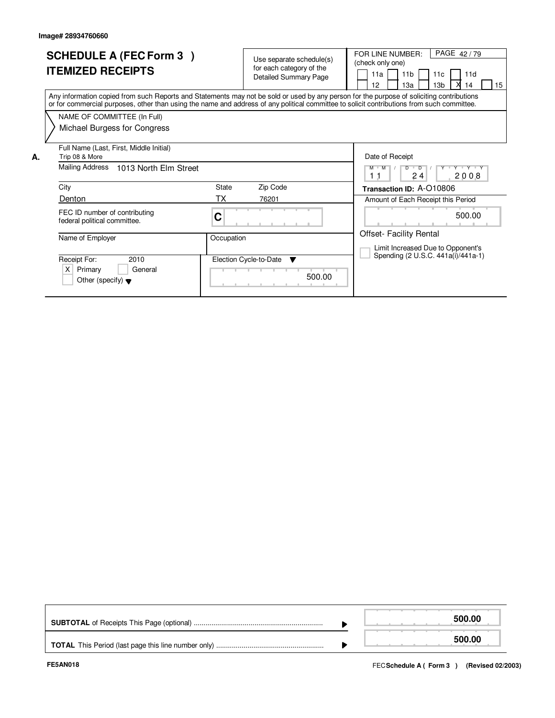|    | <b>SCHEDULE A (FEC Form 3)</b><br><b>ITEMIZED RECEIPTS</b>                                                                                                                                                                                                                              |             | Use separate schedule(s)<br>for each category of the<br><b>Detailed Summary Page</b> |        | PAGE 42/79<br>FOR LINE NUMBER:<br>(check only one)<br>11 <sub>b</sub><br>11d<br>11a<br>11 <sub>c</sub><br>12<br>13a<br>13 <sub>b</sub><br>15<br>14 |
|----|-----------------------------------------------------------------------------------------------------------------------------------------------------------------------------------------------------------------------------------------------------------------------------------------|-------------|--------------------------------------------------------------------------------------|--------|----------------------------------------------------------------------------------------------------------------------------------------------------|
|    | Any information copied from such Reports and Statements may not be sold or used by any person for the purpose of soliciting contributions<br>or for commercial purposes, other than using the name and address of any political committee to solicit contributions from such committee. |             |                                                                                      |        |                                                                                                                                                    |
|    | NAME OF COMMITTEE (In Full)<br>Michael Burgess for Congress                                                                                                                                                                                                                             |             |                                                                                      |        |                                                                                                                                                    |
| А. | Full Name (Last, First, Middle Initial)<br>Trip 08 & More<br>Mailing Address<br>1013 North Elm Street                                                                                                                                                                                   |             |                                                                                      |        | Date of Receipt<br>Y 'Y 'Y<br>$M$ $M$<br>$D$ $D$<br>24<br>2008<br>11                                                                               |
|    | City<br>Denton                                                                                                                                                                                                                                                                          | State<br>ТX | Zip Code<br>76201                                                                    |        | Transaction ID: A-O10806                                                                                                                           |
|    | FEC ID number of contributing<br>federal political committee.                                                                                                                                                                                                                           | C           |                                                                                      |        | Amount of Each Receipt this Period<br>500.00                                                                                                       |
|    | Name of Employer                                                                                                                                                                                                                                                                        | Occupation  |                                                                                      |        | <b>Offset- Facility Rental</b><br>Limit Increased Due to Opponent's<br>Spending (2 U.S.C. 441a(i)/441a-1)                                          |
|    | Receipt For:<br>2010<br>Primary<br>X.<br>General<br>Other (specify) $\blacktriangledown$                                                                                                                                                                                                |             | Election Cycle-to-Date<br><b>v</b>                                                   | 500.00 |                                                                                                                                                    |

|  | 500.00 |
|--|--------|
|  | 500.00 |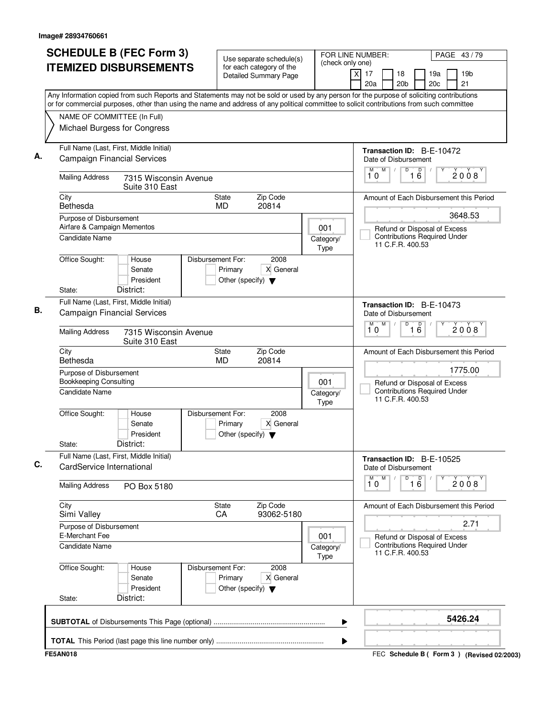|  |                                                                                                                                             | <b>SCHEDULE B (FEC Form 3)</b>                                                                                                                                                                                                                                                         |                   |                                                 | Use separate schedule(s)                                 | (check only one) | FOR LINE NUMBER:<br>PAGE 43/79 |                                                          |                 |                       |                 |                                                                     |  |                                         |
|--|---------------------------------------------------------------------------------------------------------------------------------------------|----------------------------------------------------------------------------------------------------------------------------------------------------------------------------------------------------------------------------------------------------------------------------------------|-------------------|-------------------------------------------------|----------------------------------------------------------|------------------|--------------------------------|----------------------------------------------------------|-----------------|-----------------------|-----------------|---------------------------------------------------------------------|--|-----------------------------------------|
|  |                                                                                                                                             | <b>ITEMIZED DISBURSEMENTS</b>                                                                                                                                                                                                                                                          |                   |                                                 | for each category of the<br><b>Detailed Summary Page</b> |                  |                                | $\times$<br>17<br>20a                                    |                 | 18<br>20 <sub>b</sub> |                 | 19a<br>20c                                                          |  | 19 <sub>b</sub><br>21                   |
|  |                                                                                                                                             | Any Information copied from such Reports and Statements may not be sold or used by any person for the purpose of soliciting contributions<br>or for commercial purposes, other than using the name and address of any political committee to solicit contributions from such committee |                   |                                                 |                                                          |                  |                                |                                                          |                 |                       |                 |                                                                     |  |                                         |
|  | NAME OF COMMITTEE (In Full)                                                                                                                 |                                                                                                                                                                                                                                                                                        |                   |                                                 |                                                          |                  |                                |                                                          |                 |                       |                 |                                                                     |  |                                         |
|  |                                                                                                                                             | Michael Burgess for Congress                                                                                                                                                                                                                                                           |                   |                                                 |                                                          |                  |                                |                                                          |                 |                       |                 |                                                                     |  |                                         |
|  |                                                                                                                                             | Full Name (Last, First, Middle Initial)<br><b>Campaign Financial Services</b>                                                                                                                                                                                                          |                   |                                                 |                                                          |                  |                                | Transaction ID: B-E-10472<br>Date of Disbursement        |                 |                       |                 |                                                                     |  |                                         |
|  | <b>Mailing Address</b>                                                                                                                      | 7315 Wisconsin Avenue<br>Suite 310 East                                                                                                                                                                                                                                                |                   |                                                 |                                                          |                  |                                | M<br>10                                                  | M<br>$\sqrt{ }$ | $\overline{D}$        | 1 <sup>D</sup>  |                                                                     |  | 2008                                    |
|  | City<br>Bethesda                                                                                                                            |                                                                                                                                                                                                                                                                                        |                   | State<br><b>MD</b>                              | Zip Code<br>20814                                        |                  |                                |                                                          |                 |                       |                 |                                                                     |  | Amount of Each Disbursement this Period |
|  | Purpose of Disbursement                                                                                                                     |                                                                                                                                                                                                                                                                                        |                   |                                                 |                                                          |                  |                                |                                                          |                 |                       |                 |                                                                     |  | 3648.53                                 |
|  | Airfare & Campaign Mementos<br>Candidate Name                                                                                               |                                                                                                                                                                                                                                                                                        |                   |                                                 |                                                          |                  | 001<br>Category/               |                                                          |                 | 11 C.F.R. 400.53      |                 | Refund or Disposal of Excess<br><b>Contributions Required Under</b> |  |                                         |
|  | Office Sought:                                                                                                                              | House<br>Senate<br>President                                                                                                                                                                                                                                                           | Disbursement For: | Primary<br>Other (specify) $\blacktriangledown$ | 2008<br>X General                                        |                  | <b>Type</b>                    |                                                          |                 |                       |                 |                                                                     |  |                                         |
|  | State:                                                                                                                                      | District:                                                                                                                                                                                                                                                                              |                   |                                                 |                                                          |                  |                                |                                                          |                 |                       |                 |                                                                     |  |                                         |
|  | Full Name (Last, First, Middle Initial)<br><b>Campaign Financial Services</b>                                                               |                                                                                                                                                                                                                                                                                        |                   |                                                 |                                                          |                  |                                | <b>Transaction ID: B-E-10473</b><br>Date of Disbursement |                 |                       |                 |                                                                     |  |                                         |
|  | <b>Mailing Address</b><br>7315 Wisconsin Avenue<br>Suite 310 East                                                                           |                                                                                                                                                                                                                                                                                        |                   |                                                 |                                                          |                  |                                | M<br>10                                                  | M               | D                     | $\overline{16}$ |                                                                     |  | 2008                                    |
|  | City<br>Zip Code<br>State<br>Bethesda<br><b>MD</b><br>20814                                                                                 |                                                                                                                                                                                                                                                                                        |                   |                                                 |                                                          |                  |                                | Amount of Each Disbursement this Period                  |                 |                       |                 |                                                                     |  |                                         |
|  | Purpose of Disbursement<br><b>Bookkeeping Consulting</b>                                                                                    |                                                                                                                                                                                                                                                                                        |                   |                                                 |                                                          |                  | 001                            |                                                          |                 |                       |                 | Refund or Disposal of Excess<br><b>Contributions Required Under</b> |  | 1775.00                                 |
|  | Candidate Name                                                                                                                              |                                                                                                                                                                                                                                                                                        |                   |                                                 |                                                          |                  | Category/<br>Type              |                                                          |                 | 11 C.F.R. 400.53      |                 |                                                                     |  |                                         |
|  | Office Sought:<br>State:                                                                                                                    | House<br>Senate<br>President<br>District:                                                                                                                                                                                                                                              | Disbursement For: | Primary<br>Other (specify) $\blacktriangledown$ | 2008<br>X General                                        |                  |                                |                                                          |                 |                       |                 |                                                                     |  |                                         |
|  | CardService International                                                                                                                   | Full Name (Last, First, Middle Initial)                                                                                                                                                                                                                                                |                   |                                                 |                                                          |                  |                                | Transaction ID: B-E-10525<br>Date of Disbursement        |                 |                       |                 |                                                                     |  |                                         |
|  | <b>Mailing Address</b>                                                                                                                      | PO Box 5180                                                                                                                                                                                                                                                                            |                   |                                                 |                                                          |                  |                                | М<br>10                                                  | M               | D                     | 16              |                                                                     |  | 2008                                    |
|  | City<br>Simi Valley                                                                                                                         |                                                                                                                                                                                                                                                                                        |                   | <b>State</b><br>CA                              | Zip Code<br>93062-5180                                   |                  |                                |                                                          |                 |                       |                 |                                                                     |  | Amount of Each Disbursement this Period |
|  | Purpose of Disbursement<br>E-Merchant Fee<br>Candidate Name                                                                                 |                                                                                                                                                                                                                                                                                        |                   |                                                 |                                                          |                  | 001                            |                                                          |                 |                       |                 | Refund or Disposal of Excess                                        |  | 2.71                                    |
|  |                                                                                                                                             |                                                                                                                                                                                                                                                                                        |                   |                                                 |                                                          |                  | Category/<br><b>Type</b>       |                                                          |                 | 11 C.F.R. 400.53      |                 | <b>Contributions Required Under</b>                                 |  |                                         |
|  | Office Sought:<br>Disbursement For:<br>2008<br>House<br>X General<br>Primary<br>Senate<br>President<br>Other (specify) $\blacktriangledown$ |                                                                                                                                                                                                                                                                                        |                   |                                                 |                                                          |                  |                                |                                                          |                 |                       |                 |                                                                     |  |                                         |
|  | State:                                                                                                                                      | District:                                                                                                                                                                                                                                                                              |                   |                                                 |                                                          |                  |                                |                                                          |                 |                       |                 |                                                                     |  |                                         |
|  |                                                                                                                                             |                                                                                                                                                                                                                                                                                        |                   |                                                 |                                                          |                  | ▶                              |                                                          |                 |                       |                 |                                                                     |  | 5426.24                                 |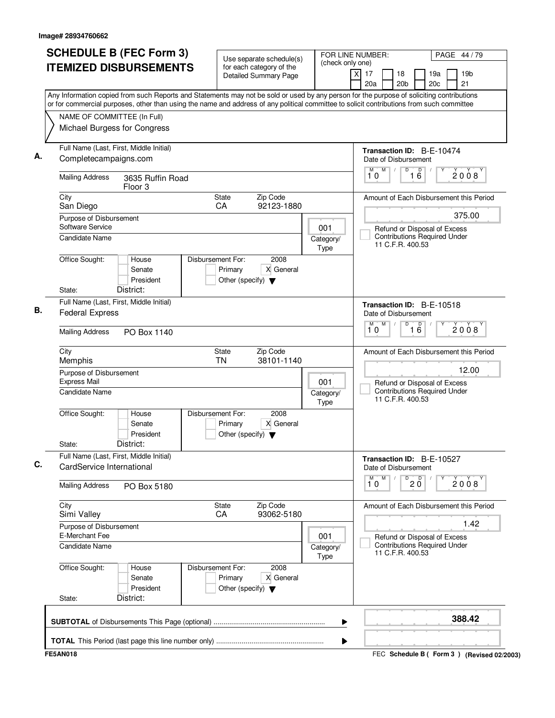| <b>SCHEDULE B (FEC Form 3)</b><br><b>ITEMIZED DISBURSEMENTS</b>                                                                                                                                                                                                                        | Use separate schedule(s)<br>for each category of the<br><b>Detailed Summary Page</b>      | FOR LINE NUMBER:<br>(check only one)         | PAGE 44/79<br>19 <sub>b</sub><br>X<br>17<br>18<br>19a<br>20a<br>20 <sub>b</sub><br>20c<br>21 |  |  |  |
|----------------------------------------------------------------------------------------------------------------------------------------------------------------------------------------------------------------------------------------------------------------------------------------|-------------------------------------------------------------------------------------------|----------------------------------------------|----------------------------------------------------------------------------------------------|--|--|--|
| Any Information copied from such Reports and Statements may not be sold or used by any person for the purpose of soliciting contributions<br>or for commercial purposes, other than using the name and address of any political committee to solicit contributions from such committee |                                                                                           |                                              |                                                                                              |  |  |  |
| NAME OF COMMITTEE (In Full)<br>Michael Burgess for Congress                                                                                                                                                                                                                            |                                                                                           |                                              |                                                                                              |  |  |  |
| Full Name (Last, First, Middle Initial)<br>Completecampaigns.com                                                                                                                                                                                                                       |                                                                                           |                                              | Transaction ID: B-E-10474<br>Date of Disbursement                                            |  |  |  |
| <b>Mailing Address</b><br>3635 Ruffin Road<br>Floor <sub>3</sub>                                                                                                                                                                                                                       |                                                                                           |                                              | M<br>$\overline{D}$<br>M<br>$\overline{16}$<br>2008<br>10                                    |  |  |  |
| City<br>San Diego                                                                                                                                                                                                                                                                      | Zip Code<br><b>State</b><br>92123-1880<br>CA                                              |                                              | Amount of Each Disbursement this Period                                                      |  |  |  |
| Purpose of Disbursement<br>Software Service                                                                                                                                                                                                                                            |                                                                                           | 001                                          | 375.00<br>Refund or Disposal of Excess                                                       |  |  |  |
| <b>Candidate Name</b>                                                                                                                                                                                                                                                                  |                                                                                           | Category/<br>Type                            | <b>Contributions Required Under</b><br>11 C.F.R. 400.53                                      |  |  |  |
| Office Sought:<br>House<br>Senate<br>President<br>District:<br>State:                                                                                                                                                                                                                  | Disbursement For:<br>2008<br>X General<br>Primary<br>Other (specify) $\blacktriangledown$ |                                              |                                                                                              |  |  |  |
| Full Name (Last, First, Middle Initial)                                                                                                                                                                                                                                                |                                                                                           |                                              | Transaction ID: B-E-10518                                                                    |  |  |  |
| <b>Federal Express</b>                                                                                                                                                                                                                                                                 |                                                                                           |                                              | Date of Disbursement                                                                         |  |  |  |
| <b>Mailing Address</b><br>PO Box 1140                                                                                                                                                                                                                                                  |                                                                                           | M<br>$\overline{16}$<br>M<br>D<br>2008<br>10 |                                                                                              |  |  |  |
| City<br>Memphis                                                                                                                                                                                                                                                                        | State<br>Zip Code<br><b>TN</b><br>38101-1140                                              |                                              | Amount of Each Disbursement this Period                                                      |  |  |  |
| Purpose of Disbursement<br><b>Express Mail</b>                                                                                                                                                                                                                                         |                                                                                           | 001                                          | 12.00<br>Refund or Disposal of Excess                                                        |  |  |  |
| Candidate Name                                                                                                                                                                                                                                                                         |                                                                                           | Category/<br>Type                            | <b>Contributions Required Under</b><br>11 C.F.R. 400.53                                      |  |  |  |
| Office Sought:<br>House<br>Senate<br>President<br>District:<br>State:                                                                                                                                                                                                                  | Disbursement For:<br>2008<br>X General<br>Primary<br>Other (specify) $\blacktriangledown$ |                                              |                                                                                              |  |  |  |
| Full Name (Last, First, Middle Initial)<br>CardService International                                                                                                                                                                                                                   |                                                                                           |                                              | Transaction ID: B-E-10527<br>Date of Disbursement                                            |  |  |  |
| <b>Mailing Address</b><br>PO Box 5180                                                                                                                                                                                                                                                  |                                                                                           |                                              | M<br>D<br>D<br>2008<br>2 Ŏ<br>10                                                             |  |  |  |
| City<br>Simi Valley                                                                                                                                                                                                                                                                    | Zip Code<br><b>State</b><br>93062-5180<br>CA                                              |                                              | Amount of Each Disbursement this Period                                                      |  |  |  |
| Purpose of Disbursement<br><b>E-Merchant Fee</b>                                                                                                                                                                                                                                       |                                                                                           |                                              | 1.42                                                                                         |  |  |  |
| Candidate Name                                                                                                                                                                                                                                                                         |                                                                                           | 001<br>Category/<br>Type                     | Refund or Disposal of Excess<br><b>Contributions Required Under</b><br>11 C.F.R. 400.53      |  |  |  |
| Office Sought:<br>House<br>Senate<br>President<br>District:<br>State:                                                                                                                                                                                                                  | 2008<br>Disbursement For:<br>X General<br>Primary<br>Other (specify) $\blacktriangledown$ |                                              |                                                                                              |  |  |  |
|                                                                                                                                                                                                                                                                                        |                                                                                           | ▶                                            | 388.42                                                                                       |  |  |  |
|                                                                                                                                                                                                                                                                                        |                                                                                           | ▶                                            |                                                                                              |  |  |  |
| <b>FE5AN018</b>                                                                                                                                                                                                                                                                        |                                                                                           |                                              | FEC Schedule B ( Form 3 ) (Revised 02/2003)                                                  |  |  |  |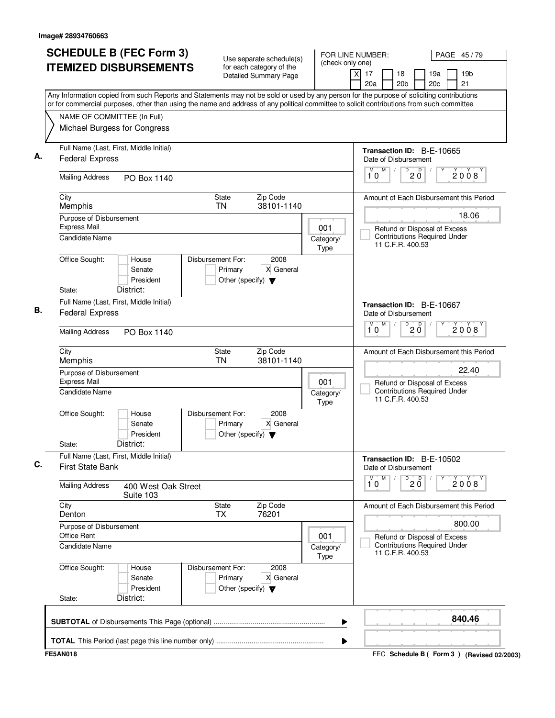| 17<br>18<br>19a<br>19 <sub>b</sub><br>X<br>Detailed Summary Page<br>20a<br>20 <sub>b</sub><br>20c<br>21<br>Any Information copied from such Reports and Statements may not be sold or used by any person for the purpose of soliciting contributions<br>or for commercial purposes, other than using the name and address of any political committee to solicit contributions from such committee<br>NAME OF COMMITTEE (In Full)<br>Michael Burgess for Congress<br>Full Name (Last, First, Middle Initial)<br><b>Transaction ID: B-E-10665</b><br><b>Federal Express</b><br>Date of Disbursement<br>M<br>$\mathsf D$<br>D<br>М<br>2008<br>$2\bar{0}$<br>10<br><b>Mailing Address</b><br>PO Box 1140<br>State<br>Zip Code<br>City<br>38101-1140<br>Memphis<br><b>TN</b><br>18.06<br>Purpose of Disbursement<br><b>Express Mail</b><br>001<br>Refund or Disposal of Excess<br><b>Contributions Required Under</b><br><b>Candidate Name</b><br>Category/<br>11 C.F.R. 400.53<br>Type<br>Office Sought:<br>Disbursement For:<br>2008<br>House<br>Primary<br>X General<br>Senate<br>President<br>Other (specify) $\blacktriangledown$<br>District:<br>State:<br>Full Name (Last, First, Middle Initial)<br>Transaction ID: B-E-10667<br><b>Federal Express</b><br>Date of Disbursement<br>M<br>D<br>$\mathsf D$<br>M<br>2008<br>$2\bar{0}$<br>10<br><b>Mailing Address</b><br>PO Box 1140<br>Zip Code<br>City<br>State<br>Memphis<br><b>TN</b><br>38101-1140<br>22.40<br>Purpose of Disbursement<br><b>Express Mail</b><br>001<br>Refund or Disposal of Excess<br><b>Contributions Required Under</b><br>Candidate Name<br>Category/<br>11 C.F.R. 400.53<br>Type<br>Office Sought:<br>Disbursement For:<br>2008<br>House<br>X General<br>Senate<br>Primary<br>President<br>Other (specify) $\blacktriangledown$<br>District:<br>State:<br>Full Name (Last, First, Middle Initial)<br>Transaction ID: B-E-10502<br><b>First State Bank</b><br>Date of Disbursement<br>M<br>$\overline{0}$ 2 $\overline{0}$<br>М<br>2008<br>10<br><b>Mailing Address</b><br>400 West Oak Street<br>Suite 103<br>City<br>State<br>Zip Code<br><b>TX</b><br>76201<br>Denton<br>800.00<br>Purpose of Disbursement<br><b>Office Rent</b><br>001<br>Refund or Disposal of Excess<br><b>Contributions Required Under</b><br><b>Candidate Name</b><br>Category/<br>11 C.F.R. 400.53<br>Type<br>Office Sought:<br>Disbursement For:<br>2008<br>House<br>X General<br>Senate<br>Primary<br>President<br>Other (specify) $\blacktriangledown$<br>District:<br>State:<br>840.46<br>▶ | <b>SCHEDULE B (FEC Form 3)</b><br><b>ITEMIZED DISBURSEMENTS</b> | Use separate schedule(s)<br>for each category of the | FOR LINE NUMBER:<br>(check only one) | PAGE 45/79                              |
|-----------------------------------------------------------------------------------------------------------------------------------------------------------------------------------------------------------------------------------------------------------------------------------------------------------------------------------------------------------------------------------------------------------------------------------------------------------------------------------------------------------------------------------------------------------------------------------------------------------------------------------------------------------------------------------------------------------------------------------------------------------------------------------------------------------------------------------------------------------------------------------------------------------------------------------------------------------------------------------------------------------------------------------------------------------------------------------------------------------------------------------------------------------------------------------------------------------------------------------------------------------------------------------------------------------------------------------------------------------------------------------------------------------------------------------------------------------------------------------------------------------------------------------------------------------------------------------------------------------------------------------------------------------------------------------------------------------------------------------------------------------------------------------------------------------------------------------------------------------------------------------------------------------------------------------------------------------------------------------------------------------------------------------------------------------------------------------------------------------------------------------------------------------------------------------------------------------------------------------------------------------------------------------------------------------------------------------------------------------------------------------------------------------------------------------------------------------------------------------------------------------------------------------------------------|-----------------------------------------------------------------|------------------------------------------------------|--------------------------------------|-----------------------------------------|
|                                                                                                                                                                                                                                                                                                                                                                                                                                                                                                                                                                                                                                                                                                                                                                                                                                                                                                                                                                                                                                                                                                                                                                                                                                                                                                                                                                                                                                                                                                                                                                                                                                                                                                                                                                                                                                                                                                                                                                                                                                                                                                                                                                                                                                                                                                                                                                                                                                                                                                                                                     |                                                                 |                                                      |                                      |                                         |
|                                                                                                                                                                                                                                                                                                                                                                                                                                                                                                                                                                                                                                                                                                                                                                                                                                                                                                                                                                                                                                                                                                                                                                                                                                                                                                                                                                                                                                                                                                                                                                                                                                                                                                                                                                                                                                                                                                                                                                                                                                                                                                                                                                                                                                                                                                                                                                                                                                                                                                                                                     |                                                                 |                                                      |                                      |                                         |
|                                                                                                                                                                                                                                                                                                                                                                                                                                                                                                                                                                                                                                                                                                                                                                                                                                                                                                                                                                                                                                                                                                                                                                                                                                                                                                                                                                                                                                                                                                                                                                                                                                                                                                                                                                                                                                                                                                                                                                                                                                                                                                                                                                                                                                                                                                                                                                                                                                                                                                                                                     |                                                                 |                                                      |                                      |                                         |
|                                                                                                                                                                                                                                                                                                                                                                                                                                                                                                                                                                                                                                                                                                                                                                                                                                                                                                                                                                                                                                                                                                                                                                                                                                                                                                                                                                                                                                                                                                                                                                                                                                                                                                                                                                                                                                                                                                                                                                                                                                                                                                                                                                                                                                                                                                                                                                                                                                                                                                                                                     |                                                                 |                                                      |                                      |                                         |
|                                                                                                                                                                                                                                                                                                                                                                                                                                                                                                                                                                                                                                                                                                                                                                                                                                                                                                                                                                                                                                                                                                                                                                                                                                                                                                                                                                                                                                                                                                                                                                                                                                                                                                                                                                                                                                                                                                                                                                                                                                                                                                                                                                                                                                                                                                                                                                                                                                                                                                                                                     |                                                                 |                                                      |                                      |                                         |
|                                                                                                                                                                                                                                                                                                                                                                                                                                                                                                                                                                                                                                                                                                                                                                                                                                                                                                                                                                                                                                                                                                                                                                                                                                                                                                                                                                                                                                                                                                                                                                                                                                                                                                                                                                                                                                                                                                                                                                                                                                                                                                                                                                                                                                                                                                                                                                                                                                                                                                                                                     |                                                                 |                                                      |                                      |                                         |
|                                                                                                                                                                                                                                                                                                                                                                                                                                                                                                                                                                                                                                                                                                                                                                                                                                                                                                                                                                                                                                                                                                                                                                                                                                                                                                                                                                                                                                                                                                                                                                                                                                                                                                                                                                                                                                                                                                                                                                                                                                                                                                                                                                                                                                                                                                                                                                                                                                                                                                                                                     |                                                                 |                                                      |                                      | Amount of Each Disbursement this Period |
|                                                                                                                                                                                                                                                                                                                                                                                                                                                                                                                                                                                                                                                                                                                                                                                                                                                                                                                                                                                                                                                                                                                                                                                                                                                                                                                                                                                                                                                                                                                                                                                                                                                                                                                                                                                                                                                                                                                                                                                                                                                                                                                                                                                                                                                                                                                                                                                                                                                                                                                                                     |                                                                 |                                                      |                                      |                                         |
|                                                                                                                                                                                                                                                                                                                                                                                                                                                                                                                                                                                                                                                                                                                                                                                                                                                                                                                                                                                                                                                                                                                                                                                                                                                                                                                                                                                                                                                                                                                                                                                                                                                                                                                                                                                                                                                                                                                                                                                                                                                                                                                                                                                                                                                                                                                                                                                                                                                                                                                                                     |                                                                 |                                                      |                                      |                                         |
|                                                                                                                                                                                                                                                                                                                                                                                                                                                                                                                                                                                                                                                                                                                                                                                                                                                                                                                                                                                                                                                                                                                                                                                                                                                                                                                                                                                                                                                                                                                                                                                                                                                                                                                                                                                                                                                                                                                                                                                                                                                                                                                                                                                                                                                                                                                                                                                                                                                                                                                                                     |                                                                 |                                                      |                                      |                                         |
|                                                                                                                                                                                                                                                                                                                                                                                                                                                                                                                                                                                                                                                                                                                                                                                                                                                                                                                                                                                                                                                                                                                                                                                                                                                                                                                                                                                                                                                                                                                                                                                                                                                                                                                                                                                                                                                                                                                                                                                                                                                                                                                                                                                                                                                                                                                                                                                                                                                                                                                                                     |                                                                 |                                                      |                                      |                                         |
|                                                                                                                                                                                                                                                                                                                                                                                                                                                                                                                                                                                                                                                                                                                                                                                                                                                                                                                                                                                                                                                                                                                                                                                                                                                                                                                                                                                                                                                                                                                                                                                                                                                                                                                                                                                                                                                                                                                                                                                                                                                                                                                                                                                                                                                                                                                                                                                                                                                                                                                                                     |                                                                 |                                                      |                                      |                                         |
|                                                                                                                                                                                                                                                                                                                                                                                                                                                                                                                                                                                                                                                                                                                                                                                                                                                                                                                                                                                                                                                                                                                                                                                                                                                                                                                                                                                                                                                                                                                                                                                                                                                                                                                                                                                                                                                                                                                                                                                                                                                                                                                                                                                                                                                                                                                                                                                                                                                                                                                                                     |                                                                 |                                                      |                                      |                                         |
|                                                                                                                                                                                                                                                                                                                                                                                                                                                                                                                                                                                                                                                                                                                                                                                                                                                                                                                                                                                                                                                                                                                                                                                                                                                                                                                                                                                                                                                                                                                                                                                                                                                                                                                                                                                                                                                                                                                                                                                                                                                                                                                                                                                                                                                                                                                                                                                                                                                                                                                                                     |                                                                 |                                                      |                                      | Amount of Each Disbursement this Period |
|                                                                                                                                                                                                                                                                                                                                                                                                                                                                                                                                                                                                                                                                                                                                                                                                                                                                                                                                                                                                                                                                                                                                                                                                                                                                                                                                                                                                                                                                                                                                                                                                                                                                                                                                                                                                                                                                                                                                                                                                                                                                                                                                                                                                                                                                                                                                                                                                                                                                                                                                                     |                                                                 |                                                      |                                      |                                         |
|                                                                                                                                                                                                                                                                                                                                                                                                                                                                                                                                                                                                                                                                                                                                                                                                                                                                                                                                                                                                                                                                                                                                                                                                                                                                                                                                                                                                                                                                                                                                                                                                                                                                                                                                                                                                                                                                                                                                                                                                                                                                                                                                                                                                                                                                                                                                                                                                                                                                                                                                                     |                                                                 |                                                      |                                      |                                         |
|                                                                                                                                                                                                                                                                                                                                                                                                                                                                                                                                                                                                                                                                                                                                                                                                                                                                                                                                                                                                                                                                                                                                                                                                                                                                                                                                                                                                                                                                                                                                                                                                                                                                                                                                                                                                                                                                                                                                                                                                                                                                                                                                                                                                                                                                                                                                                                                                                                                                                                                                                     |                                                                 |                                                      |                                      |                                         |
|                                                                                                                                                                                                                                                                                                                                                                                                                                                                                                                                                                                                                                                                                                                                                                                                                                                                                                                                                                                                                                                                                                                                                                                                                                                                                                                                                                                                                                                                                                                                                                                                                                                                                                                                                                                                                                                                                                                                                                                                                                                                                                                                                                                                                                                                                                                                                                                                                                                                                                                                                     |                                                                 |                                                      |                                      |                                         |
|                                                                                                                                                                                                                                                                                                                                                                                                                                                                                                                                                                                                                                                                                                                                                                                                                                                                                                                                                                                                                                                                                                                                                                                                                                                                                                                                                                                                                                                                                                                                                                                                                                                                                                                                                                                                                                                                                                                                                                                                                                                                                                                                                                                                                                                                                                                                                                                                                                                                                                                                                     |                                                                 |                                                      |                                      |                                         |
|                                                                                                                                                                                                                                                                                                                                                                                                                                                                                                                                                                                                                                                                                                                                                                                                                                                                                                                                                                                                                                                                                                                                                                                                                                                                                                                                                                                                                                                                                                                                                                                                                                                                                                                                                                                                                                                                                                                                                                                                                                                                                                                                                                                                                                                                                                                                                                                                                                                                                                                                                     |                                                                 |                                                      |                                      |                                         |
|                                                                                                                                                                                                                                                                                                                                                                                                                                                                                                                                                                                                                                                                                                                                                                                                                                                                                                                                                                                                                                                                                                                                                                                                                                                                                                                                                                                                                                                                                                                                                                                                                                                                                                                                                                                                                                                                                                                                                                                                                                                                                                                                                                                                                                                                                                                                                                                                                                                                                                                                                     |                                                                 |                                                      |                                      | Amount of Each Disbursement this Period |
|                                                                                                                                                                                                                                                                                                                                                                                                                                                                                                                                                                                                                                                                                                                                                                                                                                                                                                                                                                                                                                                                                                                                                                                                                                                                                                                                                                                                                                                                                                                                                                                                                                                                                                                                                                                                                                                                                                                                                                                                                                                                                                                                                                                                                                                                                                                                                                                                                                                                                                                                                     |                                                                 |                                                      |                                      |                                         |
|                                                                                                                                                                                                                                                                                                                                                                                                                                                                                                                                                                                                                                                                                                                                                                                                                                                                                                                                                                                                                                                                                                                                                                                                                                                                                                                                                                                                                                                                                                                                                                                                                                                                                                                                                                                                                                                                                                                                                                                                                                                                                                                                                                                                                                                                                                                                                                                                                                                                                                                                                     |                                                                 |                                                      |                                      |                                         |
|                                                                                                                                                                                                                                                                                                                                                                                                                                                                                                                                                                                                                                                                                                                                                                                                                                                                                                                                                                                                                                                                                                                                                                                                                                                                                                                                                                                                                                                                                                                                                                                                                                                                                                                                                                                                                                                                                                                                                                                                                                                                                                                                                                                                                                                                                                                                                                                                                                                                                                                                                     |                                                                 |                                                      |                                      |                                         |
|                                                                                                                                                                                                                                                                                                                                                                                                                                                                                                                                                                                                                                                                                                                                                                                                                                                                                                                                                                                                                                                                                                                                                                                                                                                                                                                                                                                                                                                                                                                                                                                                                                                                                                                                                                                                                                                                                                                                                                                                                                                                                                                                                                                                                                                                                                                                                                                                                                                                                                                                                     |                                                                 |                                                      |                                      |                                         |
|                                                                                                                                                                                                                                                                                                                                                                                                                                                                                                                                                                                                                                                                                                                                                                                                                                                                                                                                                                                                                                                                                                                                                                                                                                                                                                                                                                                                                                                                                                                                                                                                                                                                                                                                                                                                                                                                                                                                                                                                                                                                                                                                                                                                                                                                                                                                                                                                                                                                                                                                                     |                                                                 |                                                      |                                      |                                         |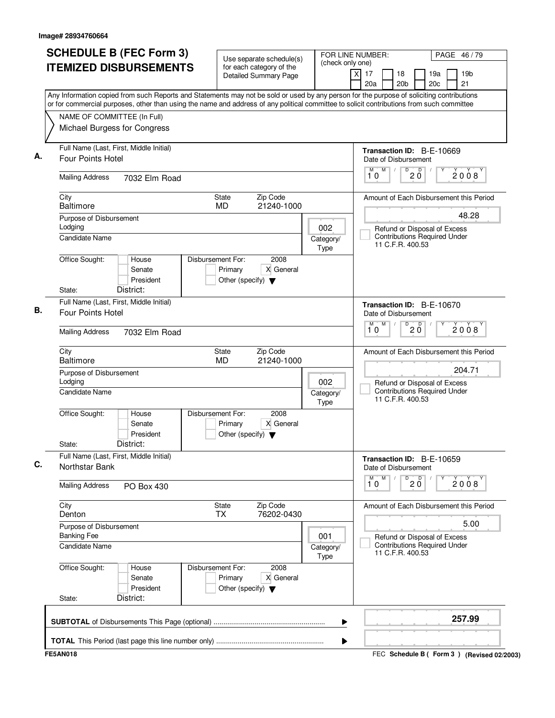| <b>SCHEDULE B (FEC Form 3)</b><br><b>ITEMIZED DISBURSEMENTS</b>                                                                                                                                                                                                                        | Use separate schedule(s)<br>for each category of the                                      | (check only one)                    | FOR LINE NUMBER:                                     | PAGE 46/79                                                          |  |  |
|----------------------------------------------------------------------------------------------------------------------------------------------------------------------------------------------------------------------------------------------------------------------------------------|-------------------------------------------------------------------------------------------|-------------------------------------|------------------------------------------------------|---------------------------------------------------------------------|--|--|
|                                                                                                                                                                                                                                                                                        | <b>Detailed Summary Page</b>                                                              |                                     | $\overline{X}$<br>17<br>18<br>20a<br>20 <sub>b</sub> | 19 <sub>b</sub><br>19a<br>21<br>20c                                 |  |  |
| Any Information copied from such Reports and Statements may not be sold or used by any person for the purpose of soliciting contributions<br>or for commercial purposes, other than using the name and address of any political committee to solicit contributions from such committee |                                                                                           |                                     |                                                      |                                                                     |  |  |
| NAME OF COMMITTEE (In Full)                                                                                                                                                                                                                                                            |                                                                                           |                                     |                                                      |                                                                     |  |  |
| Michael Burgess for Congress                                                                                                                                                                                                                                                           |                                                                                           |                                     |                                                      |                                                                     |  |  |
| Full Name (Last, First, Middle Initial)<br><b>Four Points Hotel</b>                                                                                                                                                                                                                    |                                                                                           |                                     | Transaction ID: B-E-10669<br>Date of Disbursement    |                                                                     |  |  |
| <b>Mailing Address</b><br>7032 Elm Road                                                                                                                                                                                                                                                |                                                                                           |                                     | M<br>D<br>M<br>$\sqrt{2}$<br>10                      | D<br>2008<br>$2\overline{0}$                                        |  |  |
| City<br><b>Baltimore</b>                                                                                                                                                                                                                                                               | Zip Code<br>State<br>MD<br>21240-1000                                                     |                                     |                                                      | Amount of Each Disbursement this Period                             |  |  |
| Purpose of Disbursement                                                                                                                                                                                                                                                                |                                                                                           |                                     |                                                      | 48.28                                                               |  |  |
| Lodging<br><b>Candidate Name</b>                                                                                                                                                                                                                                                       |                                                                                           | 002<br>Category/<br>Type            | 11 C.F.R. 400.53                                     | Refund or Disposal of Excess<br><b>Contributions Required Under</b> |  |  |
| Office Sought:<br>House<br>Senate<br>President<br>District:<br>State:                                                                                                                                                                                                                  | Disbursement For:<br>2008<br>Primary<br>X General<br>Other (specify) $\blacktriangledown$ |                                     |                                                      |                                                                     |  |  |
| Full Name (Last, First, Middle Initial)                                                                                                                                                                                                                                                |                                                                                           |                                     |                                                      |                                                                     |  |  |
| Four Points Hotel                                                                                                                                                                                                                                                                      | Transaction ID: B-E-10670<br>Date of Disbursement<br>M<br>D<br>$20^{\circ}$<br>M<br>2008  |                                     |                                                      |                                                                     |  |  |
| <b>Mailing Address</b><br>7032 Elm Road                                                                                                                                                                                                                                                | 10                                                                                        |                                     |                                                      |                                                                     |  |  |
| City<br><b>Baltimore</b>                                                                                                                                                                                                                                                               | Zip Code<br>State<br><b>MD</b><br>21240-1000                                              |                                     |                                                      | Amount of Each Disbursement this Period<br>204.71                   |  |  |
| Purpose of Disbursement<br>Lodging                                                                                                                                                                                                                                                     | 002                                                                                       |                                     |                                                      |                                                                     |  |  |
| Candidate Name                                                                                                                                                                                                                                                                         |                                                                                           | Category/<br>Type                   | 11 C.F.R. 400.53                                     | Refund or Disposal of Excess<br><b>Contributions Required Under</b> |  |  |
| Office Sought:<br>House<br>Senate<br>President<br>District:<br>State:                                                                                                                                                                                                                  | Disbursement For:<br>2008<br>X General<br>Primary<br>Other (specify) $\blacktriangledown$ |                                     |                                                      |                                                                     |  |  |
| Full Name (Last, First, Middle Initial)<br>Northstar Bank                                                                                                                                                                                                                              |                                                                                           |                                     | Transaction ID: B-E-10659<br>Date of Disbursement    |                                                                     |  |  |
| <b>Mailing Address</b><br>PO Box 430                                                                                                                                                                                                                                                   |                                                                                           |                                     | M<br>D<br>M<br>10                                    | $20^{\circ}$<br>2008                                                |  |  |
| City<br>Denton                                                                                                                                                                                                                                                                         | <b>State</b><br>Zip Code<br>76202-0430<br><b>TX</b>                                       |                                     |                                                      | Amount of Each Disbursement this Period                             |  |  |
| Purpose of Disbursement<br><b>Banking Fee</b>                                                                                                                                                                                                                                          |                                                                                           | 001                                 |                                                      | 5.00<br>Refund or Disposal of Excess                                |  |  |
| <b>Candidate Name</b>                                                                                                                                                                                                                                                                  | 11 C.F.R. 400.53                                                                          | <b>Contributions Required Under</b> |                                                      |                                                                     |  |  |
| Office Sought:<br>House<br>Senate<br>President<br>District:<br>State:                                                                                                                                                                                                                  | Disbursement For:<br>2008<br>Primary<br>X General<br>Other (specify) $\blacktriangledown$ |                                     |                                                      |                                                                     |  |  |
|                                                                                                                                                                                                                                                                                        |                                                                                           | ▶                                   |                                                      | 257.99                                                              |  |  |
|                                                                                                                                                                                                                                                                                        |                                                                                           | ▶                                   |                                                      |                                                                     |  |  |
| <b>FE5AN018</b>                                                                                                                                                                                                                                                                        |                                                                                           |                                     |                                                      | FEC Schedule B (Form 3) (Revised 02/2003)                           |  |  |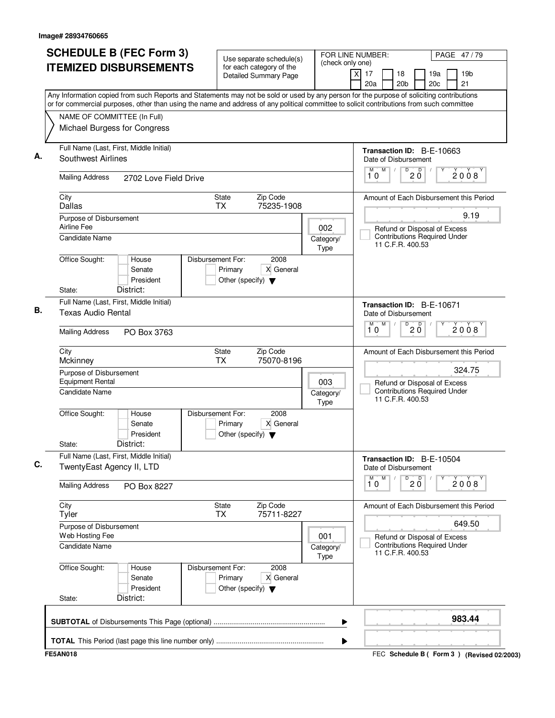|      |                                                                      | <b>SCHEDULE B (FEC Form 3)</b><br><b>ITEMIZED DISBURSEMENTS</b>                                                                                                                                                                                                                        |                   |                                                 | Use separate schedule(s)<br>for each category of the |                   | (check only one)         | FOR LINE NUMBER:                                       |                                 |                                                                     | PAGE 47/79                              |
|------|----------------------------------------------------------------------|----------------------------------------------------------------------------------------------------------------------------------------------------------------------------------------------------------------------------------------------------------------------------------------|-------------------|-------------------------------------------------|------------------------------------------------------|-------------------|--------------------------|--------------------------------------------------------|---------------------------------|---------------------------------------------------------------------|-----------------------------------------|
|      |                                                                      |                                                                                                                                                                                                                                                                                        |                   |                                                 | <b>Detailed Summary Page</b>                         |                   |                          | xl<br>17<br>20a                                        | 18<br>20 <sub>b</sub>           | 19a<br>20c                                                          | 19 <sub>b</sub><br>21                   |
|      |                                                                      | Any Information copied from such Reports and Statements may not be sold or used by any person for the purpose of soliciting contributions<br>or for commercial purposes, other than using the name and address of any political committee to solicit contributions from such committee |                   |                                                 |                                                      |                   |                          |                                                        |                                 |                                                                     |                                         |
|      | NAME OF COMMITTEE (In Full)                                          |                                                                                                                                                                                                                                                                                        |                   |                                                 |                                                      |                   |                          |                                                        |                                 |                                                                     |                                         |
|      |                                                                      | Michael Burgess for Congress                                                                                                                                                                                                                                                           |                   |                                                 |                                                      |                   |                          |                                                        |                                 |                                                                     |                                         |
|      | Southwest Airlines                                                   | Full Name (Last, First, Middle Initial)                                                                                                                                                                                                                                                |                   |                                                 |                                                      |                   |                          | Transaction ID: B-E-10663<br>Date of Disbursement      |                                 |                                                                     |                                         |
|      | <b>Mailing Address</b>                                               | 2702 Love Field Drive                                                                                                                                                                                                                                                                  |                   |                                                 |                                                      |                   |                          | M<br>M<br>10                                           | D<br>$20^{\circ}$               |                                                                     | 2008                                    |
|      | City<br>Dallas                                                       |                                                                                                                                                                                                                                                                                        |                   | State<br><b>TX</b>                              | Zip Code<br>75235-1908                               |                   |                          |                                                        |                                 |                                                                     | Amount of Each Disbursement this Period |
|      | Purpose of Disbursement                                              |                                                                                                                                                                                                                                                                                        |                   |                                                 |                                                      |                   |                          |                                                        |                                 |                                                                     | 9.19                                    |
|      | Airline Fee<br>Candidate Name                                        |                                                                                                                                                                                                                                                                                        |                   |                                                 |                                                      |                   | 002<br>Category/<br>Type |                                                        | 11 C.F.R. 400.53                | Refund or Disposal of Excess<br><b>Contributions Required Under</b> |                                         |
|      | Office Sought:                                                       | House<br>Senate<br>President                                                                                                                                                                                                                                                           | Disbursement For: | Primary<br>Other (specify) $\blacktriangledown$ | 2008<br>X General                                    |                   |                          |                                                        |                                 |                                                                     |                                         |
|      | State:                                                               | District:                                                                                                                                                                                                                                                                              |                   |                                                 |                                                      |                   |                          |                                                        |                                 |                                                                     |                                         |
|      | Full Name (Last, First, Middle Initial)<br><b>Texas Audio Rental</b> |                                                                                                                                                                                                                                                                                        |                   |                                                 |                                                      |                   |                          | Transaction ID: B-E-10671<br>Date of Disbursement      |                                 |                                                                     |                                         |
|      | <b>Mailing Address</b><br>PO Box 3763                                |                                                                                                                                                                                                                                                                                        |                   |                                                 |                                                      |                   |                          | M<br>M<br>10                                           | D<br>$20^{\circ}$               |                                                                     | 2008                                    |
|      | City<br>Mckinney                                                     |                                                                                                                                                                                                                                                                                        |                   | <b>State</b><br><b>TX</b>                       | Zip Code<br>75070-8196                               |                   |                          |                                                        |                                 |                                                                     | Amount of Each Disbursement this Period |
|      | Purpose of Disbursement<br><b>Equipment Rental</b><br>Candidate Name |                                                                                                                                                                                                                                                                                        |                   |                                                 |                                                      |                   | 003                      |                                                        |                                 | Refund or Disposal of Excess<br><b>Contributions Required Under</b> | 324.75                                  |
|      |                                                                      |                                                                                                                                                                                                                                                                                        |                   |                                                 |                                                      | Category/<br>Type |                          | 11 C.F.R. 400.53                                       |                                 |                                                                     |                                         |
|      | Office Sought:<br>State:                                             | House<br>Senate<br>President<br>District:                                                                                                                                                                                                                                              | Disbursement For: | Primary<br>Other (specify) $\blacktriangledown$ | 2008<br>X General                                    |                   |                          |                                                        |                                 |                                                                     |                                         |
|      |                                                                      | Full Name (Last, First, Middle Initial)                                                                                                                                                                                                                                                |                   |                                                 |                                                      |                   |                          |                                                        |                                 |                                                                     |                                         |
|      | TwentyEast Agency II, LTD                                            |                                                                                                                                                                                                                                                                                        |                   |                                                 |                                                      |                   |                          | Transaction ID: B-E-10504<br>Date of Disbursement<br>M |                                 |                                                                     |                                         |
|      | <b>Mailing Address</b>                                               | PO Box 8227                                                                                                                                                                                                                                                                            |                   |                                                 |                                                      |                   |                          | $\overline{\mathbf{1}^M \mathbf{0}}$                   | $\overline{0}$ 2 $\overline{0}$ |                                                                     | 2008                                    |
| City | Tyler                                                                |                                                                                                                                                                                                                                                                                        | <b>TX</b>         | State                                           | Zip Code<br>75711-8227                               |                   |                          |                                                        |                                 |                                                                     | Amount of Each Disbursement this Period |
|      | Purpose of Disbursement                                              |                                                                                                                                                                                                                                                                                        |                   |                                                 |                                                      |                   |                          |                                                        |                                 |                                                                     | 649.50                                  |
|      | Web Hosting Fee<br>Candidate Name                                    |                                                                                                                                                                                                                                                                                        |                   |                                                 |                                                      |                   | 001<br>Category/<br>Type |                                                        | 11 C.F.R. 400.53                | Refund or Disposal of Excess<br><b>Contributions Required Under</b> |                                         |
|      | Office Sought:<br>State:                                             | House<br>Senate<br>President<br>District:                                                                                                                                                                                                                                              | Disbursement For: | Primary<br>Other (specify) $\blacktriangledown$ | 2008<br>X General                                    |                   |                          |                                                        |                                 |                                                                     |                                         |
|      |                                                                      |                                                                                                                                                                                                                                                                                        |                   |                                                 |                                                      |                   |                          |                                                        |                                 |                                                                     |                                         |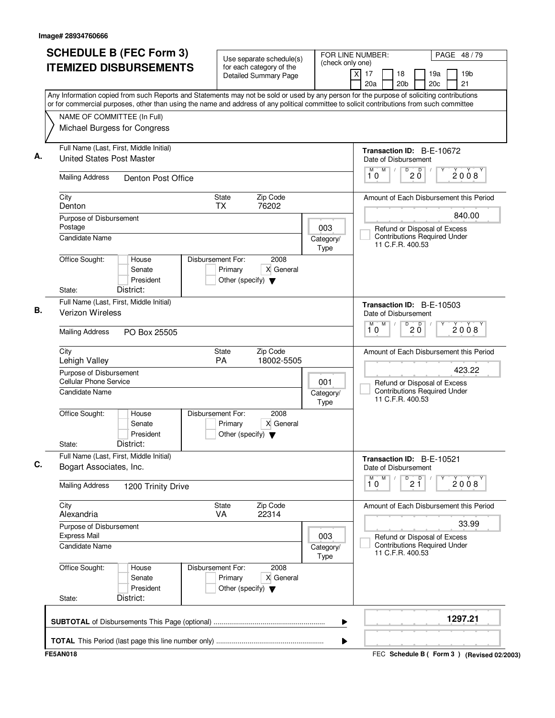|                                                                                   | <b>SCHEDULE B (FEC Form 3)</b><br><b>ITEMIZED DISBURSEMENTS</b> | Use separate schedule(s)<br>for each category of the<br>Detailed Summary Page             | (check only one)  | FOR LINE NUMBER:<br>PAGE 48/79<br>xl<br>17<br>19 <sub>b</sub><br>18<br>19a<br>20c<br>21<br>20a<br>20 <sub>b</sub>                                                                                                                                                                      |
|-----------------------------------------------------------------------------------|-----------------------------------------------------------------|-------------------------------------------------------------------------------------------|-------------------|----------------------------------------------------------------------------------------------------------------------------------------------------------------------------------------------------------------------------------------------------------------------------------------|
| NAME OF COMMITTEE (In Full)                                                       | Michael Burgess for Congress                                    |                                                                                           |                   | Any Information copied from such Reports and Statements may not be sold or used by any person for the purpose of soliciting contributions<br>or for commercial purposes, other than using the name and address of any political committee to solicit contributions from such committee |
| <b>United States Post Master</b>                                                  | Full Name (Last, First, Middle Initial)                         |                                                                                           |                   | Transaction ID: B-E-10672<br>Date of Disbursement                                                                                                                                                                                                                                      |
| <b>Mailing Address</b>                                                            | Denton Post Office                                              |                                                                                           |                   | M<br>$\overline{D}$<br>M<br>$\sqrt{2}$<br>$\overline{D}$<br>2008<br>2 Ŏ<br>10                                                                                                                                                                                                          |
| City<br>Denton                                                                    |                                                                 | Zip Code<br>State<br><b>TX</b><br>76202                                                   |                   | Amount of Each Disbursement this Period                                                                                                                                                                                                                                                |
| Purpose of Disbursement<br>Postage                                                |                                                                 |                                                                                           | 003               | 840.00<br>Refund or Disposal of Excess                                                                                                                                                                                                                                                 |
| Candidate Name                                                                    |                                                                 |                                                                                           | Category/<br>Type | <b>Contributions Required Under</b><br>11 C.F.R. 400.53                                                                                                                                                                                                                                |
| Office Sought:                                                                    | House<br>Senate<br>President                                    | Disbursement For:<br>2008<br>Primary<br>X General<br>Other (specify) $\blacktriangledown$ |                   |                                                                                                                                                                                                                                                                                        |
| State:<br>Verizon Wireless                                                        | District:<br>Full Name (Last, First, Middle Initial)            |                                                                                           |                   | Transaction ID: B-E-10503<br>Date of Disbursement                                                                                                                                                                                                                                      |
| <b>Mailing Address</b>                                                            | PO Box 25505                                                    |                                                                                           |                   | M<br>$\overline{D}$<br>D<br>М<br>2008<br>$2\bar{0}$<br>10                                                                                                                                                                                                                              |
| City<br>Lehigh Valley                                                             |                                                                 | Zip Code<br>State<br>PA<br>18002-5505                                                     |                   | Amount of Each Disbursement this Period                                                                                                                                                                                                                                                |
| Purpose of Disbursement<br><b>Cellular Phone Service</b><br><b>Candidate Name</b> |                                                                 |                                                                                           | 001<br>Category/  | 423.22<br>Refund or Disposal of Excess<br><b>Contributions Required Under</b><br>11 C.F.R. 400.53                                                                                                                                                                                      |
| Office Sought:<br>State:                                                          | House<br>Senate<br>President<br>District:                       | Disbursement For:<br>2008<br>X General<br>Primary<br>Other (specify) $\blacktriangledown$ | <b>Type</b>       |                                                                                                                                                                                                                                                                                        |
| Bogart Associates, Inc.                                                           | Full Name (Last, First, Middle Initial)                         |                                                                                           |                   | Transaction ID: B-E-10521<br>Date of Disbursement<br>M<br>M                                                                                                                                                                                                                            |
| <b>Mailing Address</b>                                                            | 1200 Trinity Drive                                              |                                                                                           |                   | $\overline{P}$ 2 $\overline{1}$<br>2008<br>10                                                                                                                                                                                                                                          |
| City<br>Alexandria                                                                |                                                                 | Zip Code<br>State<br>VA<br>22314                                                          |                   | Amount of Each Disbursement this Period                                                                                                                                                                                                                                                |
| Purpose of Disbursement<br><b>Express Mail</b><br><b>Candidate Name</b>           |                                                                 |                                                                                           | 003<br>Category/  | 33.99<br>Refund or Disposal of Excess<br><b>Contributions Required Under</b><br>11 C.F.R. 400.53                                                                                                                                                                                       |
| Office Sought:<br>State:                                                          | House<br>Senate<br>President<br>District:                       | Disbursement For:<br>2008<br>X General<br>Primary<br>Other (specify) $\blacktriangledown$ | <b>Type</b>       |                                                                                                                                                                                                                                                                                        |
|                                                                                   |                                                                 |                                                                                           |                   | 1297.21                                                                                                                                                                                                                                                                                |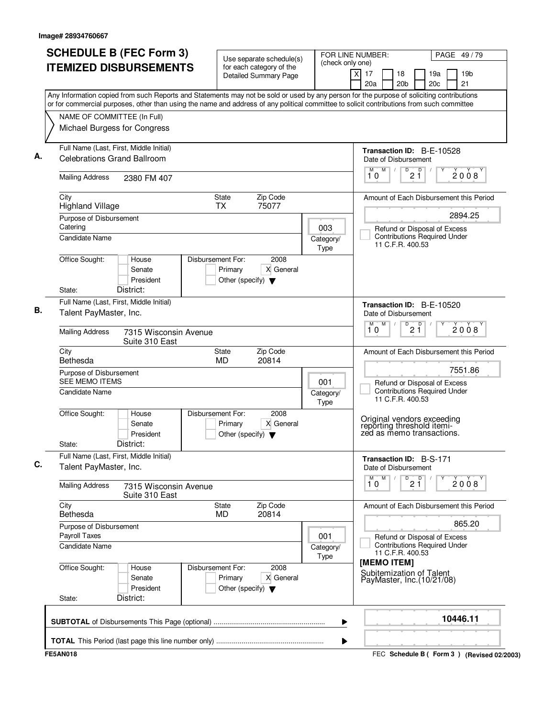| <b>SCHEDULE B (FEC Form 3)</b>                                                                                                                                                                                                                                                         | Use separate schedule(s)                                                                  | (check only one)         | FOR LINE NUMBER:                                                                      | PAGE 49/79                                                          |
|----------------------------------------------------------------------------------------------------------------------------------------------------------------------------------------------------------------------------------------------------------------------------------------|-------------------------------------------------------------------------------------------|--------------------------|---------------------------------------------------------------------------------------|---------------------------------------------------------------------|
| <b>ITEMIZED DISBURSEMENTS</b>                                                                                                                                                                                                                                                          | for each category of the<br>Detailed Summary Page                                         |                          | x<br>17<br>18<br>20a<br>20 <sub>b</sub>                                               | 19a<br>19 <sub>b</sub><br>21<br>20c                                 |
| Any Information copied from such Reports and Statements may not be sold or used by any person for the purpose of soliciting contributions<br>or for commercial purposes, other than using the name and address of any political committee to solicit contributions from such committee |                                                                                           |                          |                                                                                       |                                                                     |
| NAME OF COMMITTEE (In Full)                                                                                                                                                                                                                                                            |                                                                                           |                          |                                                                                       |                                                                     |
| Michael Burgess for Congress                                                                                                                                                                                                                                                           |                                                                                           |                          |                                                                                       |                                                                     |
| Full Name (Last, First, Middle Initial)<br><b>Celebrations Grand Ballroom</b>                                                                                                                                                                                                          |                                                                                           |                          | Transaction ID: B-E-10528<br>Date of Disbursement                                     |                                                                     |
|                                                                                                                                                                                                                                                                                        |                                                                                           |                          | M<br>D<br>M                                                                           | $\mathsf D$                                                         |
| <b>Mailing Address</b><br>2380 FM 407                                                                                                                                                                                                                                                  |                                                                                           |                          | 21<br>10                                                                              | 2008                                                                |
| City<br><b>Highland Village</b>                                                                                                                                                                                                                                                        | Zip Code<br>State<br>75077<br><b>TX</b>                                                   |                          |                                                                                       | Amount of Each Disbursement this Period                             |
| Purpose of Disbursement                                                                                                                                                                                                                                                                |                                                                                           |                          |                                                                                       | 2894.25                                                             |
| Catering                                                                                                                                                                                                                                                                               |                                                                                           | 003                      |                                                                                       | Refund or Disposal of Excess                                        |
| <b>Candidate Name</b>                                                                                                                                                                                                                                                                  |                                                                                           | Category/<br>Type        | 11 C.F.R. 400.53                                                                      | <b>Contributions Required Under</b>                                 |
| Office Sought:<br>House                                                                                                                                                                                                                                                                | Disbursement For:<br>2008                                                                 |                          |                                                                                       |                                                                     |
| Senate                                                                                                                                                                                                                                                                                 | X General<br>Primary                                                                      |                          |                                                                                       |                                                                     |
| President<br>District:                                                                                                                                                                                                                                                                 | Other (specify) $\blacktriangledown$                                                      |                          |                                                                                       |                                                                     |
| State:                                                                                                                                                                                                                                                                                 |                                                                                           |                          |                                                                                       |                                                                     |
| Full Name (Last, First, Middle Initial)<br>Talent PayMaster, Inc.                                                                                                                                                                                                                      |                                                                                           |                          | Transaction ID: B-E-10520<br>Date of Disbursement                                     |                                                                     |
| <b>Mailing Address</b><br>7315 Wisconsin Avenue<br>Suite 310 East                                                                                                                                                                                                                      |                                                                                           |                          | M<br>М<br>D<br>$2\overline{1}$<br>10                                                  | D<br>2008                                                           |
| City<br>Bethesda                                                                                                                                                                                                                                                                       | Zip Code<br>State<br><b>MD</b><br>20814                                                   |                          |                                                                                       | Amount of Each Disbursement this Period                             |
| Purpose of Disbursement                                                                                                                                                                                                                                                                |                                                                                           |                          |                                                                                       | 7551.86                                                             |
| <b>SEE MEMO ITEMS</b><br>Candidate Name                                                                                                                                                                                                                                                |                                                                                           | 001<br>Category/         |                                                                                       | Refund or Disposal of Excess<br><b>Contributions Required Under</b> |
|                                                                                                                                                                                                                                                                                        |                                                                                           | Type                     | 11 C.F.R. 400.53                                                                      |                                                                     |
| Office Sought:<br>House<br>Senate<br>President<br>District:<br>State:                                                                                                                                                                                                                  | Disbursement For:<br>2008<br>X General<br>Primary<br>Other (specify) $\blacktriangledown$ |                          | Original vendors exceeding<br>reporting threshold itemi-<br>zed as memo transactions. |                                                                     |
| Full Name (Last, First, Middle Initial)<br>Talent PayMaster, Inc.                                                                                                                                                                                                                      |                                                                                           |                          | Transaction ID: B-S-171<br>Date of Disbursement                                       |                                                                     |
| <b>Mailing Address</b><br>7315 Wisconsin Avenue<br>Suite 310 East                                                                                                                                                                                                                      |                                                                                           |                          | M<br>$\overline{\mathbf{1}^M \mathbf{0}}$<br>$\overline{21}$                          | 2008                                                                |
| City<br>Bethesda                                                                                                                                                                                                                                                                       | Zip Code<br>State<br>20814<br><b>MD</b>                                                   |                          |                                                                                       | Amount of Each Disbursement this Period                             |
| Purpose of Disbursement<br>Payroll Taxes                                                                                                                                                                                                                                               |                                                                                           |                          |                                                                                       | 865.20                                                              |
| Candidate Name                                                                                                                                                                                                                                                                         |                                                                                           | 001<br>Category/<br>Type | 11 C.F.R. 400.53                                                                      | Refund or Disposal of Excess<br><b>Contributions Required Under</b> |
| Office Sought:<br>House<br>Senate<br>President<br>District:<br>State:                                                                                                                                                                                                                  | Disbursement For:<br>2008<br>Primary<br>X General<br>Other (specify) $\blacktriangledown$ |                          | [MEMO ITEM]<br>Subitemization of Talent<br>PayMaster, Inc. (10/21/08)                 |                                                                     |
|                                                                                                                                                                                                                                                                                        |                                                                                           | ▶                        |                                                                                       | 10446.11                                                            |
|                                                                                                                                                                                                                                                                                        |                                                                                           | ▶                        |                                                                                       |                                                                     |
| <b>FE5AN018</b>                                                                                                                                                                                                                                                                        |                                                                                           |                          |                                                                                       | FEC Schedule B (Form 3) (Revised 02/2003)                           |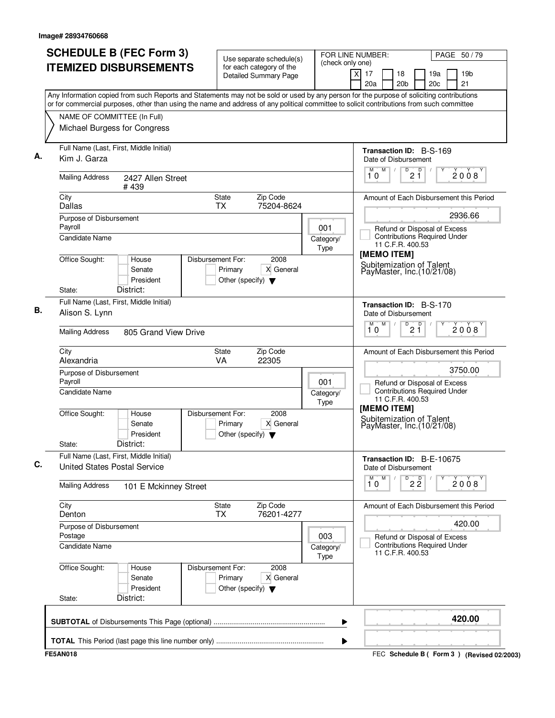| <b>SCHEDULE B (FEC Form 3)</b><br><b>ITEMIZED DISBURSEMENTS</b>                     |                                           | Use separate schedule(s)<br>for each category of the<br><b>Detailed Summary Page</b> | FOR LINE NUMBER:<br>(check only one) | PAGE 50/79<br>19 <sub>b</sub><br>xl<br>17<br>18<br>19a<br>21<br>20a<br>20 <sub>b</sub><br>20c<br>Any Information copied from such Reports and Statements may not be sold or used by any person for the purpose of soliciting contributions |
|-------------------------------------------------------------------------------------|-------------------------------------------|--------------------------------------------------------------------------------------|--------------------------------------|--------------------------------------------------------------------------------------------------------------------------------------------------------------------------------------------------------------------------------------------|
| NAME OF COMMITTEE (In Full)<br>Michael Burgess for Congress                         |                                           |                                                                                      |                                      | or for commercial purposes, other than using the name and address of any political committee to solicit contributions from such committee                                                                                                  |
| Full Name (Last, First, Middle Initial)<br>А.<br>Kim J. Garza                       |                                           |                                                                                      |                                      | <b>Transaction ID: B-S-169</b><br>Date of Disbursement                                                                                                                                                                                     |
| <b>Mailing Address</b><br>#439                                                      | 2427 Allen Street                         |                                                                                      |                                      | M<br>D<br>M<br>D<br>$\sqrt{2}$<br>2008<br>2 Ĭ<br>10                                                                                                                                                                                        |
| City<br>Dallas                                                                      | State<br><b>TX</b>                        | Zip Code<br>75204-8624                                                               |                                      | Amount of Each Disbursement this Period                                                                                                                                                                                                    |
| Purpose of Disbursement<br>Payroll<br><b>Candidate Name</b>                         |                                           |                                                                                      | 001<br>Category/<br><b>Type</b>      | 2936.66<br>Refund or Disposal of Excess<br><b>Contributions Required Under</b><br>11 C.F.R. 400.53                                                                                                                                         |
| Office Sought:<br>House<br>Senate<br>District:<br>State:                            | Disbursement For:<br>Primary<br>President | 2008<br>X General<br>Other (specify) $\blacktriangledown$                            |                                      | [MEMO ITEM]<br>Subitemization of Talent<br>PayMaster, Inc. (10/21/08)                                                                                                                                                                      |
| Full Name (Last, First, Middle Initial)<br>Alison S. Lynn<br><b>Mailing Address</b> | 805 Grand View Drive                      |                                                                                      |                                      | Transaction ID: B-S-170<br>Date of Disbursement<br>M<br>$\overline{D}$<br>M<br>2 <sup>0</sup><br>2008<br>10                                                                                                                                |
| City<br>Alexandria                                                                  | State<br>VA                               | Zip Code<br>22305                                                                    |                                      | Amount of Each Disbursement this Period                                                                                                                                                                                                    |
| Purpose of Disbursement<br>Payroll<br><b>Candidate Name</b>                         |                                           |                                                                                      | 001<br>Category/<br>Type             | 3750.00<br>Refund or Disposal of Excess<br><b>Contributions Required Under</b><br>11 C.F.R. 400.53                                                                                                                                         |
| Office Sought:<br>House<br>Senate<br>District:<br>State:                            | Disbursement For:<br>Primary<br>President | 2008<br>X General<br>Other (specify) $\blacktriangledown$                            |                                      | [MEMO ITEM]<br>Subitemization of Talent<br>PayMaster, Inc. (10/21/08)                                                                                                                                                                      |
| Full Name (Last, First, Middle Initial)<br><b>United States Postal Service</b>      |                                           |                                                                                      |                                      | Transaction ID: B-E-10675<br>Date of Disbursement                                                                                                                                                                                          |
| <b>Mailing Address</b>                                                              | 101 E Mckinney Street                     |                                                                                      |                                      | M<br>D<br>22<br>М<br>2008<br>10                                                                                                                                                                                                            |
| City<br>Denton                                                                      | <b>State</b><br><b>TX</b>                 | Zip Code<br>76201-4277                                                               |                                      | Amount of Each Disbursement this Period                                                                                                                                                                                                    |
| Purpose of Disbursement<br>Postage<br><b>Candidate Name</b>                         |                                           |                                                                                      | 003<br>Category/<br>Type             | 420.00<br>Refund or Disposal of Excess<br><b>Contributions Required Under</b><br>11 C.F.R. 400.53                                                                                                                                          |
| Office Sought:<br>House<br>Senate<br>District:<br>State:                            | Disbursement For:<br>Primary<br>President | 2008<br>X General<br>Other (specify) $\blacktriangledown$                            |                                      |                                                                                                                                                                                                                                            |
|                                                                                     |                                           |                                                                                      |                                      | 420.00                                                                                                                                                                                                                                     |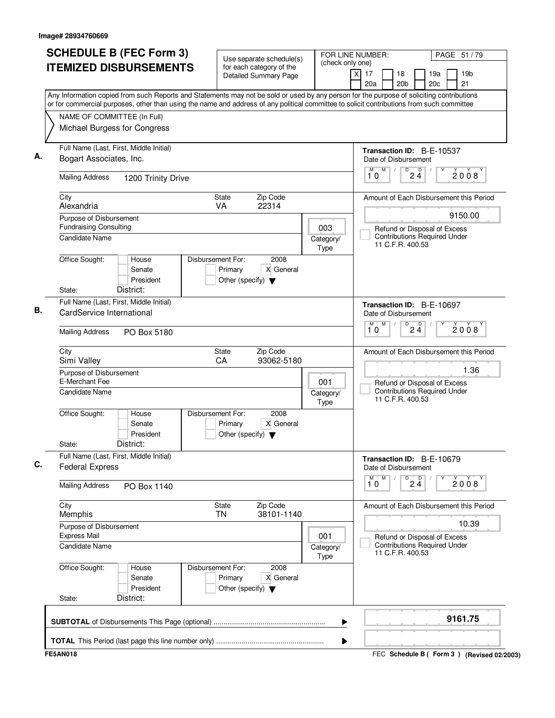| <b>SCHEDULE B (FEC Form 3)</b><br><b>ITEMIZED DISBURSEMENTS</b><br>Any Information copied from such Reports and Statements may not be sold or used by any person for the purpose of soliciting contributions | Use separate schedule(s)<br>for each category of the<br><b>Detailed Summary Page</b>      | (check only one)  | FOR LINE NUMBER:<br>PAGE 51 / 79<br>$\times$<br>17<br>19 <sub>b</sub><br>18<br>19a<br>20c<br>21<br>20a<br>20 <sub>b</sub> |
|--------------------------------------------------------------------------------------------------------------------------------------------------------------------------------------------------------------|-------------------------------------------------------------------------------------------|-------------------|---------------------------------------------------------------------------------------------------------------------------|
| or for commercial purposes, other than using the name and address of any political committee to solicit contributions from such committee<br>NAME OF COMMITTEE (In Full)<br>Michael Burgess for Congress     |                                                                                           |                   |                                                                                                                           |
| Full Name (Last, First, Middle Initial)<br>Bogart Associates, Inc.                                                                                                                                           |                                                                                           |                   | Transaction ID: B-E-10537<br>Date of Disbursement<br>M<br>$\sqrt{2}$                                                      |
| <b>Mailing Address</b><br>1200 Trinity Drive                                                                                                                                                                 |                                                                                           |                   | $D$ <sub>2</sub> $\frac{D}{4}$<br>2008<br>10                                                                              |
| City<br>Alexandria                                                                                                                                                                                           | <b>State</b><br>Zip Code<br><b>VA</b><br>22314                                            |                   | Amount of Each Disbursement this Period                                                                                   |
| Purpose of Disbursement<br><b>Fundraising Consulting</b>                                                                                                                                                     |                                                                                           | 003               | 9150.00<br>Refund or Disposal of Excess                                                                                   |
| <b>Candidate Name</b>                                                                                                                                                                                        |                                                                                           | Category/<br>Type | <b>Contributions Required Under</b><br>11 C.F.R. 400.53                                                                   |
| Office Sought:<br>House<br>Senate<br>President<br>District:<br>State:                                                                                                                                        | Disbursement For:<br>2008<br>Primary<br>X General<br>Other (specify) $\blacktriangledown$ |                   |                                                                                                                           |
| Full Name (Last, First, Middle Initial)                                                                                                                                                                      |                                                                                           |                   | Transaction ID: B-E-10697                                                                                                 |
| CardService International                                                                                                                                                                                    |                                                                                           |                   | Date of Disbursement                                                                                                      |
| <b>Mailing Address</b><br>PO Box 5180                                                                                                                                                                        |                                                                                           |                   | M<br>D<br>D<br>M<br>2008<br>$2\AA$<br>10                                                                                  |
| City<br>Simi Valley                                                                                                                                                                                          | Zip Code<br>State<br>CA<br>93062-5180                                                     |                   | Amount of Each Disbursement this Period                                                                                   |
| Purpose of Disbursement<br>E-Merchant Fee                                                                                                                                                                    |                                                                                           | 001               | 1.36<br>Refund or Disposal of Excess                                                                                      |
| <b>Candidate Name</b>                                                                                                                                                                                        |                                                                                           | Category/<br>Type | <b>Contributions Required Under</b><br>11 C.F.R. 400.53                                                                   |
| Office Sought:<br>House<br>Senate<br>President<br>District:<br>State:                                                                                                                                        | Disbursement For:<br>2008<br>X General<br>Primary<br>Other (specify) $\blacktriangledown$ |                   |                                                                                                                           |
| Full Name (Last, First, Middle Initial)<br><b>Federal Express</b>                                                                                                                                            |                                                                                           |                   | Transaction ID: B-E-10679<br>Date of Disbursement                                                                         |
| <b>Mailing Address</b><br>PO Box 1140                                                                                                                                                                        |                                                                                           |                   | M<br>D<br>$2\frac{D}{4}$<br>M<br>2008<br>10                                                                               |
| City<br>Memphis                                                                                                                                                                                              | Zip Code<br>State<br>38101-1140<br><b>TN</b>                                              |                   | Amount of Each Disbursement this Period                                                                                   |
| Purpose of Disbursement<br><b>Express Mail</b>                                                                                                                                                               |                                                                                           | 001               | 10.39<br>Refund or Disposal of Excess                                                                                     |
| <b>Candidate Name</b>                                                                                                                                                                                        |                                                                                           | Category/<br>Type | <b>Contributions Required Under</b><br>11 C.F.R. 400.53                                                                   |
| Office Sought:<br>House<br>Senate<br>President                                                                                                                                                               | Disbursement For:<br>2008<br>X General<br>Primary<br>Other (specify) $\blacktriangledown$ |                   |                                                                                                                           |
| District:<br>State:                                                                                                                                                                                          |                                                                                           |                   |                                                                                                                           |
|                                                                                                                                                                                                              |                                                                                           | ▶                 | 9161.75                                                                                                                   |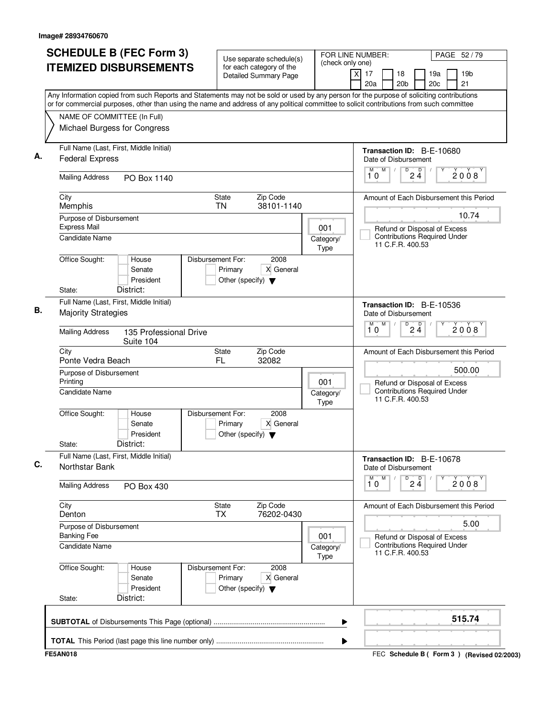| NAME OF COMMITTEE (In Full)<br>Michael Burgess for Congress       | <b>ITEMIZED DISBURSEMENTS</b>             |                                                                      | for each category of the<br>Detailed Summary Page | (check only one)         | 17<br>18<br>19a<br>19 <sub>b</sub><br>X                                                                                                                                                                                                                                                |
|-------------------------------------------------------------------|-------------------------------------------|----------------------------------------------------------------------|---------------------------------------------------|--------------------------|----------------------------------------------------------------------------------------------------------------------------------------------------------------------------------------------------------------------------------------------------------------------------------------|
|                                                                   |                                           |                                                                      |                                                   |                          | 20 <sub>b</sub><br>20c<br>21<br>20a                                                                                                                                                                                                                                                    |
|                                                                   |                                           |                                                                      |                                                   |                          | Any Information copied from such Reports and Statements may not be sold or used by any person for the purpose of soliciting contributions<br>or for commercial purposes, other than using the name and address of any political committee to solicit contributions from such committee |
|                                                                   |                                           |                                                                      |                                                   |                          |                                                                                                                                                                                                                                                                                        |
|                                                                   |                                           |                                                                      |                                                   |                          |                                                                                                                                                                                                                                                                                        |
| Full Name (Last, First, Middle Initial)<br><b>Federal Express</b> |                                           |                                                                      |                                                   |                          | Transaction ID: B-E-10680<br>Date of Disbursement                                                                                                                                                                                                                                      |
| <b>Mailing Address</b>                                            | PO Box 1140                               |                                                                      |                                                   |                          | M<br>D<br>M<br>D<br>2008<br>$2\bar{4}$<br>10                                                                                                                                                                                                                                           |
| City<br>Memphis                                                   |                                           | State<br><b>TN</b>                                                   | Zip Code<br>38101-1140                            |                          | Amount of Each Disbursement this Period                                                                                                                                                                                                                                                |
| Purpose of Disbursement<br><b>Express Mail</b>                    |                                           |                                                                      |                                                   | 001                      | 10.74                                                                                                                                                                                                                                                                                  |
| <b>Candidate Name</b>                                             |                                           |                                                                      |                                                   | Category/<br><b>Type</b> | Refund or Disposal of Excess<br><b>Contributions Required Under</b><br>11 C.F.R. 400.53                                                                                                                                                                                                |
| Office Sought:<br>State:                                          | House<br>Senate<br>President<br>District: | Disbursement For:<br>Primary<br>Other (specify) $\blacktriangledown$ | 2008<br>X General                                 |                          |                                                                                                                                                                                                                                                                                        |
| Full Name (Last, First, Middle Initial)                           |                                           |                                                                      |                                                   |                          |                                                                                                                                                                                                                                                                                        |
| <b>Majority Strategies</b>                                        |                                           |                                                                      |                                                   |                          | Transaction ID: B-E-10536<br>Date of Disbursement<br>M<br>D<br>M                                                                                                                                                                                                                       |
| <b>Mailing Address</b>                                            | 135 Professional Drive<br>Suite 104       |                                                                      |                                                   |                          | $2\frac{D}{4}$<br>2008<br>10                                                                                                                                                                                                                                                           |
| City<br>Ponte Vedra Beach                                         |                                           | State<br>FL                                                          | Zip Code<br>32082                                 |                          | Amount of Each Disbursement this Period                                                                                                                                                                                                                                                |
| Purpose of Disbursement<br>Printing                               |                                           |                                                                      |                                                   | 001                      | 500.00<br>Refund or Disposal of Excess                                                                                                                                                                                                                                                 |
| Candidate Name                                                    |                                           |                                                                      |                                                   | Category/<br><b>Type</b> | <b>Contributions Required Under</b><br>11 C.F.R. 400.53                                                                                                                                                                                                                                |
| Office Sought:<br>State:                                          | House<br>Senate<br>President<br>District: | Disbursement For:<br>Primary<br>Other (specify) $\blacktriangledown$ | 2008<br>X General                                 |                          |                                                                                                                                                                                                                                                                                        |
| Full Name (Last, First, Middle Initial)                           |                                           |                                                                      |                                                   |                          | Transaction ID: B-E-10678                                                                                                                                                                                                                                                              |
| Northstar Bank                                                    |                                           |                                                                      |                                                   |                          | Date of Disbursement                                                                                                                                                                                                                                                                   |
| <b>Mailing Address</b>                                            | PO Box 430                                |                                                                      |                                                   |                          | M<br>$2\frac{D}{4}$<br>M<br>D<br>2008<br>10                                                                                                                                                                                                                                            |
| City<br>Denton                                                    |                                           | State<br><b>TX</b>                                                   | Zip Code<br>76202-0430                            |                          | Amount of Each Disbursement this Period                                                                                                                                                                                                                                                |
| Purpose of Disbursement<br><b>Banking Fee</b>                     |                                           |                                                                      |                                                   | 001                      | 5.00<br>Refund or Disposal of Excess                                                                                                                                                                                                                                                   |
| <b>Candidate Name</b>                                             |                                           |                                                                      |                                                   | Category/<br>Type        | <b>Contributions Required Under</b><br>11 C.F.R. 400.53                                                                                                                                                                                                                                |
| Office Sought:                                                    | House<br>Senate<br>President              | Disbursement For:<br>Primary<br>Other (specify) $\blacktriangledown$ | 2008<br>X General                                 |                          |                                                                                                                                                                                                                                                                                        |
| State:                                                            | District:                                 |                                                                      |                                                   |                          |                                                                                                                                                                                                                                                                                        |
|                                                                   |                                           |                                                                      |                                                   | ▶                        | 515.74                                                                                                                                                                                                                                                                                 |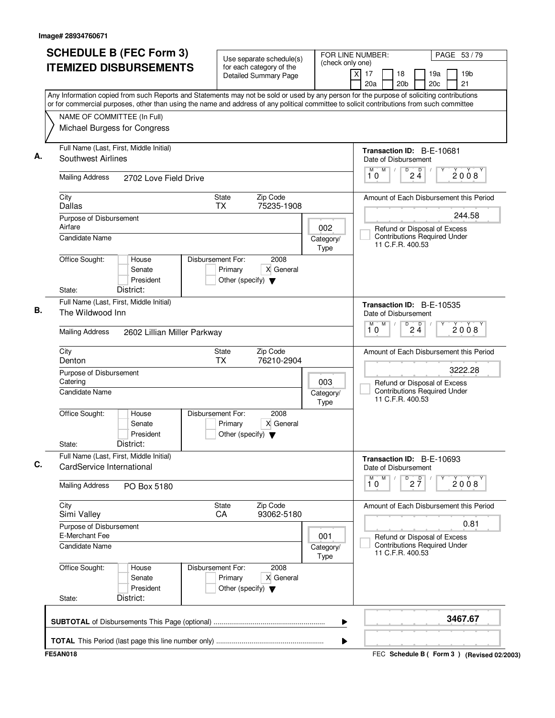|                                           | <b>SCHEDULE B (FEC Form 3)</b><br><b>ITEMIZED DISBURSEMENTS</b>      | Use separate schedule(s)<br>for each category of the                                      |                          | FOR LINE NUMBER:<br>PAGE 53/79<br>(check only one)                                                                                                                                                                                                                                     |  |
|-------------------------------------------|----------------------------------------------------------------------|-------------------------------------------------------------------------------------------|--------------------------|----------------------------------------------------------------------------------------------------------------------------------------------------------------------------------------------------------------------------------------------------------------------------------------|--|
|                                           |                                                                      | <b>Detailed Summary Page</b>                                                              |                          | 19 <sub>b</sub><br>xl<br>17<br>18<br>19a<br>20a<br>20 <sub>b</sub><br>20c<br>21                                                                                                                                                                                                        |  |
|                                           |                                                                      |                                                                                           |                          | Any Information copied from such Reports and Statements may not be sold or used by any person for the purpose of soliciting contributions<br>or for commercial purposes, other than using the name and address of any political committee to solicit contributions from such committee |  |
|                                           | NAME OF COMMITTEE (In Full)                                          |                                                                                           |                          |                                                                                                                                                                                                                                                                                        |  |
|                                           | Michael Burgess for Congress                                         |                                                                                           |                          |                                                                                                                                                                                                                                                                                        |  |
| Southwest Airlines                        | Full Name (Last, First, Middle Initial)                              |                                                                                           |                          | Transaction ID: B-E-10681<br>Date of Disbursement                                                                                                                                                                                                                                      |  |
| <b>Mailing Address</b>                    | 2702 Love Field Drive                                                |                                                                                           |                          | M<br>D<br>D<br>M<br>2008<br>$2\ddot{4}$<br>10                                                                                                                                                                                                                                          |  |
| City<br>Dallas                            |                                                                      | Zip Code<br>State<br>75235-1908<br><b>TX</b>                                              |                          | Amount of Each Disbursement this Period                                                                                                                                                                                                                                                |  |
| Purpose of Disbursement                   |                                                                      |                                                                                           |                          | 244.58                                                                                                                                                                                                                                                                                 |  |
| Airfare<br><b>Candidate Name</b>          |                                                                      |                                                                                           | 002<br>Category/<br>Type | Refund or Disposal of Excess<br><b>Contributions Required Under</b><br>11 C.F.R. 400.53                                                                                                                                                                                                |  |
| Office Sought:                            | House<br>Senate<br>President                                         | Disbursement For:<br>2008<br>Primary<br>X General<br>Other (specify) $\blacktriangledown$ |                          |                                                                                                                                                                                                                                                                                        |  |
| State:                                    | District:                                                            |                                                                                           |                          |                                                                                                                                                                                                                                                                                        |  |
| The Wildwood Inn                          | Full Name (Last, First, Middle Initial)                              |                                                                                           |                          | <b>Transaction ID: B-E-10535</b><br>Date of Disbursement                                                                                                                                                                                                                               |  |
| <b>Mailing Address</b>                    | 2602 Lillian Miller Parkway                                          |                                                                                           |                          | $\overline{D}$<br>M<br>$2\frac{D}{4}$<br>M<br>2008<br>10                                                                                                                                                                                                                               |  |
| City<br>Denton                            |                                                                      | <b>State</b><br>Zip Code<br><b>TX</b><br>76210-2904                                       |                          | Amount of Each Disbursement this Period                                                                                                                                                                                                                                                |  |
| Purpose of Disbursement<br>Catering       |                                                                      |                                                                                           | 003                      | 3222.28<br>Refund or Disposal of Excess                                                                                                                                                                                                                                                |  |
| Candidate Name                            |                                                                      |                                                                                           | Category/<br>Type        | <b>Contributions Required Under</b><br>11 C.F.R. 400.53                                                                                                                                                                                                                                |  |
| Office Sought:                            | House<br>Senate<br>President                                         | Disbursement For:<br>2008<br>X General<br>Primary<br>Other (specify) $\blacktriangledown$ |                          |                                                                                                                                                                                                                                                                                        |  |
| State:                                    | District:                                                            |                                                                                           |                          |                                                                                                                                                                                                                                                                                        |  |
|                                           | Full Name (Last, First, Middle Initial)<br>CardService International |                                                                                           |                          | Transaction ID: B-E-10693<br>Date of Disbursement                                                                                                                                                                                                                                      |  |
| <b>Mailing Address</b>                    | PO Box 5180                                                          |                                                                                           |                          | M<br>$\overline{\mathbf{1}^M \mathbf{0}}$<br>$\overline{P}$ 2 $\overline{7}$<br>2008                                                                                                                                                                                                   |  |
| City<br>Simi Valley                       |                                                                      | Zip Code<br>State<br>93062-5180<br>CA                                                     |                          | Amount of Each Disbursement this Period                                                                                                                                                                                                                                                |  |
| Purpose of Disbursement<br>E-Merchant Fee |                                                                      |                                                                                           | 001                      | 0.81<br>Refund or Disposal of Excess                                                                                                                                                                                                                                                   |  |
| <b>Candidate Name</b>                     |                                                                      |                                                                                           | Category/<br>Type        | <b>Contributions Required Under</b><br>11 C.F.R. 400.53                                                                                                                                                                                                                                |  |
| Office Sought:                            | House<br>Senate<br>President                                         | 2008<br>Disbursement For:<br>Primary<br>X General<br>Other (specify) $\blacktriangledown$ |                          |                                                                                                                                                                                                                                                                                        |  |
| State:                                    | District:                                                            |                                                                                           |                          |                                                                                                                                                                                                                                                                                        |  |
|                                           |                                                                      |                                                                                           |                          | 3467.67<br>▶                                                                                                                                                                                                                                                                           |  |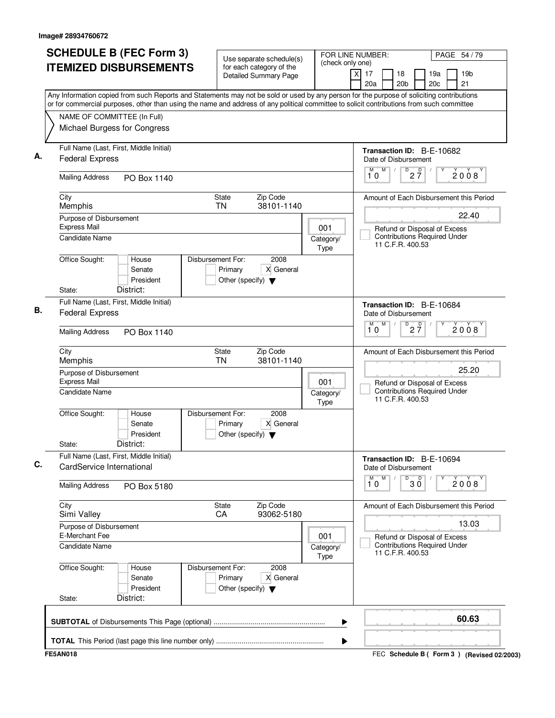|                                                                      | <b>SCHEDULE B (FEC Form 3)</b><br><b>ITEMIZED DISBURSEMENTS</b> |                                                                      | Use separate schedule(s)<br>for each category of the<br>Detailed Summary Page | (check only one)         | FOR LINE NUMBER:<br>PAGE 54 / 79<br>$\times$<br>17<br>18<br>19a<br>19 <sub>b</sub><br>21<br>20a<br>20 <sub>b</sub><br>20c                                                                                                                                                              |
|----------------------------------------------------------------------|-----------------------------------------------------------------|----------------------------------------------------------------------|-------------------------------------------------------------------------------|--------------------------|----------------------------------------------------------------------------------------------------------------------------------------------------------------------------------------------------------------------------------------------------------------------------------------|
| NAME OF COMMITTEE (In Full)<br>Michael Burgess for Congress          |                                                                 |                                                                      |                                                                               |                          | Any Information copied from such Reports and Statements may not be sold or used by any person for the purpose of soliciting contributions<br>or for commercial purposes, other than using the name and address of any political committee to solicit contributions from such committee |
| Full Name (Last, First, Middle Initial)<br><b>Federal Express</b>    |                                                                 |                                                                      |                                                                               |                          | Transaction ID: B-E-10682<br>Date of Disbursement                                                                                                                                                                                                                                      |
| <b>Mailing Address</b>                                               | PO Box 1140                                                     |                                                                      |                                                                               |                          | M<br>$\overline{\mathsf{D}}$<br>$2\frac{D}{7}$<br>$\sqrt{2}$<br>2008<br>10                                                                                                                                                                                                             |
| City<br>Memphis                                                      |                                                                 | State<br><b>TN</b>                                                   | Zip Code<br>38101-1140                                                        |                          | Amount of Each Disbursement this Period                                                                                                                                                                                                                                                |
| Purpose of Disbursement<br><b>Express Mail</b>                       |                                                                 |                                                                      |                                                                               | 001                      | 22.40<br>Refund or Disposal of Excess                                                                                                                                                                                                                                                  |
| <b>Candidate Name</b>                                                |                                                                 |                                                                      |                                                                               | Category/<br>Type        | <b>Contributions Required Under</b><br>11 C.F.R. 400.53                                                                                                                                                                                                                                |
| Office Sought:<br>State:                                             | House<br>Senate<br>President<br>District:                       | Disbursement For:<br>Primary<br>Other (specify) $\blacktriangledown$ | 2008<br>X General                                                             |                          |                                                                                                                                                                                                                                                                                        |
| Full Name (Last, First, Middle Initial)<br><b>Federal Express</b>    |                                                                 |                                                                      |                                                                               |                          | Transaction ID: B-E-10684<br>Date of Disbursement                                                                                                                                                                                                                                      |
| <b>Mailing Address</b>                                               | PO Box 1140                                                     |                                                                      |                                                                               |                          | M<br>M<br>D<br>$2\overline{7}$<br>2008<br>10                                                                                                                                                                                                                                           |
| City<br>Memphis                                                      |                                                                 | State<br><b>TN</b>                                                   | Zip Code<br>38101-1140                                                        |                          | Amount of Each Disbursement this Period                                                                                                                                                                                                                                                |
| Purpose of Disbursement<br><b>Express Mail</b>                       |                                                                 |                                                                      |                                                                               | 001                      | 25.20<br>Refund or Disposal of Excess                                                                                                                                                                                                                                                  |
| Candidate Name                                                       |                                                                 |                                                                      |                                                                               | Category/<br>Type        | <b>Contributions Required Under</b><br>11 C.F.R. 400.53                                                                                                                                                                                                                                |
| Office Sought:<br>State:                                             | House<br>Senate<br>President<br>District:                       | Disbursement For:<br>Primary<br>Other (specify) $\blacktriangledown$ | 2008<br>X General                                                             |                          |                                                                                                                                                                                                                                                                                        |
| Full Name (Last, First, Middle Initial)<br>CardService International |                                                                 |                                                                      |                                                                               |                          | Transaction ID: B-E-10694<br>Date of Disbursement                                                                                                                                                                                                                                      |
| <b>Mailing Address</b>                                               | PO Box 5180                                                     |                                                                      |                                                                               |                          | M<br>$30^{\circ}$<br>M<br>D<br>2008<br>10                                                                                                                                                                                                                                              |
| City<br>Simi Valley                                                  |                                                                 | State<br>CA                                                          | Zip Code<br>93062-5180                                                        |                          | Amount of Each Disbursement this Period                                                                                                                                                                                                                                                |
| Purpose of Disbursement<br>E-Merchant Fee                            |                                                                 |                                                                      |                                                                               | 001                      | 13.03<br>Refund or Disposal of Excess                                                                                                                                                                                                                                                  |
| Candidate Name                                                       |                                                                 |                                                                      |                                                                               | Category/<br><b>Type</b> | <b>Contributions Required Under</b><br>11 C.F.R. 400.53                                                                                                                                                                                                                                |
| Office Sought:                                                       | House<br>Senate<br>President                                    | Disbursement For:<br>Primary<br>Other (specify) $\blacktriangledown$ | 2008<br>X General                                                             |                          |                                                                                                                                                                                                                                                                                        |
| State:                                                               | District:                                                       |                                                                      |                                                                               |                          | 60.63                                                                                                                                                                                                                                                                                  |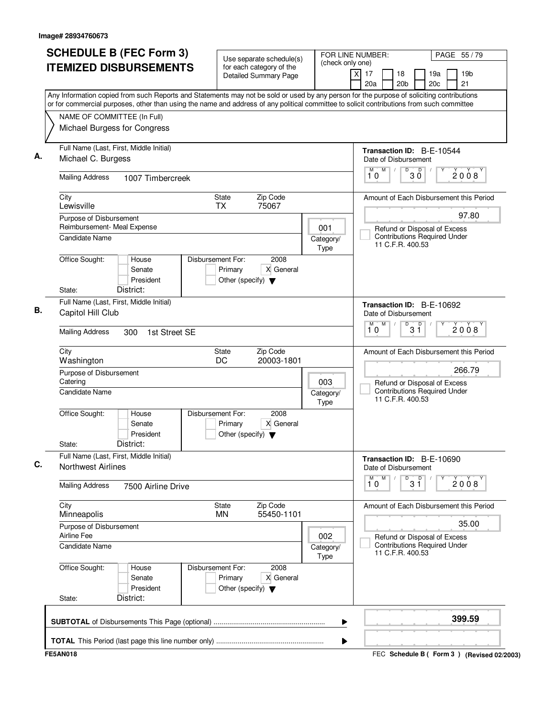| <b>SCHEDULE B (FEC Form 3)</b>                                                                                                                                                                                                                                                         | Use separate schedule(s)                                                                  | FOR LINE NUMBER:<br>(check only one) |                                                                     | PAGE 55 / 79                        |
|----------------------------------------------------------------------------------------------------------------------------------------------------------------------------------------------------------------------------------------------------------------------------------------|-------------------------------------------------------------------------------------------|--------------------------------------|---------------------------------------------------------------------|-------------------------------------|
| <b>ITEMIZED DISBURSEMENTS</b>                                                                                                                                                                                                                                                          | for each category of the<br><b>Detailed Summary Page</b>                                  |                                      | $\overline{X}$<br>17<br>18<br>20a<br>20 <sub>b</sub>                | 19 <sub>b</sub><br>19a<br>21<br>20c |
| Any Information copied from such Reports and Statements may not be sold or used by any person for the purpose of soliciting contributions<br>or for commercial purposes, other than using the name and address of any political committee to solicit contributions from such committee |                                                                                           |                                      |                                                                     |                                     |
| NAME OF COMMITTEE (In Full)<br>Michael Burgess for Congress                                                                                                                                                                                                                            |                                                                                           |                                      |                                                                     |                                     |
| Full Name (Last, First, Middle Initial)<br>Michael C. Burgess                                                                                                                                                                                                                          |                                                                                           |                                      | <b>Transaction ID: B-E-10544</b><br>Date of Disbursement            |                                     |
| <b>Mailing Address</b><br>1007 Timbercreek                                                                                                                                                                                                                                             |                                                                                           |                                      | M <sub>1</sub><br>D<br>D<br>ЗŎ<br>10                                | 2008                                |
| City<br>Lewisville                                                                                                                                                                                                                                                                     | Zip Code<br>State<br><b>TX</b><br>75067                                                   |                                      | Amount of Each Disbursement this Period                             |                                     |
| Purpose of Disbursement<br>Reimbursement- Meal Expense<br><b>Candidate Name</b>                                                                                                                                                                                                        |                                                                                           | 001<br>Category/                     | Refund or Disposal of Excess<br><b>Contributions Required Under</b> | 97.80                               |
| Office Sought:<br>House<br>Senate<br>President<br>District:<br>State:                                                                                                                                                                                                                  | Disbursement For:<br>2008<br>X General<br>Primary<br>Other (specify) $\blacktriangledown$ | Type                                 | 11 C.F.R. 400.53                                                    |                                     |
| Full Name (Last, First, Middle Initial)<br>Capitol Hill Club                                                                                                                                                                                                                           |                                                                                           |                                      | Transaction ID: B-E-10692<br>Date of Disbursement<br>M<br>M<br>D    |                                     |
| <b>Mailing Address</b><br>1st Street SE<br>300                                                                                                                                                                                                                                         |                                                                                           |                                      | $3^{\circ}$<br>10                                                   | 2008                                |
| City<br>Washington                                                                                                                                                                                                                                                                     | Zip Code<br>State<br>DC<br>20003-1801                                                     |                                      | Amount of Each Disbursement this Period                             |                                     |
| Purpose of Disbursement<br>Catering                                                                                                                                                                                                                                                    |                                                                                           | 003                                  | Refund or Disposal of Excess                                        | 266.79                              |
| <b>Candidate Name</b>                                                                                                                                                                                                                                                                  |                                                                                           | Category/<br>Type                    | <b>Contributions Required Under</b><br>11 C.F.R. 400.53             |                                     |
| Office Sought:<br>House<br>Senate<br>President<br>District:<br>State:                                                                                                                                                                                                                  | Disbursement For:<br>2008<br>X General<br>Primary<br>Other (specify) $\blacktriangledown$ |                                      |                                                                     |                                     |
| Full Name (Last, First, Middle Initial)<br><b>Northwest Airlines</b>                                                                                                                                                                                                                   |                                                                                           |                                      | Transaction ID: B-E-10690<br>Date of Disbursement                   |                                     |
| <b>Mailing Address</b><br>7500 Airline Drive                                                                                                                                                                                                                                           |                                                                                           |                                      | M<br>M<br>$3^{\circ}$<br>D<br>10                                    | 2008                                |
| City<br>Minneapolis                                                                                                                                                                                                                                                                    | Zip Code<br>State<br>55450-1101<br>MN                                                     |                                      | Amount of Each Disbursement this Period                             |                                     |
| Purpose of Disbursement<br>Airline Fee                                                                                                                                                                                                                                                 |                                                                                           | 002                                  | Refund or Disposal of Excess                                        | 35.00                               |
| Candidate Name                                                                                                                                                                                                                                                                         |                                                                                           | Category/<br>Type                    | <b>Contributions Required Under</b><br>11 C.F.R. 400.53             |                                     |
| Office Sought:<br>House<br>Senate<br>President<br>District:<br>State:                                                                                                                                                                                                                  | Disbursement For:<br>2008<br>Primary<br>X General<br>Other (specify) $\blacktriangledown$ |                                      |                                                                     |                                     |
|                                                                                                                                                                                                                                                                                        |                                                                                           | ▶                                    |                                                                     | 399.59                              |
|                                                                                                                                                                                                                                                                                        |                                                                                           | ▶                                    |                                                                     |                                     |
| <b>FE5AN018</b>                                                                                                                                                                                                                                                                        |                                                                                           |                                      | FEC Schedule B ( Form 3 ) (Revised 02/2003)                         |                                     |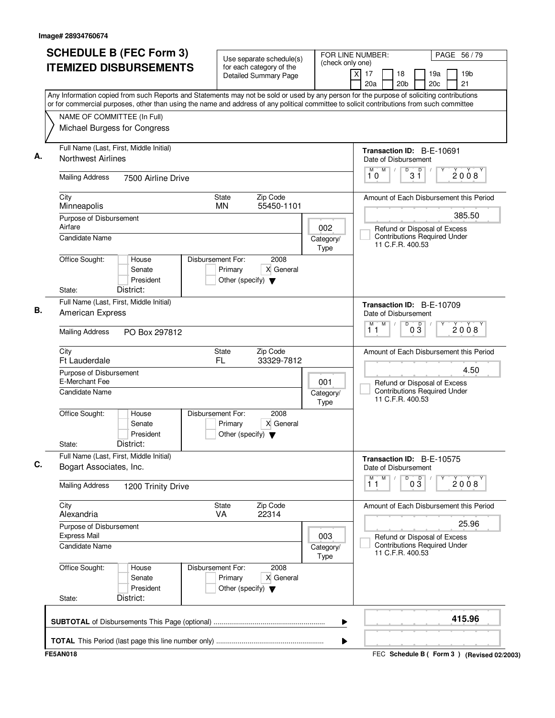| <b>SCHEDULE B (FEC Form 3)</b>                                                                                                                                                                                                                                                         | Use separate schedule(s)                                                                  | FOR LINE NUMBER:<br>(check only one) |                                                                                         | PAGE 56 / 79                                |
|----------------------------------------------------------------------------------------------------------------------------------------------------------------------------------------------------------------------------------------------------------------------------------------|-------------------------------------------------------------------------------------------|--------------------------------------|-----------------------------------------------------------------------------------------|---------------------------------------------|
| <b>ITEMIZED DISBURSEMENTS</b>                                                                                                                                                                                                                                                          | for each category of the<br><b>Detailed Summary Page</b>                                  |                                      | $\overline{X}$<br>17<br>18<br>20a<br>20 <sub>b</sub>                                    | 19 <sub>b</sub><br>19a<br>21<br>20c         |
| Any Information copied from such Reports and Statements may not be sold or used by any person for the purpose of soliciting contributions<br>or for commercial purposes, other than using the name and address of any political committee to solicit contributions from such committee |                                                                                           |                                      |                                                                                         |                                             |
| NAME OF COMMITTEE (In Full)<br>Michael Burgess for Congress                                                                                                                                                                                                                            |                                                                                           |                                      |                                                                                         |                                             |
| Full Name (Last, First, Middle Initial)<br><b>Northwest Airlines</b>                                                                                                                                                                                                                   |                                                                                           |                                      | Transaction ID: B-E-10691<br>Date of Disbursement                                       |                                             |
| <b>Mailing Address</b><br>7500 Airline Drive                                                                                                                                                                                                                                           |                                                                                           |                                      | D<br>M<br>D<br>3 ĭ<br>10                                                                | 2008                                        |
| City<br>Minneapolis                                                                                                                                                                                                                                                                    | Zip Code<br><b>State</b><br>55450-1101<br><b>MN</b>                                       |                                      |                                                                                         | Amount of Each Disbursement this Period     |
| Purpose of Disbursement<br>Airfare<br><b>Candidate Name</b>                                                                                                                                                                                                                            |                                                                                           | 002<br>Category/<br>Type             | Refund or Disposal of Excess<br><b>Contributions Required Under</b><br>11 C.F.R. 400.53 | 385.50                                      |
| Office Sought:<br>House<br>Senate<br>President<br>District:<br>State:                                                                                                                                                                                                                  | Disbursement For:<br>2008<br>X General<br>Primary<br>Other (specify) $\blacktriangledown$ |                                      |                                                                                         |                                             |
| Full Name (Last, First, Middle Initial)<br><b>American Express</b>                                                                                                                                                                                                                     |                                                                                           |                                      | Transaction ID: B-E-10709<br>Date of Disbursement                                       |                                             |
| <b>Mailing Address</b><br>PO Box 297812                                                                                                                                                                                                                                                |                                                                                           |                                      | M<br>D<br>M<br>$0\overline{3}$<br>11                                                    | 2008                                        |
| City<br>Ft Lauderdale                                                                                                                                                                                                                                                                  | State<br>Zip Code<br>FL<br>33329-7812                                                     |                                      |                                                                                         | Amount of Each Disbursement this Period     |
| Purpose of Disbursement<br>E-Merchant Fee                                                                                                                                                                                                                                              |                                                                                           | 001                                  | Refund or Disposal of Excess                                                            | 4.50                                        |
| <b>Candidate Name</b>                                                                                                                                                                                                                                                                  |                                                                                           | Category/<br>Type                    | <b>Contributions Required Under</b><br>11 C.F.R. 400.53                                 |                                             |
| Office Sought:<br>House<br>Senate<br>President<br>District:<br>State:                                                                                                                                                                                                                  | Disbursement For:<br>2008<br>X General<br>Primary<br>Other (specify) $\blacktriangledown$ |                                      |                                                                                         |                                             |
| Full Name (Last, First, Middle Initial)<br>Bogart Associates, Inc.                                                                                                                                                                                                                     |                                                                                           |                                      | Transaction ID: B-E-10575<br>Date of Disbursement                                       |                                             |
| <b>Mailing Address</b><br>1200 Trinity Drive                                                                                                                                                                                                                                           |                                                                                           |                                      | M<br>М<br>D<br>03<br>11                                                                 | 2008                                        |
| City<br>Alexandria                                                                                                                                                                                                                                                                     | Zip Code<br>State<br>22314<br>VA                                                          |                                      |                                                                                         | Amount of Each Disbursement this Period     |
| Purpose of Disbursement<br><b>Express Mail</b>                                                                                                                                                                                                                                         |                                                                                           | 003                                  | Refund or Disposal of Excess                                                            | 25.96                                       |
| <b>Candidate Name</b>                                                                                                                                                                                                                                                                  |                                                                                           | Category/<br>Type                    | <b>Contributions Required Under</b><br>11 C.F.R. 400.53                                 |                                             |
| Office Sought:<br>House<br>Senate<br>President<br>District:<br>State:                                                                                                                                                                                                                  | Disbursement For:<br>2008<br>Primary<br>X General<br>Other (specify) $\blacktriangledown$ |                                      |                                                                                         |                                             |
|                                                                                                                                                                                                                                                                                        |                                                                                           | ▶                                    |                                                                                         | 415.96                                      |
|                                                                                                                                                                                                                                                                                        |                                                                                           | ▶                                    |                                                                                         |                                             |
| <b>FE5AN018</b>                                                                                                                                                                                                                                                                        |                                                                                           |                                      |                                                                                         | FEC Schedule B ( Form 3 ) (Revised 02/2003) |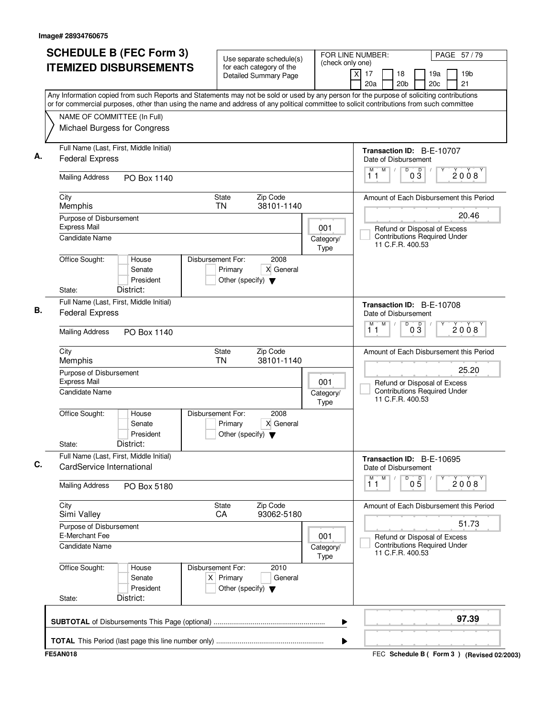|                                                | <b>SCHEDULE B (FEC Form 3)</b><br><b>ITEMIZED DISBURSEMENTS</b>                                                                                                                                                                                                                        |                                                                          | Use separate schedule(s)<br>for each category of the<br>Detailed Summary Page | (check only one)  | FOR LINE NUMBER:<br>x<br>17<br>18<br>20a<br>20 <sub>b</sub>                             | PAGE 57/79<br>19a<br>19 <sub>b</sub><br>20c<br>21 |
|------------------------------------------------|----------------------------------------------------------------------------------------------------------------------------------------------------------------------------------------------------------------------------------------------------------------------------------------|--------------------------------------------------------------------------|-------------------------------------------------------------------------------|-------------------|-----------------------------------------------------------------------------------------|---------------------------------------------------|
| NAME OF COMMITTEE (In Full)                    | Any Information copied from such Reports and Statements may not be sold or used by any person for the purpose of soliciting contributions<br>or for commercial purposes, other than using the name and address of any political committee to solicit contributions from such committee |                                                                          |                                                                               |                   |                                                                                         |                                                   |
| Michael Burgess for Congress                   |                                                                                                                                                                                                                                                                                        |                                                                          |                                                                               |                   |                                                                                         |                                                   |
| <b>Federal Express</b>                         | Full Name (Last, First, Middle Initial)                                                                                                                                                                                                                                                |                                                                          |                                                                               |                   | Transaction ID: B-E-10707<br>Date of Disbursement                                       |                                                   |
| <b>Mailing Address</b>                         | PO Box 1140                                                                                                                                                                                                                                                                            |                                                                          |                                                                               |                   | M<br>D<br>$\overline{D}$<br>M<br>$0\bar{3}$<br>11                                       | 2008                                              |
| City<br>Memphis                                |                                                                                                                                                                                                                                                                                        | State<br><b>TN</b>                                                       | Zip Code<br>38101-1140                                                        |                   |                                                                                         | Amount of Each Disbursement this Period           |
| Purpose of Disbursement<br><b>Express Mail</b> |                                                                                                                                                                                                                                                                                        |                                                                          |                                                                               | 001               |                                                                                         | 20.46                                             |
| <b>Candidate Name</b>                          |                                                                                                                                                                                                                                                                                        |                                                                          |                                                                               | Category/<br>Type | Refund or Disposal of Excess<br><b>Contributions Required Under</b><br>11 C.F.R. 400.53 |                                                   |
| Office Sought:<br>State:                       | House<br>Senate<br>President<br>District:                                                                                                                                                                                                                                              | Disbursement For:<br>Primary<br>Other (specify) $\blacktriangledown$     | 2008<br>X General                                                             |                   |                                                                                         |                                                   |
|                                                | Full Name (Last, First, Middle Initial)                                                                                                                                                                                                                                                |                                                                          |                                                                               |                   |                                                                                         |                                                   |
| <b>Federal Express</b>                         |                                                                                                                                                                                                                                                                                        |                                                                          |                                                                               |                   | Transaction ID: B-E-10708<br>Date of Disbursement                                       |                                                   |
| <b>Mailing Address</b>                         | PO Box 1140                                                                                                                                                                                                                                                                            |                                                                          |                                                                               |                   | M<br>M<br>D<br>$0\overline{3}$<br>11                                                    | 2008                                              |
| City<br>Memphis                                |                                                                                                                                                                                                                                                                                        | State<br>TN                                                              | Zip Code<br>38101-1140                                                        |                   |                                                                                         | Amount of Each Disbursement this Period           |
| Purpose of Disbursement<br><b>Express Mail</b> |                                                                                                                                                                                                                                                                                        |                                                                          |                                                                               | 001               | Refund or Disposal of Excess                                                            | 25.20                                             |
| Candidate Name                                 |                                                                                                                                                                                                                                                                                        |                                                                          |                                                                               | Category/<br>Type | <b>Contributions Required Under</b><br>11 C.F.R. 400.53                                 |                                                   |
| Office Sought:<br>State:                       | House<br>Senate<br>President<br>District:                                                                                                                                                                                                                                              | Disbursement For:<br>Primary<br>Other (specify) $\blacktriangledown$     | 2008<br>X General                                                             |                   |                                                                                         |                                                   |
| CardService International                      | Full Name (Last, First, Middle Initial)                                                                                                                                                                                                                                                |                                                                          |                                                                               |                   | Transaction ID: B-E-10695<br>Date of Disbursement                                       |                                                   |
| <b>Mailing Address</b>                         | PO Box 5180                                                                                                                                                                                                                                                                            |                                                                          |                                                                               |                   | M<br>M<br>D<br>$0\overline{5}$<br>11                                                    | 2008                                              |
| City<br>Simi Valley                            |                                                                                                                                                                                                                                                                                        | State<br>CA                                                              | Zip Code<br>93062-5180                                                        |                   |                                                                                         | Amount of Each Disbursement this Period           |
| Purpose of Disbursement<br>E-Merchant Fee      |                                                                                                                                                                                                                                                                                        |                                                                          |                                                                               | 001               | Refund or Disposal of Excess                                                            | 51.73                                             |
| Candidate Name                                 |                                                                                                                                                                                                                                                                                        |                                                                          |                                                                               | Category/<br>Type | <b>Contributions Required Under</b><br>11 C.F.R. 400.53                                 |                                                   |
| Office Sought:                                 | House<br>Senate<br>President                                                                                                                                                                                                                                                           | Disbursement For:<br>$X$ Primary<br>Other (specify) $\blacktriangledown$ | 2010<br>General                                                               |                   |                                                                                         |                                                   |
| State:                                         | District:                                                                                                                                                                                                                                                                              |                                                                          |                                                                               |                   |                                                                                         |                                                   |
|                                                |                                                                                                                                                                                                                                                                                        |                                                                          |                                                                               | ▶                 |                                                                                         | 97.39                                             |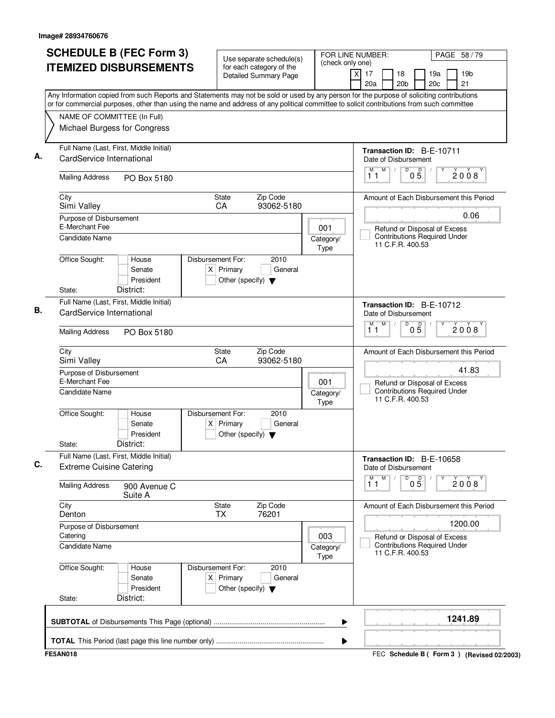| <b>SCHEDULE B (FEC Form 3)</b><br><b>ITEMIZED DISBURSEMENTS</b>                                                                                                                                                                                                                                                                                       | Use separate schedule(s)<br>for each category of the<br>Detailed Summary Page               | (check only one)  | FOR LINE NUMBER:<br>PAGE 58 / 79<br>19 <sub>b</sub><br>$\times$<br>17<br>18<br>19a<br>21<br>20a<br>20 <sub>b</sub><br>20c |
|-------------------------------------------------------------------------------------------------------------------------------------------------------------------------------------------------------------------------------------------------------------------------------------------------------------------------------------------------------|---------------------------------------------------------------------------------------------|-------------------|---------------------------------------------------------------------------------------------------------------------------|
| Any Information copied from such Reports and Statements may not be sold or used by any person for the purpose of soliciting contributions<br>or for commercial purposes, other than using the name and address of any political committee to solicit contributions from such committee<br>NAME OF COMMITTEE (In Full)<br>Michael Burgess for Congress |                                                                                             |                   |                                                                                                                           |
| Full Name (Last, First, Middle Initial)<br>CardService International                                                                                                                                                                                                                                                                                  |                                                                                             |                   | Transaction ID: B-E-10711<br>Date of Disbursement<br>M<br>$\overline{D}$<br>$\overline{D}$<br>$\sqrt{2}$                  |
| <b>Mailing Address</b><br>PO Box 5180                                                                                                                                                                                                                                                                                                                 |                                                                                             |                   | 2008<br>0 <sub>5</sub><br>11                                                                                              |
| City<br>Simi Valley                                                                                                                                                                                                                                                                                                                                   | State<br>Zip Code<br>CA<br>93062-5180                                                       |                   | Amount of Each Disbursement this Period                                                                                   |
| Purpose of Disbursement<br>E-Merchant Fee                                                                                                                                                                                                                                                                                                             |                                                                                             | 001               | 0.06<br>Refund or Disposal of Excess                                                                                      |
| Candidate Name                                                                                                                                                                                                                                                                                                                                        |                                                                                             | Category/<br>Type | <b>Contributions Required Under</b><br>11 C.F.R. 400.53                                                                   |
| Office Sought:<br>House<br>Senate<br>President<br>District:<br>State:                                                                                                                                                                                                                                                                                 | Disbursement For:<br>2010<br>$X$ Primary<br>General<br>Other (specify) $\blacktriangledown$ |                   |                                                                                                                           |
| Full Name (Last, First, Middle Initial)                                                                                                                                                                                                                                                                                                               |                                                                                             |                   | Transaction ID: B-E-10712                                                                                                 |
| CardService International                                                                                                                                                                                                                                                                                                                             |                                                                                             |                   | Date of Disbursement<br>M<br>M<br>D                                                                                       |
| <b>Mailing Address</b><br>PO Box 5180                                                                                                                                                                                                                                                                                                                 |                                                                                             |                   | $0\overline{5}$<br>2008<br>11                                                                                             |
| City<br>Simi Valley                                                                                                                                                                                                                                                                                                                                   | State<br>Zip Code<br>CA<br>93062-5180                                                       |                   | Amount of Each Disbursement this Period                                                                                   |
| Purpose of Disbursement<br>E-Merchant Fee                                                                                                                                                                                                                                                                                                             |                                                                                             | 001               | 41.83<br>Refund or Disposal of Excess                                                                                     |
| <b>Candidate Name</b>                                                                                                                                                                                                                                                                                                                                 |                                                                                             | Category/<br>Type | <b>Contributions Required Under</b><br>11 C.F.R. 400.53                                                                   |
| Office Sought:<br>House<br>Senate<br>President<br>District:<br>State:                                                                                                                                                                                                                                                                                 | Disbursement For:<br>2010<br>$X$ Primary<br>General<br>Other (specify) $\blacktriangledown$ |                   |                                                                                                                           |
| Full Name (Last, First, Middle Initial)<br><b>Extreme Cuisine Catering</b>                                                                                                                                                                                                                                                                            |                                                                                             |                   | Transaction ID: B-E-10658<br>Date of Disbursement                                                                         |
| <b>Mailing Address</b><br>900 Avenue C<br>Suite A                                                                                                                                                                                                                                                                                                     |                                                                                             |                   | M<br>D<br>$0\overline{5}$<br>M<br>2008<br>11                                                                              |
| City<br>Denton                                                                                                                                                                                                                                                                                                                                        | State<br>Zip Code<br><b>TX</b><br>76201                                                     |                   | Amount of Each Disbursement this Period                                                                                   |
| Purpose of Disbursement<br>Catering                                                                                                                                                                                                                                                                                                                   |                                                                                             | 003               | 1200.00<br>Refund or Disposal of Excess                                                                                   |
| <b>Candidate Name</b>                                                                                                                                                                                                                                                                                                                                 |                                                                                             | Category/<br>Type | <b>Contributions Required Under</b><br>11 C.F.R. 400.53                                                                   |
| Office Sought:<br>House<br>Senate<br>President                                                                                                                                                                                                                                                                                                        | Disbursement For:<br>2010<br>$X$ Primary<br>General<br>Other (specify) $\blacktriangledown$ |                   |                                                                                                                           |
| District:<br>State:                                                                                                                                                                                                                                                                                                                                   |                                                                                             |                   |                                                                                                                           |
|                                                                                                                                                                                                                                                                                                                                                       |                                                                                             | ▶                 | 1241.89                                                                                                                   |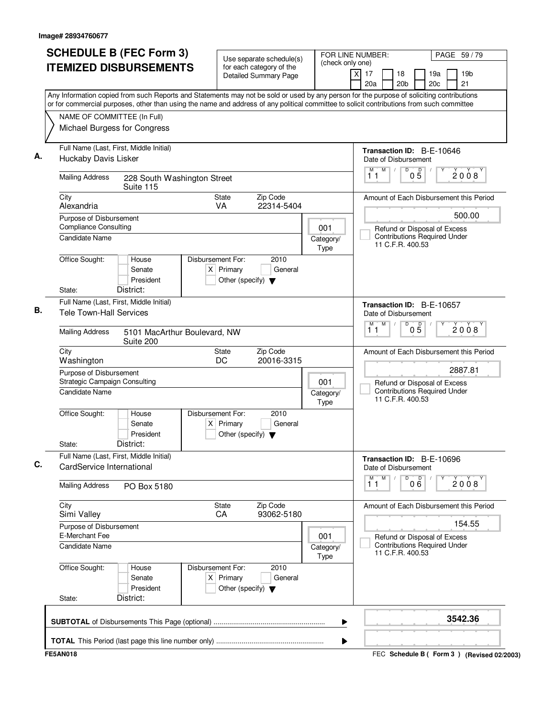|                                                         | <b>SCHEDULE B (FEC Form 3)</b><br><b>ITEMIZED DISBURSEMENTS</b> |                                                                          | Use separate schedule(s)<br>for each category of the | (check only one)         | FOR LINE NUMBER:<br>PAGE 59/79                                                                                                                                                                                                                                                         |
|---------------------------------------------------------|-----------------------------------------------------------------|--------------------------------------------------------------------------|------------------------------------------------------|--------------------------|----------------------------------------------------------------------------------------------------------------------------------------------------------------------------------------------------------------------------------------------------------------------------------------|
|                                                         |                                                                 |                                                                          | <b>Detailed Summary Page</b>                         |                          | 19 <sub>b</sub><br>xl<br>17<br>18<br>19a<br>21<br>20a<br>20 <sub>b</sub><br>20c                                                                                                                                                                                                        |
|                                                         |                                                                 |                                                                          |                                                      |                          | Any Information copied from such Reports and Statements may not be sold or used by any person for the purpose of soliciting contributions<br>or for commercial purposes, other than using the name and address of any political committee to solicit contributions from such committee |
|                                                         | NAME OF COMMITTEE (In Full)                                     |                                                                          |                                                      |                          |                                                                                                                                                                                                                                                                                        |
|                                                         | Michael Burgess for Congress                                    |                                                                          |                                                      |                          |                                                                                                                                                                                                                                                                                        |
| Huckaby Davis Lisker                                    | Full Name (Last, First, Middle Initial)                         |                                                                          |                                                      |                          | Transaction ID: B-E-10646<br>Date of Disbursement                                                                                                                                                                                                                                      |
| <b>Mailing Address</b>                                  | 228 South Washington Street<br>Suite 115                        |                                                                          |                                                      |                          | D<br>M<br>$0\overline{5}$<br>M<br>2008<br>11                                                                                                                                                                                                                                           |
| City<br>Alexandria                                      |                                                                 | State<br><b>VA</b>                                                       | Zip Code<br>22314-5404                               |                          | Amount of Each Disbursement this Period                                                                                                                                                                                                                                                |
| Purpose of Disbursement<br><b>Compliance Consulting</b> |                                                                 |                                                                          |                                                      |                          | 500.00                                                                                                                                                                                                                                                                                 |
| Candidate Name                                          |                                                                 |                                                                          |                                                      | 001<br>Category/<br>Type | Refund or Disposal of Excess<br><b>Contributions Required Under</b><br>11 C.F.R. 400.53                                                                                                                                                                                                |
| Office Sought:                                          | House<br>Senate<br>President                                    | Disbursement For:<br>$X$ Primary<br>Other (specify) $\blacktriangledown$ | 2010<br>General                                      |                          |                                                                                                                                                                                                                                                                                        |
| State:                                                  | District:                                                       |                                                                          |                                                      |                          |                                                                                                                                                                                                                                                                                        |
| <b>Tele Town-Hall Services</b>                          | Full Name (Last, First, Middle Initial)                         |                                                                          |                                                      |                          | <b>Transaction ID: B-E-10657</b><br>Date of Disbursement                                                                                                                                                                                                                               |
| <b>Mailing Address</b>                                  | 5101 MacArthur Boulevard, NW<br>Suite 200                       |                                                                          |                                                      |                          | D<br>M<br>$0\overline{5}$<br>M<br>2008<br>11                                                                                                                                                                                                                                           |
| City<br>Washington                                      |                                                                 | <b>State</b><br>DC                                                       | Zip Code<br>20016-3315                               |                          | Amount of Each Disbursement this Period                                                                                                                                                                                                                                                |
| Purpose of Disbursement<br>Candidate Name               | Strategic Campaign Consulting                                   |                                                                          |                                                      | 001<br>Category/         | 2887.81<br>Refund or Disposal of Excess<br>Contributions Required Under                                                                                                                                                                                                                |
|                                                         |                                                                 |                                                                          |                                                      | Type                     | 11 C.F.R. 400.53                                                                                                                                                                                                                                                                       |
| Office Sought:<br>State:                                | House<br>Senate<br>President<br>District:                       | Disbursement For:<br>$X$ Primary<br>Other (specify) $\blacktriangledown$ | 2010<br>General                                      |                          |                                                                                                                                                                                                                                                                                        |
|                                                         | Full Name (Last, First, Middle Initial)                         |                                                                          |                                                      |                          |                                                                                                                                                                                                                                                                                        |
| CardService International                               |                                                                 |                                                                          |                                                      |                          | Transaction ID: B-E-10696<br>Date of Disbursement<br>M<br>D                                                                                                                                                                                                                            |
| <b>Mailing Address</b>                                  | PO Box 5180                                                     |                                                                          |                                                      |                          | $\overline{1}^M$ $\overline{1}$<br>00 <sup>0</sup><br>2008                                                                                                                                                                                                                             |
| City<br>Simi Valley                                     |                                                                 | State<br>CA                                                              | Zip Code<br>93062-5180                               |                          | Amount of Each Disbursement this Period<br>154.55                                                                                                                                                                                                                                      |
| Purpose of Disbursement<br>E-Merchant Fee               |                                                                 |                                                                          |                                                      |                          |                                                                                                                                                                                                                                                                                        |
| <b>Candidate Name</b>                                   |                                                                 |                                                                          |                                                      | 001<br>Category/<br>Type | Refund or Disposal of Excess<br><b>Contributions Required Under</b><br>11 C.F.R. 400.53                                                                                                                                                                                                |
| Office Sought:<br>State:                                | House<br>Senate<br>President<br>District:                       | Disbursement For:<br>$X$ Primary<br>Other (specify) $\blacktriangledown$ | 2010<br>General                                      |                          |                                                                                                                                                                                                                                                                                        |
|                                                         |                                                                 |                                                                          |                                                      |                          | 3542.36                                                                                                                                                                                                                                                                                |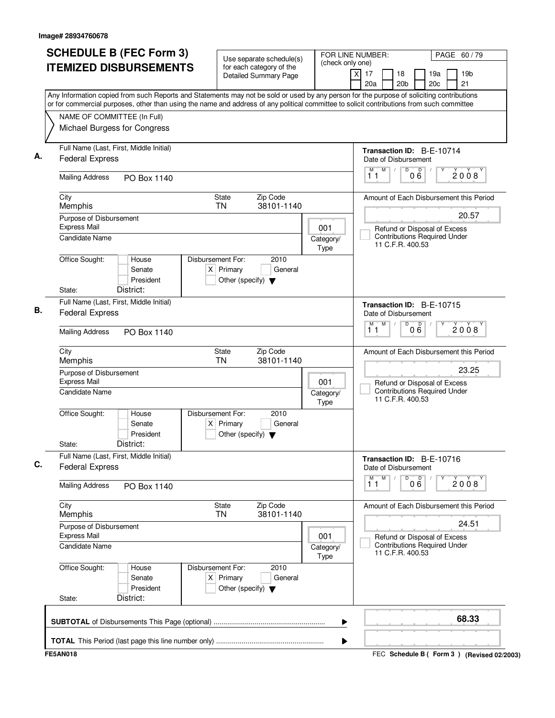| <b>SCHEDULE B (FEC Form 3)</b><br><b>ITEMIZED DISBURSEMENTS</b>   |                                           |                                                                          | Use separate schedule(s)<br>for each category of the | (check only one)         | FOR LINE NUMBER:<br>PAGE 60 / 79                                                                                                                                                                                                                                                       |
|-------------------------------------------------------------------|-------------------------------------------|--------------------------------------------------------------------------|------------------------------------------------------|--------------------------|----------------------------------------------------------------------------------------------------------------------------------------------------------------------------------------------------------------------------------------------------------------------------------------|
|                                                                   |                                           |                                                                          | Detailed Summary Page                                |                          | 19 <sub>b</sub><br>17<br>18<br>19a<br>X<br>20a<br>20 <sub>b</sub><br>20c<br>21                                                                                                                                                                                                         |
|                                                                   |                                           |                                                                          |                                                      |                          | Any Information copied from such Reports and Statements may not be sold or used by any person for the purpose of soliciting contributions<br>or for commercial purposes, other than using the name and address of any political committee to solicit contributions from such committee |
| NAME OF COMMITTEE (In Full)                                       |                                           |                                                                          |                                                      |                          |                                                                                                                                                                                                                                                                                        |
| Michael Burgess for Congress                                      |                                           |                                                                          |                                                      |                          |                                                                                                                                                                                                                                                                                        |
| Full Name (Last, First, Middle Initial)<br><b>Federal Express</b> |                                           |                                                                          |                                                      |                          | Transaction ID: B-E-10714<br>Date of Disbursement                                                                                                                                                                                                                                      |
| <b>Mailing Address</b>                                            | PO Box 1140                               |                                                                          |                                                      |                          | M<br>D<br>D<br>$\sqrt{2}$<br>M<br>2008<br>06<br>11                                                                                                                                                                                                                                     |
| City<br>Memphis                                                   |                                           | State<br><b>TN</b>                                                       | Zip Code<br>38101-1140                               |                          | Amount of Each Disbursement this Period                                                                                                                                                                                                                                                |
| Purpose of Disbursement                                           |                                           |                                                                          |                                                      |                          | 20.57                                                                                                                                                                                                                                                                                  |
| <b>Express Mail</b><br><b>Candidate Name</b>                      |                                           |                                                                          |                                                      | 001<br>Category/<br>Type | Refund or Disposal of Excess<br><b>Contributions Required Under</b><br>11 C.F.R. 400.53                                                                                                                                                                                                |
| Office Sought:<br>State:                                          | House<br>Senate<br>President<br>District: | Disbursement For:<br>$X$ Primary<br>Other (specify) $\blacktriangledown$ | 2010<br>General                                      |                          |                                                                                                                                                                                                                                                                                        |
| Full Name (Last, First, Middle Initial)                           |                                           |                                                                          |                                                      |                          |                                                                                                                                                                                                                                                                                        |
| <b>Federal Express</b>                                            |                                           |                                                                          |                                                      |                          | Transaction ID: B-E-10715<br>Date of Disbursement<br>M<br>D<br>$\mathsf D$<br>М                                                                                                                                                                                                        |
| <b>Mailing Address</b>                                            | PO Box 1140                               |                                                                          |                                                      |                          | 2008<br>0 Ğ<br>11                                                                                                                                                                                                                                                                      |
| City<br>Memphis                                                   |                                           | State<br><b>TN</b>                                                       | Zip Code<br>38101-1140                               |                          | Amount of Each Disbursement this Period                                                                                                                                                                                                                                                |
| Purpose of Disbursement<br><b>Express Mail</b>                    |                                           |                                                                          |                                                      | 001                      | 23.25<br>Refund or Disposal of Excess                                                                                                                                                                                                                                                  |
| Candidate Name                                                    |                                           |                                                                          |                                                      | Category/<br>Type        | <b>Contributions Required Under</b><br>11 C.F.R. 400.53                                                                                                                                                                                                                                |
| Office Sought:                                                    | House<br>Senate<br>President              | Disbursement For:<br>$X$ Primary<br>Other (specify) $\blacktriangledown$ | 2010<br>General                                      |                          |                                                                                                                                                                                                                                                                                        |
| State:                                                            | District:                                 |                                                                          |                                                      |                          |                                                                                                                                                                                                                                                                                        |
| Full Name (Last, First, Middle Initial)<br><b>Federal Express</b> |                                           |                                                                          |                                                      |                          | Transaction ID: B-E-10716<br>Date of Disbursement                                                                                                                                                                                                                                      |
| <b>Mailing Address</b>                                            | PO Box 1140                               |                                                                          |                                                      |                          | M<br>D<br>M<br>000<br>2008<br>11                                                                                                                                                                                                                                                       |
| City<br>Memphis                                                   |                                           | State<br><b>TN</b>                                                       | Zip Code<br>38101-1140                               |                          | Amount of Each Disbursement this Period                                                                                                                                                                                                                                                |
| Purpose of Disbursement<br><b>Express Mail</b>                    |                                           |                                                                          |                                                      | 001                      | 24.51<br>Refund or Disposal of Excess                                                                                                                                                                                                                                                  |
| <b>Candidate Name</b>                                             |                                           |                                                                          |                                                      | Category/<br>Type        | <b>Contributions Required Under</b><br>11 C.F.R. 400.53                                                                                                                                                                                                                                |
| Office Sought:                                                    | House<br>Senate<br>President              | Disbursement For:<br>$X$ Primary<br>Other (specify) $\blacktriangledown$ | 2010<br>General                                      |                          |                                                                                                                                                                                                                                                                                        |
| State:                                                            | District:                                 |                                                                          |                                                      |                          |                                                                                                                                                                                                                                                                                        |
|                                                                   |                                           |                                                                          |                                                      | ▶                        | 68.33                                                                                                                                                                                                                                                                                  |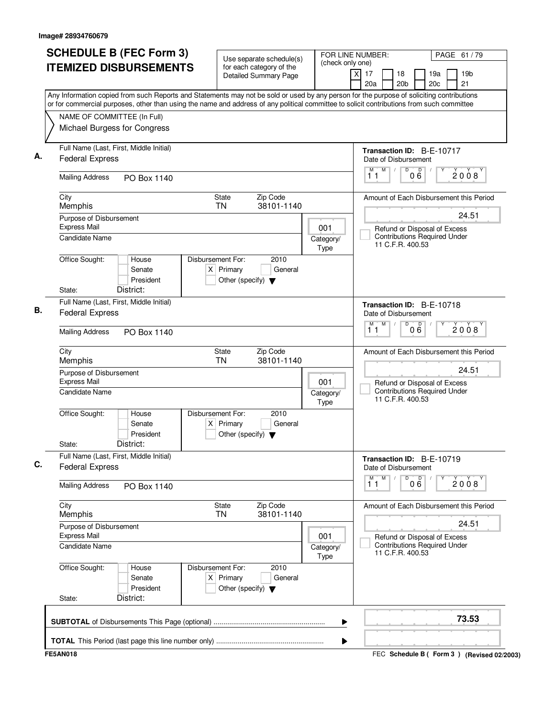| <b>ITEMIZED DISBURSEMENTS</b>                                                               | <b>SCHEDULE B (FEC Form 3)</b>            |                                                                          | Use separate schedule(s)<br>for each category of the<br>Detailed Summary Page | (check only one)         | FOR LINE NUMBER:<br>PAGE 61 / 79<br>19 <sub>b</sub><br>$\times$<br>17<br>18<br>19a<br>20c<br>21<br>20a<br>20 <sub>b</sub>                                                                                                                                                              |
|---------------------------------------------------------------------------------------------|-------------------------------------------|--------------------------------------------------------------------------|-------------------------------------------------------------------------------|--------------------------|----------------------------------------------------------------------------------------------------------------------------------------------------------------------------------------------------------------------------------------------------------------------------------------|
| NAME OF COMMITTEE (In Full)<br>Michael Burgess for Congress                                 |                                           |                                                                          |                                                                               |                          | Any Information copied from such Reports and Statements may not be sold or used by any person for the purpose of soliciting contributions<br>or for commercial purposes, other than using the name and address of any political committee to solicit contributions from such committee |
| Full Name (Last, First, Middle Initial)<br><b>Federal Express</b><br><b>Mailing Address</b> | PO Box 1140                               |                                                                          |                                                                               |                          | Transaction ID: B-E-10717<br>Date of Disbursement<br>M<br>$\overline{D}$<br>$\overline{D}$<br>$\sqrt{2}$<br>2008<br>06<br>11                                                                                                                                                           |
| City<br>Memphis<br>Purpose of Disbursement                                                  |                                           | State<br><b>TN</b>                                                       | Zip Code<br>38101-1140                                                        |                          | Amount of Each Disbursement this Period<br>24.51                                                                                                                                                                                                                                       |
| <b>Express Mail</b><br><b>Candidate Name</b>                                                |                                           |                                                                          |                                                                               | 001<br>Category/<br>Type | Refund or Disposal of Excess<br><b>Contributions Required Under</b><br>11 C.F.R. 400.53                                                                                                                                                                                                |
| Office Sought:<br>State:                                                                    | House<br>Senate<br>President<br>District: | Disbursement For:<br>$X$ Primary<br>Other (specify) $\blacktriangledown$ | 2010<br>General                                                               |                          |                                                                                                                                                                                                                                                                                        |
| Full Name (Last, First, Middle Initial)<br><b>Federal Express</b><br><b>Mailing Address</b> | PO Box 1140                               |                                                                          |                                                                               |                          | Transaction ID: B-E-10718<br>Date of Disbursement<br>M<br>M<br>D<br>$0\overline{6}$<br>2008<br>11                                                                                                                                                                                      |
| City<br>Memphis                                                                             |                                           | State<br><b>TN</b>                                                       | Zip Code<br>38101-1140                                                        |                          | Amount of Each Disbursement this Period                                                                                                                                                                                                                                                |
| Purpose of Disbursement<br><b>Express Mail</b><br>Candidate Name                            |                                           |                                                                          |                                                                               | 001<br>Category/<br>Type | 24.51<br>Refund or Disposal of Excess<br><b>Contributions Required Under</b><br>11 C.F.R. 400.53                                                                                                                                                                                       |
| Office Sought:<br>State:                                                                    | House<br>Senate<br>President<br>District: | Disbursement For:<br>$X$ Primary<br>Other (specify) $\blacktriangledown$ | 2010<br>General                                                               |                          |                                                                                                                                                                                                                                                                                        |
| Full Name (Last, First, Middle Initial)<br><b>Federal Express</b>                           |                                           |                                                                          |                                                                               |                          | Transaction ID: B-E-10719<br>Date of Disbursement<br>M<br>D<br>000<br>M                                                                                                                                                                                                                |
| <b>Mailing Address</b>                                                                      | PO Box 1140                               |                                                                          |                                                                               |                          | 2008<br>11                                                                                                                                                                                                                                                                             |
| City<br>Memphis<br>Purpose of Disbursement                                                  |                                           | State<br>TN                                                              | Zip Code<br>38101-1140                                                        |                          | Amount of Each Disbursement this Period<br>24.51                                                                                                                                                                                                                                       |
| <b>Express Mail</b><br>Candidate Name                                                       |                                           |                                                                          |                                                                               | 001<br>Category/<br>Type | Refund or Disposal of Excess<br><b>Contributions Required Under</b><br>11 C.F.R. 400.53                                                                                                                                                                                                |
| Office Sought:<br>State:                                                                    | House<br>Senate<br>President<br>District: | Disbursement For:<br>$X$ Primary<br>Other (specify) $\blacktriangledown$ | 2010<br>General                                                               |                          |                                                                                                                                                                                                                                                                                        |
|                                                                                             |                                           |                                                                          |                                                                               |                          | 73.53                                                                                                                                                                                                                                                                                  |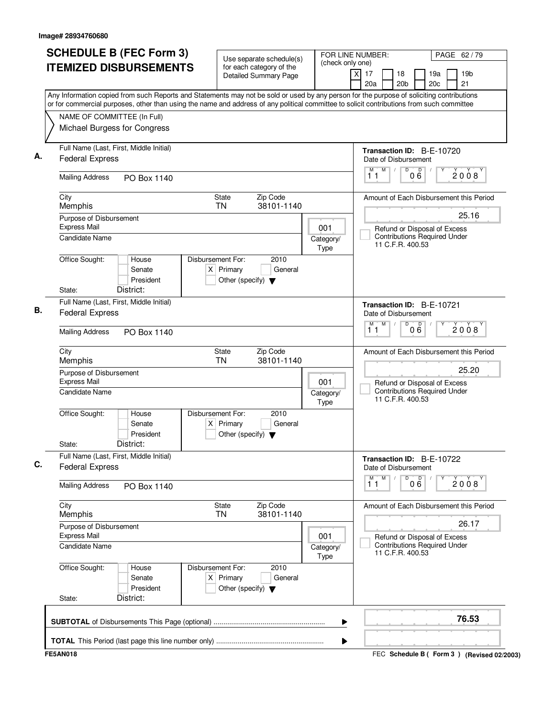| <b>SCHEDULE B (FEC Form 3)</b><br><b>ITEMIZED DISBURSEMENTS</b>   |                                           |                                                                          | Use separate schedule(s)<br>for each category of the | (check only one)         | FOR LINE NUMBER:<br>PAGE 62/79                                                                                                                                                                                                                                                         |
|-------------------------------------------------------------------|-------------------------------------------|--------------------------------------------------------------------------|------------------------------------------------------|--------------------------|----------------------------------------------------------------------------------------------------------------------------------------------------------------------------------------------------------------------------------------------------------------------------------------|
|                                                                   |                                           |                                                                          | Detailed Summary Page                                |                          | 19 <sub>b</sub><br>17<br>18<br>19a<br>X<br>20a<br>20 <sub>b</sub><br>20c<br>21                                                                                                                                                                                                         |
|                                                                   |                                           |                                                                          |                                                      |                          | Any Information copied from such Reports and Statements may not be sold or used by any person for the purpose of soliciting contributions<br>or for commercial purposes, other than using the name and address of any political committee to solicit contributions from such committee |
| NAME OF COMMITTEE (In Full)                                       |                                           |                                                                          |                                                      |                          |                                                                                                                                                                                                                                                                                        |
| Michael Burgess for Congress                                      |                                           |                                                                          |                                                      |                          |                                                                                                                                                                                                                                                                                        |
| Full Name (Last, First, Middle Initial)<br><b>Federal Express</b> |                                           |                                                                          |                                                      |                          | Transaction ID: B-E-10720<br>Date of Disbursement                                                                                                                                                                                                                                      |
| <b>Mailing Address</b>                                            | PO Box 1140                               |                                                                          |                                                      |                          | M<br>D<br>D<br>$\sqrt{2}$<br>M<br>2008<br>06<br>11                                                                                                                                                                                                                                     |
| City<br>Memphis                                                   |                                           | State<br><b>TN</b>                                                       | Zip Code<br>38101-1140                               |                          | Amount of Each Disbursement this Period                                                                                                                                                                                                                                                |
| Purpose of Disbursement                                           |                                           |                                                                          |                                                      |                          | 25.16                                                                                                                                                                                                                                                                                  |
| <b>Express Mail</b><br><b>Candidate Name</b>                      |                                           |                                                                          |                                                      | 001<br>Category/<br>Type | Refund or Disposal of Excess<br><b>Contributions Required Under</b><br>11 C.F.R. 400.53                                                                                                                                                                                                |
| Office Sought:<br>State:                                          | House<br>Senate<br>President<br>District: | Disbursement For:<br>$X$ Primary<br>Other (specify) $\blacktriangledown$ | 2010<br>General                                      |                          |                                                                                                                                                                                                                                                                                        |
|                                                                   |                                           |                                                                          |                                                      |                          |                                                                                                                                                                                                                                                                                        |
| Full Name (Last, First, Middle Initial)<br><b>Federal Express</b> |                                           |                                                                          |                                                      |                          | Transaction ID: B-E-10721<br>Date of Disbursement<br>M<br>D<br>$\mathsf D$<br>М                                                                                                                                                                                                        |
| <b>Mailing Address</b>                                            | PO Box 1140                               |                                                                          |                                                      |                          | 2008<br>0 Ğ<br>11                                                                                                                                                                                                                                                                      |
| City<br>Memphis                                                   |                                           | State<br><b>TN</b>                                                       | Zip Code<br>38101-1140                               |                          | Amount of Each Disbursement this Period                                                                                                                                                                                                                                                |
| Purpose of Disbursement<br><b>Express Mail</b>                    |                                           |                                                                          |                                                      | 001                      | 25.20<br>Refund or Disposal of Excess                                                                                                                                                                                                                                                  |
| Candidate Name                                                    |                                           |                                                                          |                                                      | Category/<br>Type        | <b>Contributions Required Under</b><br>11 C.F.R. 400.53                                                                                                                                                                                                                                |
| Office Sought:                                                    | House<br>Senate<br>President              | Disbursement For:<br>$X$ Primary<br>Other (specify) $\blacktriangledown$ | 2010<br>General                                      |                          |                                                                                                                                                                                                                                                                                        |
| State:                                                            | District:                                 |                                                                          |                                                      |                          |                                                                                                                                                                                                                                                                                        |
| Full Name (Last, First, Middle Initial)<br><b>Federal Express</b> |                                           |                                                                          |                                                      |                          | Transaction ID: B-E-10722<br>Date of Disbursement                                                                                                                                                                                                                                      |
| <b>Mailing Address</b>                                            | PO Box 1140                               |                                                                          |                                                      |                          | M<br>D<br>М<br>000<br>2008<br>11                                                                                                                                                                                                                                                       |
| City<br>Memphis                                                   |                                           | State<br><b>TN</b>                                                       | Zip Code<br>38101-1140                               |                          | Amount of Each Disbursement this Period                                                                                                                                                                                                                                                |
| Purpose of Disbursement<br><b>Express Mail</b>                    |                                           |                                                                          |                                                      | 001                      | 26.17<br>Refund or Disposal of Excess                                                                                                                                                                                                                                                  |
| <b>Candidate Name</b>                                             |                                           |                                                                          |                                                      | Category/<br>Type        | <b>Contributions Required Under</b><br>11 C.F.R. 400.53                                                                                                                                                                                                                                |
| Office Sought:                                                    | House<br>Senate<br>President              | Disbursement For:<br>$X$ Primary<br>Other (specify) $\blacktriangledown$ | 2010<br>General                                      |                          |                                                                                                                                                                                                                                                                                        |
| State:                                                            | District:                                 |                                                                          |                                                      |                          |                                                                                                                                                                                                                                                                                        |
|                                                                   |                                           |                                                                          |                                                      | ▶                        | 76.53                                                                                                                                                                                                                                                                                  |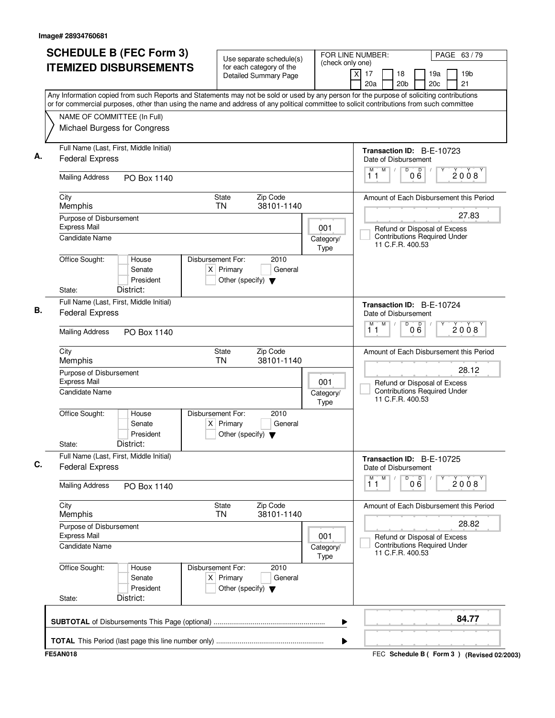| <b>SCHEDULE B (FEC Form 3)</b><br><b>ITEMIZED DISBURSEMENTS</b>   |                                           |                                                                          | Use separate schedule(s)<br>for each category of the | (check only one)         | FOR LINE NUMBER:<br>PAGE 63/79                                                                                                                                                                                                                                                         |
|-------------------------------------------------------------------|-------------------------------------------|--------------------------------------------------------------------------|------------------------------------------------------|--------------------------|----------------------------------------------------------------------------------------------------------------------------------------------------------------------------------------------------------------------------------------------------------------------------------------|
|                                                                   |                                           |                                                                          | Detailed Summary Page                                |                          | 19 <sub>b</sub><br>17<br>18<br>19a<br>X<br>20a<br>20 <sub>b</sub><br>20c<br>21                                                                                                                                                                                                         |
|                                                                   |                                           |                                                                          |                                                      |                          | Any Information copied from such Reports and Statements may not be sold or used by any person for the purpose of soliciting contributions<br>or for commercial purposes, other than using the name and address of any political committee to solicit contributions from such committee |
| NAME OF COMMITTEE (In Full)                                       |                                           |                                                                          |                                                      |                          |                                                                                                                                                                                                                                                                                        |
| Michael Burgess for Congress                                      |                                           |                                                                          |                                                      |                          |                                                                                                                                                                                                                                                                                        |
| Full Name (Last, First, Middle Initial)<br><b>Federal Express</b> |                                           |                                                                          |                                                      |                          | <b>Transaction ID: B-E-10723</b><br>Date of Disbursement                                                                                                                                                                                                                               |
| <b>Mailing Address</b>                                            | PO Box 1140                               |                                                                          |                                                      |                          | M<br>D<br>D<br>$\sqrt{2}$<br>M<br>2008<br>06<br>11                                                                                                                                                                                                                                     |
| City<br>Memphis                                                   |                                           | State<br><b>TN</b>                                                       | Zip Code<br>38101-1140                               |                          | Amount of Each Disbursement this Period                                                                                                                                                                                                                                                |
| Purpose of Disbursement                                           |                                           |                                                                          |                                                      |                          | 27.83                                                                                                                                                                                                                                                                                  |
| <b>Express Mail</b><br><b>Candidate Name</b>                      |                                           |                                                                          |                                                      | 001<br>Category/<br>Type | Refund or Disposal of Excess<br><b>Contributions Required Under</b><br>11 C.F.R. 400.53                                                                                                                                                                                                |
| Office Sought:<br>State:                                          | House<br>Senate<br>President<br>District: | Disbursement For:<br>$X$ Primary<br>Other (specify) $\blacktriangledown$ | 2010<br>General                                      |                          |                                                                                                                                                                                                                                                                                        |
|                                                                   |                                           |                                                                          |                                                      |                          |                                                                                                                                                                                                                                                                                        |
| Full Name (Last, First, Middle Initial)<br><b>Federal Express</b> |                                           |                                                                          |                                                      |                          | Transaction ID: B-E-10724<br>Date of Disbursement<br>M<br>D<br>$\mathsf D$<br>М                                                                                                                                                                                                        |
| <b>Mailing Address</b>                                            | PO Box 1140                               |                                                                          |                                                      |                          | 2008<br>0 Ğ<br>11                                                                                                                                                                                                                                                                      |
| City<br>Memphis                                                   |                                           | State<br><b>TN</b>                                                       | Zip Code<br>38101-1140                               |                          | Amount of Each Disbursement this Period                                                                                                                                                                                                                                                |
| Purpose of Disbursement<br><b>Express Mail</b>                    |                                           |                                                                          |                                                      | 001                      | 28.12<br>Refund or Disposal of Excess                                                                                                                                                                                                                                                  |
| Candidate Name                                                    |                                           |                                                                          |                                                      | Category/<br>Type        | <b>Contributions Required Under</b><br>11 C.F.R. 400.53                                                                                                                                                                                                                                |
| Office Sought:                                                    | House<br>Senate<br>President              | Disbursement For:<br>$X$ Primary<br>Other (specify) $\blacktriangledown$ | 2010<br>General                                      |                          |                                                                                                                                                                                                                                                                                        |
| State:                                                            | District:                                 |                                                                          |                                                      |                          |                                                                                                                                                                                                                                                                                        |
| Full Name (Last, First, Middle Initial)<br><b>Federal Express</b> |                                           |                                                                          |                                                      |                          | Transaction ID: B-E-10725<br>Date of Disbursement                                                                                                                                                                                                                                      |
| <b>Mailing Address</b>                                            | PO Box 1140                               |                                                                          |                                                      |                          | M<br>D<br>00 <sup>0</sup><br>М<br>2008<br>11                                                                                                                                                                                                                                           |
| City<br>Memphis                                                   |                                           | State<br><b>TN</b>                                                       | Zip Code<br>38101-1140                               |                          | Amount of Each Disbursement this Period                                                                                                                                                                                                                                                |
| Purpose of Disbursement<br><b>Express Mail</b>                    |                                           |                                                                          |                                                      | 001                      | 28.82<br>Refund or Disposal of Excess                                                                                                                                                                                                                                                  |
| <b>Candidate Name</b>                                             |                                           |                                                                          |                                                      | Category/<br>Type        | <b>Contributions Required Under</b><br>11 C.F.R. 400.53                                                                                                                                                                                                                                |
| Office Sought:                                                    | House<br>Senate<br>President              | Disbursement For:<br>$X$ Primary<br>Other (specify) $\blacktriangledown$ | 2010<br>General                                      |                          |                                                                                                                                                                                                                                                                                        |
| State:                                                            | District:                                 |                                                                          |                                                      |                          |                                                                                                                                                                                                                                                                                        |
|                                                                   |                                           |                                                                          |                                                      | ▶                        | 84.77                                                                                                                                                                                                                                                                                  |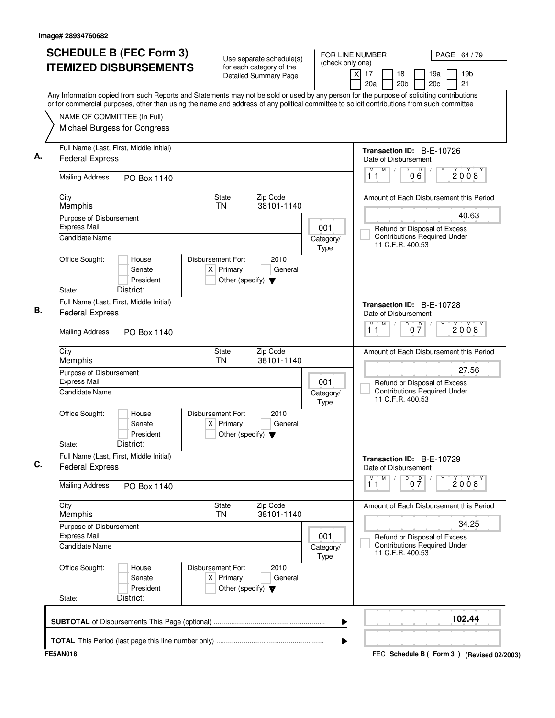| <b>SCHEDULE B (FEC Form 3)</b><br><b>ITEMIZED DISBURSEMENTS</b><br>Any Information copied from such Reports and Statements may not be sold or used by any person for the purpose of soliciting contributions | Use separate schedule(s)<br>for each category of the<br>Detailed Summary Page               | FOR LINE NUMBER:<br>(check only one) | PAGE 64 / 79<br>$\times$<br>17<br>18<br>19a<br>19 <sub>b</sub><br>20c<br>21<br>20a<br>20 <sub>b</sub>                        |
|--------------------------------------------------------------------------------------------------------------------------------------------------------------------------------------------------------------|---------------------------------------------------------------------------------------------|--------------------------------------|------------------------------------------------------------------------------------------------------------------------------|
| or for commercial purposes, other than using the name and address of any political committee to solicit contributions from such committee<br>NAME OF COMMITTEE (In Full)<br>Michael Burgess for Congress     |                                                                                             |                                      |                                                                                                                              |
| Full Name (Last, First, Middle Initial)<br><b>Federal Express</b>                                                                                                                                            |                                                                                             |                                      | Transaction ID: B-E-10726<br>Date of Disbursement<br>M<br>$\overline{D}$<br>$\overline{D}$<br>$\sqrt{2}$<br>2008<br>06<br>11 |
| <b>Mailing Address</b><br>PO Box 1140                                                                                                                                                                        |                                                                                             |                                      |                                                                                                                              |
| City<br>Memphis                                                                                                                                                                                              | Zip Code<br>State<br><b>TN</b><br>38101-1140                                                |                                      | Amount of Each Disbursement this Period<br>40.63                                                                             |
| Purpose of Disbursement<br><b>Express Mail</b><br><b>Candidate Name</b>                                                                                                                                      |                                                                                             | 001<br>Category/                     | Refund or Disposal of Excess<br><b>Contributions Required Under</b><br>11 C.F.R. 400.53                                      |
| Office Sought:<br>House<br>Senate<br>President<br>District:<br>State:                                                                                                                                        | Disbursement For:<br>2010<br>$X$ Primary<br>General<br>Other (specify) $\blacktriangledown$ | Type                                 |                                                                                                                              |
| Full Name (Last, First, Middle Initial)<br><b>Federal Express</b>                                                                                                                                            |                                                                                             |                                      | Transaction ID: B-E-10728<br>Date of Disbursement<br>M<br>M<br>D                                                             |
| <b>Mailing Address</b><br>PO Box 1140                                                                                                                                                                        |                                                                                             |                                      | 0 <sup>0</sup><br>2008<br>11                                                                                                 |
| City<br>Memphis                                                                                                                                                                                              | Zip Code<br>State<br><b>TN</b><br>38101-1140                                                |                                      | Amount of Each Disbursement this Period                                                                                      |
| Purpose of Disbursement<br><b>Express Mail</b><br>Candidate Name                                                                                                                                             |                                                                                             | 001<br>Category/<br>Type             | 27.56<br>Refund or Disposal of Excess<br><b>Contributions Required Under</b><br>11 C.F.R. 400.53                             |
| Office Sought:<br>House<br>Senate<br>President<br>District:<br>State:                                                                                                                                        | Disbursement For:<br>2010<br>$X$ Primary<br>General<br>Other (specify) $\blacktriangledown$ |                                      |                                                                                                                              |
| Full Name (Last, First, Middle Initial)<br><b>Federal Express</b>                                                                                                                                            |                                                                                             |                                      | Transaction ID: B-E-10729<br>Date of Disbursement<br>M<br>D<br>M                                                             |
| <b>Mailing Address</b><br>PO Box 1140                                                                                                                                                                        |                                                                                             |                                      | $0\overline{7}$<br>2008<br>11                                                                                                |
| City<br>Memphis                                                                                                                                                                                              | State<br>Zip Code<br>38101-1140<br>TN                                                       |                                      | Amount of Each Disbursement this Period                                                                                      |
| Purpose of Disbursement<br><b>Express Mail</b><br>Candidate Name                                                                                                                                             |                                                                                             | 001<br>Category/                     | 34.25<br>Refund or Disposal of Excess<br><b>Contributions Required Under</b>                                                 |
| Office Sought:<br>House<br>Senate<br>President<br>District:<br>State:                                                                                                                                        | Disbursement For:<br>2010<br>$X$ Primary<br>General<br>Other (specify) $\blacktriangledown$ | <b>Type</b>                          | 11 C.F.R. 400.53                                                                                                             |
|                                                                                                                                                                                                              |                                                                                             | ▶                                    | 102.44                                                                                                                       |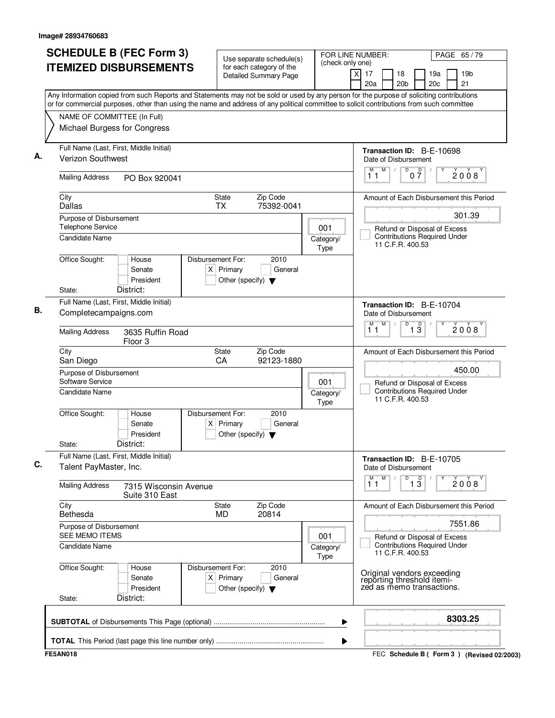| <b>SCHEDULE B (FEC Form 3)</b>                                                                                                                                                                                                                                                         | Use separate schedule(s)                                                                    | (check only one)         | FOR LINE NUMBER:                                                                        | PAGE 65/79                                |  |  |  |
|----------------------------------------------------------------------------------------------------------------------------------------------------------------------------------------------------------------------------------------------------------------------------------------|---------------------------------------------------------------------------------------------|--------------------------|-----------------------------------------------------------------------------------------|-------------------------------------------|--|--|--|
| <b>ITEMIZED DISBURSEMENTS</b>                                                                                                                                                                                                                                                          | for each category of the<br>Detailed Summary Page                                           |                          | x<br>17<br>18<br>20a<br>20 <sub>b</sub>                                                 | 19a<br>19 <sub>b</sub><br>21<br>20c       |  |  |  |
| Any Information copied from such Reports and Statements may not be sold or used by any person for the purpose of soliciting contributions<br>or for commercial purposes, other than using the name and address of any political committee to solicit contributions from such committee |                                                                                             |                          |                                                                                         |                                           |  |  |  |
| NAME OF COMMITTEE (In Full)                                                                                                                                                                                                                                                            |                                                                                             |                          |                                                                                         |                                           |  |  |  |
| Michael Burgess for Congress                                                                                                                                                                                                                                                           |                                                                                             |                          |                                                                                         |                                           |  |  |  |
| Full Name (Last, First, Middle Initial)                                                                                                                                                                                                                                                |                                                                                             |                          | Transaction ID: B-E-10698                                                               |                                           |  |  |  |
| <b>Verizon Southwest</b>                                                                                                                                                                                                                                                               |                                                                                             |                          | Date of Disbursement<br>M<br>$\overline{D}$<br>$\overline{\mathsf{D}}$<br>M             |                                           |  |  |  |
| <b>Mailing Address</b><br>PO Box 920041                                                                                                                                                                                                                                                |                                                                                             |                          | 07<br>11                                                                                | 2008                                      |  |  |  |
| City<br><b>Dallas</b>                                                                                                                                                                                                                                                                  | Zip Code<br>State<br><b>TX</b><br>75392-0041                                                |                          |                                                                                         | Amount of Each Disbursement this Period   |  |  |  |
| Purpose of Disbursement                                                                                                                                                                                                                                                                |                                                                                             |                          |                                                                                         | 301.39                                    |  |  |  |
| <b>Telephone Service</b>                                                                                                                                                                                                                                                               |                                                                                             | 001                      | Refund or Disposal of Excess                                                            |                                           |  |  |  |
| <b>Candidate Name</b>                                                                                                                                                                                                                                                                  |                                                                                             | Category/<br>Type        | <b>Contributions Required Under</b><br>11 C.F.R. 400.53                                 |                                           |  |  |  |
| Office Sought:<br>House                                                                                                                                                                                                                                                                | Disbursement For:<br>2010                                                                   |                          |                                                                                         |                                           |  |  |  |
| Senate<br>President                                                                                                                                                                                                                                                                    | $X$ Primary<br>General<br>Other (specify) $\blacktriangledown$                              |                          |                                                                                         |                                           |  |  |  |
| District:<br>State:                                                                                                                                                                                                                                                                    |                                                                                             |                          |                                                                                         |                                           |  |  |  |
| Full Name (Last, First, Middle Initial)                                                                                                                                                                                                                                                |                                                                                             |                          | Transaction ID: B-E-10704                                                               |                                           |  |  |  |
| Completecampaigns.com                                                                                                                                                                                                                                                                  |                                                                                             |                          | Date of Disbursement                                                                    |                                           |  |  |  |
| <b>Mailing Address</b><br>3635 Ruffin Road<br>Floor <sub>3</sub>                                                                                                                                                                                                                       |                                                                                             |                          | M<br>D<br>М<br>$\overline{1\,3}$<br>11                                                  | 2008                                      |  |  |  |
| City<br>San Diego                                                                                                                                                                                                                                                                      | Zip Code<br>State<br>92123-1880<br>CA                                                       |                          |                                                                                         | Amount of Each Disbursement this Period   |  |  |  |
| Purpose of Disbursement                                                                                                                                                                                                                                                                |                                                                                             |                          | 450.00                                                                                  |                                           |  |  |  |
| Software Service<br><b>Candidate Name</b>                                                                                                                                                                                                                                              |                                                                                             | 001<br>Category/         | Refund or Disposal of Excess<br><b>Contributions Required Under</b>                     |                                           |  |  |  |
|                                                                                                                                                                                                                                                                                        |                                                                                             | Type                     | 11 C.F.R. 400.53                                                                        |                                           |  |  |  |
| Office Sought:<br>House<br>Senate<br>President<br>District:<br>State:                                                                                                                                                                                                                  | Disbursement For:<br>2010<br>General<br>$X$ Primary<br>Other (specify) $\blacktriangledown$ |                          |                                                                                         |                                           |  |  |  |
| Full Name (Last, First, Middle Initial)<br>Talent PayMaster, Inc.                                                                                                                                                                                                                      |                                                                                             |                          | Transaction ID: B-E-10705<br>Date of Disbursement                                       |                                           |  |  |  |
| <b>Mailing Address</b><br>7315 Wisconsin Avenue<br>Suite 310 East                                                                                                                                                                                                                      |                                                                                             |                          | M<br>$\overline{1\,3}$<br>D<br>11                                                       | 2008                                      |  |  |  |
| City<br>Bethesda                                                                                                                                                                                                                                                                       | Zip Code<br>State<br>20814<br>MD                                                            |                          |                                                                                         | Amount of Each Disbursement this Period   |  |  |  |
| Purpose of Disbursement<br>SEE MEMO ITEMS                                                                                                                                                                                                                                              |                                                                                             |                          |                                                                                         | 7551.86                                   |  |  |  |
| <b>Candidate Name</b>                                                                                                                                                                                                                                                                  |                                                                                             | 001<br>Category/<br>Type | Refund or Disposal of Excess<br><b>Contributions Required Under</b><br>11 C.F.R. 400.53 |                                           |  |  |  |
| Office Sought:<br>House<br>Senate<br>President<br>District:<br>State:                                                                                                                                                                                                                  | 2010<br>Disbursement For:<br>$X$ Primary<br>General<br>Other (specify) $\blacktriangledown$ |                          | Original vendors exceeding<br>reporting threshold itemi-<br>zed as memo transactions.   |                                           |  |  |  |
|                                                                                                                                                                                                                                                                                        |                                                                                             | ▶                        |                                                                                         | 8303.25                                   |  |  |  |
|                                                                                                                                                                                                                                                                                        |                                                                                             | ▶                        |                                                                                         |                                           |  |  |  |
| <b>FE5AN018</b>                                                                                                                                                                                                                                                                        |                                                                                             |                          |                                                                                         | FEC Schedule B (Form 3) (Revised 02/2003) |  |  |  |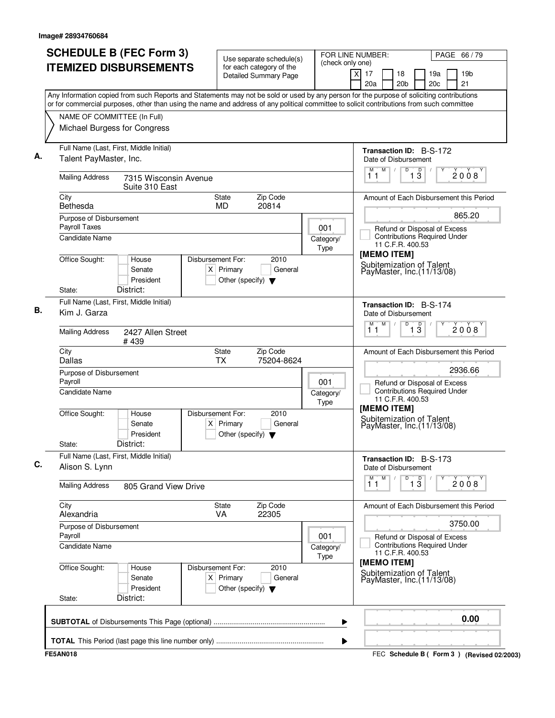|                                                                   | <b>SCHEDULE B (FEC Form 3)</b><br><b>ITEMIZED DISBURSEMENTS</b> | Use separate schedule(s)<br>for each category of the<br><b>Detailed Summary Page</b>        | (check only one)  | FOR LINE NUMBER:<br>PAGE 66 / 79<br>$\times$<br>17<br>19a<br>19 <sub>b</sub><br>18<br>20c<br>21<br>20a<br>20 <sub>b</sub>                                                                                                                                                              |
|-------------------------------------------------------------------|-----------------------------------------------------------------|---------------------------------------------------------------------------------------------|-------------------|----------------------------------------------------------------------------------------------------------------------------------------------------------------------------------------------------------------------------------------------------------------------------------------|
|                                                                   |                                                                 |                                                                                             |                   | Any Information copied from such Reports and Statements may not be sold or used by any person for the purpose of soliciting contributions<br>or for commercial purposes, other than using the name and address of any political committee to solicit contributions from such committee |
| NAME OF COMMITTEE (In Full)<br>Michael Burgess for Congress       |                                                                 |                                                                                             |                   |                                                                                                                                                                                                                                                                                        |
| Full Name (Last, First, Middle Initial)<br>Talent PayMaster, Inc. |                                                                 |                                                                                             |                   | <b>Transaction ID: B-S-172</b><br>Date of Disbursement                                                                                                                                                                                                                                 |
| <b>Mailing Address</b>                                            | 7315 Wisconsin Avenue<br>Suite 310 East                         |                                                                                             |                   | M<br>$\overline{D}$<br>$1\overline{3}$<br>M<br>$\sqrt{2}$<br>2008<br>11                                                                                                                                                                                                                |
| City<br>Bethesda                                                  |                                                                 | Zip Code<br><b>State</b><br>MD<br>20814                                                     |                   | Amount of Each Disbursement this Period                                                                                                                                                                                                                                                |
| Purpose of Disbursement<br>Payroll Taxes<br>Candidate Name        |                                                                 |                                                                                             | 001<br>Category/  | 865.20<br>Refund or Disposal of Excess<br><b>Contributions Required Under</b>                                                                                                                                                                                                          |
| Office Sought:<br>State:                                          | House<br>Senate<br>President<br>District:                       | Disbursement For:<br>2010<br>$X$ Primary<br>General<br>Other (specify) $\blacktriangledown$ | Type              | 11 C.F.R. 400.53<br>[MEMO ITEM]<br>Subitemization of Talent<br>PayMaster, Inc. (11/13/08)                                                                                                                                                                                              |
| Full Name (Last, First, Middle Initial)<br>Kim J. Garza           |                                                                 |                                                                                             |                   | <b>Transaction ID: B-S-174</b><br>Date of Disbursement                                                                                                                                                                                                                                 |
| <b>Mailing Address</b>                                            | 2427 Allen Street<br>#439                                       |                                                                                             |                   | M<br>D<br>$\overline{1\,3}$<br>м<br>2008<br>11                                                                                                                                                                                                                                         |
| City<br><b>Dallas</b>                                             |                                                                 | State<br>Zip Code<br><b>TX</b><br>75204-8624                                                |                   | Amount of Each Disbursement this Period                                                                                                                                                                                                                                                |
| Purpose of Disbursement<br>Payroll<br>Candidate Name              |                                                                 |                                                                                             | 001<br>Category/  | 2936.66<br>Refund or Disposal of Excess<br><b>Contributions Required Under</b><br>11 C.F.R. 400.53                                                                                                                                                                                     |
| Office Sought:<br>State:                                          | House<br>Senate<br>President<br>District:                       | Disbursement For:<br>2010<br>$X$ Primary<br>General<br>Other (specify) $\blacktriangledown$ | Type              | [MEMO ITEM]<br>Subitemization of Talent<br>PayMaster, Inc. (11/13/08)                                                                                                                                                                                                                  |
| Full Name (Last, First, Middle Initial)<br>Alison S. Lynn         |                                                                 |                                                                                             |                   | <b>Transaction ID: B-S-173</b><br>Date of Disbursement                                                                                                                                                                                                                                 |
| <b>Mailing Address</b>                                            | 805 Grand View Drive                                            |                                                                                             |                   | M<br>$\overline{1\,3}$<br>м<br>D<br>2008<br>11                                                                                                                                                                                                                                         |
| City<br>Alexandria                                                |                                                                 | Zip Code<br><b>State</b><br>22305<br>VA.                                                    |                   | Amount of Each Disbursement this Period                                                                                                                                                                                                                                                |
| Purpose of Disbursement<br>Payroll                                |                                                                 |                                                                                             | 001               | 3750.00                                                                                                                                                                                                                                                                                |
| <b>Candidate Name</b>                                             |                                                                 |                                                                                             | Category/<br>Type | Refund or Disposal of Excess<br><b>Contributions Required Under</b><br>11 C.F.R. 400.53                                                                                                                                                                                                |
| Office Sought:<br>State:                                          | House<br>Senate<br>President<br>District:                       | Disbursement For:<br>2010<br>$X$ Primary<br>General<br>Other (specify) $\blacktriangledown$ |                   | [MEMO ITEM]<br>Subitemization of Talent<br>PayMaster, Inc. (11/13/08)                                                                                                                                                                                                                  |
|                                                                   |                                                                 |                                                                                             | ▶                 | 0.00                                                                                                                                                                                                                                                                                   |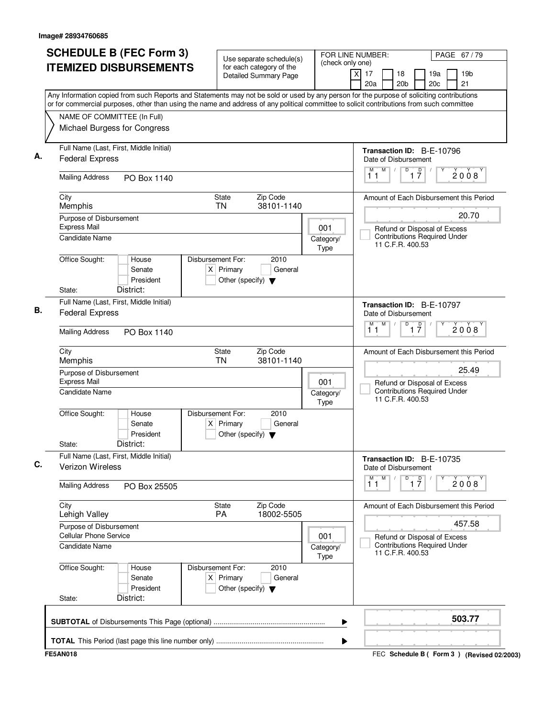| <b>SCHEDULE B (FEC Form 3)</b><br><b>ITEMIZED DISBURSEMENTS</b>       |                                  | Use separate schedule(s)<br>for each category of the    | (check only one)         | FOR LINE NUMBER:<br>PAGE 67/79                                                                                                                                                                                                                                                         |
|-----------------------------------------------------------------------|----------------------------------|---------------------------------------------------------|--------------------------|----------------------------------------------------------------------------------------------------------------------------------------------------------------------------------------------------------------------------------------------------------------------------------------|
|                                                                       |                                  | Detailed Summary Page                                   |                          | 17<br>18<br>19a<br>19 <sub>b</sub><br>X<br>20a<br>20 <sub>b</sub><br>20c<br>21                                                                                                                                                                                                         |
|                                                                       |                                  |                                                         |                          | Any Information copied from such Reports and Statements may not be sold or used by any person for the purpose of soliciting contributions<br>or for commercial purposes, other than using the name and address of any political committee to solicit contributions from such committee |
| NAME OF COMMITTEE (In Full)                                           |                                  |                                                         |                          |                                                                                                                                                                                                                                                                                        |
| Michael Burgess for Congress                                          |                                  |                                                         |                          |                                                                                                                                                                                                                                                                                        |
| Full Name (Last, First, Middle Initial)<br><b>Federal Express</b>     |                                  |                                                         |                          | Transaction ID: B-E-10796<br>Date of Disbursement                                                                                                                                                                                                                                      |
| <b>Mailing Address</b><br>PO Box 1140                                 |                                  |                                                         |                          | M<br>$\overline{1}$ $\overline{7}$<br>D<br>M<br>$\sqrt{2}$<br>2008<br>11                                                                                                                                                                                                               |
| City<br>Memphis                                                       | State<br><b>TN</b>               | Zip Code<br>38101-1140                                  |                          | Amount of Each Disbursement this Period                                                                                                                                                                                                                                                |
| Purpose of Disbursement                                               |                                  |                                                         |                          | 20.70                                                                                                                                                                                                                                                                                  |
| <b>Express Mail</b><br><b>Candidate Name</b>                          |                                  |                                                         | 001<br>Category/<br>Type | Refund or Disposal of Excess<br><b>Contributions Required Under</b><br>11 C.F.R. 400.53                                                                                                                                                                                                |
| Office Sought:<br>House<br>Senate<br>President<br>District:<br>State: | Disbursement For:<br>$X$ Primary | 2010<br>General<br>Other (specify) $\blacktriangledown$ |                          |                                                                                                                                                                                                                                                                                        |
|                                                                       |                                  |                                                         |                          |                                                                                                                                                                                                                                                                                        |
| Full Name (Last, First, Middle Initial)<br><b>Federal Express</b>     |                                  |                                                         |                          | Transaction ID: B-E-10797<br>Date of Disbursement<br>M<br>D<br>М                                                                                                                                                                                                                       |
| <b>Mailing Address</b><br>PO Box 1140                                 |                                  |                                                         |                          | $\overline{1}$ $\overline{7}$<br>2008<br>11                                                                                                                                                                                                                                            |
| City<br>Memphis                                                       | State<br><b>TN</b>               | Zip Code<br>38101-1140                                  |                          | Amount of Each Disbursement this Period                                                                                                                                                                                                                                                |
| Purpose of Disbursement<br><b>Express Mail</b>                        |                                  |                                                         | 001                      | 25.49<br>Refund or Disposal of Excess                                                                                                                                                                                                                                                  |
| Candidate Name                                                        |                                  |                                                         | Category/<br>Type        | <b>Contributions Required Under</b><br>11 C.F.R. 400.53                                                                                                                                                                                                                                |
| Office Sought:<br>House<br>Senate<br>President                        | Disbursement For:<br>$X$ Primary | 2010<br>General<br>Other (specify) $\blacktriangledown$ |                          |                                                                                                                                                                                                                                                                                        |
| District:<br>State:                                                   |                                  |                                                         |                          |                                                                                                                                                                                                                                                                                        |
| Full Name (Last, First, Middle Initial)<br><b>Verizon Wireless</b>    |                                  |                                                         |                          | Transaction ID: B-E-10735<br>Date of Disbursement                                                                                                                                                                                                                                      |
| <b>Mailing Address</b><br>PO Box 25505                                |                                  |                                                         |                          | M<br>D<br>М<br>$\overline{1}$ $\overline{7}$<br>2008<br>11                                                                                                                                                                                                                             |
| City<br>Lehigh Valley                                                 | State<br>PA                      | Zip Code<br>18002-5505                                  |                          | Amount of Each Disbursement this Period                                                                                                                                                                                                                                                |
| Purpose of Disbursement<br><b>Cellular Phone Service</b>              |                                  |                                                         | 001                      | 457.58<br>Refund or Disposal of Excess                                                                                                                                                                                                                                                 |
| Candidate Name                                                        |                                  |                                                         | Category/<br><b>Type</b> | <b>Contributions Required Under</b><br>11 C.F.R. 400.53                                                                                                                                                                                                                                |
| Office Sought:<br>House<br>Senate<br>President                        | Disbursement For:<br>$X$ Primary | 2010<br>General<br>Other (specify) $\blacktriangledown$ |                          |                                                                                                                                                                                                                                                                                        |
| District:<br>State:                                                   |                                  |                                                         |                          |                                                                                                                                                                                                                                                                                        |
|                                                                       |                                  |                                                         | ▶                        | 503.77                                                                                                                                                                                                                                                                                 |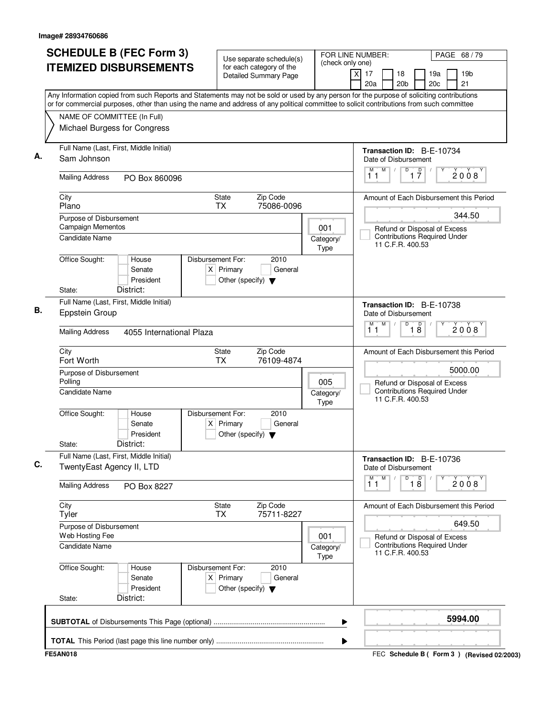| <b>SCHEDULE B (FEC Form 3)</b><br><b>ITEMIZED DISBURSEMENTS</b>                                                                                                                                                                                                                        | Use separate schedule(s)<br>for each category of the<br>Detailed Summary Page               | (check only one)         | FOR LINE NUMBER:<br>PAGE 68 / 79<br>19 <sub>b</sub><br>$\times$<br>17<br>18<br>19a<br>21<br>20a<br>20 <sub>b</sub><br>20c |
|----------------------------------------------------------------------------------------------------------------------------------------------------------------------------------------------------------------------------------------------------------------------------------------|---------------------------------------------------------------------------------------------|--------------------------|---------------------------------------------------------------------------------------------------------------------------|
| Any Information copied from such Reports and Statements may not be sold or used by any person for the purpose of soliciting contributions<br>or for commercial purposes, other than using the name and address of any political committee to solicit contributions from such committee |                                                                                             |                          |                                                                                                                           |
| NAME OF COMMITTEE (In Full)<br>Michael Burgess for Congress                                                                                                                                                                                                                            |                                                                                             |                          |                                                                                                                           |
| Full Name (Last, First, Middle Initial)<br>Sam Johnson                                                                                                                                                                                                                                 |                                                                                             |                          | Transaction ID: B-E-10734<br>Date of Disbursement                                                                         |
| <b>Mailing Address</b><br>PO Box 860096                                                                                                                                                                                                                                                |                                                                                             |                          | M<br>$\overline{D}$<br>$\overline{1}$ $\overline{7}$<br>$\sqrt{2}$<br>2008<br>11                                          |
| City<br>Plano                                                                                                                                                                                                                                                                          | Zip Code<br>State<br><b>TX</b><br>75086-0096                                                |                          | Amount of Each Disbursement this Period                                                                                   |
| Purpose of Disbursement                                                                                                                                                                                                                                                                |                                                                                             |                          | 344.50                                                                                                                    |
| Campaign Mementos<br>Candidate Name                                                                                                                                                                                                                                                    |                                                                                             | 001<br>Category/<br>Type | Refund or Disposal of Excess<br><b>Contributions Required Under</b><br>11 C.F.R. 400.53                                   |
| Office Sought:<br>House<br>Senate<br>President<br>District:<br>State:                                                                                                                                                                                                                  | Disbursement For:<br>2010<br>$X$ Primary<br>General<br>Other (specify) $\blacktriangledown$ |                          |                                                                                                                           |
| Full Name (Last, First, Middle Initial)                                                                                                                                                                                                                                                |                                                                                             |                          |                                                                                                                           |
| Eppstein Group                                                                                                                                                                                                                                                                         |                                                                                             |                          | Transaction ID: B-E-10738<br>Date of Disbursement<br>M<br>D<br>M                                                          |
| <b>Mailing Address</b><br>4055 International Plaza                                                                                                                                                                                                                                     |                                                                                             |                          | $\overline{18}$<br>2008<br>11                                                                                             |
| City<br>Fort Worth                                                                                                                                                                                                                                                                     | State<br>Zip Code<br><b>TX</b><br>76109-4874                                                |                          | Amount of Each Disbursement this Period                                                                                   |
| Purpose of Disbursement<br>Polling                                                                                                                                                                                                                                                     |                                                                                             | 005                      | 5000.00<br>Refund or Disposal of Excess                                                                                   |
| Candidate Name                                                                                                                                                                                                                                                                         |                                                                                             | Category/<br>Type        | <b>Contributions Required Under</b><br>11 C.F.R. 400.53                                                                   |
| Office Sought:<br>House<br>Senate<br>President<br>District:<br>State:                                                                                                                                                                                                                  | Disbursement For:<br>2010<br>$X$ Primary<br>General<br>Other (specify) $\blacktriangledown$ |                          |                                                                                                                           |
| Full Name (Last, First, Middle Initial)                                                                                                                                                                                                                                                |                                                                                             |                          |                                                                                                                           |
| TwentyEast Agency II, LTD                                                                                                                                                                                                                                                              |                                                                                             |                          | Transaction ID: B-E-10736<br>Date of Disbursement<br>M<br>D<br>M                                                          |
| <b>Mailing Address</b><br>PO Box 8227                                                                                                                                                                                                                                                  |                                                                                             |                          | $\overline{18}$<br>2008<br>11                                                                                             |
| City<br>Tyler                                                                                                                                                                                                                                                                          | State<br>Zip Code<br>75711-8227<br>TX                                                       |                          | Amount of Each Disbursement this Period                                                                                   |
| Purpose of Disbursement<br>Web Hosting Fee                                                                                                                                                                                                                                             |                                                                                             | 001                      | 649.50<br>Refund or Disposal of Excess                                                                                    |
| Candidate Name                                                                                                                                                                                                                                                                         |                                                                                             | Category/<br><b>Type</b> | <b>Contributions Required Under</b><br>11 C.F.R. 400.53                                                                   |
| Office Sought:<br>House<br>Senate<br>President                                                                                                                                                                                                                                         | Disbursement For:<br>2010<br>$X$ Primary<br>General<br>Other (specify) $\blacktriangledown$ |                          |                                                                                                                           |
| District:<br>State:                                                                                                                                                                                                                                                                    |                                                                                             |                          |                                                                                                                           |
|                                                                                                                                                                                                                                                                                        |                                                                                             | ▶                        | 5994.00                                                                                                                   |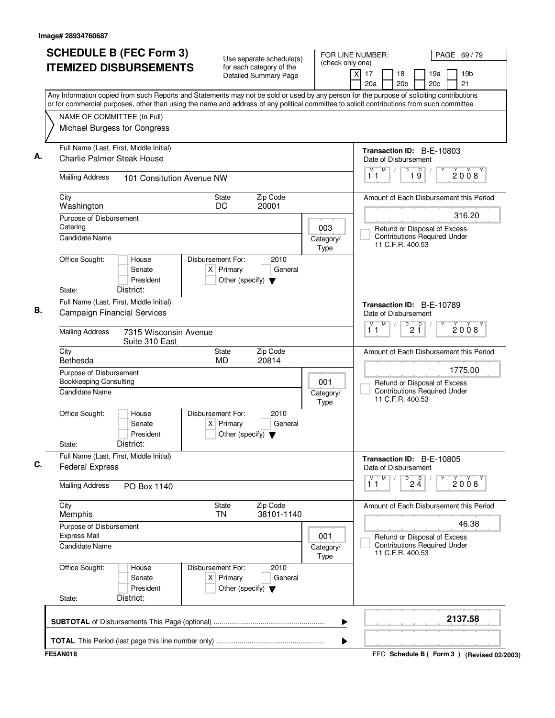| <b>SCHEDULE B (FEC Form 3)</b>                           |                                           | Use separate schedule(s)                                                                    | (check only one)                | FOR LINE NUMBER:<br>PAGE 69 / 79                                                                                                                                                                                                                                                       |
|----------------------------------------------------------|-------------------------------------------|---------------------------------------------------------------------------------------------|---------------------------------|----------------------------------------------------------------------------------------------------------------------------------------------------------------------------------------------------------------------------------------------------------------------------------------|
|                                                          | <b>ITEMIZED DISBURSEMENTS</b>             | for each category of the<br>Detailed Summary Page                                           |                                 | 17<br>18<br>19a<br>19 <sub>b</sub><br>X<br>21<br>20 <sub>b</sub><br>20c<br>20a                                                                                                                                                                                                         |
|                                                          |                                           |                                                                                             |                                 | Any Information copied from such Reports and Statements may not be sold or used by any person for the purpose of soliciting contributions<br>or for commercial purposes, other than using the name and address of any political committee to solicit contributions from such committee |
| NAME OF COMMITTEE (In Full)                              |                                           |                                                                                             |                                 |                                                                                                                                                                                                                                                                                        |
|                                                          | Michael Burgess for Congress              |                                                                                             |                                 |                                                                                                                                                                                                                                                                                        |
| <b>Charlie Palmer Steak House</b>                        | Full Name (Last, First, Middle Initial)   |                                                                                             |                                 | Transaction ID: B-E-10803<br>Date of Disbursement                                                                                                                                                                                                                                      |
| <b>Mailing Address</b>                                   | 101 Consitution Avenue NW                 |                                                                                             |                                 | M<br>$\mathsf D$<br>M<br>$\sqrt{2}$<br>D<br>2008<br>19<br>11                                                                                                                                                                                                                           |
| City<br>Washington                                       |                                           | Zip Code<br><b>State</b><br>20001<br>DC                                                     |                                 | Amount of Each Disbursement this Period                                                                                                                                                                                                                                                |
| Purpose of Disbursement                                  |                                           |                                                                                             |                                 | 316.20                                                                                                                                                                                                                                                                                 |
| Catering<br><b>Candidate Name</b>                        |                                           |                                                                                             | 003<br>Category/<br><b>Type</b> | Refund or Disposal of Excess<br><b>Contributions Required Under</b><br>11 C.F.R. 400.53                                                                                                                                                                                                |
| Office Sought:<br>State:                                 | House<br>Senate<br>President<br>District: | Disbursement For:<br>2010<br>$X$ Primary<br>General<br>Other (specify) $\blacktriangledown$ |                                 |                                                                                                                                                                                                                                                                                        |
|                                                          | Full Name (Last, First, Middle Initial)   |                                                                                             |                                 |                                                                                                                                                                                                                                                                                        |
|                                                          | <b>Campaign Financial Services</b>        |                                                                                             |                                 | Transaction ID: B-E-10789<br>Date of Disbursement<br>M<br>D<br>M                                                                                                                                                                                                                       |
| <b>Mailing Address</b>                                   | 7315 Wisconsin Avenue<br>Suite 310 East   |                                                                                             |                                 | 2 <sup>0</sup><br>2008<br>11                                                                                                                                                                                                                                                           |
| City<br>Bethesda                                         |                                           | Zip Code<br>State<br><b>MD</b><br>20814                                                     |                                 | Amount of Each Disbursement this Period                                                                                                                                                                                                                                                |
| Purpose of Disbursement<br><b>Bookkeeping Consulting</b> |                                           |                                                                                             | 001                             | 1775.00                                                                                                                                                                                                                                                                                |
| Candidate Name                                           |                                           |                                                                                             | Category/<br><b>Type</b>        | Refund or Disposal of Excess<br><b>Contributions Required Under</b><br>11 C.F.R. 400.53                                                                                                                                                                                                |
| Office Sought:<br>State:                                 | House<br>Senate<br>President<br>District: | Disbursement For:<br>2010<br>$X$ Primary<br>General<br>Other (specify) $\blacktriangledown$ |                                 |                                                                                                                                                                                                                                                                                        |
| <b>Federal Express</b>                                   | Full Name (Last, First, Middle Initial)   |                                                                                             |                                 | Transaction ID: B-E-10805<br>Date of Disbursement                                                                                                                                                                                                                                      |
| <b>Mailing Address</b>                                   | PO Box 1140                               |                                                                                             |                                 | M<br>D<br>$2\frac{D}{4}$<br>M<br>2008<br>11                                                                                                                                                                                                                                            |
| City<br>Memphis                                          |                                           | Zip Code<br>State<br><b>TN</b><br>38101-1140                                                |                                 | Amount of Each Disbursement this Period                                                                                                                                                                                                                                                |
| Purpose of Disbursement<br><b>Express Mail</b>           |                                           |                                                                                             | 001                             | 46.38<br>Refund or Disposal of Excess                                                                                                                                                                                                                                                  |
| <b>Candidate Name</b>                                    |                                           |                                                                                             | Category/<br>Type               | <b>Contributions Required Under</b><br>11 C.F.R. 400.53                                                                                                                                                                                                                                |
| Office Sought:                                           | House<br>Senate<br>President              | Disbursement For:<br>2010<br>$X$ Primary<br>General<br>Other (specify) $\blacktriangledown$ |                                 |                                                                                                                                                                                                                                                                                        |
| State:                                                   | District:                                 |                                                                                             |                                 |                                                                                                                                                                                                                                                                                        |
|                                                          |                                           |                                                                                             | ▶                               | 2137.58                                                                                                                                                                                                                                                                                |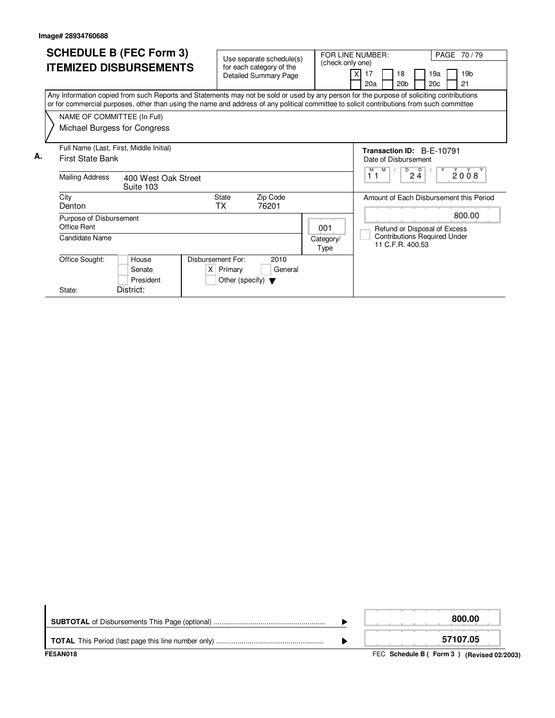|    | <b>SCHEDULE B (FEC Form 3)</b> |                                                                                                                                                                                                                                                                                        |                                  |                   | Use separate schedule(s)             |                              |                      |  | PAGE 70/79<br>FOR LINE NUMBER:                         |  |                  |  |                                     |  |                                         |  |
|----|--------------------------------|----------------------------------------------------------------------------------------------------------------------------------------------------------------------------------------------------------------------------------------------------------------------------------------|----------------------------------|-------------------|--------------------------------------|------------------------------|----------------------|--|--------------------------------------------------------|--|------------------|--|-------------------------------------|--|-----------------------------------------|--|
|    | <b>ITEMIZED DISBURSEMENTS</b>  |                                                                                                                                                                                                                                                                                        |                                  |                   | for each category of the             | (check only one)             |                      |  |                                                        |  |                  |  |                                     |  |                                         |  |
|    |                                |                                                                                                                                                                                                                                                                                        |                                  |                   |                                      | <b>Detailed Summary Page</b> |                      |  | 17                                                     |  | 18               |  | 19a                                 |  | 19 <sub>b</sub>                         |  |
|    |                                |                                                                                                                                                                                                                                                                                        |                                  |                   |                                      |                              |                      |  | 20a                                                    |  | 20 <sub>b</sub>  |  | 20c                                 |  | 21                                      |  |
|    |                                | Any Information copied from such Reports and Statements may not be sold or used by any person for the purpose of soliciting contributions<br>or for commercial purposes, other than using the name and address of any political committee to solicit contributions from such committee |                                  |                   |                                      |                              |                      |  |                                                        |  |                  |  |                                     |  |                                         |  |
|    |                                | NAME OF COMMITTEE (In Full)                                                                                                                                                                                                                                                            |                                  |                   |                                      |                              |                      |  |                                                        |  |                  |  |                                     |  |                                         |  |
|    |                                | Michael Burgess for Congress                                                                                                                                                                                                                                                           |                                  |                   |                                      |                              |                      |  |                                                        |  |                  |  |                                     |  |                                         |  |
|    |                                | Full Name (Last, First, Middle Initial)                                                                                                                                                                                                                                                |                                  |                   |                                      |                              |                      |  |                                                        |  |                  |  | Transaction ID: B-F-10791           |  |                                         |  |
| А. |                                | <b>First State Bank</b>                                                                                                                                                                                                                                                                |                                  |                   |                                      |                              | Date of Disbursement |  |                                                        |  |                  |  |                                     |  |                                         |  |
|    |                                |                                                                                                                                                                                                                                                                                        |                                  |                   |                                      |                              |                      |  | M<br>D<br>$\overline{D}$<br>Y<br>2008<br>M<br>11<br>24 |  |                  |  |                                     |  |                                         |  |
|    |                                | <b>Mailing Address</b>                                                                                                                                                                                                                                                                 | 400 West Oak Street<br>Suite 103 |                   |                                      |                              |                      |  |                                                        |  |                  |  |                                     |  |                                         |  |
|    |                                | City                                                                                                                                                                                                                                                                                   |                                  |                   | <b>State</b>                         | Zip Code                     |                      |  |                                                        |  |                  |  |                                     |  | Amount of Each Disbursement this Period |  |
|    |                                | Denton                                                                                                                                                                                                                                                                                 |                                  |                   | TX                                   | 76201                        |                      |  |                                                        |  |                  |  |                                     |  |                                         |  |
|    |                                | Purpose of Disbursement                                                                                                                                                                                                                                                                |                                  |                   |                                      |                              |                      |  | 800.00                                                 |  |                  |  |                                     |  |                                         |  |
|    |                                | <b>Office Rent</b>                                                                                                                                                                                                                                                                     |                                  |                   |                                      |                              | 001                  |  |                                                        |  |                  |  | Refund or Disposal of Excess        |  |                                         |  |
|    |                                | Candidate Name                                                                                                                                                                                                                                                                         |                                  |                   |                                      |                              | Category/            |  |                                                        |  | 11 C.F.R. 400.53 |  | <b>Contributions Required Under</b> |  |                                         |  |
|    |                                |                                                                                                                                                                                                                                                                                        |                                  |                   |                                      |                              | Type                 |  |                                                        |  |                  |  |                                     |  |                                         |  |
|    |                                | Office Sought:                                                                                                                                                                                                                                                                         | House                            | Disbursement For: |                                      | 2010                         |                      |  |                                                        |  |                  |  |                                     |  |                                         |  |
|    |                                |                                                                                                                                                                                                                                                                                        | Senate                           |                   | $X$ Primary                          | General                      |                      |  |                                                        |  |                  |  |                                     |  |                                         |  |
|    |                                |                                                                                                                                                                                                                                                                                        | President                        |                   | Other (specify) $\blacktriangledown$ |                              |                      |  |                                                        |  |                  |  |                                     |  |                                         |  |
|    |                                | State:                                                                                                                                                                                                                                                                                 | District:                        |                   |                                      |                              |                      |  |                                                        |  |                  |  |                                     |  |                                         |  |

| <b>FE5AN018</b> | FEC Schedule B (Form 3) (Revised 02/2003) |
|-----------------|-------------------------------------------|
|                 | 57107.05                                  |
|                 | 800.00                                    |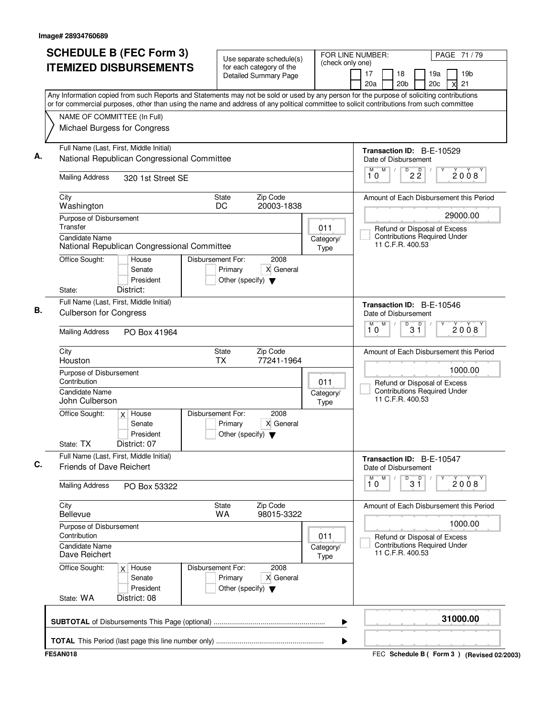| <b>SCHEDULE B (FEC Form 3)</b><br><b>ITEMIZED DISBURSEMENTS</b><br>Any Information copied from such Reports and Statements may not be sold or used by any person for the purpose of soliciting contributions | Use separate schedule(s)<br>for each category of the<br><b>Detailed Summary Page</b>             | (check only one)         | FOR LINE NUMBER:<br>PAGE 71 / 79<br>19 <sub>b</sub><br>17<br>18<br>19a<br>21<br>20 <sub>b</sub><br>20a<br>20 <sub>c</sub><br>X                |
|--------------------------------------------------------------------------------------------------------------------------------------------------------------------------------------------------------------|--------------------------------------------------------------------------------------------------|--------------------------|-----------------------------------------------------------------------------------------------------------------------------------------------|
| or for commercial purposes, other than using the name and address of any political committee to solicit contributions from such committee<br>NAME OF COMMITTEE (In Full)<br>Michael Burgess for Congress     |                                                                                                  |                          |                                                                                                                                               |
| Full Name (Last, First, Middle Initial)<br>National Republican Congressional Committee<br><b>Mailing Address</b><br>320 1st Street SE                                                                        |                                                                                                  |                          | Transaction ID: B-E-10529<br>Date of Disbursement<br>M<br>$\overline{D}$<br>M<br>$\sqrt{ }$<br>$2\overline{2}$<br>2008<br>10                  |
| City<br>Washington<br>Purpose of Disbursement<br>Transfer                                                                                                                                                    | Zip Code<br>State<br>DC<br>20003-1838                                                            | 011                      | Amount of Each Disbursement this Period<br>29000.00<br>Refund or Disposal of Excess                                                           |
| <b>Candidate Name</b><br>National Republican Congressional Committee<br>Office Sought:<br>House<br>Senate<br>President<br>District:<br>State:                                                                | 2008<br><b>Disbursement For:</b><br>X General<br>Primary<br>Other (specify) $\blacktriangledown$ | Category/<br>Type        | <b>Contributions Required Under</b><br>11 C.F.R. 400.53                                                                                       |
| Full Name (Last, First, Middle Initial)<br><b>Culberson for Congress</b><br><b>Mailing Address</b><br>PO Box 41964                                                                                           |                                                                                                  |                          | Transaction ID: B-E-10546<br>Date of Disbursement<br>M<br>D<br>$3^{\circ}$<br>M<br>2008<br>10                                                 |
| City<br>Houston<br>Purpose of Disbursement<br>Contribution<br>Candidate Name<br>John Culberson                                                                                                               | State<br>Zip Code<br><b>TX</b><br>77241-1964                                                     | 011<br>Category/<br>Type | Amount of Each Disbursement this Period<br>1000.00<br>Refund or Disposal of Excess<br><b>Contributions Required Under</b><br>11 C.F.R. 400.53 |
| Office Sought:<br>$x$ House<br>Senate<br>President<br>District: 07<br>State: TX                                                                                                                              | Disbursement For:<br>2008<br>X General<br>Primary<br>Other (specify) $\blacktriangledown$        |                          |                                                                                                                                               |
| Full Name (Last, First, Middle Initial)<br><b>Friends of Dave Reichert</b>                                                                                                                                   |                                                                                                  |                          | <b>Transaction ID: B-E-10547</b><br>Date of Disbursement<br>M<br>D<br>$3^{\circ}$<br>M<br>2008<br>10                                          |
| <b>Mailing Address</b><br>PO Box 53322<br>City<br>Bellevue                                                                                                                                                   | Zip Code<br>State<br>WA<br>98015-3322                                                            |                          | Amount of Each Disbursement this Period                                                                                                       |
| Purpose of Disbursement<br>Contribution<br>Candidate Name<br>Dave Reichert                                                                                                                                   |                                                                                                  | 011<br>Category/<br>Type | 1000.00<br>Refund or Disposal of Excess<br><b>Contributions Required Under</b><br>11 C.F.R. 400.53                                            |
| Office Sought:<br>$x$ House<br>Senate<br>President<br>District: 08<br>State: WA                                                                                                                              | Disbursement For:<br>2008<br>Primary<br>X General<br>Other (specify) $\blacktriangledown$        |                          |                                                                                                                                               |
|                                                                                                                                                                                                              |                                                                                                  | ▶                        | 31000.00                                                                                                                                      |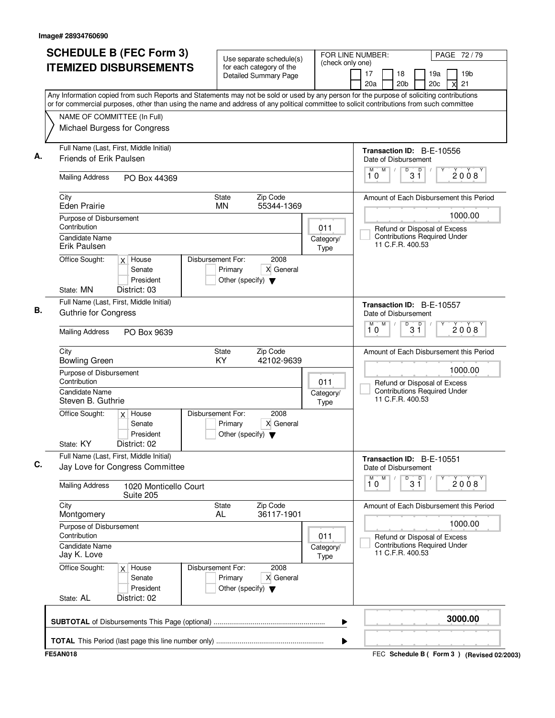| <b>SCHEDULE B (FEC Form 3)</b><br><b>ITEMIZED DISBURSEMENTS</b>                                                                                                                                                                                                                                                       | Use separate schedule(s)<br>for each category of the<br><b>Detailed Summary Page</b>      | (check only one)         | FOR LINE NUMBER:<br>PAGE 72/79<br>18<br>19a<br>19 <sub>b</sub><br>17<br>20c<br>21<br>20a<br>20 <sub>b</sub><br>X |  |
|-----------------------------------------------------------------------------------------------------------------------------------------------------------------------------------------------------------------------------------------------------------------------------------------------------------------------|-------------------------------------------------------------------------------------------|--------------------------|------------------------------------------------------------------------------------------------------------------|--|
| Any Information copied from such Reports and Statements may not be sold or used by any person for the purpose of soliciting contributions<br>or for commercial purposes, other than using the name and address of any political committee to solicit contributions from such committee<br>NAME OF COMMITTEE (In Full) |                                                                                           |                          |                                                                                                                  |  |
| Michael Burgess for Congress                                                                                                                                                                                                                                                                                          |                                                                                           |                          |                                                                                                                  |  |
| Full Name (Last, First, Middle Initial)<br>Friends of Erik Paulsen                                                                                                                                                                                                                                                    |                                                                                           |                          | Transaction ID: B-E-10556<br>Date of Disbursement                                                                |  |
| <b>Mailing Address</b><br>PO Box 44369                                                                                                                                                                                                                                                                                |                                                                                           |                          | M<br>$\overline{D}$<br>M<br>D<br>2008<br>3 Ĭ<br>10                                                               |  |
| City<br><b>Eden Prairie</b>                                                                                                                                                                                                                                                                                           | Zip Code<br><b>State</b><br><b>MN</b><br>55344-1369                                       |                          | Amount of Each Disbursement this Period                                                                          |  |
| Purpose of Disbursement<br>Contribution                                                                                                                                                                                                                                                                               |                                                                                           | 011                      | 1000.00<br>Refund or Disposal of Excess                                                                          |  |
| Candidate Name<br>Erik Paulsen                                                                                                                                                                                                                                                                                        |                                                                                           | Category/<br>Type        | <b>Contributions Required Under</b><br>11 C.F.R. 400.53                                                          |  |
| Office Sought:<br>$x$ House<br>Senate<br>President<br>State: MN<br>District: 03                                                                                                                                                                                                                                       | Disbursement For:<br>2008<br>Primary<br>X General<br>Other (specify) $\blacktriangledown$ |                          |                                                                                                                  |  |
| Full Name (Last, First, Middle Initial)<br><b>Guthrie for Congress</b>                                                                                                                                                                                                                                                |                                                                                           |                          | Transaction ID: B-E-10557<br>Date of Disbursement<br>M<br>M<br>D                                                 |  |
| <b>Mailing Address</b><br>PO Box 9639                                                                                                                                                                                                                                                                                 |                                                                                           |                          | $3^{\circ}$<br>2008<br>10                                                                                        |  |
| City<br><b>Bowling Green</b>                                                                                                                                                                                                                                                                                          | State<br>Zip Code<br>KY<br>42102-9639                                                     |                          | Amount of Each Disbursement this Period                                                                          |  |
| Purpose of Disbursement<br>Contribution<br><b>Candidate Name</b><br>Steven B. Guthrie                                                                                                                                                                                                                                 |                                                                                           | 011<br>Category/         | 1000.00<br>Refund or Disposal of Excess<br><b>Contributions Required Under</b><br>11 C.F.R. 400.53               |  |
| Office Sought:<br>$x$ House<br>Senate<br>President<br>State: KY<br>District: 02                                                                                                                                                                                                                                       | Disbursement For:<br>2008<br>X General<br>Primary<br>Other (specify) $\blacktriangledown$ | <b>Type</b>              |                                                                                                                  |  |
| Full Name (Last, First, Middle Initial)<br>Jay Love for Congress Committee                                                                                                                                                                                                                                            |                                                                                           |                          | Transaction ID: B-E-10551<br>Date of Disbursement                                                                |  |
| <b>Mailing Address</b><br>1020 Monticello Court<br>Suite 205                                                                                                                                                                                                                                                          |                                                                                           |                          | М<br>M<br>D<br>3 <sup>0</sup><br>2008<br>10                                                                      |  |
| City<br>Montgomery                                                                                                                                                                                                                                                                                                    | Zip Code<br>State<br>36117-1901<br>AL.                                                    |                          | Amount of Each Disbursement this Period                                                                          |  |
| Purpose of Disbursement<br>Contribution<br>011                                                                                                                                                                                                                                                                        |                                                                                           |                          | 1000.00<br>Refund or Disposal of Excess                                                                          |  |
| <b>Candidate Name</b><br>Jay K. Love                                                                                                                                                                                                                                                                                  |                                                                                           | Category/<br><b>Type</b> | <b>Contributions Required Under</b><br>11 C.F.R. 400.53                                                          |  |
| Office Sought:<br>$x$ House<br>Senate<br>President<br>State: AL<br>District: 02                                                                                                                                                                                                                                       | Disbursement For:<br>2008<br>X General<br>Primary<br>Other (specify) $\blacktriangledown$ |                          |                                                                                                                  |  |
|                                                                                                                                                                                                                                                                                                                       |                                                                                           | ▶                        | 3000.00                                                                                                          |  |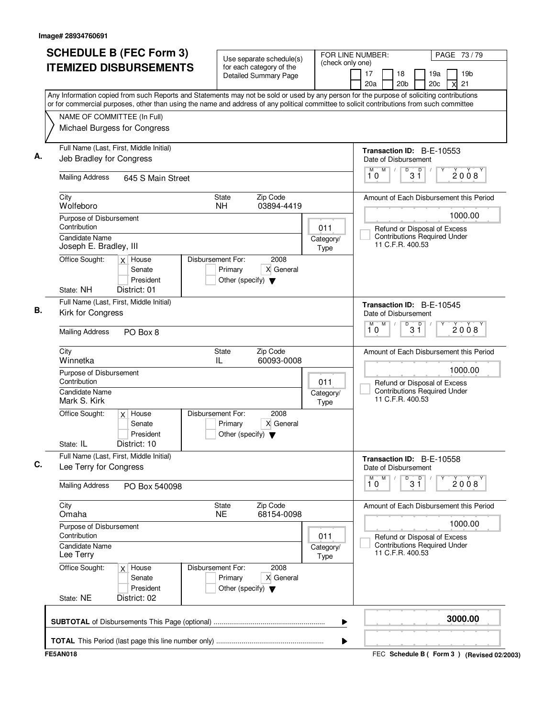| <b>SCHEDULE B (FEC Form 3)</b><br><b>ITEMIZED DISBURSEMENTS</b>                                                                                                                                                                                                                        | Use separate schedule(s)<br>for each category of the<br>Detailed Summary Page             | (check only one)  | FOR LINE NUMBER:<br>PAGE 73/79<br>19 <sub>b</sub><br>17<br>18<br>19a<br>20 <sub>b</sub><br>21<br>20a<br>20c<br>X |
|----------------------------------------------------------------------------------------------------------------------------------------------------------------------------------------------------------------------------------------------------------------------------------------|-------------------------------------------------------------------------------------------|-------------------|------------------------------------------------------------------------------------------------------------------|
| Any Information copied from such Reports and Statements may not be sold or used by any person for the purpose of soliciting contributions<br>or for commercial purposes, other than using the name and address of any political committee to solicit contributions from such committee |                                                                                           |                   |                                                                                                                  |
| NAME OF COMMITTEE (In Full)<br>Michael Burgess for Congress                                                                                                                                                                                                                            |                                                                                           |                   |                                                                                                                  |
| Full Name (Last, First, Middle Initial)<br>Jeb Bradley for Congress                                                                                                                                                                                                                    |                                                                                           |                   | <b>Transaction ID: B-E-10553</b><br>Date of Disbursement                                                         |
| <b>Mailing Address</b><br>645 S Main Street                                                                                                                                                                                                                                            |                                                                                           |                   | M<br>D<br>$\overline{D}$<br>M<br>$\sqrt{2}$<br>2008<br>31<br>10                                                  |
| City<br>Wolfeboro                                                                                                                                                                                                                                                                      | Zip Code<br>State<br><b>NH</b><br>03894-4419                                              |                   | Amount of Each Disbursement this Period                                                                          |
| Purpose of Disbursement<br>Contribution                                                                                                                                                                                                                                                |                                                                                           | 011               | 1000.00                                                                                                          |
| <b>Candidate Name</b><br>Joseph E. Bradley, III                                                                                                                                                                                                                                        |                                                                                           | Category/<br>Type | Refund or Disposal of Excess<br><b>Contributions Required Under</b><br>11 C.F.R. 400.53                          |
| Office Sought:<br>$x$ House<br>Senate<br>President<br>State: NH<br>District: 01                                                                                                                                                                                                        | Disbursement For:<br>2008<br>Primary<br>X General<br>Other (specify) $\blacktriangledown$ |                   |                                                                                                                  |
| Full Name (Last, First, Middle Initial)<br>Kirk for Congress                                                                                                                                                                                                                           |                                                                                           |                   | Transaction ID: B-E-10545<br>Date of Disbursement                                                                |
| <b>Mailing Address</b><br>PO Box 8                                                                                                                                                                                                                                                     |                                                                                           |                   | M<br>M<br>D<br>$3^{\circ}$<br>2008<br>10                                                                         |
| City<br>Winnetka                                                                                                                                                                                                                                                                       | Zip Code<br>State<br>IL<br>60093-0008                                                     |                   | Amount of Each Disbursement this Period                                                                          |
| Purpose of Disbursement<br>Contribution<br>Candidate Name                                                                                                                                                                                                                              |                                                                                           | 011<br>Category/  | 1000.00<br>Refund or Disposal of Excess<br><b>Contributions Required Under</b>                                   |
| Mark S. Kirk                                                                                                                                                                                                                                                                           |                                                                                           | Type              | 11 C.F.R. 400.53                                                                                                 |
| Office Sought:<br>$x$ House<br>Senate<br>President<br>District: 10<br>State: IL                                                                                                                                                                                                        | Disbursement For:<br>2008<br>X General<br>Primary<br>Other (specify) $\blacktriangledown$ |                   |                                                                                                                  |
| Full Name (Last, First, Middle Initial)<br>Lee Terry for Congress                                                                                                                                                                                                                      |                                                                                           |                   | Transaction ID: B-E-10558<br>Date of Disbursement                                                                |
| <b>Mailing Address</b><br>PO Box 540098                                                                                                                                                                                                                                                |                                                                                           |                   | M<br>M<br>$\overline{31}$<br>2008<br>10                                                                          |
| City<br>Omaha                                                                                                                                                                                                                                                                          | Zip Code<br>State<br>68154-0098<br><b>NE</b>                                              |                   | Amount of Each Disbursement this Period                                                                          |
| Purpose of Disbursement<br>Contribution                                                                                                                                                                                                                                                |                                                                                           | 011               | 1000.00<br>Refund or Disposal of Excess                                                                          |
| <b>Candidate Name</b><br>Lee Terry                                                                                                                                                                                                                                                     |                                                                                           | Category/<br>Type | <b>Contributions Required Under</b><br>11 C.F.R. 400.53                                                          |
| Office Sought:<br>$x$ House<br>Senate<br>President                                                                                                                                                                                                                                     | Disbursement For:<br>2008<br>X General<br>Primary<br>Other (specify) $\blacktriangledown$ |                   |                                                                                                                  |
| State: NE<br>District: 02                                                                                                                                                                                                                                                              |                                                                                           |                   |                                                                                                                  |
|                                                                                                                                                                                                                                                                                        |                                                                                           | ▶                 | 3000.00                                                                                                          |

FEC **Schedule B ( ) Form 3 FE5AN018 (Revised 02/2003)**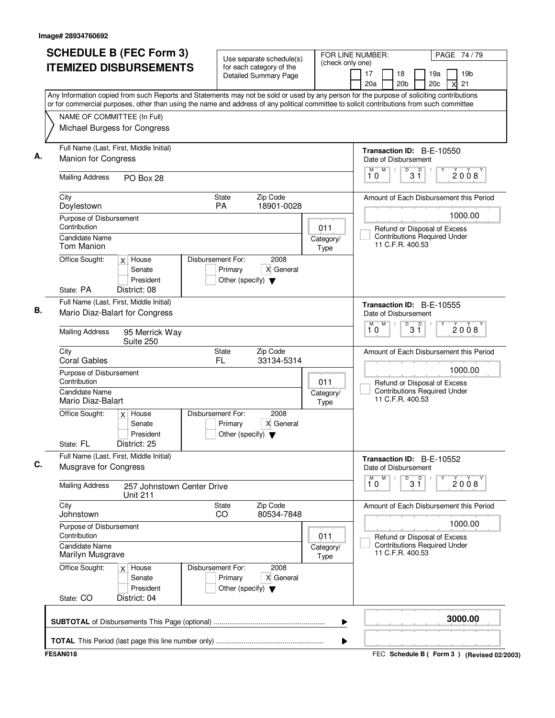| <b>SCHEDULE B (FEC Form 3)</b>                                                                                                                                                                                                                                                         | Use separate schedule(s)                                                                  | (check only one)         | FOR LINE NUMBER:<br>PAGE 74 / 79                                                        |
|----------------------------------------------------------------------------------------------------------------------------------------------------------------------------------------------------------------------------------------------------------------------------------------|-------------------------------------------------------------------------------------------|--------------------------|-----------------------------------------------------------------------------------------|
| <b>ITEMIZED DISBURSEMENTS</b>                                                                                                                                                                                                                                                          | for each category of the<br><b>Detailed Summary Page</b>                                  |                          | 19 <sub>b</sub><br>17<br>18<br>19a<br>20 <sub>b</sub><br>20c<br>21<br>20a<br>X          |
| Any Information copied from such Reports and Statements may not be sold or used by any person for the purpose of soliciting contributions<br>or for commercial purposes, other than using the name and address of any political committee to solicit contributions from such committee |                                                                                           |                          |                                                                                         |
| NAME OF COMMITTEE (In Full)                                                                                                                                                                                                                                                            |                                                                                           |                          |                                                                                         |
| Michael Burgess for Congress                                                                                                                                                                                                                                                           |                                                                                           |                          |                                                                                         |
| Full Name (Last, First, Middle Initial)<br><b>Manion for Congress</b>                                                                                                                                                                                                                  |                                                                                           |                          | <b>Transaction ID: B-E-10550</b><br>Date of Disbursement                                |
| <b>Mailing Address</b><br>PO Box 28                                                                                                                                                                                                                                                    |                                                                                           |                          | M<br>D<br>M<br>D<br>2008<br>3 Ĭ<br>10                                                   |
| City<br>Doylestown                                                                                                                                                                                                                                                                     | Zip Code<br>State<br>PA<br>18901-0028                                                     |                          | Amount of Each Disbursement this Period                                                 |
| Purpose of Disbursement                                                                                                                                                                                                                                                                |                                                                                           |                          | 1000.00                                                                                 |
| Contribution<br><b>Candidate Name</b><br>Tom Manion                                                                                                                                                                                                                                    |                                                                                           | 011<br>Category/<br>Type | Refund or Disposal of Excess<br><b>Contributions Required Under</b><br>11 C.F.R. 400.53 |
| Office Sought:<br>$x$ House<br>Senate<br>President<br>State: PA<br>District: 08                                                                                                                                                                                                        | Disbursement For:<br>2008<br>Primary<br>X General<br>Other (specify) $\blacktriangledown$ |                          |                                                                                         |
| Full Name (Last, First, Middle Initial)                                                                                                                                                                                                                                                |                                                                                           |                          | Transaction ID: B-E-10555                                                               |
| Mario Diaz-Balart for Congress                                                                                                                                                                                                                                                         |                                                                                           |                          | Date of Disbursement                                                                    |
| <b>Mailing Address</b><br>95 Merrick Way<br>Suite 250                                                                                                                                                                                                                                  |                                                                                           |                          | M<br>M<br>D<br>$3^{\circ}$<br>2008<br>10                                                |
| City<br><b>Coral Gables</b>                                                                                                                                                                                                                                                            | Zip Code<br>State<br>FL<br>33134-5314                                                     |                          | Amount of Each Disbursement this Period                                                 |
| Purpose of Disbursement<br>Contribution                                                                                                                                                                                                                                                |                                                                                           | 011                      | 1000.00<br>Refund or Disposal of Excess                                                 |
| <b>Candidate Name</b><br>Mario Diaz-Balart                                                                                                                                                                                                                                             |                                                                                           | Category/<br>Type        | <b>Contributions Required Under</b><br>11 C.F.R. 400.53                                 |
| Office Sought:<br>$x$ House<br>Senate<br>President<br>State: FL<br>District: 25                                                                                                                                                                                                        | Disbursement For:<br>2008<br>X General<br>Primary<br>Other (specify) $\blacktriangledown$ |                          |                                                                                         |
| Full Name (Last, First, Middle Initial)<br>Musgrave for Congress                                                                                                                                                                                                                       |                                                                                           |                          | Transaction ID: B-E-10552<br>Date of Disbursement                                       |
| <b>Mailing Address</b><br>257 Johnstown Center Drive<br><b>Unit 211</b>                                                                                                                                                                                                                |                                                                                           |                          | M<br>M.<br>D<br>$3^{\circ}$<br>2008<br>10                                               |
| City<br>Johnstown                                                                                                                                                                                                                                                                      | Zip Code<br>State<br>80534-7848<br>CO                                                     |                          | Amount of Each Disbursement this Period                                                 |
| Purpose of Disbursement<br>Contribution                                                                                                                                                                                                                                                |                                                                                           |                          | 1000.00                                                                                 |
| Candidate Name<br>Marilyn Musgrave                                                                                                                                                                                                                                                     |                                                                                           | 011<br>Category/<br>Type | Refund or Disposal of Excess<br><b>Contributions Required Under</b><br>11 C.F.R. 400.53 |
| Office Sought:<br>$x$ House<br>Senate<br>President<br>State: CO<br>District: 04                                                                                                                                                                                                        | Disbursement For:<br>2008<br>X General<br>Primary<br>Other (specify) $\blacktriangledown$ |                          |                                                                                         |
|                                                                                                                                                                                                                                                                                        |                                                                                           | ▶                        | 3000.00                                                                                 |
|                                                                                                                                                                                                                                                                                        |                                                                                           | ▶                        |                                                                                         |
| <b>FE5AN018</b>                                                                                                                                                                                                                                                                        |                                                                                           |                          | FEC Schedule B ( Form 3 ) (Revised 02/2003)                                             |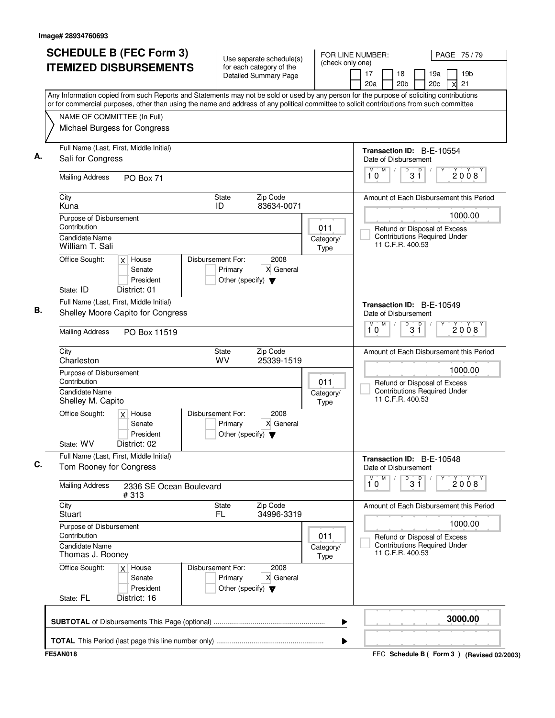| <b>SCHEDULE B (FEC Form 3)</b>                                                                                                                                                                                                                                                         | Use separate schedule(s)                                                                  | (check only one)         | FOR LINE NUMBER:                                                                        | PAGE 75 / 79                                                        |  |
|----------------------------------------------------------------------------------------------------------------------------------------------------------------------------------------------------------------------------------------------------------------------------------------|-------------------------------------------------------------------------------------------|--------------------------|-----------------------------------------------------------------------------------------|---------------------------------------------------------------------|--|
| <b>ITEMIZED DISBURSEMENTS</b>                                                                                                                                                                                                                                                          | for each category of the<br><b>Detailed Summary Page</b>                                  |                          | 17<br>18<br>20a<br>20 <sub>b</sub>                                                      | 19a<br>19 <sub>b</sub><br>20 <sub>c</sub><br>21                     |  |
| Any Information copied from such Reports and Statements may not be sold or used by any person for the purpose of soliciting contributions<br>or for commercial purposes, other than using the name and address of any political committee to solicit contributions from such committee |                                                                                           |                          |                                                                                         |                                                                     |  |
| NAME OF COMMITTEE (In Full)                                                                                                                                                                                                                                                            |                                                                                           |                          |                                                                                         |                                                                     |  |
| Michael Burgess for Congress                                                                                                                                                                                                                                                           |                                                                                           |                          |                                                                                         |                                                                     |  |
| Full Name (Last, First, Middle Initial)<br>Sali for Congress                                                                                                                                                                                                                           |                                                                                           |                          | Transaction ID: B-E-10554<br>Date of Disbursement                                       |                                                                     |  |
| <b>Mailing Address</b><br>PO Box 71                                                                                                                                                                                                                                                    |                                                                                           |                          | M<br>M<br>D<br>3 Ĭ<br>10                                                                | p<br>2008                                                           |  |
| City<br>Kuna                                                                                                                                                                                                                                                                           | Zip Code<br><b>State</b><br>ID<br>83634-0071                                              |                          |                                                                                         | Amount of Each Disbursement this Period                             |  |
| Purpose of Disbursement<br>Contribution                                                                                                                                                                                                                                                |                                                                                           |                          |                                                                                         | 1000.00                                                             |  |
| <b>Candidate Name</b><br>William T. Sali                                                                                                                                                                                                                                               |                                                                                           | 011<br>Category/<br>Type | 11 C.F.R. 400.53                                                                        | Refund or Disposal of Excess<br><b>Contributions Required Under</b> |  |
| Office Sought:<br>$x$ House<br>Senate<br>President<br>State: ID<br>District: 01                                                                                                                                                                                                        | Disbursement For:<br>2008<br>Primary<br>X General<br>Other (specify) $\blacktriangledown$ |                          |                                                                                         |                                                                     |  |
| Full Name (Last, First, Middle Initial)                                                                                                                                                                                                                                                |                                                                                           |                          |                                                                                         |                                                                     |  |
| Shelley Moore Capito for Congress                                                                                                                                                                                                                                                      |                                                                                           |                          | Transaction ID: B-E-10549<br>Date of Disbursement<br>M<br>D<br>M<br>3 <sup>0</sup>      |                                                                     |  |
| <b>Mailing Address</b><br>PO Box 11519                                                                                                                                                                                                                                                 |                                                                                           |                          | 10                                                                                      | 2008                                                                |  |
| City<br>Charleston                                                                                                                                                                                                                                                                     | Zip Code<br>State<br><b>WV</b><br>25339-1519                                              |                          |                                                                                         | Amount of Each Disbursement this Period<br>1000.00                  |  |
| Purpose of Disbursement<br>Contribution                                                                                                                                                                                                                                                |                                                                                           | 011                      |                                                                                         |                                                                     |  |
| <b>Candidate Name</b><br>Shelley M. Capito                                                                                                                                                                                                                                             |                                                                                           | Category/<br>Type        | Refund or Disposal of Excess<br><b>Contributions Required Under</b><br>11 C.F.R. 400.53 |                                                                     |  |
| Office Sought:<br>$x$ House<br>Senate<br>President<br>District: 02<br>State: WV                                                                                                                                                                                                        | Disbursement For:<br>2008<br>X General<br>Primary<br>Other (specify) $\blacktriangledown$ |                          |                                                                                         |                                                                     |  |
| Full Name (Last, First, Middle Initial)<br>Tom Rooney for Congress                                                                                                                                                                                                                     |                                                                                           |                          | Transaction ID: B-E-10548<br>Date of Disbursement                                       |                                                                     |  |
| <b>Mailing Address</b><br>2336 SE Ocean Boulevard<br>#313                                                                                                                                                                                                                              |                                                                                           |                          | M<br>M<br>$\begin{bmatrix} 0 & 0 \\ 3 & 1 \end{bmatrix}$<br>10                          | Υ<br>2008                                                           |  |
| City<br><b>Stuart</b>                                                                                                                                                                                                                                                                  | Zip Code<br>State<br>34996-3319<br>FL.                                                    |                          |                                                                                         | Amount of Each Disbursement this Period                             |  |
| Purpose of Disbursement<br>Contribution                                                                                                                                                                                                                                                |                                                                                           | 011                      |                                                                                         | 1000.00<br>Refund or Disposal of Excess                             |  |
| <b>Candidate Name</b><br>Category/<br>Thomas J. Rooney<br>Type                                                                                                                                                                                                                         |                                                                                           |                          | 11 C.F.R. 400.53                                                                        | <b>Contributions Required Under</b>                                 |  |
| Office Sought:<br>$x$ House<br>Senate<br>President<br>State: FL<br>District: 16                                                                                                                                                                                                        | Disbursement For:<br>2008<br>Primary<br>X General<br>Other (specify) $\blacktriangledown$ |                          |                                                                                         |                                                                     |  |
|                                                                                                                                                                                                                                                                                        |                                                                                           | ▶                        |                                                                                         | 3000.00                                                             |  |
|                                                                                                                                                                                                                                                                                        |                                                                                           | ▶                        |                                                                                         |                                                                     |  |
| <b>FE5AN018</b>                                                                                                                                                                                                                                                                        |                                                                                           |                          |                                                                                         | FEC Schedule B ( Form 3 ) (Revised 02/2003)                         |  |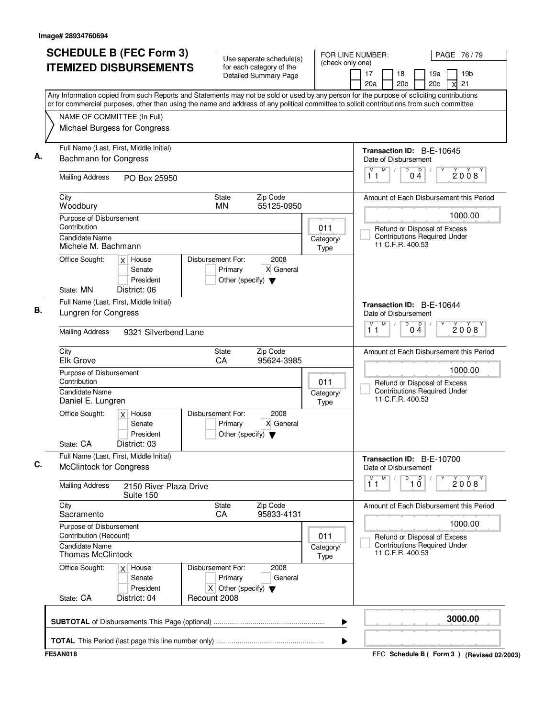|                                                   | <b>SCHEDULE B (FEC Form 3)</b>                   |                                                                        | Use separate schedule(s)                          | (check only one)  | FOR LINE NUMBER:<br>PAGE 76 / 79                                                                                                                                                                                                                                                       |
|---------------------------------------------------|--------------------------------------------------|------------------------------------------------------------------------|---------------------------------------------------|-------------------|----------------------------------------------------------------------------------------------------------------------------------------------------------------------------------------------------------------------------------------------------------------------------------------|
|                                                   | <b>ITEMIZED DISBURSEMENTS</b>                    |                                                                        | for each category of the<br>Detailed Summary Page |                   | 18<br>19a<br>19 <sub>b</sub><br>17<br>20 <sub>b</sub><br>20c<br>21<br>20a<br>X                                                                                                                                                                                                         |
|                                                   |                                                  |                                                                        |                                                   |                   | Any Information copied from such Reports and Statements may not be sold or used by any person for the purpose of soliciting contributions<br>or for commercial purposes, other than using the name and address of any political committee to solicit contributions from such committee |
| NAME OF COMMITTEE (In Full)                       |                                                  |                                                                        |                                                   |                   |                                                                                                                                                                                                                                                                                        |
| Michael Burgess for Congress                      |                                                  |                                                                        |                                                   |                   |                                                                                                                                                                                                                                                                                        |
| <b>Bachmann for Congress</b>                      | Full Name (Last, First, Middle Initial)          |                                                                        |                                                   |                   | Transaction ID: B-E-10645<br>Date of Disbursement                                                                                                                                                                                                                                      |
| <b>Mailing Address</b>                            | PO Box 25950                                     |                                                                        |                                                   |                   | M<br>D<br>$\overline{D}$<br>M<br>$\sqrt{ }$<br>2008<br>04<br>11                                                                                                                                                                                                                        |
| City<br>Woodbury                                  |                                                  | State<br><b>MN</b>                                                     | Zip Code<br>55125-0950                            |                   | Amount of Each Disbursement this Period                                                                                                                                                                                                                                                |
| Purpose of Disbursement<br>Contribution           |                                                  |                                                                        |                                                   | 011               | 1000.00<br>Refund or Disposal of Excess                                                                                                                                                                                                                                                |
| Candidate Name<br>Michele M. Bachmann             |                                                  |                                                                        |                                                   | Category/<br>Type | <b>Contributions Required Under</b><br>11 C.F.R. 400.53                                                                                                                                                                                                                                |
| Office Sought:<br>State: MN                       | $x$ House<br>Senate<br>President<br>District: 06 | Disbursement For:<br>Primary<br>Other (specify) $\blacktriangledown$   | 2008<br>X General                                 |                   |                                                                                                                                                                                                                                                                                        |
|                                                   | Full Name (Last, First, Middle Initial)          |                                                                        |                                                   |                   | Transaction ID: B-E-10644                                                                                                                                                                                                                                                              |
| Lungren for Congress                              |                                                  |                                                                        |                                                   |                   | Date of Disbursement                                                                                                                                                                                                                                                                   |
| <b>Mailing Address</b>                            | 9321 Silverbend Lane                             |                                                                        |                                                   |                   | M<br>D<br>$0\frac{D}{4}$<br>M<br>2008<br>11                                                                                                                                                                                                                                            |
| City<br><b>Elk Grove</b>                          |                                                  | State<br>CA                                                            | Zip Code<br>95624-3985                            |                   | Amount of Each Disbursement this Period                                                                                                                                                                                                                                                |
| Purpose of Disbursement<br>Contribution           |                                                  |                                                                        |                                                   | 011               | 1000.00<br>Refund or Disposal of Excess                                                                                                                                                                                                                                                |
| <b>Candidate Name</b><br>Daniel E. Lungren        |                                                  |                                                                        |                                                   | Category/<br>Type | <b>Contributions Required Under</b><br>11 C.F.R. 400.53                                                                                                                                                                                                                                |
| Office Sought:<br>State: CA                       | $x$ House<br>Senate<br>President<br>District: 03 | Disbursement For:<br>Primary<br>Other (specify) $\blacktriangledown$   | 2008<br>X General                                 |                   |                                                                                                                                                                                                                                                                                        |
| <b>McClintock for Congress</b>                    | Full Name (Last, First, Middle Initial)          |                                                                        |                                                   |                   | Transaction ID: B-E-10700<br>Date of Disbursement                                                                                                                                                                                                                                      |
| <b>Mailing Address</b>                            | 2150 River Plaza Drive<br>Suite 150              |                                                                        |                                                   |                   | M<br>D<br>$\overline{10}$<br>M<br>2008<br>11                                                                                                                                                                                                                                           |
| City<br>Sacramento                                |                                                  | State<br>CA                                                            | Zip Code<br>95833-4131                            |                   | Amount of Each Disbursement this Period                                                                                                                                                                                                                                                |
| Purpose of Disbursement<br>Contribution (Recount) |                                                  |                                                                        |                                                   | 011               | 1000.00<br>Refund or Disposal of Excess                                                                                                                                                                                                                                                |
| <b>Candidate Name</b><br><b>Thomas McClintock</b> |                                                  |                                                                        | Category/<br>Type                                 |                   | <b>Contributions Required Under</b><br>11 C.F.R. 400.53                                                                                                                                                                                                                                |
| Office Sought:                                    | $x$ House<br>Senate<br>President                 | Disbursement For:<br>Primary<br>X Other (specify) $\blacktriangledown$ | 2008<br>General                                   |                   |                                                                                                                                                                                                                                                                                        |
| State: CA                                         | District: 04                                     | Recount 2008                                                           |                                                   |                   |                                                                                                                                                                                                                                                                                        |
|                                                   |                                                  |                                                                        |                                                   |                   | 3000.00                                                                                                                                                                                                                                                                                |

FEC **Schedule B ( ) Form 3 FE5AN018 (Revised 02/2003)**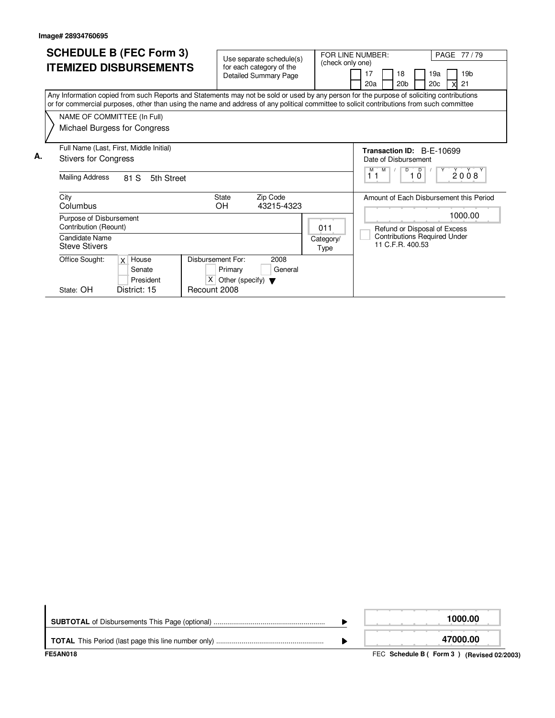|    | <b>SCHEDULE B (FEC Form 3)</b><br><b>ITEMIZED DISBURSEMENTS</b>                                                                                                                                                                                                                                                                                       | Use separate schedule(s)<br>for each category of the<br>Detailed Summary Page                               | (check only one)                                                                     | FOR LINE NUMBER:<br>PAGE 77/79<br>19 <sub>b</sub><br>17<br>18<br>19a<br>20 <sub>b</sub><br>20 <sub>c</sub><br>21<br>20a   |
|----|-------------------------------------------------------------------------------------------------------------------------------------------------------------------------------------------------------------------------------------------------------------------------------------------------------------------------------------------------------|-------------------------------------------------------------------------------------------------------------|--------------------------------------------------------------------------------------|---------------------------------------------------------------------------------------------------------------------------|
|    | Any Information copied from such Reports and Statements may not be sold or used by any person for the purpose of soliciting contributions<br>or for commercial purposes, other than using the name and address of any political committee to solicit contributions from such committee<br>NAME OF COMMITTEE (In Full)<br>Michael Burgess for Congress |                                                                                                             |                                                                                      |                                                                                                                           |
| А. | Full Name (Last, First, Middle Initial)<br><b>Stivers for Congress</b><br><b>Mailing Address</b><br>81 S<br>5th Street                                                                                                                                                                                                                                |                                                                                                             | Transaction ID: B-E-10699<br>Date of Disbursement<br>M<br>D<br>M<br>2008<br>11<br>10 |                                                                                                                           |
|    | City<br>Columbus<br>Purpose of Disbursement<br>Contribution (Reount)<br>Candidate Name                                                                                                                                                                                                                                                                | <b>State</b><br>Zip Code<br>OH.<br>43215-4323                                                               | 011                                                                                  | Amount of Each Disbursement this Period<br>1000.00<br>Refund or Disposal of Excess<br><b>Contributions Required Under</b> |
|    | <b>Steve Stivers</b><br>Office Sought:<br>$x$ House<br>Senate<br>President<br>District: 15<br>State: OH                                                                                                                                                                                                                                               | Disbursement For:<br>2008<br>Primary<br>General<br>$X$ Other (specify) $\blacktriangledown$<br>Recount 2008 | Category/<br>Type                                                                    | 11 C.F.R. 400.53                                                                                                          |

| <b>FE5AN018</b> | FEC Schedule B (Form 3) (Revised 02/2003) |
|-----------------|-------------------------------------------|
|                 | 47000.00                                  |
|                 | 1000.00                                   |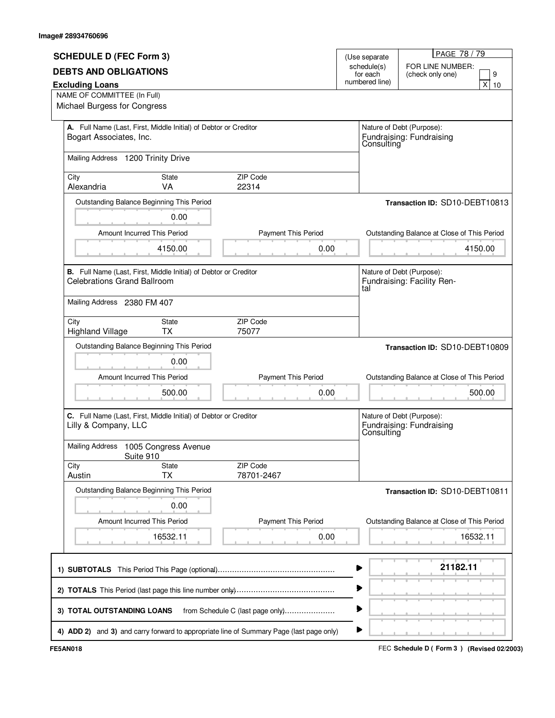| <b>SCHEDULE D (FEC Form 3)</b>     |                                                                  |                                                                                         | (Use separate              |                                        | PAGE 78/79                                              |  |
|------------------------------------|------------------------------------------------------------------|-----------------------------------------------------------------------------------------|----------------------------|----------------------------------------|---------------------------------------------------------|--|
| <b>DEBTS AND OBLIGATIONS</b>       |                                                                  |                                                                                         | schedule(s)                |                                        | FOR LINE NUMBER:                                        |  |
| <b>Excluding Loans</b>             |                                                                  |                                                                                         | for each<br>numbered line) |                                        | 9<br>(check only one)<br>X<br>10                        |  |
| NAME OF COMMITTEE (In Full)        |                                                                  |                                                                                         |                            |                                        |                                                         |  |
| Michael Burgess for Congress       |                                                                  |                                                                                         |                            |                                        |                                                         |  |
|                                    |                                                                  |                                                                                         |                            |                                        |                                                         |  |
|                                    | A. Full Name (Last, First, Middle Initial) of Debtor or Creditor |                                                                                         |                            |                                        | Nature of Debt (Purpose):                               |  |
| Bogart Associates, Inc.            |                                                                  |                                                                                         |                            |                                        | Fundraising: Fundraising<br>Consulting                  |  |
|                                    |                                                                  |                                                                                         |                            |                                        |                                                         |  |
| Mailing Address 1200 Trinity Drive |                                                                  |                                                                                         |                            |                                        |                                                         |  |
| City                               | State                                                            | ZIP Code                                                                                |                            |                                        |                                                         |  |
| Alexandria                         | VA                                                               | 22314                                                                                   |                            |                                        |                                                         |  |
|                                    |                                                                  |                                                                                         |                            |                                        |                                                         |  |
|                                    | Outstanding Balance Beginning This Period                        |                                                                                         |                            |                                        | Transaction ID: SD10-DEBT10813                          |  |
|                                    | 0.00                                                             |                                                                                         |                            |                                        |                                                         |  |
|                                    | Amount Incurred This Period                                      | <b>Payment This Period</b>                                                              |                            |                                        | Outstanding Balance at Close of This Period             |  |
|                                    |                                                                  |                                                                                         |                            |                                        |                                                         |  |
|                                    | 4150.00                                                          | 0.00                                                                                    |                            |                                        | 4150.00                                                 |  |
|                                    |                                                                  |                                                                                         |                            |                                        |                                                         |  |
| <b>Celebrations Grand Ballroom</b> | B. Full Name (Last, First, Middle Initial) of Debtor or Creditor |                                                                                         |                            |                                        | Nature of Debt (Purpose):<br>Fundraising: Facility Ren- |  |
|                                    |                                                                  |                                                                                         | tal                        |                                        |                                                         |  |
| Mailing Address 2380 FM 407        |                                                                  |                                                                                         |                            |                                        |                                                         |  |
|                                    |                                                                  |                                                                                         |                            |                                        |                                                         |  |
| City                               | State                                                            | ZIP Code                                                                                |                            |                                        |                                                         |  |
| <b>Highland Village</b>            | <b>TX</b>                                                        | 75077                                                                                   |                            |                                        |                                                         |  |
|                                    | Outstanding Balance Beginning This Period                        |                                                                                         |                            |                                        | Transaction ID: SD10-DEBT10809                          |  |
|                                    | 0.00                                                             |                                                                                         |                            |                                        |                                                         |  |
|                                    |                                                                  |                                                                                         |                            |                                        |                                                         |  |
|                                    | Amount Incurred This Period                                      | Payment This Period                                                                     |                            |                                        | Outstanding Balance at Close of This Period             |  |
|                                    | 500.00                                                           | 0.00                                                                                    |                            |                                        | 500.00                                                  |  |
|                                    |                                                                  |                                                                                         |                            |                                        |                                                         |  |
|                                    | C. Full Name (Last, First, Middle Initial) of Debtor or Creditor |                                                                                         |                            |                                        | Nature of Debt (Purpose):                               |  |
| Lilly & Company, LLC               |                                                                  |                                                                                         |                            | Fundraising: Fundraising<br>Consulting |                                                         |  |
|                                    |                                                                  |                                                                                         |                            |                                        |                                                         |  |
|                                    | Mailing Address 1005 Congress Avenue                             |                                                                                         |                            |                                        |                                                         |  |
| City                               | Suite 910<br>State                                               | ZIP Code                                                                                |                            |                                        |                                                         |  |
| Austin                             | <b>TX</b>                                                        | 78701-2467                                                                              |                            |                                        |                                                         |  |
|                                    |                                                                  |                                                                                         |                            |                                        |                                                         |  |
|                                    | Outstanding Balance Beginning This Period                        |                                                                                         |                            |                                        | Transaction ID: SD10-DEBT10811                          |  |
|                                    | 0.00                                                             |                                                                                         |                            |                                        |                                                         |  |
|                                    | Amount Incurred This Period                                      | Payment This Period                                                                     |                            |                                        | Outstanding Balance at Close of This Period             |  |
|                                    | 16532.11                                                         | 0.00                                                                                    |                            |                                        | 16532.11                                                |  |
|                                    |                                                                  |                                                                                         |                            |                                        |                                                         |  |
|                                    |                                                                  |                                                                                         |                            |                                        |                                                         |  |
|                                    |                                                                  |                                                                                         |                            |                                        | 21182.11                                                |  |
|                                    |                                                                  |                                                                                         |                            |                                        |                                                         |  |
|                                    |                                                                  |                                                                                         | ▶                          |                                        |                                                         |  |
|                                    |                                                                  |                                                                                         |                            |                                        |                                                         |  |
| 3) TOTAL OUTSTANDING LOANS         |                                                                  | from Schedule C (last page only)                                                        | ⋗                          |                                        |                                                         |  |
|                                    |                                                                  |                                                                                         |                            |                                        |                                                         |  |
|                                    |                                                                  | 4) ADD 2) and 3) and carry forward to appropriate line of Summary Page (last page only) | ▶                          |                                        |                                                         |  |

FEC **Schedule D ( ) FE5AN018 Form 3 (Revised 02/2003)**